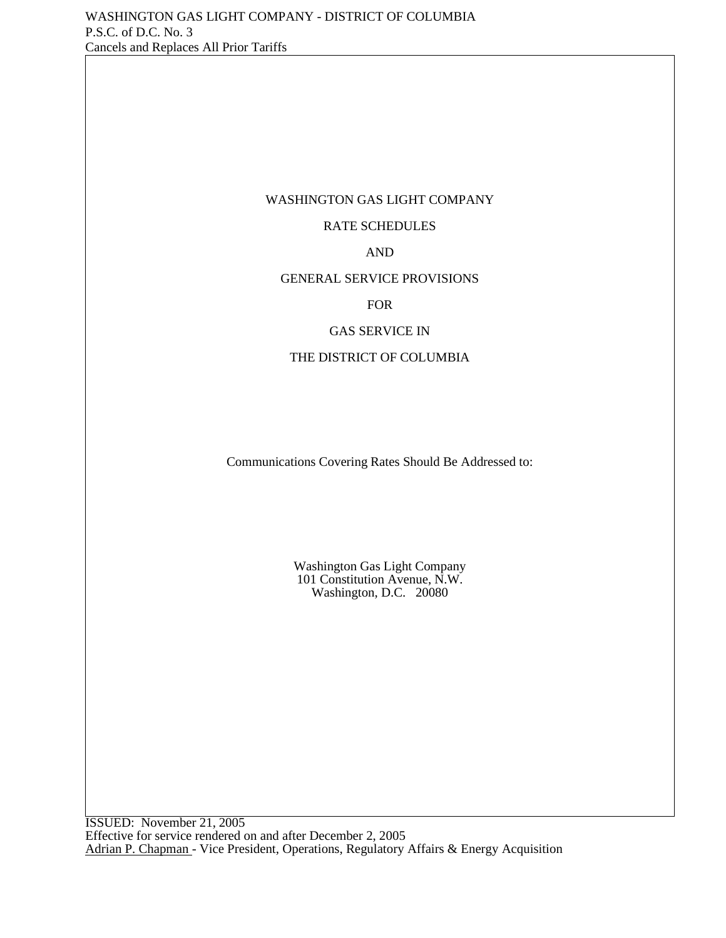#### WASHINGTON GAS LIGHT COMPANY

## RATE SCHEDULES

#### AND

#### GENERAL SERVICE PROVISIONS

FOR

#### GAS SERVICE IN

#### THE DISTRICT OF COLUMBIA

Communications Covering Rates Should Be Addressed to:

Washington Gas Light Company 101 Constitution Avenue, N.W. Washington, D.C. 20080

ISSUED: November 21, 2005 Effective for service rendered on and after December 2, 2005 Adrian P. Chapman - Vice President, Operations, Regulatory Affairs & Energy Acquisition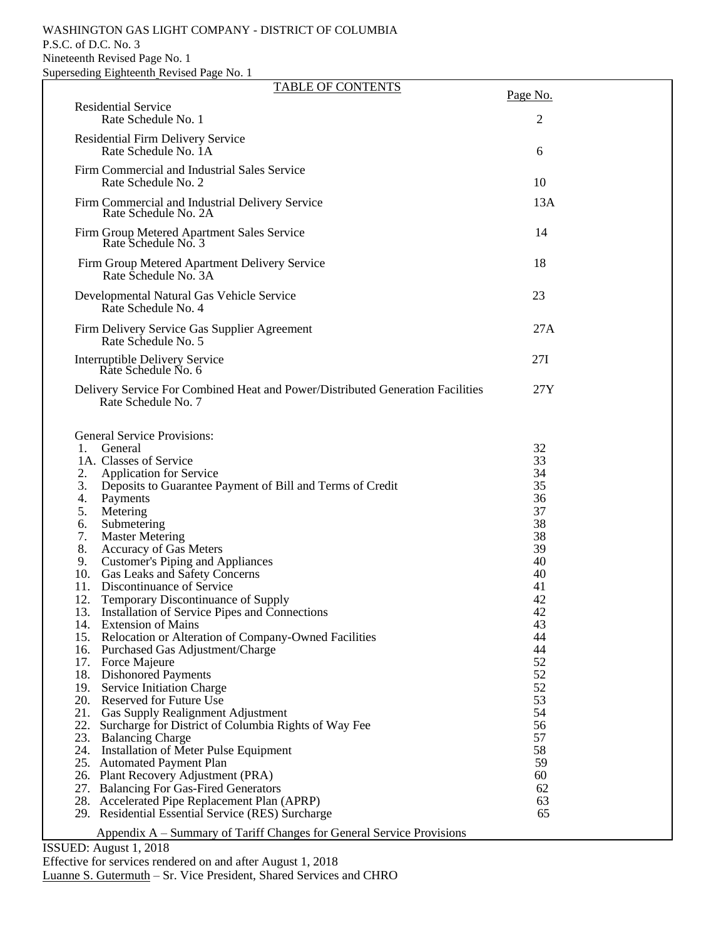#### WASHINGTON GAS LIGHT COMPANY - DISTRICT OF COLUMBIA P.S.C. of D.C. No. 3 Nineteenth Revised Page No. 1 Superseding Eighteenth Revised Page No. 1

| <b>TABLE OF CONTENTS</b>                                                                                                                                                                                                                                                                                                                                                                                                                                                                                                                                                                                                                                                                                                                                                                                                                                                                                                                                                                                                                                                                                                                                                                                                                                                 |                                                                                                                                                                                  |  |
|--------------------------------------------------------------------------------------------------------------------------------------------------------------------------------------------------------------------------------------------------------------------------------------------------------------------------------------------------------------------------------------------------------------------------------------------------------------------------------------------------------------------------------------------------------------------------------------------------------------------------------------------------------------------------------------------------------------------------------------------------------------------------------------------------------------------------------------------------------------------------------------------------------------------------------------------------------------------------------------------------------------------------------------------------------------------------------------------------------------------------------------------------------------------------------------------------------------------------------------------------------------------------|----------------------------------------------------------------------------------------------------------------------------------------------------------------------------------|--|
| <b>Residential Service</b><br>Rate Schedule No. 1                                                                                                                                                                                                                                                                                                                                                                                                                                                                                                                                                                                                                                                                                                                                                                                                                                                                                                                                                                                                                                                                                                                                                                                                                        | Page No.<br>2                                                                                                                                                                    |  |
| <b>Residential Firm Delivery Service</b><br>Rate Schedule No. 1A                                                                                                                                                                                                                                                                                                                                                                                                                                                                                                                                                                                                                                                                                                                                                                                                                                                                                                                                                                                                                                                                                                                                                                                                         | 6                                                                                                                                                                                |  |
| Firm Commercial and Industrial Sales Service<br>Rate Schedule No. 2                                                                                                                                                                                                                                                                                                                                                                                                                                                                                                                                                                                                                                                                                                                                                                                                                                                                                                                                                                                                                                                                                                                                                                                                      | 10                                                                                                                                                                               |  |
| Firm Commercial and Industrial Delivery Service<br>Rate Schedule No. 2A                                                                                                                                                                                                                                                                                                                                                                                                                                                                                                                                                                                                                                                                                                                                                                                                                                                                                                                                                                                                                                                                                                                                                                                                  | 13A                                                                                                                                                                              |  |
| Firm Group Metered Apartment Sales Service<br>Rate Schedule No. 3                                                                                                                                                                                                                                                                                                                                                                                                                                                                                                                                                                                                                                                                                                                                                                                                                                                                                                                                                                                                                                                                                                                                                                                                        | 14                                                                                                                                                                               |  |
| Firm Group Metered Apartment Delivery Service<br>Rate Schedule No. 3A                                                                                                                                                                                                                                                                                                                                                                                                                                                                                                                                                                                                                                                                                                                                                                                                                                                                                                                                                                                                                                                                                                                                                                                                    | 18                                                                                                                                                                               |  |
| Developmental Natural Gas Vehicle Service<br>Rate Schedule No. 4                                                                                                                                                                                                                                                                                                                                                                                                                                                                                                                                                                                                                                                                                                                                                                                                                                                                                                                                                                                                                                                                                                                                                                                                         | 23                                                                                                                                                                               |  |
| Firm Delivery Service Gas Supplier Agreement<br>Rate Schedule No. 5                                                                                                                                                                                                                                                                                                                                                                                                                                                                                                                                                                                                                                                                                                                                                                                                                                                                                                                                                                                                                                                                                                                                                                                                      | 27A                                                                                                                                                                              |  |
| Interruptible Delivery Service<br>Rate Schedule No. 6                                                                                                                                                                                                                                                                                                                                                                                                                                                                                                                                                                                                                                                                                                                                                                                                                                                                                                                                                                                                                                                                                                                                                                                                                    | 27I                                                                                                                                                                              |  |
| Delivery Service For Combined Heat and Power/Distributed Generation Facilities<br>Rate Schedule No. 7                                                                                                                                                                                                                                                                                                                                                                                                                                                                                                                                                                                                                                                                                                                                                                                                                                                                                                                                                                                                                                                                                                                                                                    | 27Y                                                                                                                                                                              |  |
| <b>General Service Provisions:</b><br>1. General<br>1A. Classes of Service<br><b>Application for Service</b><br>2.<br>3.<br>Deposits to Guarantee Payment of Bill and Terms of Credit<br>Payments<br>4.<br>5.<br>Metering<br>Submetering<br>6.<br>7.<br><b>Master Metering</b><br>8.<br>Accuracy of Gas Meters<br><b>Customer's Piping and Appliances</b><br>9.<br>10. Gas Leaks and Safety Concerns<br>Discontinuance of Service<br>11.<br>12.<br><b>Temporary Discontinuance of Supply</b><br>Installation of Service Pipes and Connections<br>13.<br>14. Extension of Mains<br>15. Relocation or Alteration of Company-Owned Facilities<br>16. Purchased Gas Adjustment/Charge<br>17. Force Majeure<br>18. Dishonored Payments<br>19. Service Initiation Charge<br>20. Reserved for Future Use<br>21. Gas Supply Realignment Adjustment<br>22. Surcharge for District of Columbia Rights of Way Fee<br>23. Balancing Charge<br>24. Installation of Meter Pulse Equipment<br>25. Automated Payment Plan<br>26. Plant Recovery Adjustment (PRA)<br>27. Balancing For Gas-Fired Generators<br>28. Accelerated Pipe Replacement Plan (APRP)<br>29. Residential Essential Service (RES) Surcharge<br>Appendix A – Summary of Tariff Changes for General Service Provisions | 32<br>33<br>34<br>35<br>36<br>37<br>38<br>38<br>39<br>40<br>40<br>41<br>42<br>42<br>43<br>44<br>44<br>52<br>52<br>52<br>53<br>54<br>56<br>57<br>58<br>59<br>60<br>62<br>63<br>65 |  |

ISSUED: August 1, 2018

Effective for services rendered on and after August 1, 2018 Luanne S. Gutermuth - Sr. Vice President, Shared Services and CHRO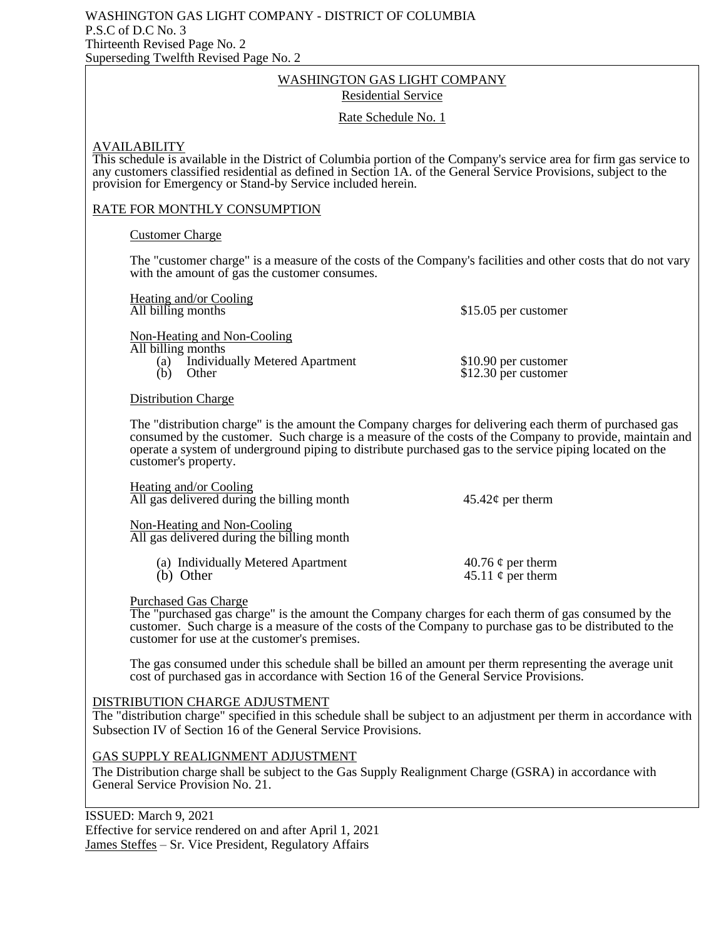#### WASHINGTON GAS LIGHT COMPANY Residential Service

#### Rate Schedule No. 1

#### AVAILABILITY

This schedule is available in the District of Columbia portion of the Company's service area for firm gas service to any customers classified residential as defined in Section 1A. of the General Service Provisions, subject to the provision for Emergency or Stand-by Service included herein.

## RATE FOR MONTHLY CONSUMPTION

#### Customer Charge

The "customer charge" is a measure of the costs of the Company's facilities and other costs that do not vary with the amount of gas the customer consumes.

Heating and/or Cooling<br>All billing months

\$15.05 per customer

Non-Heating and Non-Cooling

All billing months

(a) Individually Metered Apartment \$10.90 per customer<br>
(b) Other \$12.30 per customer

 $$12.30$  per customer

Distribution Charge

The "distribution charge" is the amount the Company charges for delivering each therm of purchased gas consumed by the customer. Such charge is a measure of the costs of the Company to provide, maintain and operate a system of underground piping to distribute purchased gas to the service piping located on the customer's property.

Heating and/or Cooling All gas delivered during the billing month  $45.42\ell$  per therm

Non-Heating and Non-Cooling All gas delivered during the billing month

> (a) Individually Metered Apartment  $40.76 \phi$  per therm<br>(b) Other  $45.11 \phi$  per therm 45.11  $\phi$  per therm

Purchased Gas Charge

The "purchased gas charge" is the amount the Company charges for each therm of gas consumed by the customer. Such charge is a measure of the costs of the Company to purchase gas to be distributed to the customer for use at the customer's premises.

The gas consumed under this schedule shall be billed an amount per therm representing the average unit cost of purchased gas in accordance with Section 16 of the General Service Provisions.

#### DISTRIBUTION CHARGE ADJUSTMENT

The "distribution charge" specified in this schedule shall be subject to an adjustment per therm in accordance with Subsection IV of Section 16 of the General Service Provisions.

#### GAS SUPPLY REALIGNMENT ADJUSTMENT

The Distribution charge shall be subject to the Gas Supply Realignment Charge (GSRA) in accordance with General Service Provision No. 21.

ISSUED: March 9, 2021

Effective for service rendered on and after April 1, 2021 James Steffes – Sr. Vice President, Regulatory Affairs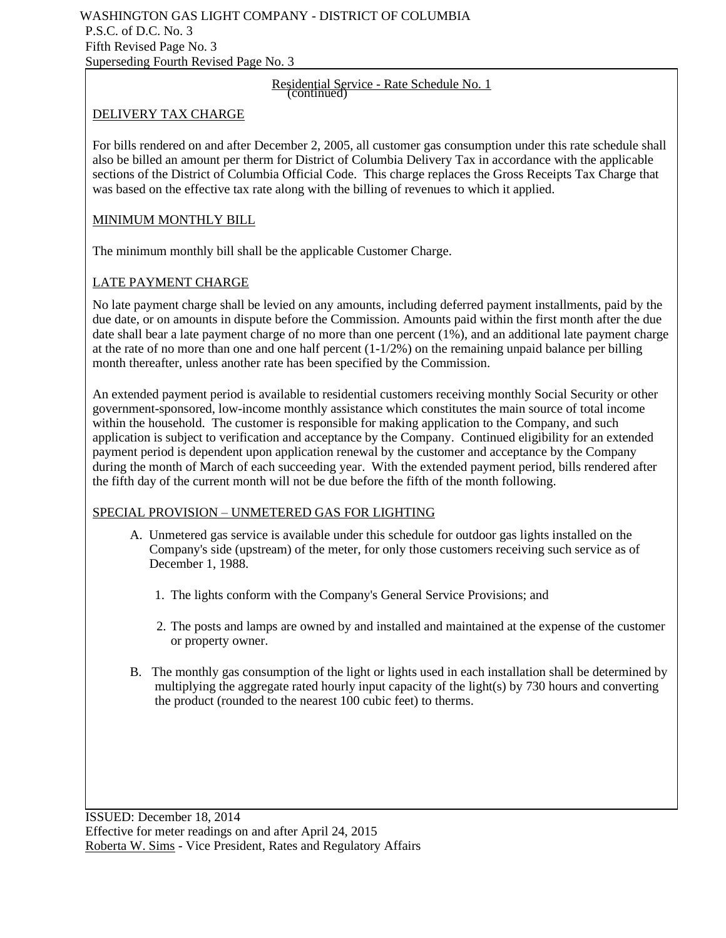## Residential Service - Rate Schedule No. 1 (continued)

## DELIVERY TAX CHARGE

For bills rendered on and after December 2, 2005, all customer gas consumption under this rate schedule shall also be billed an amount per therm for District of Columbia Delivery Tax in accordance with the applicable sections of the District of Columbia Official Code. This charge replaces the Gross Receipts Tax Charge that was based on the effective tax rate along with the billing of revenues to which it applied.

## MINIMUM MONTHLY BILL

The minimum monthly bill shall be the applicable Customer Charge.

## LATE PAYMENT CHARGE

No late payment charge shall be levied on any amounts, including deferred payment installments, paid by the due date, or on amounts in dispute before the Commission. Amounts paid within the first month after the due date shall bear a late payment charge of no more than one percent (1%), and an additional late payment charge at the rate of no more than one and one half percent  $(1-1/2%)$  on the remaining unpaid balance per billing month thereafter, unless another rate has been specified by the Commission.

An extended payment period is available to residential customers receiving monthly Social Security or other government-sponsored, low-income monthly assistance which constitutes the main source of total income within the household. The customer is responsible for making application to the Company, and such application is subject to verification and acceptance by the Company. Continued eligibility for an extended payment period is dependent upon application renewal by the customer and acceptance by the Company during the month of March of each succeeding year. With the extended payment period, bills rendered after the fifth day of the current month will not be due before the fifth of the month following.

## SPECIAL PROVISION – UNMETERED GAS FOR LIGHTING

- A. Unmetered gas service is available under this schedule for outdoor gas lights installed on the Company's side (upstream) of the meter, for only those customers receiving such service as of December 1, 1988.
	- 1. The lights conform with the Company's General Service Provisions; and
	- 2. The posts and lamps are owned by and installed and maintained at the expense of the customer or property owner.
- B. The monthly gas consumption of the light or lights used in each installation shall be determined by multiplying the aggregate rated hourly input capacity of the light(s) by 730 hours and converting the product (rounded to the nearest 100 cubic feet) to therms.

ISSUED: December 18, 2014 Effective for meter readings on and after April 24, 2015 Roberta W. Sims - Vice President, Rates and Regulatory Affairs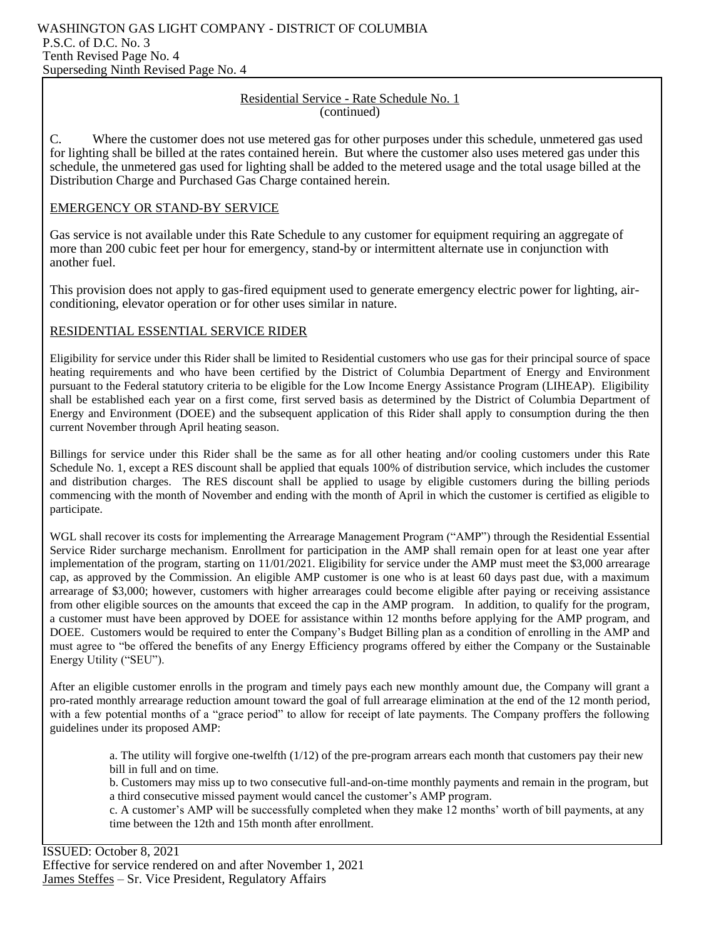#### Residential Service - Rate Schedule No. 1 (continued)

C. Where the customer does not use metered gas for other purposes under this schedule, unmetered gas used for lighting shall be billed at the rates contained herein. But where the customer also uses metered gas under this schedule, the unmetered gas used for lighting shall be added to the metered usage and the total usage billed at the Distribution Charge and Purchased Gas Charge contained herein.

#### EMERGENCY OR STAND-BY SERVICE

Gas service is not available under this Rate Schedule to any customer for equipment requiring an aggregate of more than 200 cubic feet per hour for emergency, stand-by or intermittent alternate use in conjunction with another fuel.

This provision does not apply to gas-fired equipment used to generate emergency electric power for lighting, airconditioning, elevator operation or for other uses similar in nature.

#### RESIDENTIAL ESSENTIAL SERVICE RIDER

Eligibility for service under this Rider shall be limited to Residential customers who use gas for their principal source of space heating requirements and who have been certified by the District of Columbia Department of Energy and Environment pursuant to the Federal statutory criteria to be eligible for the Low Income Energy Assistance Program (LIHEAP). Eligibility shall be established each year on a first come, first served basis as determined by the District of Columbia Department of Energy and Environment (DOEE) and the subsequent application of this Rider shall apply to consumption during the then current November through April heating season.

Billings for service under this Rider shall be the same as for all other heating and/or cooling customers under this Rate Schedule No. 1, except a RES discount shall be applied that equals 100% of distribution service, which includes the customer and distribution charges. The RES discount shall be applied to usage by eligible customers during the billing periods commencing with the month of November and ending with the month of April in which the customer is certified as eligible to participate.

WGL shall recover its costs for implementing the Arrearage Management Program ("AMP") through the Residential Essential Service Rider surcharge mechanism. Enrollment for participation in the AMP shall remain open for at least one year after implementation of the program, starting on 11/01/2021. Eligibility for service under the AMP must meet the \$3,000 arrearage cap, as approved by the Commission. An eligible AMP customer is one who is at least 60 days past due, with a maximum arrearage of \$3,000; however, customers with higher arrearages could become eligible after paying or receiving assistance from other eligible sources on the amounts that exceed the cap in the AMP program. In addition, to qualify for the program, a customer must have been approved by DOEE for assistance within 12 months before applying for the AMP program, and DOEE. Customers would be required to enter the Company's Budget Billing plan as a condition of enrolling in the AMP and must agree to "be offered the benefits of any Energy Efficiency programs offered by either the Company or the Sustainable Energy Utility ("SEU").

After an eligible customer enrolls in the program and timely pays each new monthly amount due, the Company will grant a pro-rated monthly arrearage reduction amount toward the goal of full arrearage elimination at the end of the 12 month period, with a few potential months of a "grace period" to allow for receipt of late payments. The Company proffers the following guidelines under its proposed AMP:

a. The utility will forgive one-twelfth  $(1/12)$  of the pre-program arrears each month that customers pay their new bill in full and on time.

b. Customers may miss up to two consecutive full-and-on-time monthly payments and remain in the program, but a third consecutive missed payment would cancel the customer's AMP program.

c. A customer's AMP will be successfully completed when they make 12 months' worth of bill payments, at any time between the 12th and 15th month after enrollment.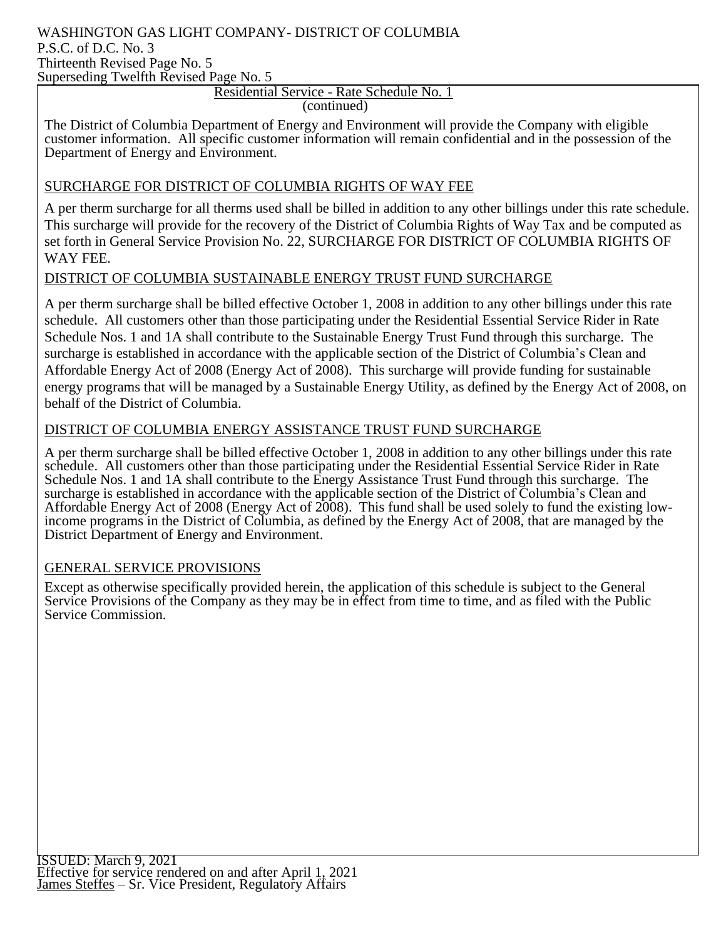## WASHINGTON GAS LIGHT COMPANY- DISTRICT OF COLUMBIA P.S.C. of D.C. No. 3 Thirteenth Revised Page No. 5

Superseding Twelfth Revised Page No. 5

## Residential Service - Rate Schedule No. 1

(continued)

The District of Columbia Department of Energy and Environment will provide the Company with eligible customer information. All specific customer information will remain confidential and in the possession of the Department of Energy and Environment.

## SURCHARGE FOR DISTRICT OF COLUMBIA RIGHTS OF WAY FEE

A per therm surcharge for all therms used shall be billed in addition to any other billings under this rate schedule. This surcharge will provide for the recovery of the District of Columbia Rights of Way Tax and be computed as set forth in General Service Provision No. 22, SURCHARGE FOR DISTRICT OF COLUMBIA RIGHTS OF WAY FEE.

## DISTRICT OF COLUMBIA SUSTAINABLE ENERGY TRUST FUND SURCHARGE

A per therm surcharge shall be billed effective October 1, 2008 in addition to any other billings under this rate schedule. All customers other than those participating under the Residential Essential Service Rider in Rate Schedule Nos. 1 and 1A shall contribute to the Sustainable Energy Trust Fund through this surcharge. The surcharge is established in accordance with the applicable section of the District of Columbia's Clean and Affordable Energy Act of 2008 (Energy Act of 2008). This surcharge will provide funding for sustainable energy programs that will be managed by a Sustainable Energy Utility, as defined by the Energy Act of 2008, on behalf of the District of Columbia.

## DISTRICT OF COLUMBIA ENERGY ASSISTANCE TRUST FUND SURCHARGE

A per therm surcharge shall be billed effective October 1, 2008 in addition to any other billings under this rate schedule. All customers other than those participating under the Residential Essential Service Rider in Rate Schedule Nos. 1 and 1A shall contribute to the Energy Assistance Trust Fund through this surcharge. The surcharge is established in accordance with the applicable section of the District of Columbia's Clean and Affordable Energy Act of 2008 (Energy Act of 2008). This fund shall be used solely to fund the existing lowincome programs in the District of Columbia, as defined by the Energy Act of 2008, that are managed by the District Department of Energy and Environment.

## GENERAL SERVICE PROVISIONS

Except as otherwise specifically provided herein, the application of this schedule is subject to the General Service Provisions of the Company as they may be in effect from time to time, and as filed with the Public Service Commission.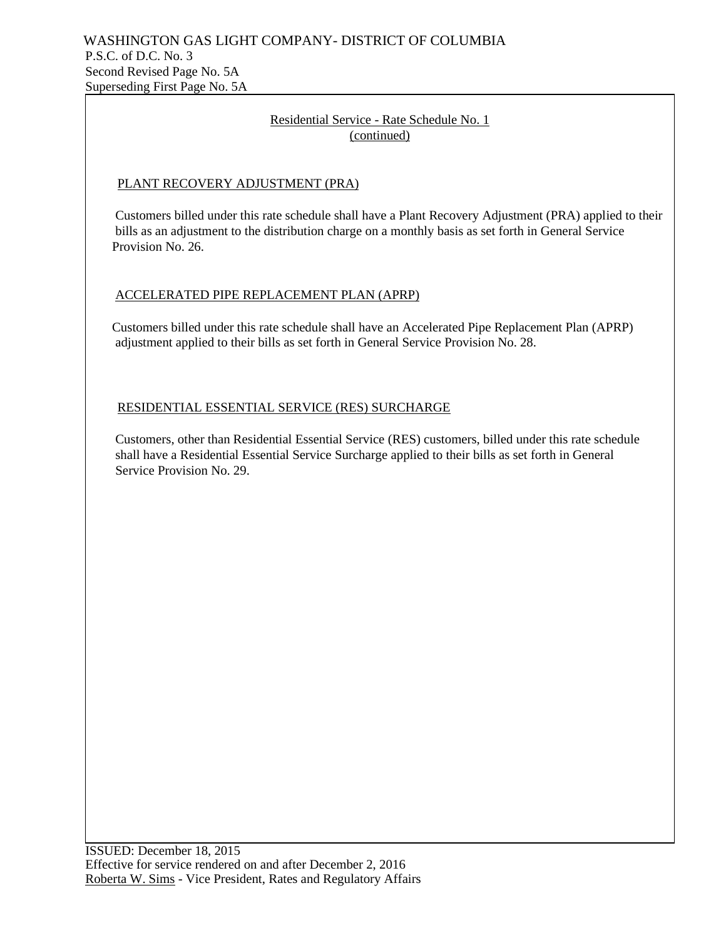## Residential Service - Rate Schedule No. 1 (continued)

## PLANT RECOVERY ADJUSTMENT (PRA)

 Customers billed under this rate schedule shall have a Plant Recovery Adjustment (PRA) applied to their bills as an adjustment to the distribution charge on a monthly basis as set forth in General Service Provision No. 26.

## ACCELERATED PIPE REPLACEMENT PLAN (APRP)

 Customers billed under this rate schedule shall have an Accelerated Pipe Replacement Plan (APRP) adjustment applied to their bills as set forth in General Service Provision No. 28.

## RESIDENTIAL ESSENTIAL SERVICE (RES) SURCHARGE

 Customers, other than Residential Essential Service (RES) customers, billed under this rate schedule shall have a Residential Essential Service Surcharge applied to their bills as set forth in General Service Provision No. 29.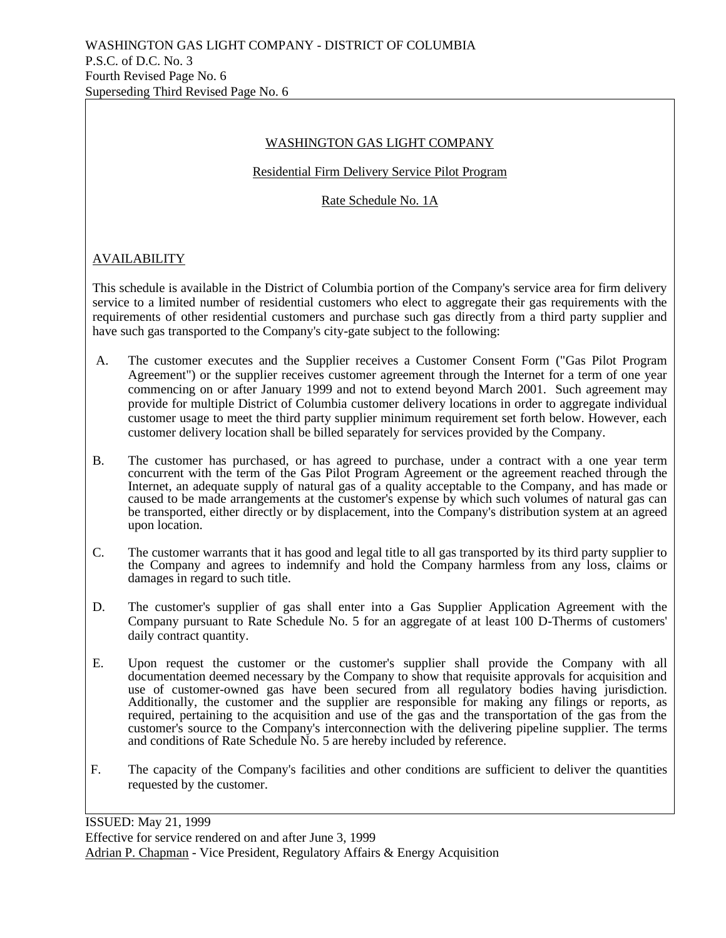## WASHINGTON GAS LIGHT COMPANY

#### Residential Firm Delivery Service Pilot Program

Rate Schedule No. 1A

## **AVAILABILITY**

This schedule is available in the District of Columbia portion of the Company's service area for firm delivery service to a limited number of residential customers who elect to aggregate their gas requirements with the requirements of other residential customers and purchase such gas directly from a third party supplier and have such gas transported to the Company's city-gate subject to the following:

- A. The customer executes and the Supplier receives a Customer Consent Form ("Gas Pilot Program Agreement") or the supplier receives customer agreement through the Internet for a term of one year commencing on or after January 1999 and not to extend beyond March 2001. Such agreement may provide for multiple District of Columbia customer delivery locations in order to aggregate individual customer usage to meet the third party supplier minimum requirement set forth below. However, each customer delivery location shall be billed separately for services provided by the Company.
- B. The customer has purchased, or has agreed to purchase, under a contract with a one year term concurrent with the term of the Gas Pilot Program Agreement or the agreement reached through the Internet, an adequate supply of natural gas of a quality acceptable to the Company, and has made or caused to be made arrangements at the customer's expense by which such volumes of natural gas can be transported, either directly or by displacement, into the Company's distribution system at an agreed upon location.
- C. The customer warrants that it has good and legal title to all gas transported by its third party supplier to the Company and agrees to indemnify and hold the Company harmless from any loss, claims or damages in regard to such title.
- D. The customer's supplier of gas shall enter into a Gas Supplier Application Agreement with the Company pursuant to Rate Schedule No. 5 for an aggregate of at least 100 D-Therms of customers' daily contract quantity.
- E. Upon request the customer or the customer's supplier shall provide the Company with all documentation deemed necessary by the Company to show that requisite approvals for acquisition and use of customer-owned gas have been secured from all regulatory bodies having jurisdiction. Additionally, the customer and the supplier are responsible for making any filings or reports, as required, pertaining to the acquisition and use of the gas and the transportation of the gas from the customer's source to the Company's interconnection with the delivering pipeline supplier. The terms and conditions of Rate Schedule No. 5 are hereby included by reference.
- F. The capacity of the Company's facilities and other conditions are sufficient to deliver the quantities requested by the customer.

ISSUED: May 21, 1999 Effective for service rendered on and after June 3, 1999 Adrian P. Chapman - Vice President, Regulatory Affairs & Energy Acquisition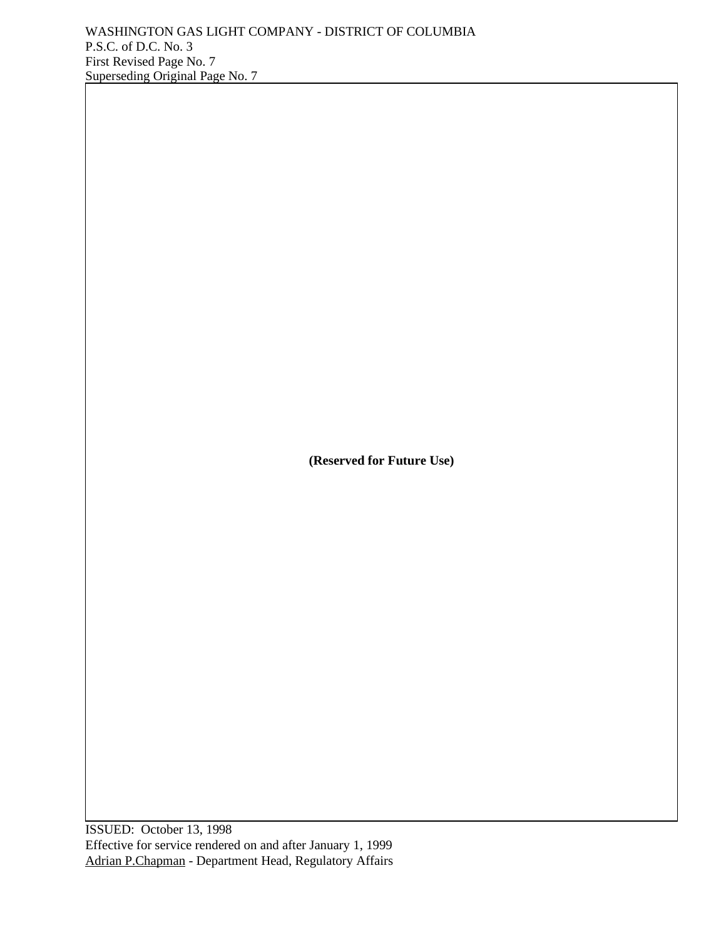**(Reserved for Future Use)**

ISSUED: October 13, 1998 Effective for service rendered on and after January 1, 1999 Adrian P.Chapman - Department Head, Regulatory Affairs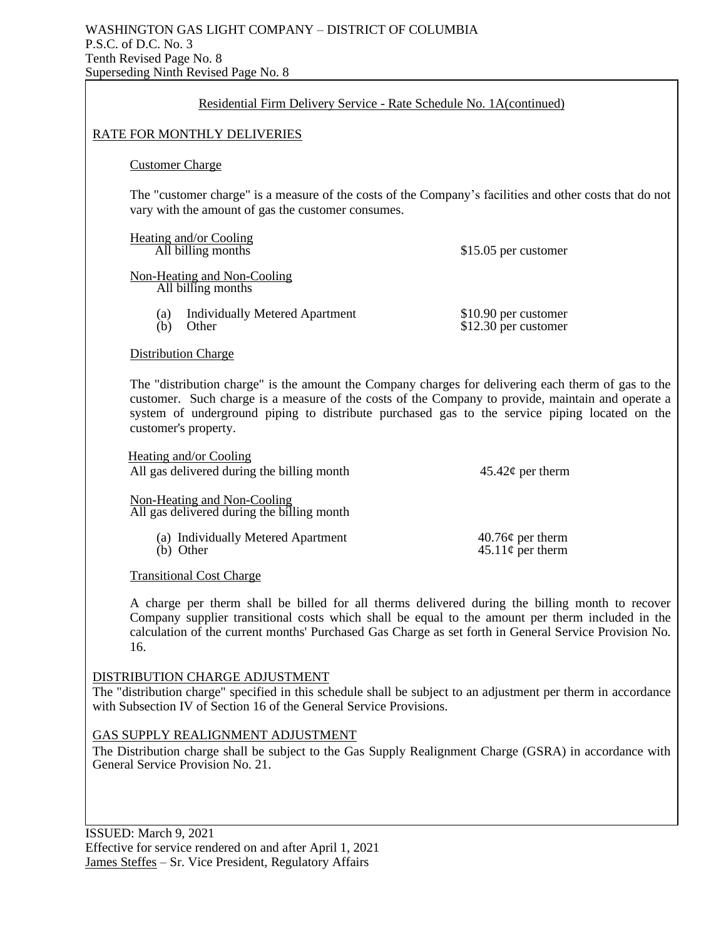| Residential Firm Delivery Service - Rate Schedule No. 1A(continued)                                                                                                                                                                                                                                                               |                                                                                                         |  |  |
|-----------------------------------------------------------------------------------------------------------------------------------------------------------------------------------------------------------------------------------------------------------------------------------------------------------------------------------|---------------------------------------------------------------------------------------------------------|--|--|
| <b>RATE FOR MONTHLY DELIVERIES</b>                                                                                                                                                                                                                                                                                                |                                                                                                         |  |  |
| <b>Customer Charge</b>                                                                                                                                                                                                                                                                                                            |                                                                                                         |  |  |
| vary with the amount of gas the customer consumes.                                                                                                                                                                                                                                                                                | The "customer charge" is a measure of the costs of the Company's facilities and other costs that do not |  |  |
| <b>Heating and/or Cooling</b><br>All billing months                                                                                                                                                                                                                                                                               | \$15.05 per customer                                                                                    |  |  |
| Non-Heating and Non-Cooling<br>All billing months                                                                                                                                                                                                                                                                                 |                                                                                                         |  |  |
| <b>Individually Metered Apartment</b><br>(a)<br>Other<br>(b)                                                                                                                                                                                                                                                                      | \$10.90 per customer<br>$$12.30$ per customer                                                           |  |  |
| <b>Distribution Charge</b>                                                                                                                                                                                                                                                                                                        |                                                                                                         |  |  |
| The "distribution charge" is the amount the Company charges for delivering each therm of gas to the<br>customer. Such charge is a measure of the costs of the Company to provide, maintain and operate a<br>system of underground piping to distribute purchased gas to the service piping located on the<br>customer's property. |                                                                                                         |  |  |
| Heating and/or Cooling<br>All gas delivered during the billing month                                                                                                                                                                                                                                                              | $45.42\phi$ per therm                                                                                   |  |  |
| Non-Heating and Non-Cooling<br>All gas delivered during the billing month                                                                                                                                                                                                                                                         |                                                                                                         |  |  |
| (a) Individually Metered Apartment<br>(b) Other                                                                                                                                                                                                                                                                                   | $40.76¢$ per therm<br>$45.11\phi$ per therm                                                             |  |  |
| <b>Transitional Cost Charge</b>                                                                                                                                                                                                                                                                                                   |                                                                                                         |  |  |
| A charge per therm shall be billed for all therms delivered during the billing month to recover<br>Company supplier transitional costs which shall be equal to the amount per therm included in the<br>calculation of the current months' Purchased Gas Charge as set forth in General Service Provision No.<br>16.               |                                                                                                         |  |  |
| DISTRIBUTION CHARGE ADJUSTMENT<br>The "distribution charge" specified in this schedule shall be subject to an adjustment per therm in accordance<br>with Subsection IV of Section 16 of the General Service Provisions.                                                                                                           |                                                                                                         |  |  |

## GAS SUPPLY REALIGNMENT ADJUSTMENT

The Distribution charge shall be subject to the Gas Supply Realignment Charge (GSRA) in accordance with General Service Provision No. 21.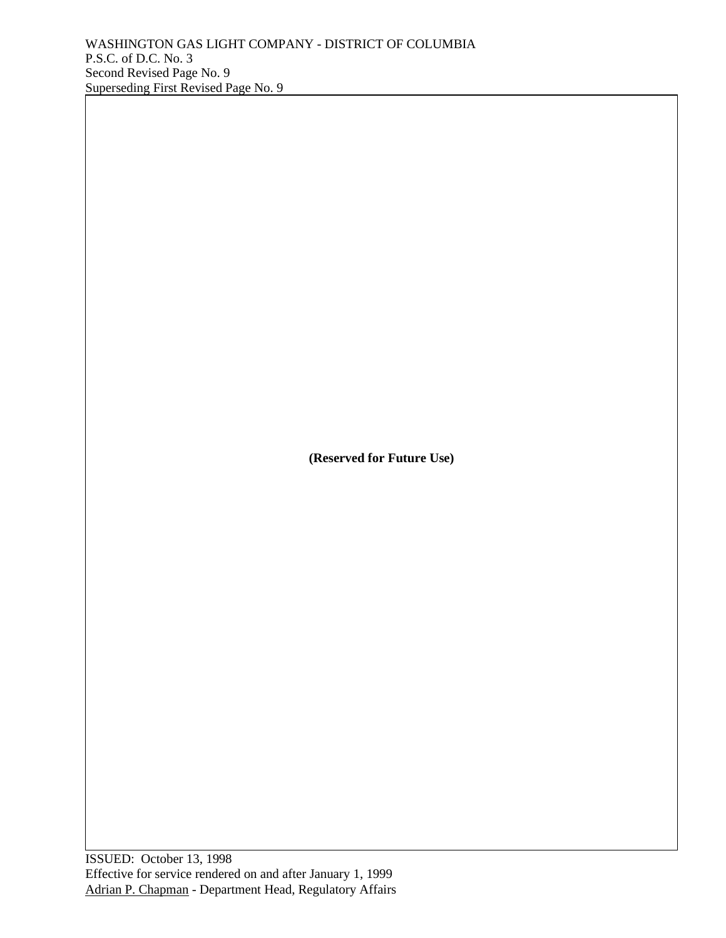**(Reserved for Future Use)**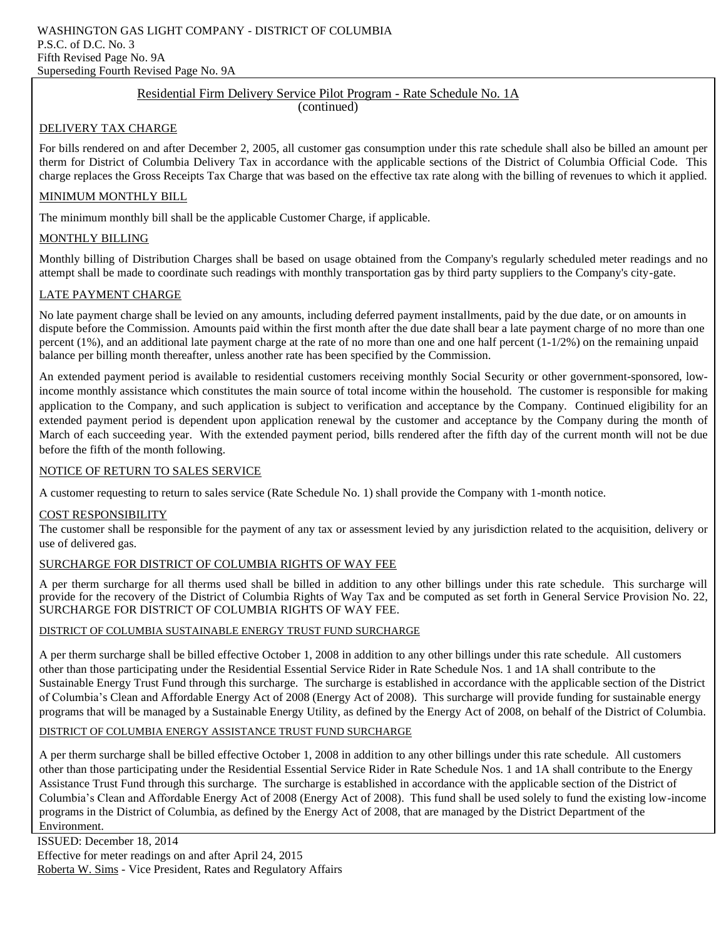#### Residential Firm Delivery Service Pilot Program - Rate Schedule No. 1A

(continued)

#### DELIVERY TAX CHARGE

For bills rendered on and after December 2, 2005, all customer gas consumption under this rate schedule shall also be billed an amount per therm for District of Columbia Delivery Tax in accordance with the applicable sections of the District of Columbia Official Code. This charge replaces the Gross Receipts Tax Charge that was based on the effective tax rate along with the billing of revenues to which it applied.

#### MINIMUM MONTHLY BILL

The minimum monthly bill shall be the applicable Customer Charge, if applicable.

#### MONTHLY BILLING

Monthly billing of Distribution Charges shall be based on usage obtained from the Company's regularly scheduled meter readings and no attempt shall be made to coordinate such readings with monthly transportation gas by third party suppliers to the Company's city-gate.

#### LATE PAYMENT CHARGE

No late payment charge shall be levied on any amounts, including deferred payment installments, paid by the due date, or on amounts in dispute before the Commission. Amounts paid within the first month after the due date shall bear a late payment charge of no more than one percent  $(1\%)$ , and an additional late payment charge at the rate of no more than one and one half percent  $(1-1/2\%)$  on the remaining unpaid balance per billing month thereafter, unless another rate has been specified by the Commission.

An extended payment period is available to residential customers receiving monthly Social Security or other government-sponsored, lowincome monthly assistance which constitutes the main source of total income within the household. The customer is responsible for making application to the Company, and such application is subject to verification and acceptance by the Company. Continued eligibility for an extended payment period is dependent upon application renewal by the customer and acceptance by the Company during the month of March of each succeeding year. With the extended payment period, bills rendered after the fifth day of the current month will not be due before the fifth of the month following.

#### NOTICE OF RETURN TO SALES SERVICE

A customer requesting to return to sales service (Rate Schedule No. 1) shall provide the Company with 1-month notice.

#### COST RESPONSIBILITY

The customer shall be responsible for the payment of any tax or assessment levied by any jurisdiction related to the acquisition, delivery or use of delivered gas.

#### SURCHARGE FOR DISTRICT OF COLUMBIA RIGHTS OF WAY FEE

A per therm surcharge for all therms used shall be billed in addition to any other billings under this rate schedule. This surcharge will provide for the recovery of the District of Columbia Rights of Way Tax and be computed as set forth in General Service Provision No. 22, SURCHARGE FOR DISTRICT OF COLUMBIA RIGHTS OF WAY FEE.

#### DISTRICT OF COLUMBIA SUSTAINABLE ENERGY TRUST FUND SURCHARGE

A per therm surcharge shall be billed effective October 1, 2008 in addition to any other billings under this rate schedule. All customers other than those participating under the Residential Essential Service Rider in Rate Schedule Nos. 1 and 1A shall contribute to the Sustainable Energy Trust Fund through this surcharge. The surcharge is established in accordance with the applicable section of the District of Columbia's Clean and Affordable Energy Act of 2008 (Energy Act of 2008). This surcharge will provide funding for sustainable energy programs that will be managed by a Sustainable Energy Utility, as defined by the Energy Act of 2008, on behalf of the District of Columbia.

#### DISTRICT OF COLUMBIA ENERGY ASSISTANCE TRUST FUND SURCHARGE

A per therm surcharge shall be billed effective October 1, 2008 in addition to any other billings under this rate schedule. All customers other than those participating under the Residential Essential Service Rider in Rate Schedule Nos. 1 and 1A shall contribute to the Energy Assistance Trust Fund through this surcharge. The surcharge is established in accordance with the applicable section of the District of Columbia's Clean and Affordable Energy Act of 2008 (Energy Act of 2008). This fund shall be used solely to fund the existing low-income programs in the District of Columbia, as defined by the Energy Act of 2008, that are managed by the District Department of the Environment.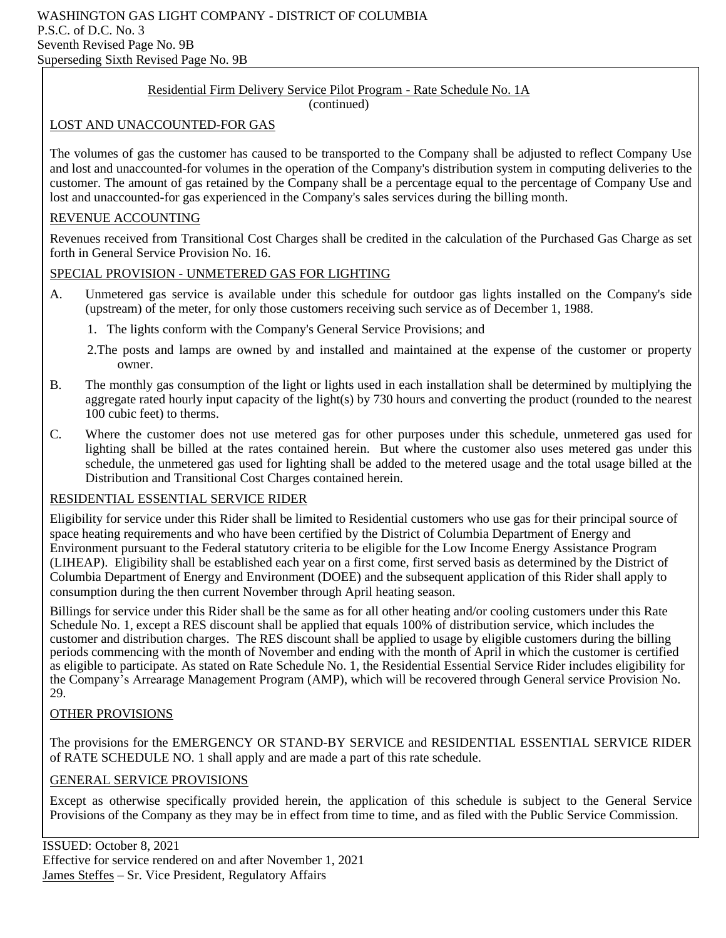## Residential Firm Delivery Service Pilot Program - Rate Schedule No. 1A

(continued)

## LOST AND UNACCOUNTED-FOR GAS

The volumes of gas the customer has caused to be transported to the Company shall be adjusted to reflect Company Use and lost and unaccounted-for volumes in the operation of the Company's distribution system in computing deliveries to the customer. The amount of gas retained by the Company shall be a percentage equal to the percentage of Company Use and lost and unaccounted-for gas experienced in the Company's sales services during the billing month.

## REVENUE ACCOUNTING

Revenues received from Transitional Cost Charges shall be credited in the calculation of the Purchased Gas Charge as set forth in General Service Provision No. 16.

## SPECIAL PROVISION - UNMETERED GAS FOR LIGHTING

- A. Unmetered gas service is available under this schedule for outdoor gas lights installed on the Company's side (upstream) of the meter, for only those customers receiving such service as of December 1, 1988.
	- 1. The lights conform with the Company's General Service Provisions; and
	- 2.The posts and lamps are owned by and installed and maintained at the expense of the customer or property owner.
- B. The monthly gas consumption of the light or lights used in each installation shall be determined by multiplying the aggregate rated hourly input capacity of the light(s) by 730 hours and converting the product (rounded to the nearest 100 cubic feet) to therms.
- C. Where the customer does not use metered gas for other purposes under this schedule, unmetered gas used for lighting shall be billed at the rates contained herein. But where the customer also uses metered gas under this schedule, the unmetered gas used for lighting shall be added to the metered usage and the total usage billed at the Distribution and Transitional Cost Charges contained herein.

## RESIDENTIAL ESSENTIAL SERVICE RIDER

Eligibility for service under this Rider shall be limited to Residential customers who use gas for their principal source of space heating requirements and who have been certified by the District of Columbia Department of Energy and Environment pursuant to the Federal statutory criteria to be eligible for the Low Income Energy Assistance Program (LIHEAP). Eligibility shall be established each year on a first come, first served basis as determined by the District of Columbia Department of Energy and Environment (DOEE) and the subsequent application of this Rider shall apply to consumption during the then current November through April heating season.

Billings for service under this Rider shall be the same as for all other heating and/or cooling customers under this Rate Schedule No. 1, except a RES discount shall be applied that equals 100% of distribution service, which includes the customer and distribution charges. The RES discount shall be applied to usage by eligible customers during the billing periods commencing with the month of November and ending with the month of April in which the customer is certified as eligible to participate. As stated on Rate Schedule No. 1, the Residential Essential Service Rider includes eligibility for the Company's Arrearage Management Program (AMP), which will be recovered through General service Provision No. 29.

## OTHER PROVISIONS

The provisions for the EMERGENCY OR STAND-BY SERVICE and RESIDENTIAL ESSENTIAL SERVICE RIDER of RATE SCHEDULE NO. 1 shall apply and are made a part of this rate schedule.

## GENERAL SERVICE PROVISIONS

Except as otherwise specifically provided herein, the application of this schedule is subject to the General Service Provisions of the Company as they may be in effect from time to time, and as filed with the Public Service Commission.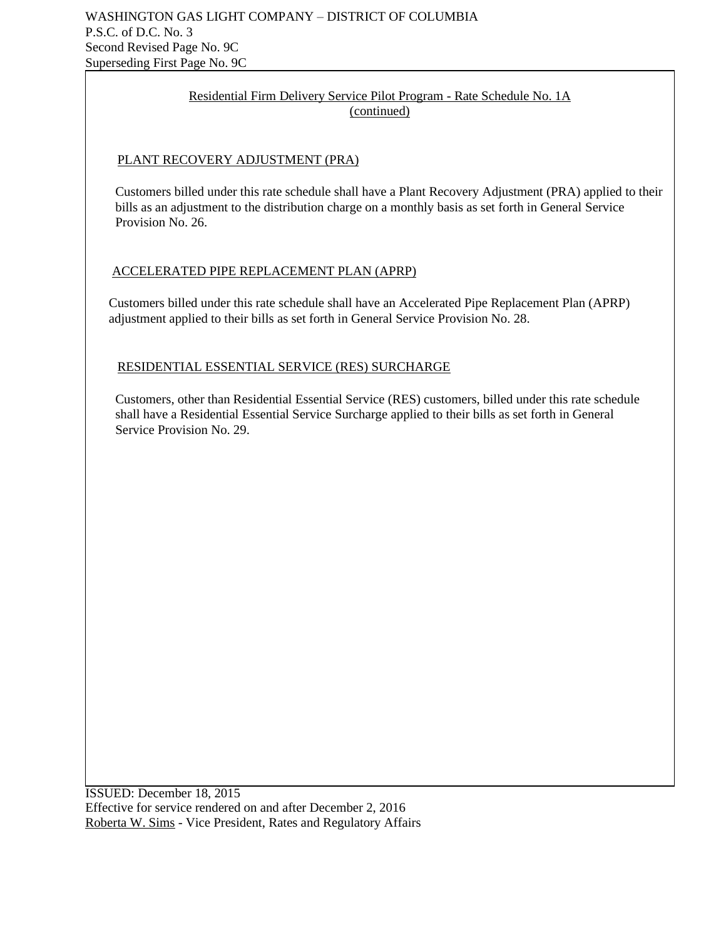## Residential Firm Delivery Service Pilot Program - Rate Schedule No. 1A (continued)

## PLANT RECOVERY ADJUSTMENT (PRA)

 Customers billed under this rate schedule shall have a Plant Recovery Adjustment (PRA) applied to their bills as an adjustment to the distribution charge on a monthly basis as set forth in General Service Provision No. 26.

## ACCELERATED PIPE REPLACEMENT PLAN (APRP)

 Customers billed under this rate schedule shall have an Accelerated Pipe Replacement Plan (APRP) adjustment applied to their bills as set forth in General Service Provision No. 28.

## RESIDENTIAL ESSENTIAL SERVICE (RES) SURCHARGE

 Customers, other than Residential Essential Service (RES) customers, billed under this rate schedule shall have a Residential Essential Service Surcharge applied to their bills as set forth in General Service Provision No. 29.

ISSUED: December 18, 2015 Effective for service rendered on and after December 2, 2016 Roberta W. Sims - Vice President, Rates and Regulatory Affairs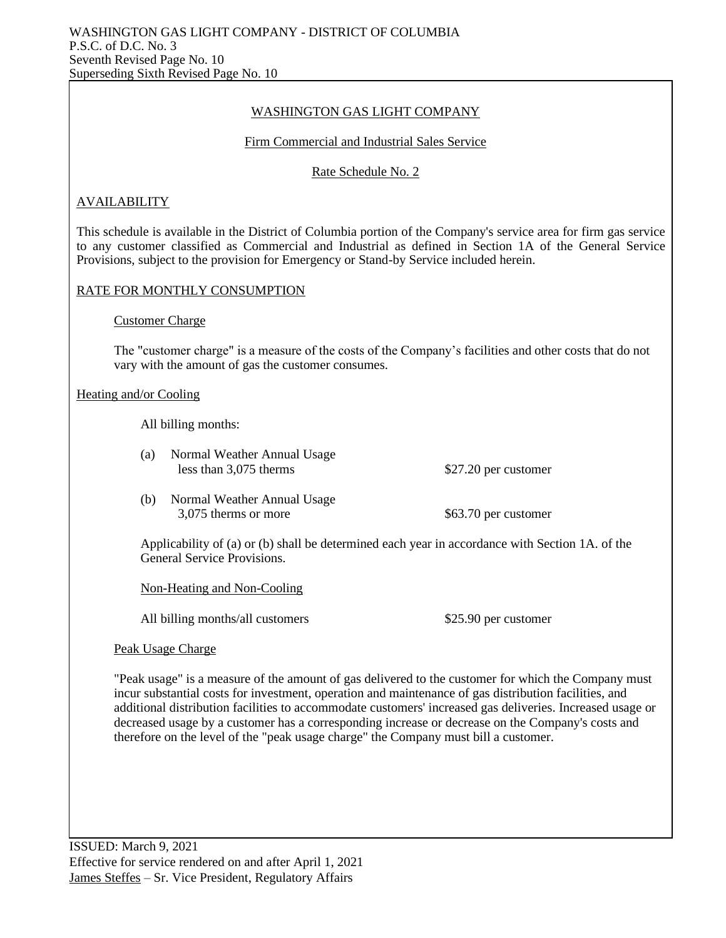## WASHINGTON GAS LIGHT COMPANY

#### Firm Commercial and Industrial Sales Service

## Rate Schedule No. 2

## AVAILABILITY

This schedule is available in the District of Columbia portion of the Company's service area for firm gas service to any customer classified as Commercial and Industrial as defined in Section 1A of the General Service Provisions, subject to the provision for Emergency or Stand-by Service included herein.

## RATE FOR MONTHLY CONSUMPTION

Customer Charge

The "customer charge" is a measure of the costs of the Company's facilities and other costs that do not vary with the amount of gas the customer consumes.

#### Heating and/or Cooling

All billing months:

- (a) Normal Weather Annual Usage less than 3,075 therms \$27.20 per customer
- (b) Normal Weather Annual Usage 3,075 therms or more \$63.70 per customer

Applicability of (a) or (b) shall be determined each year in accordance with Section 1A. of the General Service Provisions.

Non-Heating and Non-Cooling

All billing months/all customers \$25.90 per customer

Peak Usage Charge

"Peak usage" is a measure of the amount of gas delivered to the customer for which the Company must incur substantial costs for investment, operation and maintenance of gas distribution facilities, and additional distribution facilities to accommodate customers' increased gas deliveries. Increased usage or decreased usage by a customer has a corresponding increase or decrease on the Company's costs and therefore on the level of the "peak usage charge" the Company must bill a customer.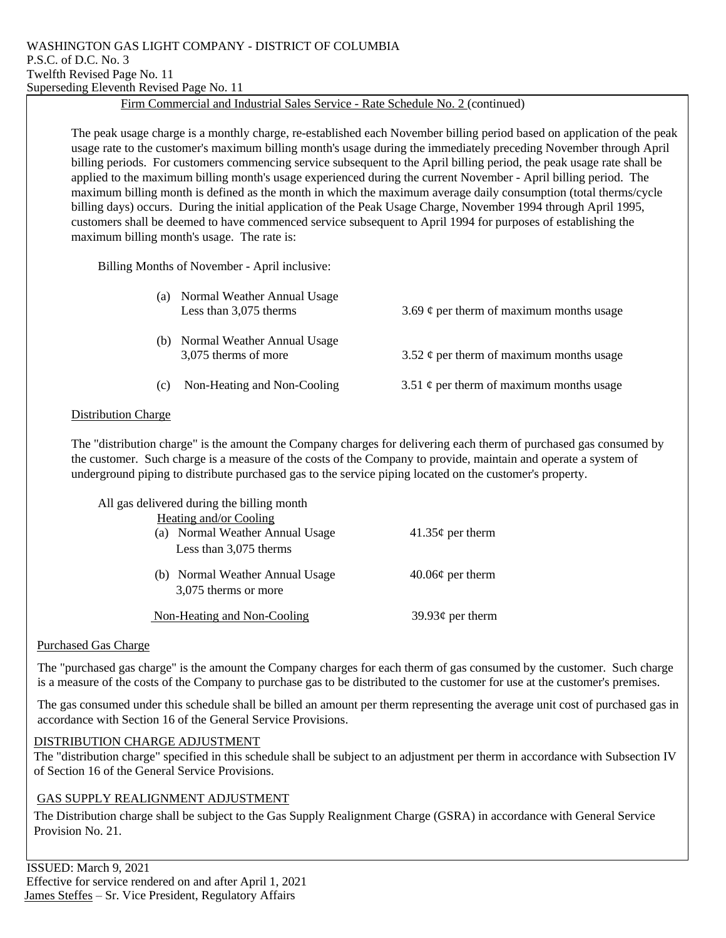## Firm Commercial and Industrial Sales Service - Rate Schedule No. 2 (continued)

The peak usage charge is a monthly charge, re-established each November billing period based on application of the peak usage rate to the customer's maximum billing month's usage during the immediately preceding November through April billing periods. For customers commencing service subsequent to the April billing period, the peak usage rate shall be applied to the maximum billing month's usage experienced during the current November - April billing period. The maximum billing month is defined as the month in which the maximum average daily consumption (total therms/cycle billing days) occurs. During the initial application of the Peak Usage Charge, November 1994 through April 1995, customers shall be deemed to have commenced service subsequent to April 1994 for purposes of establishing the maximum billing month's usage. The rate is:

Billing Months of November - April inclusive:

| (a) | Normal Weather Annual Usage<br>Less than 3,075 therms | 3.69 $\phi$ per therm of maximum months usage |
|-----|-------------------------------------------------------|-----------------------------------------------|
| (b) | Normal Weather Annual Usage<br>3,075 therms of more   | 3.52 $\phi$ per therm of maximum months usage |
| (c) | Non-Heating and Non-Cooling                           | 3.51 $\phi$ per therm of maximum months usage |

#### Distribution Charge

The "distribution charge" is the amount the Company charges for delivering each therm of purchased gas consumed by the customer. Such charge is a measure of the costs of the Company to provide, maintain and operate a system of underground piping to distribute purchased gas to the service piping located on the customer's property.

| All gas delivered during the billing month<br>Heating and/or Cooling |                        |
|----------------------------------------------------------------------|------------------------|
| (a) Normal Weather Annual Usage                                      | $41.35\phi$ per therm  |
| Less than $3,075$ therms                                             |                        |
| (b) Normal Weather Annual Usage<br>3,075 therms or more              | $40.06¢$ per therm     |
|                                                                      |                        |
| Non-Heating and Non-Cooling                                          | 39.93 $\phi$ per therm |

#### Purchased Gas Charge

The "purchased gas charge" is the amount the Company charges for each therm of gas consumed by the customer. Such charge is a measure of the costs of the Company to purchase gas to be distributed to the customer for use at the customer's premises.

The gas consumed under this schedule shall be billed an amount per therm representing the average unit cost of purchased gas in accordance with Section 16 of the General Service Provisions.

#### DISTRIBUTION CHARGE ADJUSTMENT

The "distribution charge" specified in this schedule shall be subject to an adjustment per therm in accordance with Subsection IV of Section 16 of the General Service Provisions.

#### GAS SUPPLY REALIGNMENT ADJUSTMENT

The Distribution charge shall be subject to the Gas Supply Realignment Charge (GSRA) in accordance with General Service Provision No. 21.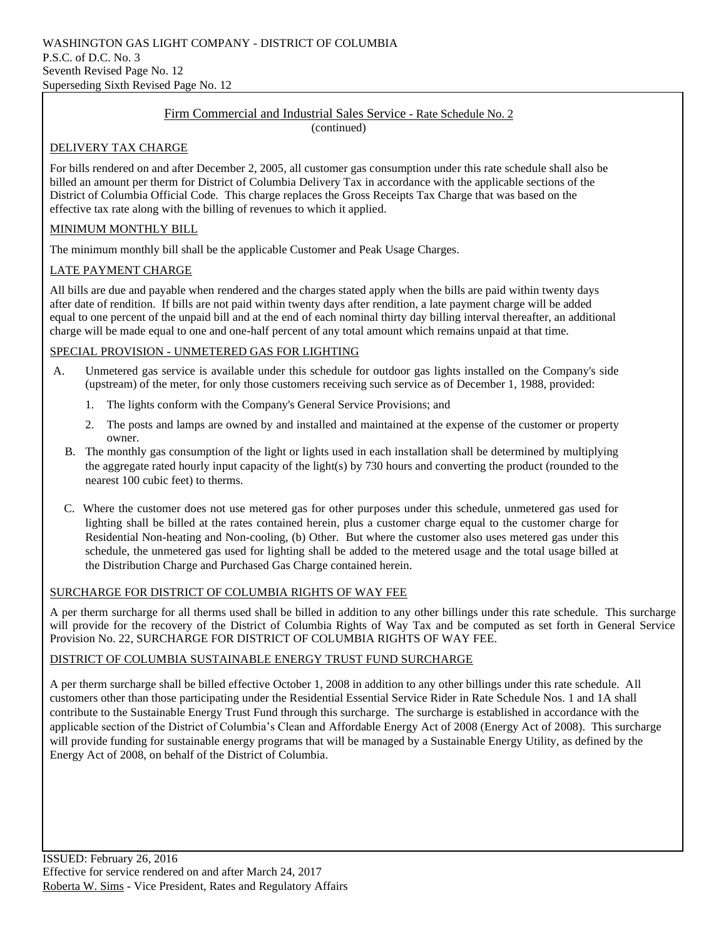#### Firm Commercial and Industrial Sales Service - Rate Schedule No. 2 (continued)

#### DELIVERY TAX CHARGE

For bills rendered on and after December 2, 2005, all customer gas consumption under this rate schedule shall also be billed an amount per therm for District of Columbia Delivery Tax in accordance with the applicable sections of the District of Columbia Official Code. This charge replaces the Gross Receipts Tax Charge that was based on the effective tax rate along with the billing of revenues to which it applied.

#### MINIMUM MONTHLY BILL

The minimum monthly bill shall be the applicable Customer and Peak Usage Charges.

#### LATE PAYMENT CHARGE

All bills are due and payable when rendered and the charges stated apply when the bills are paid within twenty days after date of rendition. If bills are not paid within twenty days after rendition, a late payment charge will be added equal to one percent of the unpaid bill and at the end of each nominal thirty day billing interval thereafter, an additional charge will be made equal to one and one-half percent of any total amount which remains unpaid at that time.

#### SPECIAL PROVISION - UNMETERED GAS FOR LIGHTING

- A. Unmetered gas service is available under this schedule for outdoor gas lights installed on the Company's side (upstream) of the meter, for only those customers receiving such service as of December 1, 1988, provided:
	- 1. The lights conform with the Company's General Service Provisions; and
	- 2. The posts and lamps are owned by and installed and maintained at the expense of the customer or property owner.
	- B. The monthly gas consumption of the light or lights used in each installation shall be determined by multiplying the aggregate rated hourly input capacity of the light(s) by 730 hours and converting the product (rounded to the nearest 100 cubic feet) to therms.
	- C. Where the customer does not use metered gas for other purposes under this schedule, unmetered gas used for lighting shall be billed at the rates contained herein, plus a customer charge equal to the customer charge for Residential Non-heating and Non-cooling, (b) Other. But where the customer also uses metered gas under this schedule, the unmetered gas used for lighting shall be added to the metered usage and the total usage billed at the Distribution Charge and Purchased Gas Charge contained herein.

#### SURCHARGE FOR DISTRICT OF COLUMBIA RIGHTS OF WAY FEE

A per therm surcharge for all therms used shall be billed in addition to any other billings under this rate schedule. This surcharge will provide for the recovery of the District of Columbia Rights of Way Tax and be computed as set forth in General Service Provision No. 22, SURCHARGE FOR DISTRICT OF COLUMBIA RIGHTS OF WAY FEE.

#### DISTRICT OF COLUMBIA SUSTAINABLE ENERGY TRUST FUND SURCHARGE

A per therm surcharge shall be billed effective October 1, 2008 in addition to any other billings under this rate schedule. All customers other than those participating under the Residential Essential Service Rider in Rate Schedule Nos. 1 and 1A shall contribute to the Sustainable Energy Trust Fund through this surcharge. The surcharge is established in accordance with the applicable section of the District of Columbia's Clean and Affordable Energy Act of 2008 (Energy Act of 2008). This surcharge will provide funding for sustainable energy programs that will be managed by a Sustainable Energy Utility, as defined by the Energy Act of 2008, on behalf of the District of Columbia.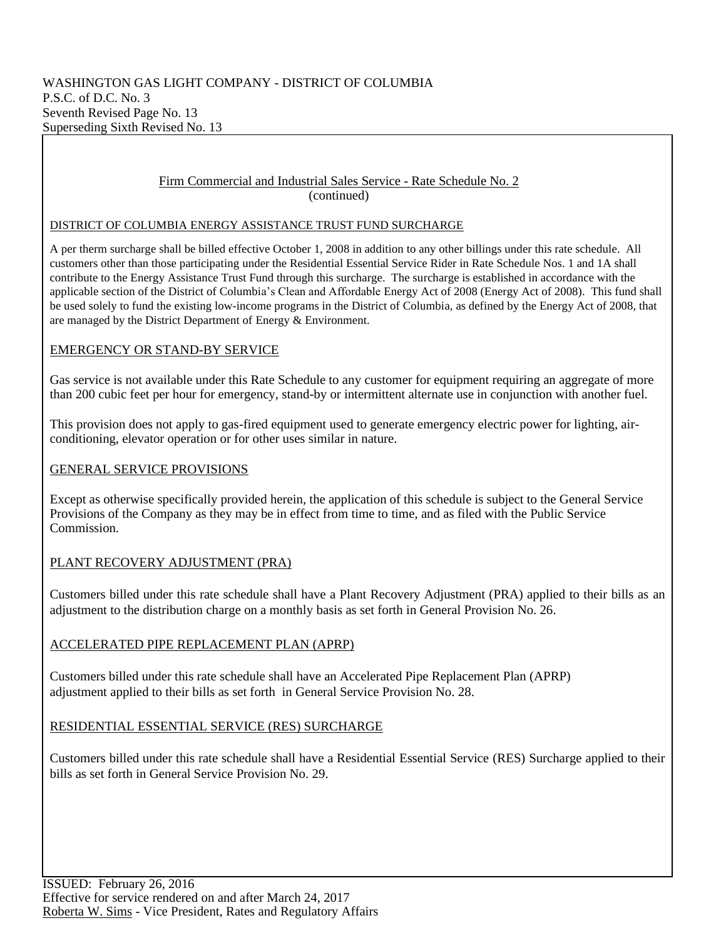#### Firm Commercial and Industrial Sales Service - Rate Schedule No. 2 (continued)

#### DISTRICT OF COLUMBIA ENERGY ASSISTANCE TRUST FUND SURCHARGE

A per therm surcharge shall be billed effective October 1, 2008 in addition to any other billings under this rate schedule. All customers other than those participating under the Residential Essential Service Rider in Rate Schedule Nos. 1 and 1A shall contribute to the Energy Assistance Trust Fund through this surcharge. The surcharge is established in accordance with the applicable section of the District of Columbia's Clean and Affordable Energy Act of 2008 (Energy Act of 2008). This fund shall be used solely to fund the existing low-income programs in the District of Columbia, as defined by the Energy Act of 2008, that are managed by the District Department of Energy & Environment.

## EMERGENCY OR STAND-BY SERVICE

Gas service is not available under this Rate Schedule to any customer for equipment requiring an aggregate of more than 200 cubic feet per hour for emergency, stand-by or intermittent alternate use in conjunction with another fuel.

This provision does not apply to gas-fired equipment used to generate emergency electric power for lighting, airconditioning, elevator operation or for other uses similar in nature.

## GENERAL SERVICE PROVISIONS

Except as otherwise specifically provided herein, the application of this schedule is subject to the General Service Provisions of the Company as they may be in effect from time to time, and as filed with the Public Service Commission.

## PLANT RECOVERY ADJUSTMENT (PRA)

Customers billed under this rate schedule shall have a Plant Recovery Adjustment (PRA) applied to their bills as an adjustment to the distribution charge on a monthly basis as set forth in General Provision No. 26.

## ACCELERATED PIPE REPLACEMENT PLAN (APRP)

Customers billed under this rate schedule shall have an Accelerated Pipe Replacement Plan (APRP) adjustment applied to their bills as set forth in General Service Provision No. 28.

## RESIDENTIAL ESSENTIAL SERVICE (RES) SURCHARGE

Customers billed under this rate schedule shall have a Residential Essential Service (RES) Surcharge applied to their bills as set forth in General Service Provision No. 29.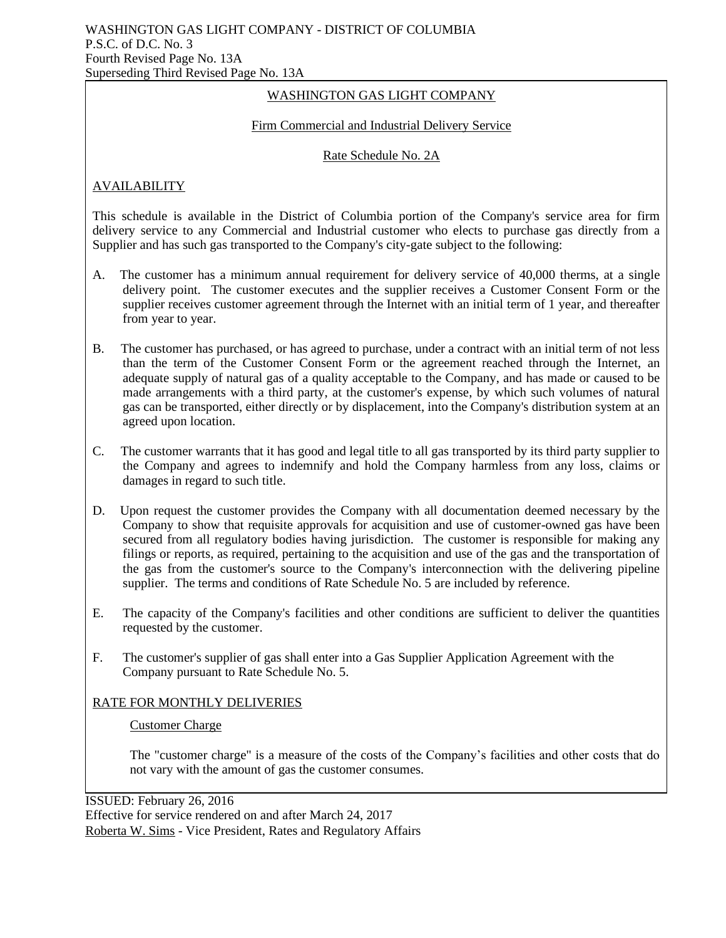## WASHINGTON GAS LIGHT COMPANY

#### Firm Commercial and Industrial Delivery Service

#### Rate Schedule No. 2A

## AVAILABILITY

This schedule is available in the District of Columbia portion of the Company's service area for firm delivery service to any Commercial and Industrial customer who elects to purchase gas directly from a Supplier and has such gas transported to the Company's city-gate subject to the following:

- A. The customer has a minimum annual requirement for delivery service of 40,000 therms, at a single delivery point. The customer executes and the supplier receives a Customer Consent Form or the supplier receives customer agreement through the Internet with an initial term of 1 year, and thereafter from year to year.
- B. The customer has purchased, or has agreed to purchase, under a contract with an initial term of not less than the term of the Customer Consent Form or the agreement reached through the Internet, an adequate supply of natural gas of a quality acceptable to the Company, and has made or caused to be made arrangements with a third party, at the customer's expense, by which such volumes of natural gas can be transported, either directly or by displacement, into the Company's distribution system at an agreed upon location.
- C. The customer warrants that it has good and legal title to all gas transported by its third party supplier to the Company and agrees to indemnify and hold the Company harmless from any loss, claims or damages in regard to such title.
- D. Upon request the customer provides the Company with all documentation deemed necessary by the Company to show that requisite approvals for acquisition and use of customer-owned gas have been secured from all regulatory bodies having jurisdiction. The customer is responsible for making any filings or reports, as required, pertaining to the acquisition and use of the gas and the transportation of the gas from the customer's source to the Company's interconnection with the delivering pipeline supplier. The terms and conditions of Rate Schedule No. 5 are included by reference.
- E. The capacity of the Company's facilities and other conditions are sufficient to deliver the quantities requested by the customer.
- F. The customer's supplier of gas shall enter into a Gas Supplier Application Agreement with the Company pursuant to Rate Schedule No. 5.

#### RATE FOR MONTHLY DELIVERIES

#### Customer Charge

The "customer charge" is a measure of the costs of the Company's facilities and other costs that do not vary with the amount of gas the customer consumes.

ISSUED: February 26, 2016 Effective for service rendered on and after March 24, 2017 Roberta W. Sims - Vice President, Rates and Regulatory Affairs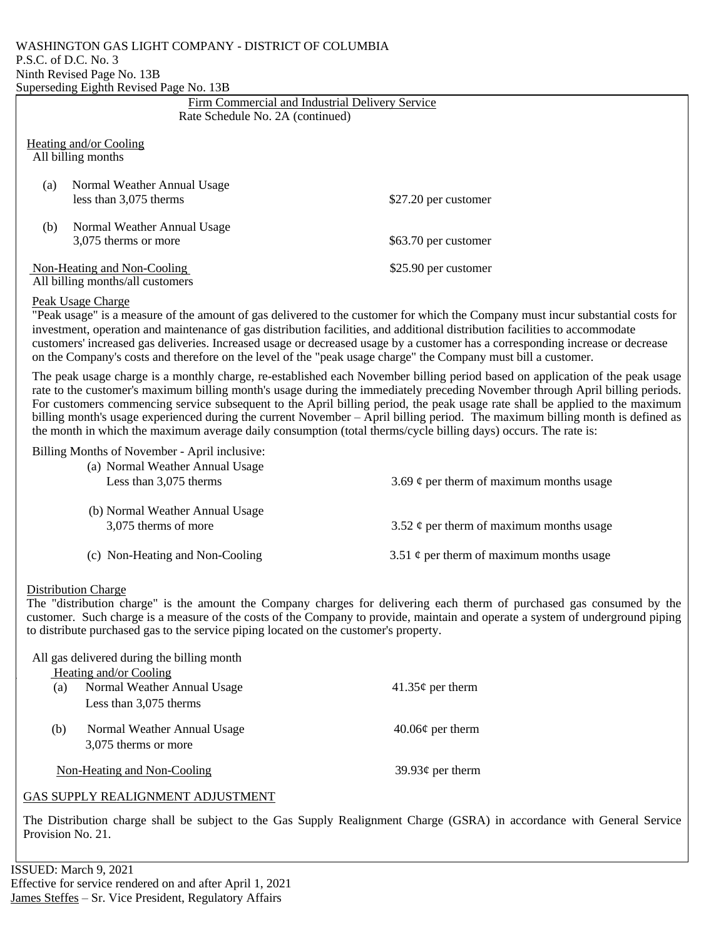#### WASHINGTON GAS LIGHT COMPANY - DISTRICT OF COLUMBIA P.S.C. of D.C. No. 3 Ninth Revised Page No. 13B Superseding Eighth Revised Page No. 13B

| Firm Commercial and Industrial Delivery Service                                                                                                                                                                                                                                                                                                                                                                                                                                                                                                                                                                                                    |                                               |  |
|----------------------------------------------------------------------------------------------------------------------------------------------------------------------------------------------------------------------------------------------------------------------------------------------------------------------------------------------------------------------------------------------------------------------------------------------------------------------------------------------------------------------------------------------------------------------------------------------------------------------------------------------------|-----------------------------------------------|--|
| Rate Schedule No. 2A (continued)                                                                                                                                                                                                                                                                                                                                                                                                                                                                                                                                                                                                                   |                                               |  |
| Heating and/or Cooling<br>All billing months                                                                                                                                                                                                                                                                                                                                                                                                                                                                                                                                                                                                       |                                               |  |
| Normal Weather Annual Usage<br>(a)<br>less than 3,075 therms                                                                                                                                                                                                                                                                                                                                                                                                                                                                                                                                                                                       | \$27.20 per customer                          |  |
| Normal Weather Annual Usage<br>(b)<br>3,075 therms or more                                                                                                                                                                                                                                                                                                                                                                                                                                                                                                                                                                                         | \$63.70 per customer                          |  |
| Non-Heating and Non-Cooling<br>All billing months/all customers                                                                                                                                                                                                                                                                                                                                                                                                                                                                                                                                                                                    | \$25.90 per customer                          |  |
| Peak Usage Charge<br>"Peak usage" is a measure of the amount of gas delivered to the customer for which the Company must incur substantial costs for<br>investment, operation and maintenance of gas distribution facilities, and additional distribution facilities to accommodate<br>customers' increased gas deliveries. Increased usage or decreased usage by a customer has a corresponding increase or decrease<br>on the Company's costs and therefore on the level of the "peak usage charge" the Company must bill a customer.                                                                                                            |                                               |  |
| The peak usage charge is a monthly charge, re-established each November billing period based on application of the peak usage<br>rate to the customer's maximum billing month's usage during the immediately preceding November through April billing periods.<br>For customers commencing service subsequent to the April billing period, the peak usage rate shall be applied to the maximum<br>billing month's usage experienced during the current November – April billing period. The maximum billing month is defined as<br>the month in which the maximum average daily consumption (total therms/cycle billing days) occurs. The rate is: |                                               |  |
| Billing Months of November - April inclusive:<br>(a) Normal Weather Annual Usage<br>Less than 3,075 therms<br>3.69 $\phi$ per therm of maximum months usage                                                                                                                                                                                                                                                                                                                                                                                                                                                                                        |                                               |  |
| (b) Normal Weather Annual Usage<br>3,075 therms of more                                                                                                                                                                                                                                                                                                                                                                                                                                                                                                                                                                                            | 3.52 $\phi$ per therm of maximum months usage |  |
| (c) Non-Heating and Non-Cooling                                                                                                                                                                                                                                                                                                                                                                                                                                                                                                                                                                                                                    | 3.51 $\phi$ per therm of maximum months usage |  |
| <b>Distribution Charge</b><br>The "distribution charge" is the amount the Company charges for delivering each therm of purchased gas consumed by the                                                                                                                                                                                                                                                                                                                                                                                                                                                                                               |                                               |  |

The "distribution charge" is the amount the Company charges for delivering each therm of purchased gas consumed by the customer. Such charge is a measure of the costs of the Company to provide, maintain and operate a system of underground piping to distribute purchased gas to the service piping located on the customer's property.

|     | All gas delivered during the billing month |                        |
|-----|--------------------------------------------|------------------------|
|     | Heating and/or Cooling                     |                        |
| (a) | Normal Weather Annual Usage                | $41.35\phi$ per therm  |
|     | Less than 3,075 therms                     |                        |
| (b) | Normal Weather Annual Usage                | $40.06\phi$ per therm  |
|     | 3,075 therms or more                       |                        |
|     | Non-Heating and Non-Cooling                | 39.93 $\phi$ per therm |
|     |                                            |                        |

#### GAS SUPPLY REALIGNMENT ADJUSTMENT

The Distribution charge shall be subject to the Gas Supply Realignment Charge (GSRA) in accordance with General Service Provision No. 21.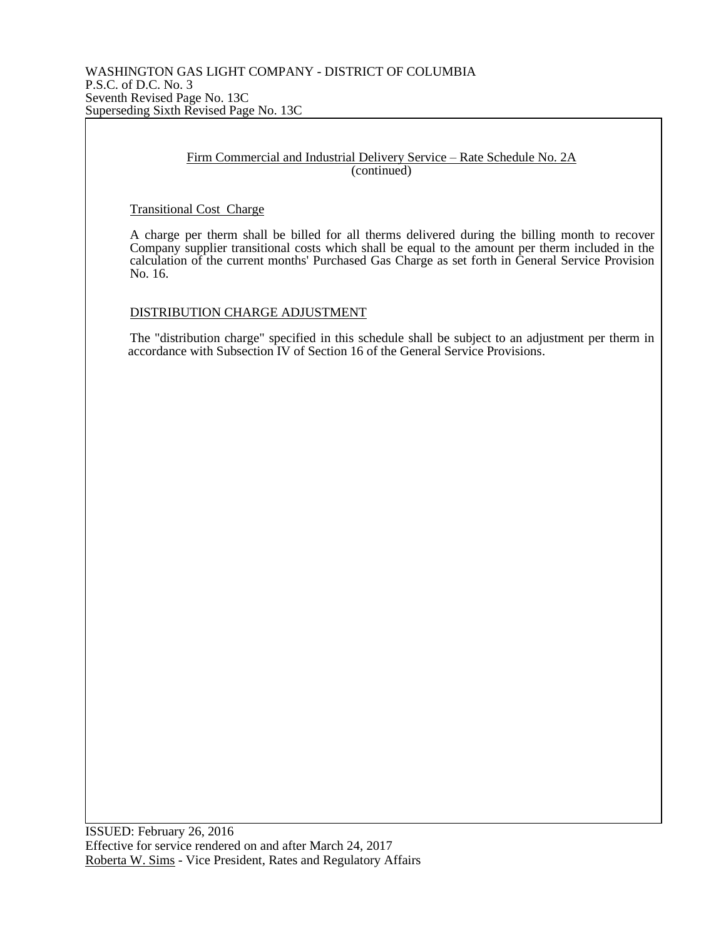#### Firm Commercial and Industrial Delivery Service – Rate Schedule No. 2A (continued)

Transitional Cost Charge

A charge per therm shall be billed for all therms delivered during the billing month to recover Company supplier transitional costs which shall be equal to the amount per therm included in the calculation of the current months' Purchased Gas Charge as set forth in General Service Provision No. 16.

DISTRIBUTION CHARGE ADJUSTMENT

The "distribution charge" specified in this schedule shall be subject to an adjustment per therm in accordance with Subsection IV of Section 16 of the General Service Provisions.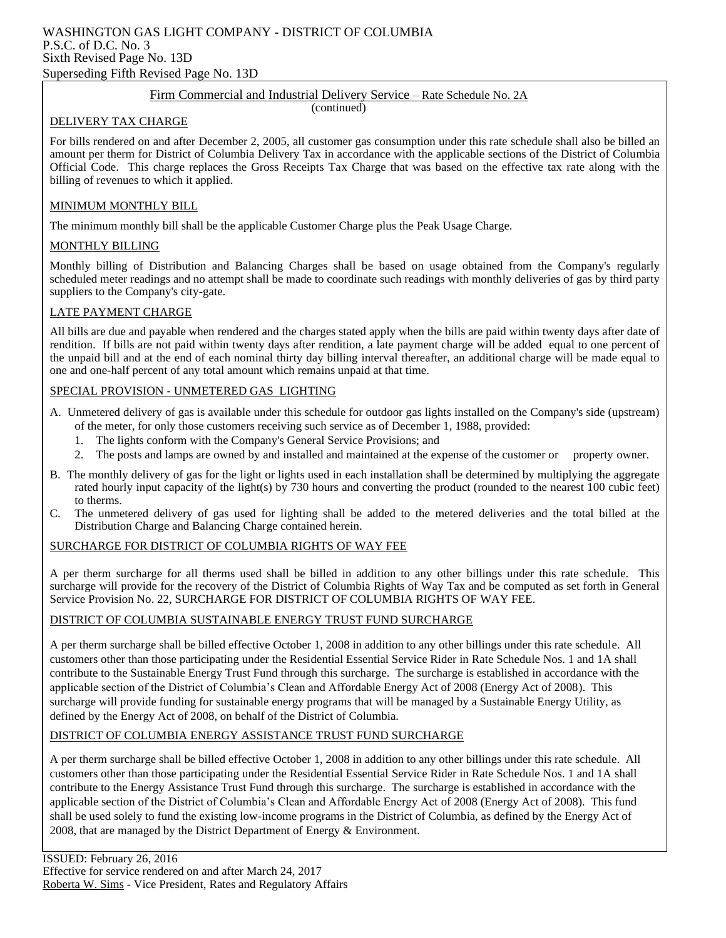#### WASHINGTON GAS LIGHT COMPANY - DISTRICT OF COLUMBIA P.S.C. of D.C. No. 3 Sixth Revised Page No. 13D Superseding Fifth Revised Page No. 13D

#### Firm Commercial and Industrial Delivery Service – Rate Schedule No. 2A

(continued)

#### DELIVERY TAX CHARGE

For bills rendered on and after December 2, 2005, all customer gas consumption under this rate schedule shall also be billed an amount per therm for District of Columbia Delivery Tax in accordance with the applicable sections of the District of Columbia Official Code. This charge replaces the Gross Receipts Tax Charge that was based on the effective tax rate along with the billing of revenues to which it applied.

#### MINIMUM MONTHLY BILL

The minimum monthly bill shall be the applicable Customer Charge plus the Peak Usage Charge.

#### MONTHLY BILLING

Monthly billing of Distribution and Balancing Charges shall be based on usage obtained from the Company's regularly scheduled meter readings and no attempt shall be made to coordinate such readings with monthly deliveries of gas by third party suppliers to the Company's city-gate.

#### LATE PAYMENT CHARGE

All bills are due and payable when rendered and the charges stated apply when the bills are paid within twenty days after date of rendition. If bills are not paid within twenty days after rendition, a late payment charge will be added equal to one percent of the unpaid bill and at the end of each nominal thirty day billing interval thereafter, an additional charge will be made equal to one and one-half percent of any total amount which remains unpaid at that time.

#### SPECIAL PROVISION - UNMETERED GAS LIGHTING

- A. Unmetered delivery of gas is available under this schedule for outdoor gas lights installed on the Company's side (upstream) of the meter, for only those customers receiving such service as of December 1, 1988, provided:
	- 1. The lights conform with the Company's General Service Provisions; and
	- 2. The posts and lamps are owned by and installed and maintained at the expense of the customer or property owner.
- B. The monthly delivery of gas for the light or lights used in each installation shall be determined by multiplying the aggregate rated hourly input capacity of the light(s) by 730 hours and converting the product (rounded to the nearest 100 cubic feet) to therms.
- C. The unmetered delivery of gas used for lighting shall be added to the metered deliveries and the total billed at the Distribution Charge and Balancing Charge contained herein.

#### SURCHARGE FOR DISTRICT OF COLUMBIA RIGHTS OF WAY FEE

A per therm surcharge for all therms used shall be billed in addition to any other billings under this rate schedule. This surcharge will provide for the recovery of the District of Columbia Rights of Way Tax and be computed as set forth in General Service Provision No. 22, SURCHARGE FOR DISTRICT OF COLUMBIA RIGHTS OF WAY FEE.

#### DISTRICT OF COLUMBIA SUSTAINABLE ENERGY TRUST FUND SURCHARGE

A per therm surcharge shall be billed effective October 1, 2008 in addition to any other billings under this rate schedule. All customers other than those participating under the Residential Essential Service Rider in Rate Schedule Nos. 1 and 1A shall contribute to the Sustainable Energy Trust Fund through this surcharge. The surcharge is established in accordance with the applicable section of the District of Columbia's Clean and Affordable Energy Act of 2008 (Energy Act of 2008). This surcharge will provide funding for sustainable energy programs that will be managed by a Sustainable Energy Utility, as defined by the Energy Act of 2008, on behalf of the District of Columbia.

#### DISTRICT OF COLUMBIA ENERGY ASSISTANCE TRUST FUND SURCHARGE

A per therm surcharge shall be billed effective October 1, 2008 in addition to any other billings under this rate schedule. All customers other than those participating under the Residential Essential Service Rider in Rate Schedule Nos. 1 and 1A shall contribute to the Energy Assistance Trust Fund through this surcharge. The surcharge is established in accordance with the applicable section of the District of Columbia's Clean and Affordable Energy Act of 2008 (Energy Act of 2008). This fund shall be used solely to fund the existing low-income programs in the District of Columbia, as defined by the Energy Act of 2008, that are managed by the District Department of Energy & Environment.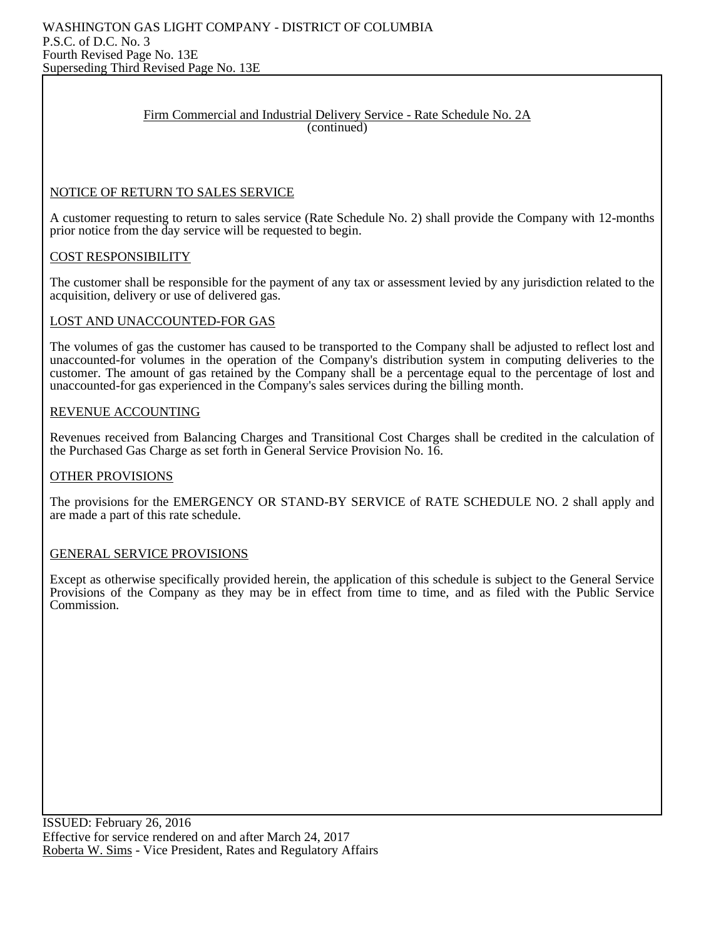#### Firm Commercial and Industrial Delivery Service - Rate Schedule No. 2A (continued)

#### NOTICE OF RETURN TO SALES SERVICE

A customer requesting to return to sales service (Rate Schedule No. 2) shall provide the Company with 12-months prior notice from the day service will be requested to begin.

#### COST RESPONSIBILITY

The customer shall be responsible for the payment of any tax or assessment levied by any jurisdiction related to the acquisition, delivery or use of delivered gas.

#### LOST AND UNACCOUNTED-FOR GAS

The volumes of gas the customer has caused to be transported to the Company shall be adjusted to reflect lost and unaccounted-for volumes in the operation of the Company's distribution system in computing deliveries to the customer. The amount of gas retained by the Company shall be a percentage equal to the percentage of lost and unaccounted-for gas experienced in the Company's sales services during the billing month.

#### REVENUE ACCOUNTING

Revenues received from Balancing Charges and Transitional Cost Charges shall be credited in the calculation of the Purchased Gas Charge as set forth in General Service Provision No. 16.

#### OTHER PROVISIONS

The provisions for the EMERGENCY OR STAND-BY SERVICE of RATE SCHEDULE NO. 2 shall apply and are made a part of this rate schedule.

#### GENERAL SERVICE PROVISIONS

Except as otherwise specifically provided herein, the application of this schedule is subject to the General Service Provisions of the Company as they may be in effect from time to time, and as filed with the Public Service Commission.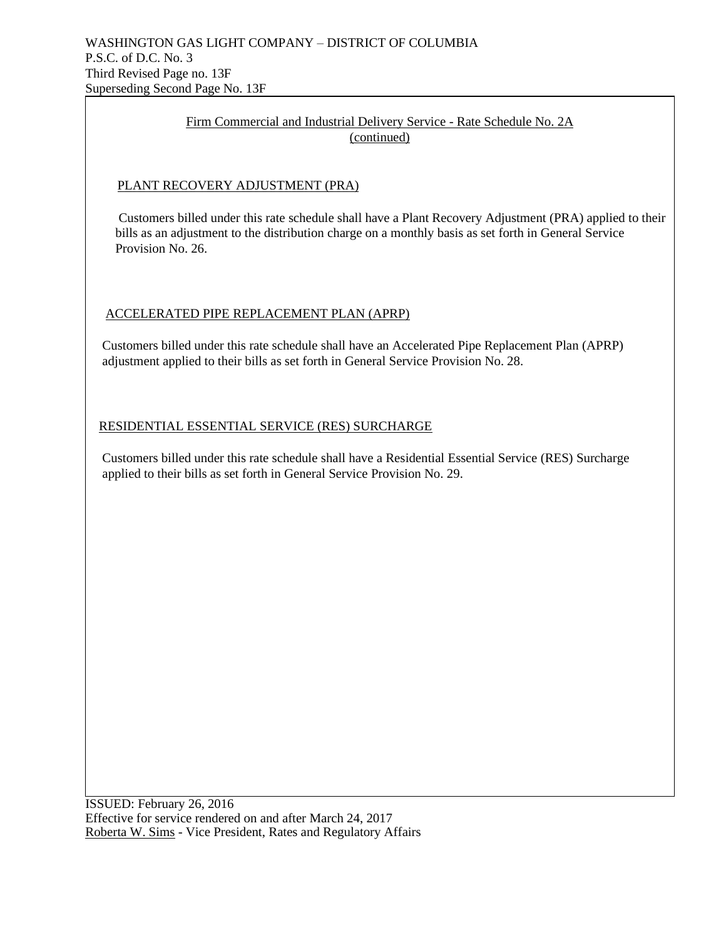## Firm Commercial and Industrial Delivery Service - Rate Schedule No. 2A (continued)

## PLANT RECOVERY ADJUSTMENT (PRA)

 Customers billed under this rate schedule shall have a Plant Recovery Adjustment (PRA) applied to their bills as an adjustment to the distribution charge on a monthly basis as set forth in General Service Provision No. 26.

## ACCELERATED PIPE REPLACEMENT PLAN (APRP)

 Customers billed under this rate schedule shall have an Accelerated Pipe Replacement Plan (APRP) adjustment applied to their bills as set forth in General Service Provision No. 28.

## RESIDENTIAL ESSENTIAL SERVICE (RES) SURCHARGE

 Customers billed under this rate schedule shall have a Residential Essential Service (RES) Surcharge applied to their bills as set forth in General Service Provision No. 29.

ISSUED: February 26, 2016 Effective for service rendered on and after March 24, 2017 Roberta W. Sims - Vice President, Rates and Regulatory Affairs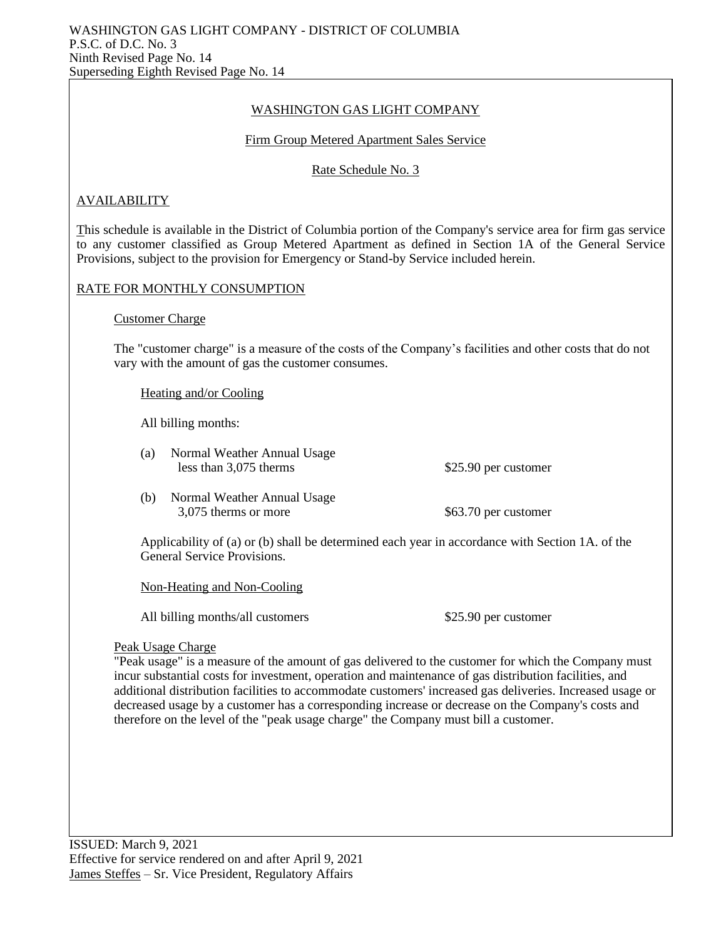## WASHINGTON GAS LIGHT COMPANY

#### Firm Group Metered Apartment Sales Service

Rate Schedule No. 3

## **AVAILABILITY**

This schedule is available in the District of Columbia portion of the Company's service area for firm gas service to any customer classified as Group Metered Apartment as defined in Section 1A of the General Service Provisions, subject to the provision for Emergency or Stand-by Service included herein.

## RATE FOR MONTHLY CONSUMPTION

#### Customer Charge

The "customer charge" is a measure of the costs of the Company's facilities and other costs that do not vary with the amount of gas the customer consumes.

Heating and/or Cooling

All billing months:

(a) Normal Weather Annual Usage less than 3,075 therms \$25.90 per customer

(b) Normal Weather Annual Usage 3,075 therms or more \$63.70 per customer

Applicability of (a) or (b) shall be determined each year in accordance with Section 1A. of the General Service Provisions.

Non-Heating and Non-Cooling

All billing months/all customers  $$25.90$  per customer

#### Peak Usage Charge

"Peak usage" is a measure of the amount of gas delivered to the customer for which the Company must incur substantial costs for investment, operation and maintenance of gas distribution facilities, and additional distribution facilities to accommodate customers' increased gas deliveries. Increased usage or decreased usage by a customer has a corresponding increase or decrease on the Company's costs and therefore on the level of the "peak usage charge" the Company must bill a customer.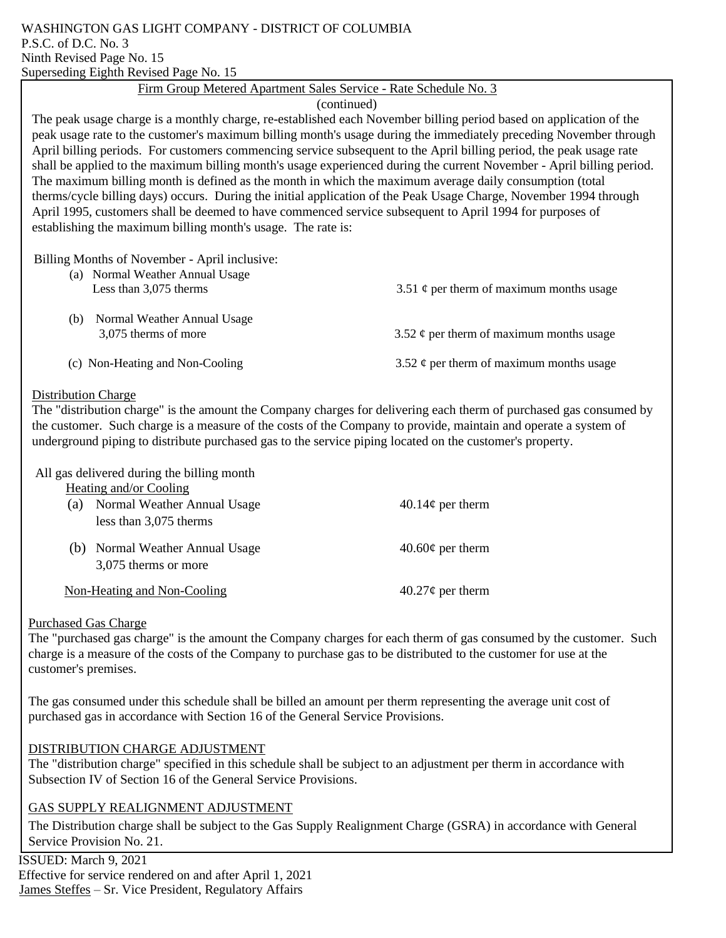#### WASHINGTON GAS LIGHT COMPANY - DISTRICT OF COLUMBIA P.S.C. of D.C. No. 3 Ninth Revised Page No. 15 Superseding Eighth Revised Page No. 15

## Firm Group Metered Apartment Sales Service - Rate Schedule No. 3

## (continued)

The peak usage charge is a monthly charge, re-established each November billing period based on application of the peak usage rate to the customer's maximum billing month's usage during the immediately preceding November through April billing periods. For customers commencing service subsequent to the April billing period, the peak usage rate shall be applied to the maximum billing month's usage experienced during the current November - April billing period. The maximum billing month is defined as the month in which the maximum average daily consumption (total therms/cycle billing days) occurs. During the initial application of the Peak Usage Charge, November 1994 through April 1995, customers shall be deemed to have commenced service subsequent to April 1994 for purposes of establishing the maximum billing month's usage. The rate is:

Billing Months of November - April inclusive:

| (a) Normal Weather Annual Usage<br>Less than 3,075 therms  | 3.51 $\phi$ per therm of maximum months usage |
|------------------------------------------------------------|-----------------------------------------------|
| Normal Weather Annual Usage<br>(b)<br>3,075 therms of more | 3.52 $\phi$ per therm of maximum months usage |
| (c) Non-Heating and Non-Cooling                            | 3.52 $\phi$ per therm of maximum months usage |

#### Distribution Charge

The "distribution charge" is the amount the Company charges for delivering each therm of purchased gas consumed by the customer. Such charge is a measure of the costs of the Company to provide, maintain and operate a system of underground piping to distribute purchased gas to the service piping located on the customer's property.

## All gas delivered during the billing month

| Heating and/or Cooling |  |
|------------------------|--|
|                        |  |

| (a) | Normal Weather Annual Usage<br>less than 3,075 therms   | $40.14\phi$ per therm |
|-----|---------------------------------------------------------|-----------------------|
|     | (b) Normal Weather Annual Usage<br>3,075 therms or more | $40.60\phi$ per therm |
|     | Non-Heating and Non-Cooling                             | $40.27\phi$ per therm |

## Purchased Gas Charge

The "purchased gas charge" is the amount the Company charges for each therm of gas consumed by the customer. Such charge is a measure of the costs of the Company to purchase gas to be distributed to the customer for use at the customer's premises.

The gas consumed under this schedule shall be billed an amount per therm representing the average unit cost of purchased gas in accordance with Section 16 of the General Service Provisions.

## DISTRIBUTION CHARGE ADJUSTMENT

The "distribution charge" specified in this schedule shall be subject to an adjustment per therm in accordance with Subsection IV of Section 16 of the General Service Provisions.

## GAS SUPPLY REALIGNMENT ADJUSTMENT

The Distribution charge shall be subject to the Gas Supply Realignment Charge (GSRA) in accordance with General Service Provision No. 21.

 ISSUED: March 9, 2021 Effective for service rendered on and after April 1, 2021 James Steffes – Sr. Vice President, Regulatory Affairs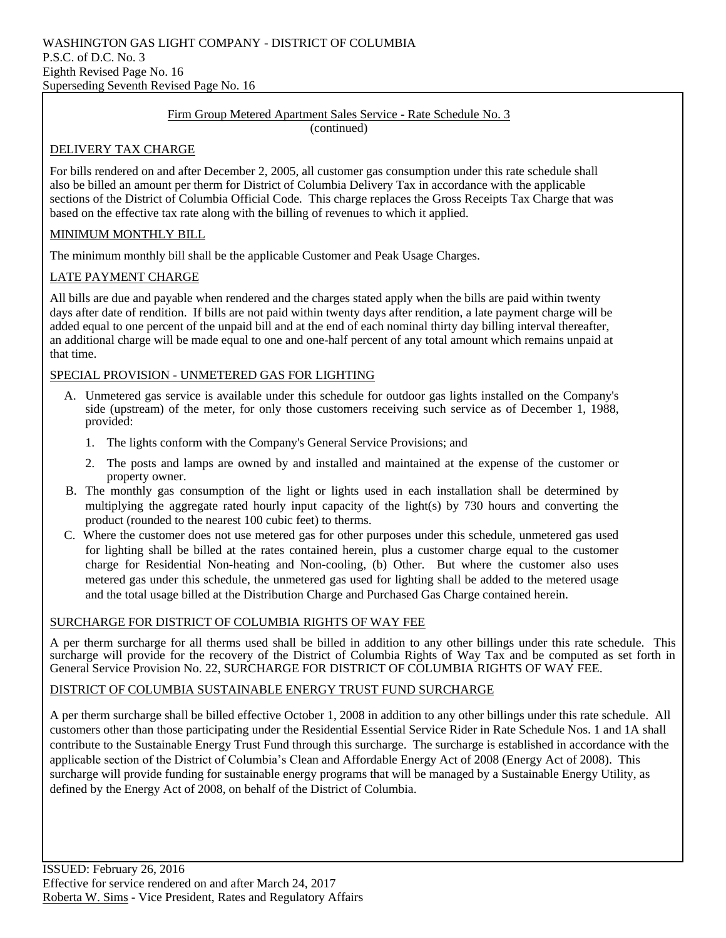#### Firm Group Metered Apartment Sales Service - Rate Schedule No. 3 (continued)

## DELIVERY TAX CHARGE

For bills rendered on and after December 2, 2005, all customer gas consumption under this rate schedule shall also be billed an amount per therm for District of Columbia Delivery Tax in accordance with the applicable sections of the District of Columbia Official Code. This charge replaces the Gross Receipts Tax Charge that was based on the effective tax rate along with the billing of revenues to which it applied.

## MINIMUM MONTHLY BILL

The minimum monthly bill shall be the applicable Customer and Peak Usage Charges.

## LATE PAYMENT CHARGE

All bills are due and payable when rendered and the charges stated apply when the bills are paid within twenty days after date of rendition. If bills are not paid within twenty days after rendition, a late payment charge will be added equal to one percent of the unpaid bill and at the end of each nominal thirty day billing interval thereafter, an additional charge will be made equal to one and one-half percent of any total amount which remains unpaid at that time.

## SPECIAL PROVISION - UNMETERED GAS FOR LIGHTING

- A. Unmetered gas service is available under this schedule for outdoor gas lights installed on the Company's side (upstream) of the meter, for only those customers receiving such service as of December 1, 1988, provided:
	- 1. The lights conform with the Company's General Service Provisions; and
	- 2. The posts and lamps are owned by and installed and maintained at the expense of the customer or property owner.
- B. The monthly gas consumption of the light or lights used in each installation shall be determined by multiplying the aggregate rated hourly input capacity of the light(s) by 730 hours and converting the product (rounded to the nearest 100 cubic feet) to therms.
- C. Where the customer does not use metered gas for other purposes under this schedule, unmetered gas used for lighting shall be billed at the rates contained herein, plus a customer charge equal to the customer charge for Residential Non-heating and Non-cooling, (b) Other. But where the customer also uses metered gas under this schedule, the unmetered gas used for lighting shall be added to the metered usage and the total usage billed at the Distribution Charge and Purchased Gas Charge contained herein.

## SURCHARGE FOR DISTRICT OF COLUMBIA RIGHTS OF WAY FEE

A per therm surcharge for all therms used shall be billed in addition to any other billings under this rate schedule. This surcharge will provide for the recovery of the District of Columbia Rights of Way Tax and be computed as set forth in General Service Provision No. 22, SURCHARGE FOR DISTRICT OF COLUMBIA RIGHTS OF WAY FEE.

#### DISTRICT OF COLUMBIA SUSTAINABLE ENERGY TRUST FUND SURCHARGE

A per therm surcharge shall be billed effective October 1, 2008 in addition to any other billings under this rate schedule. All customers other than those participating under the Residential Essential Service Rider in Rate Schedule Nos. 1 and 1A shall contribute to the Sustainable Energy Trust Fund through this surcharge. The surcharge is established in accordance with the applicable section of the District of Columbia's Clean and Affordable Energy Act of 2008 (Energy Act of 2008). This surcharge will provide funding for sustainable energy programs that will be managed by a Sustainable Energy Utility, as defined by the Energy Act of 2008, on behalf of the District of Columbia.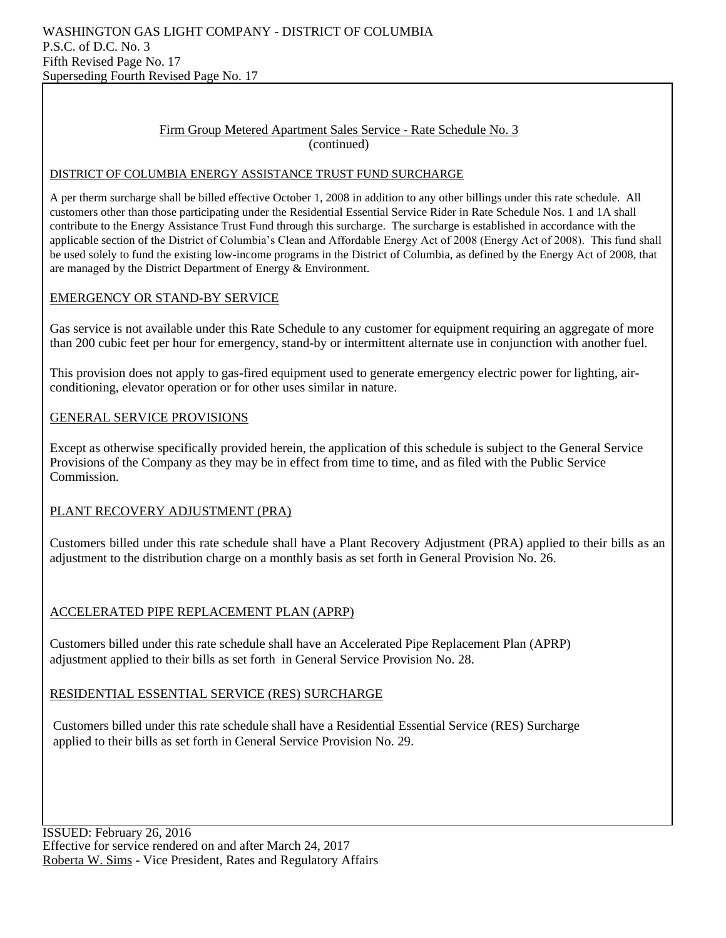#### Firm Group Metered Apartment Sales Service - Rate Schedule No. 3 (continued)

#### DISTRICT OF COLUMBIA ENERGY ASSISTANCE TRUST FUND SURCHARGE

A per therm surcharge shall be billed effective October 1, 2008 in addition to any other billings under this rate schedule. All customers other than those participating under the Residential Essential Service Rider in Rate Schedule Nos. 1 and 1A shall contribute to the Energy Assistance Trust Fund through this surcharge. The surcharge is established in accordance with the applicable section of the District of Columbia's Clean and Affordable Energy Act of 2008 (Energy Act of 2008). This fund shall be used solely to fund the existing low-income programs in the District of Columbia, as defined by the Energy Act of 2008, that are managed by the District Department of Energy & Environment.

## EMERGENCY OR STAND-BY SERVICE

Gas service is not available under this Rate Schedule to any customer for equipment requiring an aggregate of more than 200 cubic feet per hour for emergency, stand-by or intermittent alternate use in conjunction with another fuel.

This provision does not apply to gas-fired equipment used to generate emergency electric power for lighting, airconditioning, elevator operation or for other uses similar in nature.

## GENERAL SERVICE PROVISIONS

Except as otherwise specifically provided herein, the application of this schedule is subject to the General Service Provisions of the Company as they may be in effect from time to time, and as filed with the Public Service Commission.

## PLANT RECOVERY ADJUSTMENT (PRA)

Customers billed under this rate schedule shall have a Plant Recovery Adjustment (PRA) applied to their bills as an adjustment to the distribution charge on a monthly basis as set forth in General Provision No. 26.

## ACCELERATED PIPE REPLACEMENT PLAN (APRP)

Customers billed under this rate schedule shall have an Accelerated Pipe Replacement Plan (APRP) adjustment applied to their bills as set forth in General Service Provision No. 28.

## RESIDENTIAL ESSENTIAL SERVICE (RES) SURCHARGE

Customers billed under this rate schedule shall have a Residential Essential Service (RES) Surcharge applied to their bills as set forth in General Service Provision No. 29.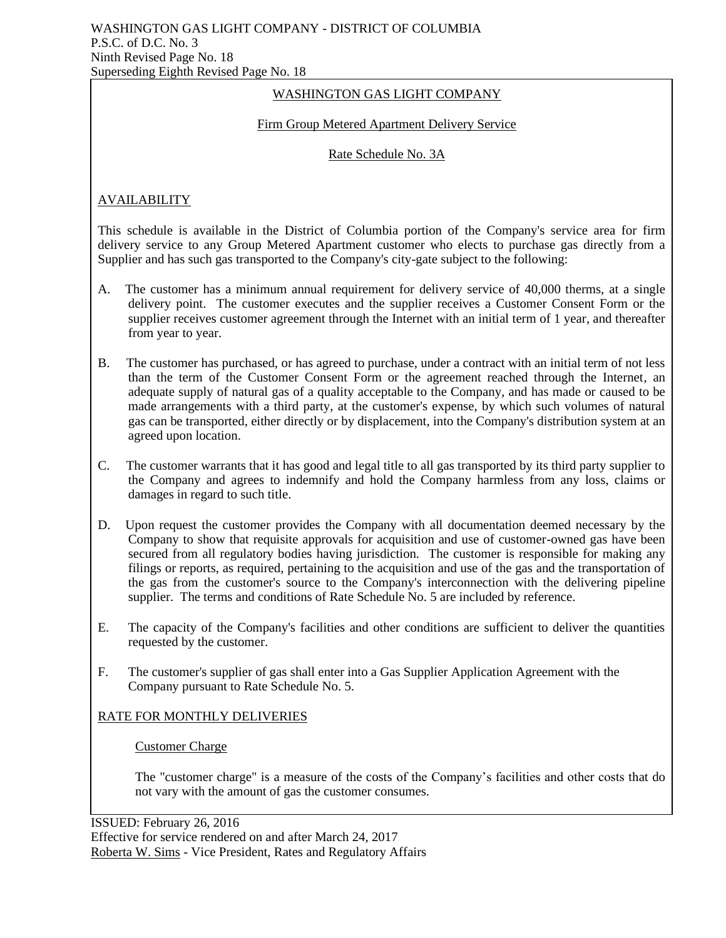## WASHINGTON GAS LIGHT COMPANY

## Firm Group Metered Apartment Delivery Service

#### Rate Schedule No. 3A

## AVAILABILITY

This schedule is available in the District of Columbia portion of the Company's service area for firm delivery service to any Group Metered Apartment customer who elects to purchase gas directly from a Supplier and has such gas transported to the Company's city-gate subject to the following:

- A. The customer has a minimum annual requirement for delivery service of 40,000 therms, at a single delivery point. The customer executes and the supplier receives a Customer Consent Form or the supplier receives customer agreement through the Internet with an initial term of 1 year, and thereafter from year to year.
- B. The customer has purchased, or has agreed to purchase, under a contract with an initial term of not less than the term of the Customer Consent Form or the agreement reached through the Internet, an adequate supply of natural gas of a quality acceptable to the Company, and has made or caused to be made arrangements with a third party, at the customer's expense, by which such volumes of natural gas can be transported, either directly or by displacement, into the Company's distribution system at an agreed upon location.
- C. The customer warrants that it has good and legal title to all gas transported by its third party supplier to the Company and agrees to indemnify and hold the Company harmless from any loss, claims or damages in regard to such title.
- D. Upon request the customer provides the Company with all documentation deemed necessary by the Company to show that requisite approvals for acquisition and use of customer-owned gas have been secured from all regulatory bodies having jurisdiction. The customer is responsible for making any filings or reports, as required, pertaining to the acquisition and use of the gas and the transportation of the gas from the customer's source to the Company's interconnection with the delivering pipeline supplier. The terms and conditions of Rate Schedule No. 5 are included by reference.
- E. The capacity of the Company's facilities and other conditions are sufficient to deliver the quantities requested by the customer.
- F. The customer's supplier of gas shall enter into a Gas Supplier Application Agreement with the Company pursuant to Rate Schedule No. 5.

## RATE FOR MONTHLY DELIVERIES

#### Customer Charge

The "customer charge" is a measure of the costs of the Company's facilities and other costs that do not vary with the amount of gas the customer consumes.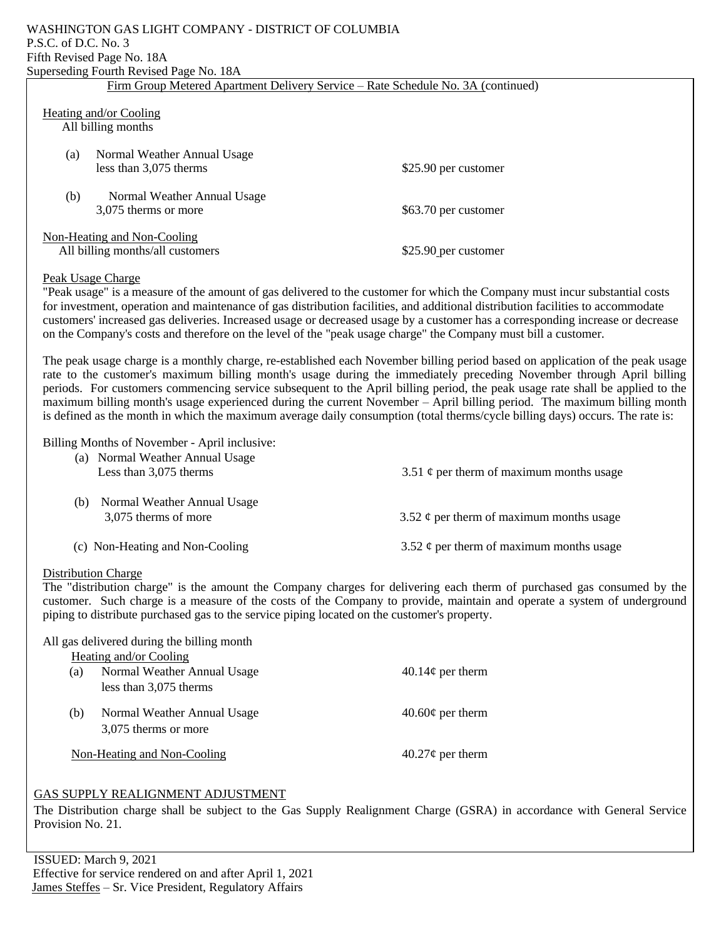#### WASHINGTON GAS LIGHT COMPANY - DISTRICT OF COLUMBIA P.S.C. of D.C. No. 3 Fifth Revised Page No. 18A Superseding Fourth Revised Page No. 18A

| Firm Group Metered Apartment Delivery Service – Rate Schedule No. 3A (continued)        |                                                              |                      |
|-----------------------------------------------------------------------------------------|--------------------------------------------------------------|----------------------|
| Heating and/or Cooling<br>All billing months                                            |                                                              |                      |
|                                                                                         | Normal Weather Annual Usage<br>(a)<br>less than 3,075 therms | \$25.90 per customer |
|                                                                                         | (b)<br>Normal Weather Annual Usage<br>3,075 therms or more   | \$63.70 per customer |
| Non-Heating and Non-Cooling<br>All billing months/all customers<br>\$25.90 per customer |                                                              |                      |

#### Peak Usage Charge

"Peak usage" is a measure of the amount of gas delivered to the customer for which the Company must incur substantial costs for investment, operation and maintenance of gas distribution facilities, and additional distribution facilities to accommodate customers' increased gas deliveries. Increased usage or decreased usage by a customer has a corresponding increase or decrease on the Company's costs and therefore on the level of the "peak usage charge" the Company must bill a customer.

The peak usage charge is a monthly charge, re-established each November billing period based on application of the peak usage rate to the customer's maximum billing month's usage during the immediately preceding November through April billing periods. For customers commencing service subsequent to the April billing period, the peak usage rate shall be applied to the maximum billing month's usage experienced during the current November – April billing period. The maximum billing month is defined as the month in which the maximum average daily consumption (total therms/cycle billing days) occurs. The rate is:

Billing Months of November - April inclusive:

| (a) | Normal Weather Annual Usage<br>Less than 3,075 therms | 3.51 $\phi$ per therm of maximum months usage |
|-----|-------------------------------------------------------|-----------------------------------------------|
| (b) | Normal Weather Annual Usage<br>3,075 therms of more   | 3.52 $\phi$ per therm of maximum months usage |
|     | (c) Non-Heating and Non-Cooling                       | 3.52 $\phi$ per therm of maximum months usage |

#### Distribution Charge

The "distribution charge" is the amount the Company charges for delivering each therm of purchased gas consumed by the customer. Such charge is a measure of the costs of the Company to provide, maintain and operate a system of underground piping to distribute purchased gas to the service piping located on the customer's property.

All gas delivered during the billing month

|     | Heating and/or Cooling      |                       |
|-----|-----------------------------|-----------------------|
| (a) | Normal Weather Annual Usage | $40.14\phi$ per therm |
|     | less than 3,075 therms      |                       |
| (b) | Normal Weather Annual Usage | $40.60\phi$ per therm |
|     | 3,075 therms or more        |                       |
|     | Non-Heating and Non-Cooling | $40.27\phi$ per therm |

#### GAS SUPPLY REALIGNMENT ADJUSTMENT

The Distribution charge shall be subject to the Gas Supply Realignment Charge (GSRA) in accordance with General Service Provision No. 21.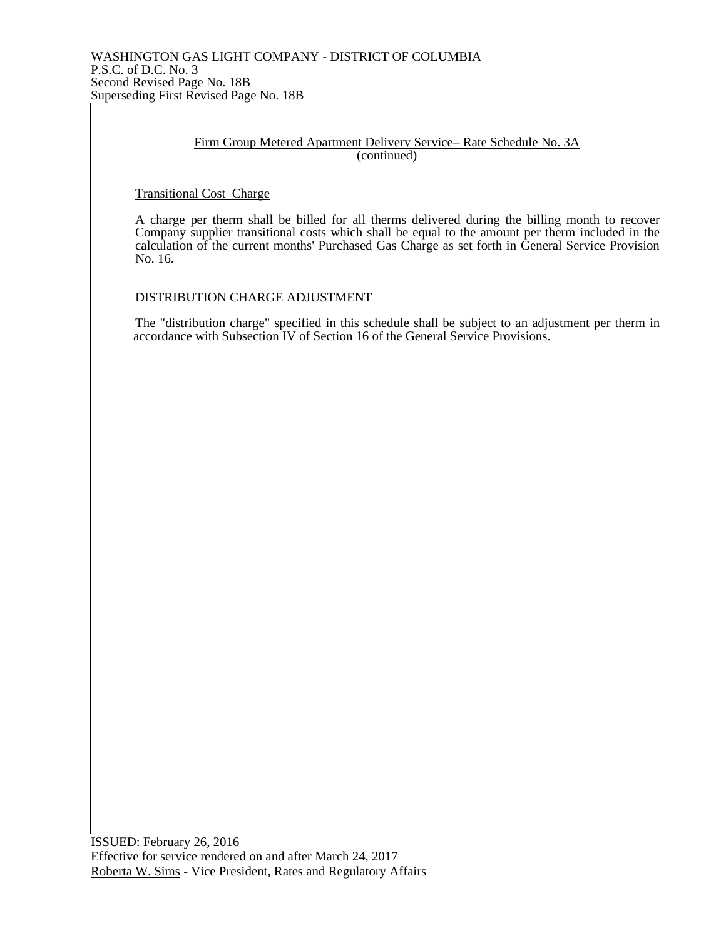#### Firm Group Metered Apartment Delivery Service– Rate Schedule No. 3A (continued)

#### Transitional Cost Charge

A charge per therm shall be billed for all therms delivered during the billing month to recover Company supplier transitional costs which shall be equal to the amount per therm included in the calculation of the current months' Purchased Gas Charge as set forth in General Service Provision No. 16.

#### DISTRIBUTION CHARGE ADJUSTMENT

The "distribution charge" specified in this schedule shall be subject to an adjustment per therm in accordance with Subsection IV of Section 16 of the General Service Provisions.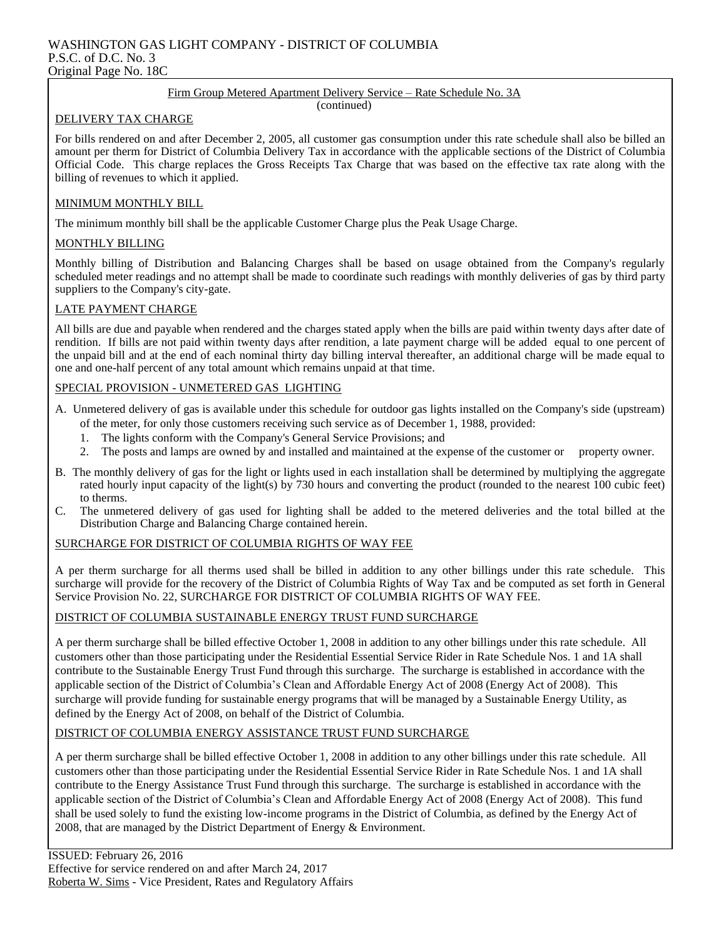#### WASHINGTON GAS LIGHT COMPANY - DISTRICT OF COLUMBIA P.S.C. of D.C. No. 3 Original Page No. 18C

#### Firm Group Metered Apartment Delivery Service – Rate Schedule No. 3A

(continued)

#### DELIVERY TAX CHARGE

For bills rendered on and after December 2, 2005, all customer gas consumption under this rate schedule shall also be billed an amount per therm for District of Columbia Delivery Tax in accordance with the applicable sections of the District of Columbia Official Code. This charge replaces the Gross Receipts Tax Charge that was based on the effective tax rate along with the billing of revenues to which it applied.

#### MINIMUM MONTHLY BILL

The minimum monthly bill shall be the applicable Customer Charge plus the Peak Usage Charge.

## MONTHLY BILLING

Monthly billing of Distribution and Balancing Charges shall be based on usage obtained from the Company's regularly scheduled meter readings and no attempt shall be made to coordinate such readings with monthly deliveries of gas by third party suppliers to the Company's city-gate.

#### LATE PAYMENT CHARGE

All bills are due and payable when rendered and the charges stated apply when the bills are paid within twenty days after date of rendition. If bills are not paid within twenty days after rendition, a late payment charge will be added equal to one percent of the unpaid bill and at the end of each nominal thirty day billing interval thereafter, an additional charge will be made equal to one and one-half percent of any total amount which remains unpaid at that time.

## SPECIAL PROVISION - UNMETERED GAS LIGHTING

- A. Unmetered delivery of gas is available under this schedule for outdoor gas lights installed on the Company's side (upstream) of the meter, for only those customers receiving such service as of December 1, 1988, provided:
	- 1. The lights conform with the Company's General Service Provisions; and
	- 2. The posts and lamps are owned by and installed and maintained at the expense of the customer or property owner.
- B. The monthly delivery of gas for the light or lights used in each installation shall be determined by multiplying the aggregate rated hourly input capacity of the light(s) by 730 hours and converting the product (rounded to the nearest 100 cubic feet) to therms.
- C. The unmetered delivery of gas used for lighting shall be added to the metered deliveries and the total billed at the Distribution Charge and Balancing Charge contained herein.

#### SURCHARGE FOR DISTRICT OF COLUMBIA RIGHTS OF WAY FEE

A per therm surcharge for all therms used shall be billed in addition to any other billings under this rate schedule. This surcharge will provide for the recovery of the District of Columbia Rights of Way Tax and be computed as set forth in General Service Provision No. 22, SURCHARGE FOR DISTRICT OF COLUMBIA RIGHTS OF WAY FEE.

#### DISTRICT OF COLUMBIA SUSTAINABLE ENERGY TRUST FUND SURCHARGE

A per therm surcharge shall be billed effective October 1, 2008 in addition to any other billings under this rate schedule. All customers other than those participating under the Residential Essential Service Rider in Rate Schedule Nos. 1 and 1A shall contribute to the Sustainable Energy Trust Fund through this surcharge. The surcharge is established in accordance with the applicable section of the District of Columbia's Clean and Affordable Energy Act of 2008 (Energy Act of 2008). This surcharge will provide funding for sustainable energy programs that will be managed by a Sustainable Energy Utility, as defined by the Energy Act of 2008, on behalf of the District of Columbia.

#### DISTRICT OF COLUMBIA ENERGY ASSISTANCE TRUST FUND SURCHARGE

A per therm surcharge shall be billed effective October 1, 2008 in addition to any other billings under this rate schedule. All customers other than those participating under the Residential Essential Service Rider in Rate Schedule Nos. 1 and 1A shall contribute to the Energy Assistance Trust Fund through this surcharge. The surcharge is established in accordance with the applicable section of the District of Columbia's Clean and Affordable Energy Act of 2008 (Energy Act of 2008). This fund shall be used solely to fund the existing low-income programs in the District of Columbia, as defined by the Energy Act of 2008, that are managed by the District Department of Energy & Environment.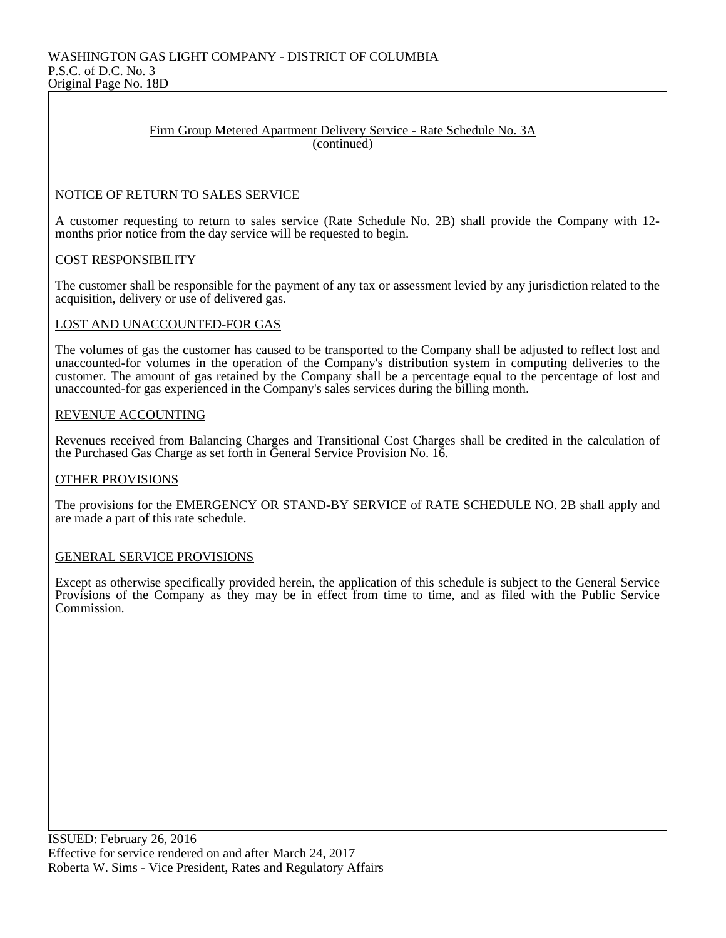#### Firm Group Metered Apartment Delivery Service - Rate Schedule No. 3A (continued)

## NOTICE OF RETURN TO SALES SERVICE

A customer requesting to return to sales service (Rate Schedule No. 2B) shall provide the Company with 12 months prior notice from the day service will be requested to begin.

#### COST RESPONSIBILITY

The customer shall be responsible for the payment of any tax or assessment levied by any jurisdiction related to the acquisition, delivery or use of delivered gas.

#### LOST AND UNACCOUNTED-FOR GAS

The volumes of gas the customer has caused to be transported to the Company shall be adjusted to reflect lost and unaccounted-for volumes in the operation of the Company's distribution system in computing deliveries to the customer. The amount of gas retained by the Company shall be a percentage equal to the percentage of lost and unaccounted-for gas experienced in the Company's sales services during the billing month.

#### REVENUE ACCOUNTING

Revenues received from Balancing Charges and Transitional Cost Charges shall be credited in the calculation of the Purchased Gas Charge as set forth in General Service Provision No. 16.

#### OTHER PROVISIONS

The provisions for the EMERGENCY OR STAND-BY SERVICE of RATE SCHEDULE NO. 2B shall apply and are made a part of this rate schedule.

#### GENERAL SERVICE PROVISIONS

Except as otherwise specifically provided herein, the application of this schedule is subject to the General Service Provisions of the Company as they may be in effect from time to time, and as filed with the Public Service Commission.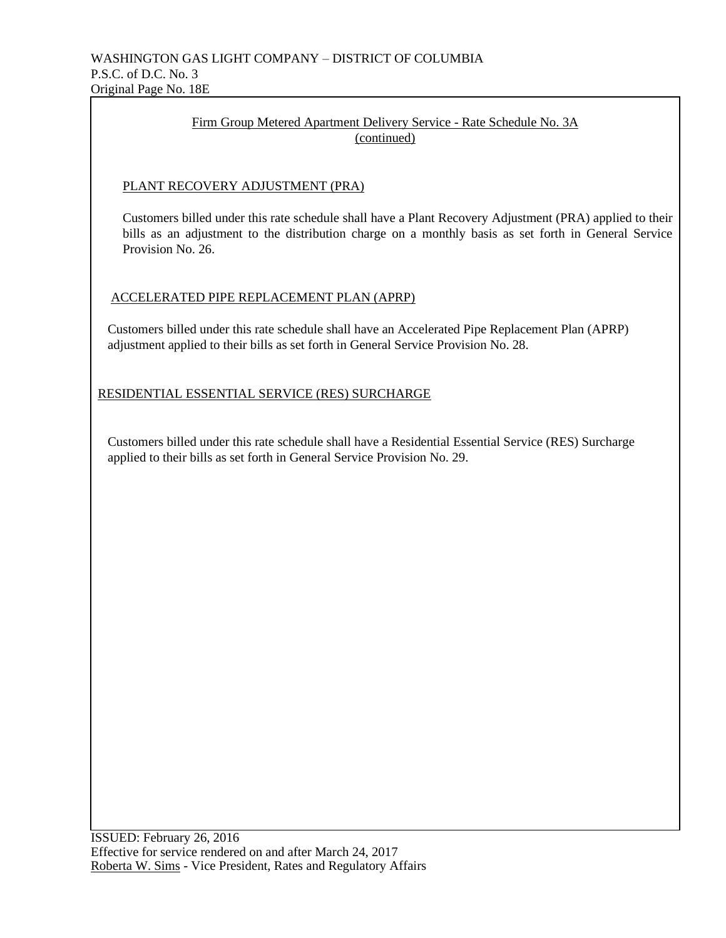## Firm Group Metered Apartment Delivery Service - Rate Schedule No. 3A (continued)

## PLANT RECOVERY ADJUSTMENT (PRA)

 Customers billed under this rate schedule shall have a Plant Recovery Adjustment (PRA) applied to their bills as an adjustment to the distribution charge on a monthly basis as set forth in General Service Provision No. 26.

## ACCELERATED PIPE REPLACEMENT PLAN (APRP)

 Customers billed under this rate schedule shall have an Accelerated Pipe Replacement Plan (APRP) adjustment applied to their bills as set forth in General Service Provision No. 28.

RESIDENTIAL ESSENTIAL SERVICE (RES) SURCHARGE

 Customers billed under this rate schedule shall have a Residential Essential Service (RES) Surcharge applied to their bills as set forth in General Service Provision No. 29.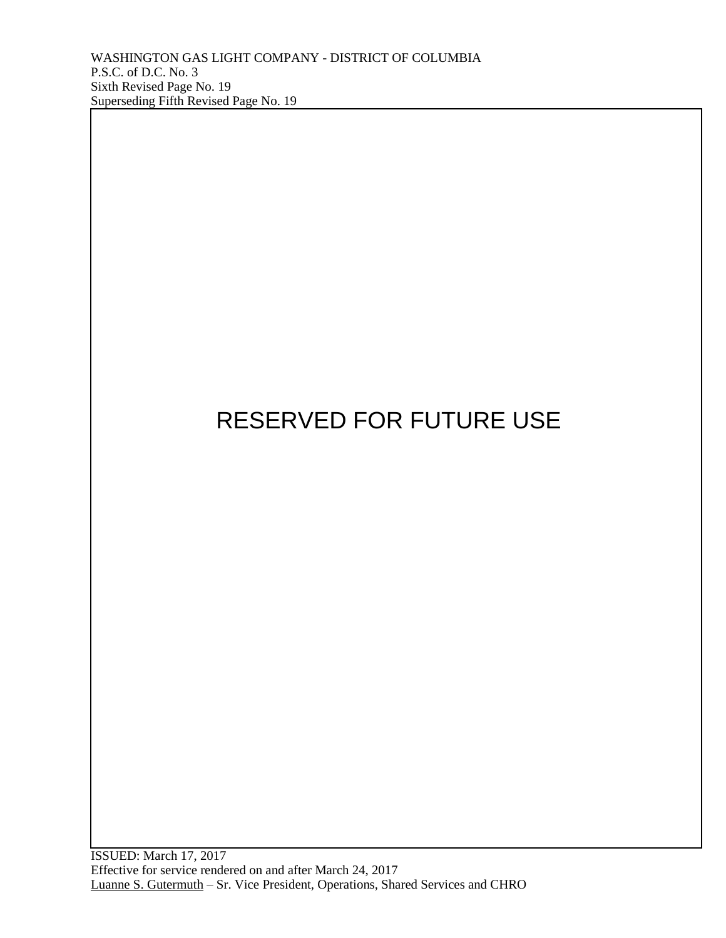# RESERVED FOR FUTURE USE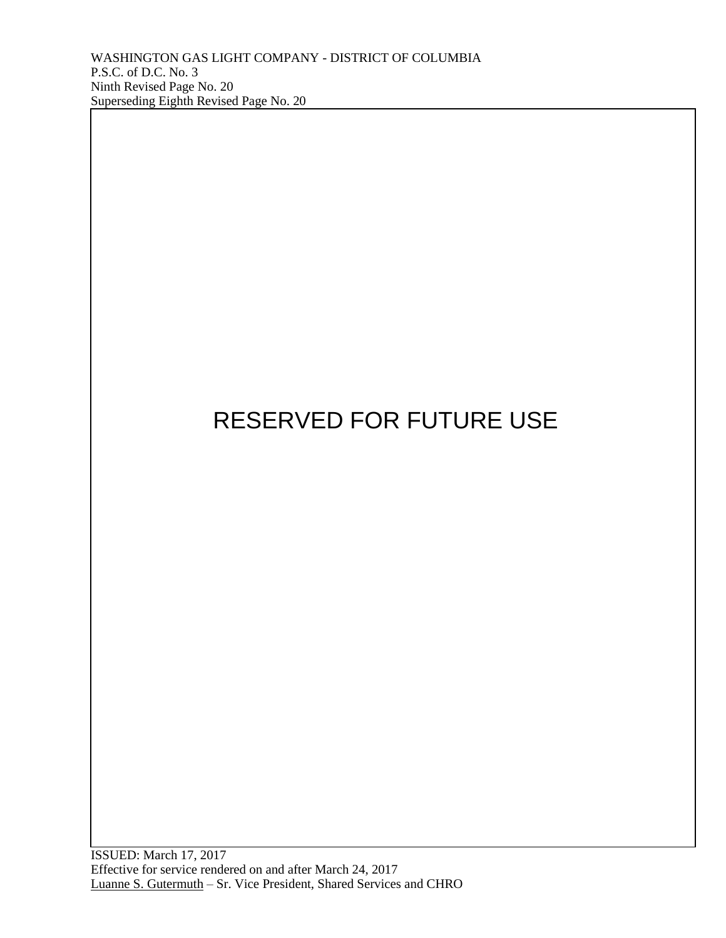# RESERVED FOR FUTURE USE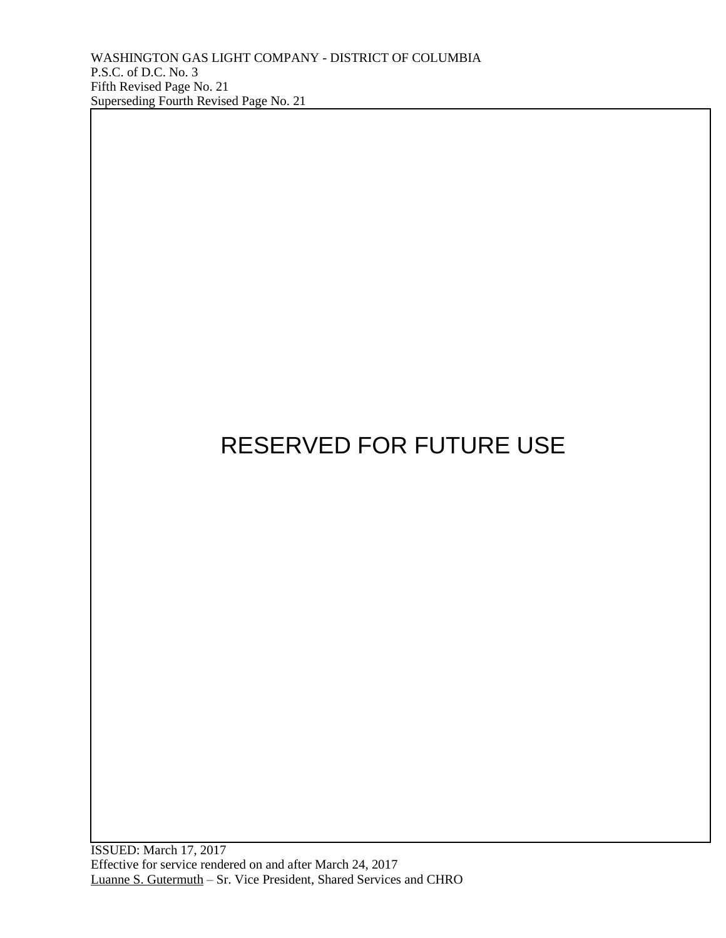ISSUED: March 17, 2017 Effective for service rendered on and after March 24, 2017 Luanne S. Gutermuth – Sr. Vice President, Shared Services and CHRO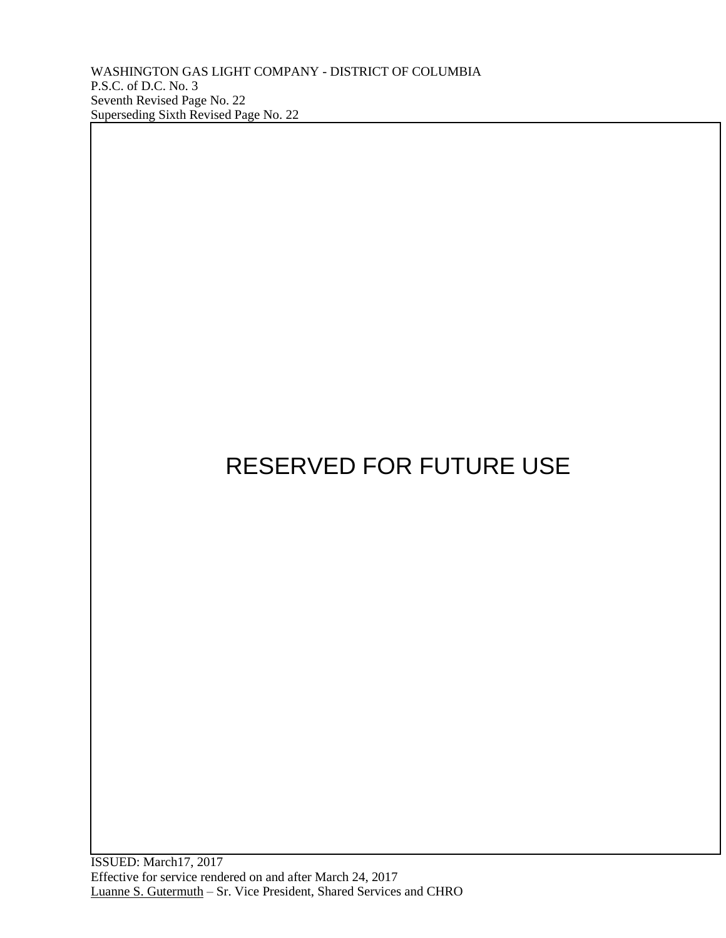WASHINGTON GAS LIGHT COMPANY - DISTRICT OF COLUMBIA P.S.C. of D.C. No. 3 Seventh Revised Page No. 22 Superseding Sixth Revised Page No. 22

# RESERVED FOR FUTURE USE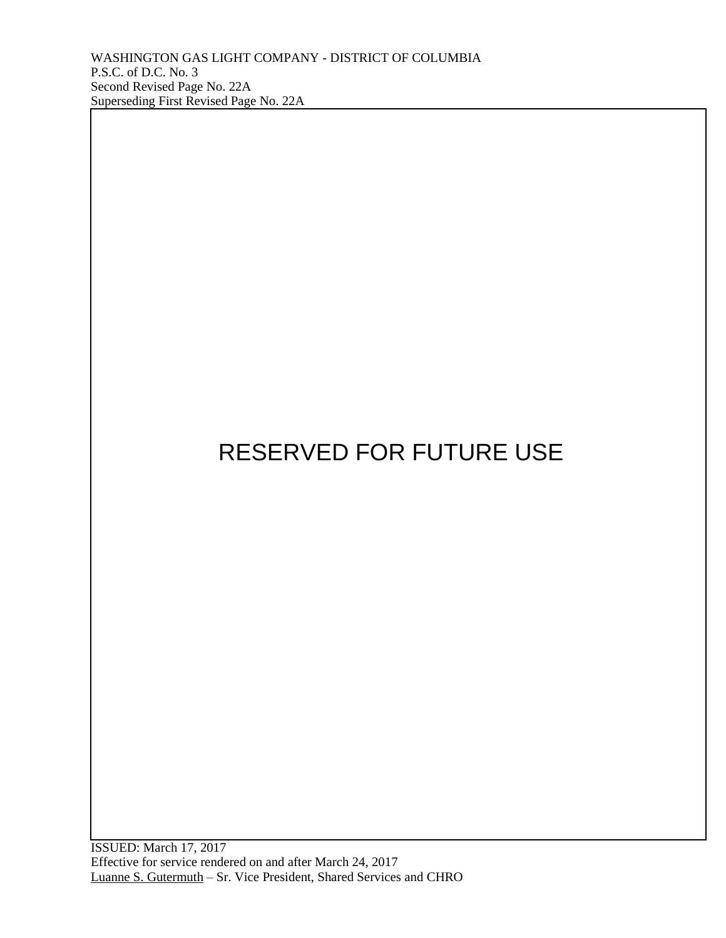ISSUED: March 17, 2017 Effective for service rendered on and after March 24, 2017 Luanne S. Gutermuth – Sr. Vice President, Shared Services and CHRO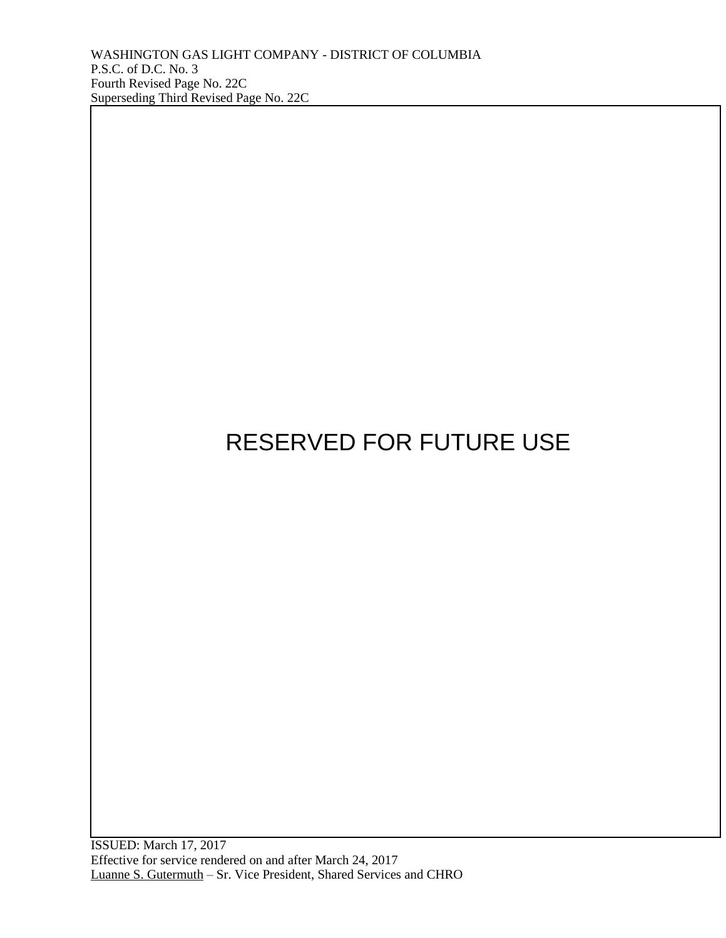ISSUED: March 17, 2017 Effective for service rendered on and after March 24, 2017 Luanne S. Gutermuth – Sr. Vice President, Shared Services and CHRO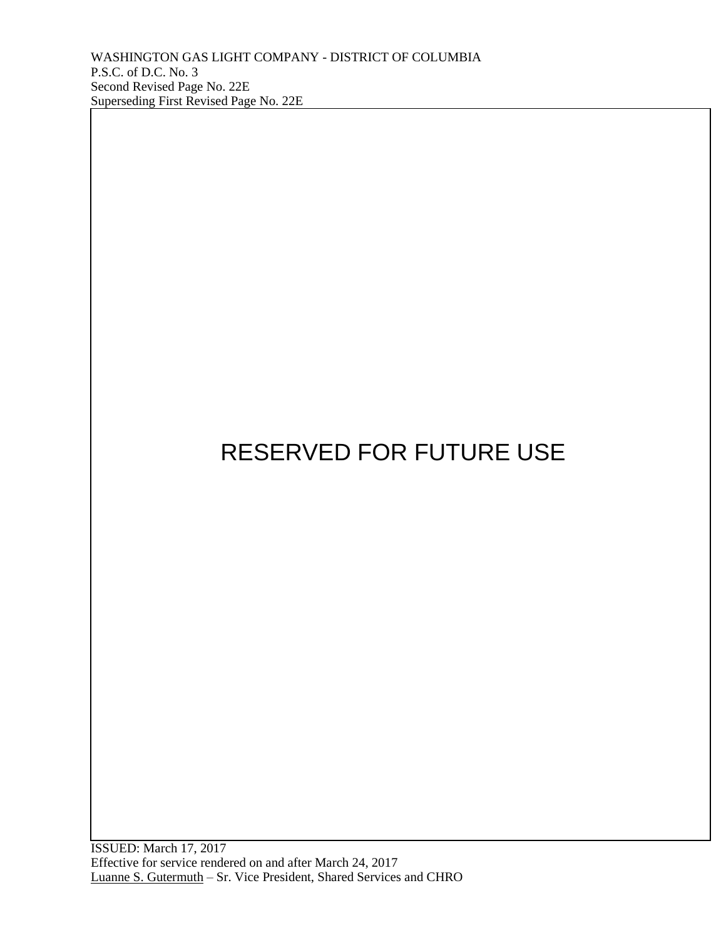ISSUED: March 17, 2017 Effective for service rendered on and after March 24, 2017 Luanne S. Gutermuth – Sr. Vice President, Shared Services and CHRO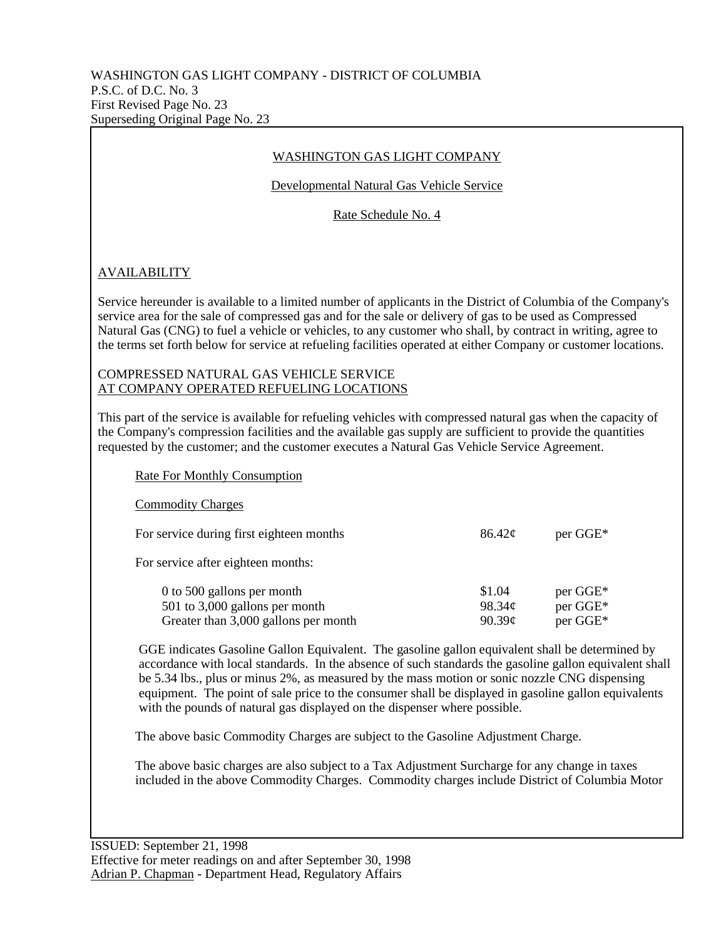## WASHINGTON GAS LIGHT COMPANY

Developmental Natural Gas Vehicle Service

Rate Schedule No. 4

## AVAILABILITY

Service hereunder is available to a limited number of applicants in the District of Columbia of the Company's service area for the sale of compressed gas and for the sale or delivery of gas to be used as Compressed Natural Gas (CNG) to fuel a vehicle or vehicles, to any customer who shall, by contract in writing, agree to the terms set forth below for service at refueling facilities operated at either Company or customer locations.

## COMPRESSED NATURAL GAS VEHICLE SERVICE AT COMPANY OPERATED REFUELING LOCATIONS

This part of the service is available for refueling vehicles with compressed natural gas when the capacity of the Company's compression facilities and the available gas supply are sufficient to provide the quantities requested by the customer; and the customer executes a Natural Gas Vehicle Service Agreement.

| <b>Rate For Monthly Consumption</b>                                                                  |                            |                                  |
|------------------------------------------------------------------------------------------------------|----------------------------|----------------------------------|
| <b>Commodity Charges</b>                                                                             |                            |                                  |
| For service during first eighteen months                                                             | $86.42\mathcal{C}$         | per GGE*                         |
| For service after eighteen months:                                                                   |                            |                                  |
| 0 to 500 gallons per month<br>501 to 3,000 gallons per month<br>Greater than 3,000 gallons per month | \$1.04<br>98.34¢<br>90.39c | per GGE*<br>per GGE*<br>per GGE* |

GGE indicates Gasoline Gallon Equivalent. The gasoline gallon equivalent shall be determined by accordance with local standards. In the absence of such standards the gasoline gallon equivalent shall be 5.34 lbs., plus or minus 2%, as measured by the mass motion or sonic nozzle CNG dispensing equipment. The point of sale price to the consumer shall be displayed in gasoline gallon equivalents with the pounds of natural gas displayed on the dispenser where possible.

The above basic Commodity Charges are subject to the Gasoline Adjustment Charge.

The above basic charges are also subject to a Tax Adjustment Surcharge for any change in taxes included in the above Commodity Charges. Commodity charges include District of Columbia Motor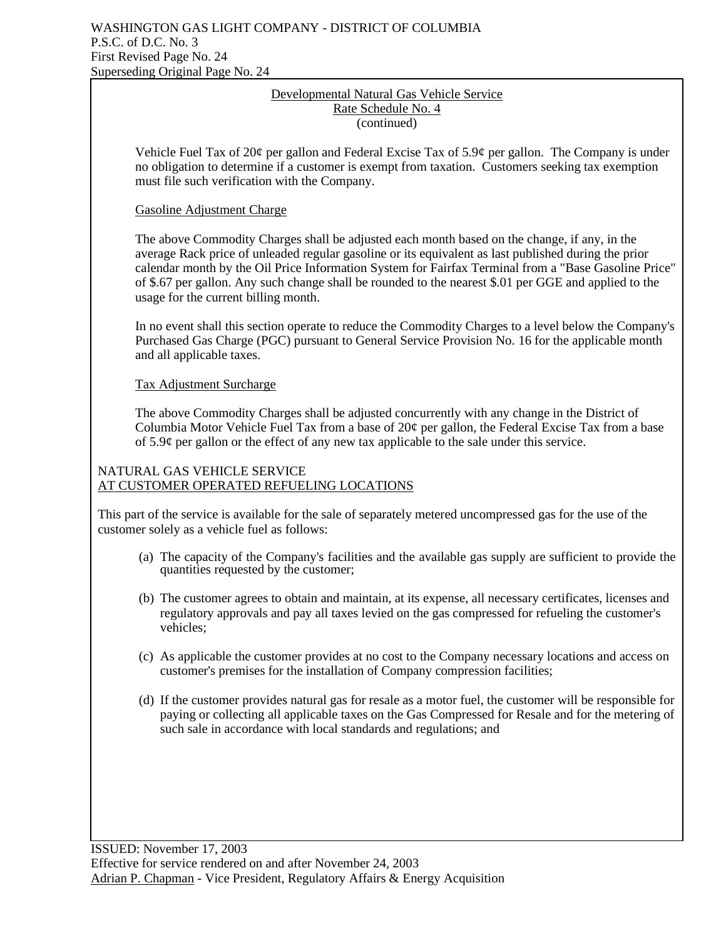## Developmental Natural Gas Vehicle Service Rate Schedule No. 4 (continued)

Vehicle Fuel Tax of 20¢ per gallon and Federal Excise Tax of 5.9¢ per gallon. The Company is under no obligation to determine if a customer is exempt from taxation. Customers seeking tax exemption must file such verification with the Company.

## Gasoline Adjustment Charge

The above Commodity Charges shall be adjusted each month based on the change, if any, in the average Rack price of unleaded regular gasoline or its equivalent as last published during the prior calendar month by the Oil Price Information System for Fairfax Terminal from a "Base Gasoline Price" of \$.67 per gallon. Any such change shall be rounded to the nearest \$.01 per GGE and applied to the usage for the current billing month.

In no event shall this section operate to reduce the Commodity Charges to a level below the Company's Purchased Gas Charge (PGC) pursuant to General Service Provision No. 16 for the applicable month and all applicable taxes.

Tax Adjustment Surcharge

The above Commodity Charges shall be adjusted concurrently with any change in the District of Columbia Motor Vehicle Fuel Tax from a base of 20¢ per gallon, the Federal Excise Tax from a base of 5.9¢ per gallon or the effect of any new tax applicable to the sale under this service.

## NATURAL GAS VEHICLE SERVICE AT CUSTOMER OPERATED REFUELING LOCATIONS

This part of the service is available for the sale of separately metered uncompressed gas for the use of the customer solely as a vehicle fuel as follows:

- (a) The capacity of the Company's facilities and the available gas supply are sufficient to provide the quantities requested by the customer;
- (b) The customer agrees to obtain and maintain, at its expense, all necessary certificates, licenses and regulatory approvals and pay all taxes levied on the gas compressed for refueling the customer's vehicles;
- (c) As applicable the customer provides at no cost to the Company necessary locations and access on customer's premises for the installation of Company compression facilities;
- (d) If the customer provides natural gas for resale as a motor fuel, the customer will be responsible for paying or collecting all applicable taxes on the Gas Compressed for Resale and for the metering of such sale in accordance with local standards and regulations; and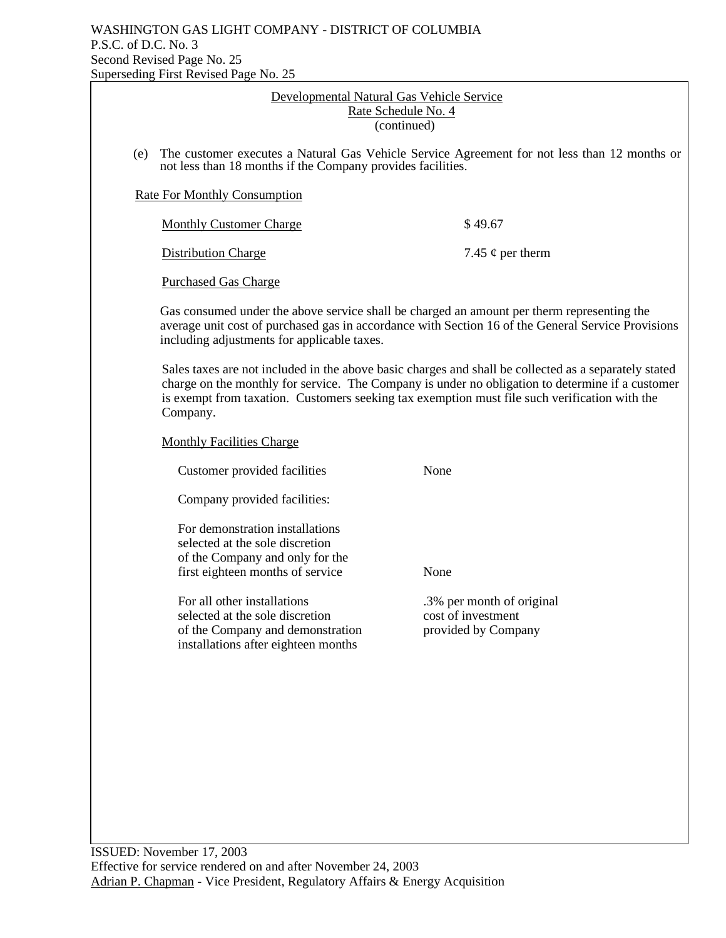|                                                                                 | erseding First Revised Page No. 25                                                                                                                                                                                                                                                                                     |                                                                       |  |
|---------------------------------------------------------------------------------|------------------------------------------------------------------------------------------------------------------------------------------------------------------------------------------------------------------------------------------------------------------------------------------------------------------------|-----------------------------------------------------------------------|--|
| Developmental Natural Gas Vehicle Service<br>Rate Schedule No. 4<br>(continued) |                                                                                                                                                                                                                                                                                                                        |                                                                       |  |
| (e)                                                                             | The customer executes a Natural Gas Vehicle Service Agreement for not less than 12 months or<br>not less than 18 months if the Company provides facilities.                                                                                                                                                            |                                                                       |  |
|                                                                                 | <b>Rate For Monthly Consumption</b>                                                                                                                                                                                                                                                                                    |                                                                       |  |
|                                                                                 | <b>Monthly Customer Charge</b>                                                                                                                                                                                                                                                                                         | \$49.67                                                               |  |
|                                                                                 | <b>Distribution Charge</b>                                                                                                                                                                                                                                                                                             | 7.45 $\phi$ per therm                                                 |  |
|                                                                                 | <b>Purchased Gas Charge</b>                                                                                                                                                                                                                                                                                            |                                                                       |  |
|                                                                                 | Gas consumed under the above service shall be charged an amount per therm representing the<br>average unit cost of purchased gas in accordance with Section 16 of the General Service Provisions<br>including adjustments for applicable taxes.                                                                        |                                                                       |  |
|                                                                                 | Sales taxes are not included in the above basic charges and shall be collected as a separately stated<br>charge on the monthly for service. The Company is under no obligation to determine if a customer<br>is exempt from taxation. Customers seeking tax exemption must file such verification with the<br>Company. |                                                                       |  |
|                                                                                 | <b>Monthly Facilities Charge</b>                                                                                                                                                                                                                                                                                       |                                                                       |  |
|                                                                                 | Customer provided facilities                                                                                                                                                                                                                                                                                           | None                                                                  |  |
|                                                                                 | Company provided facilities:                                                                                                                                                                                                                                                                                           |                                                                       |  |
|                                                                                 | For demonstration installations<br>selected at the sole discretion<br>of the Company and only for the<br>first eighteen months of service                                                                                                                                                                              | None                                                                  |  |
|                                                                                 | For all other installations<br>selected at the sole discretion<br>of the Company and demonstration<br>installations after eighteen months                                                                                                                                                                              | 3% per month of original<br>cost of investment<br>provided by Company |  |
|                                                                                 |                                                                                                                                                                                                                                                                                                                        |                                                                       |  |
|                                                                                 |                                                                                                                                                                                                                                                                                                                        |                                                                       |  |
|                                                                                 |                                                                                                                                                                                                                                                                                                                        |                                                                       |  |
|                                                                                 |                                                                                                                                                                                                                                                                                                                        |                                                                       |  |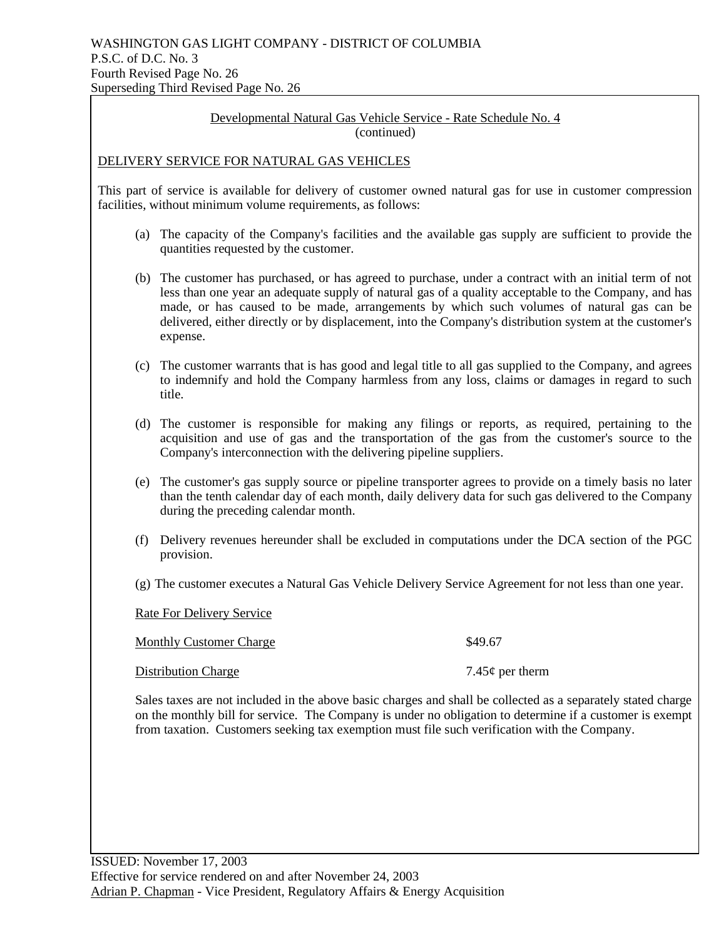Developmental Natural Gas Vehicle Service - Rate Schedule No. 4 (continued)

## DELIVERY SERVICE FOR NATURAL GAS VEHICLES

This part of service is available for delivery of customer owned natural gas for use in customer compression facilities, without minimum volume requirements, as follows:

- (a) The capacity of the Company's facilities and the available gas supply are sufficient to provide the quantities requested by the customer.
- (b) The customer has purchased, or has agreed to purchase, under a contract with an initial term of not less than one year an adequate supply of natural gas of a quality acceptable to the Company, and has made, or has caused to be made, arrangements by which such volumes of natural gas can be delivered, either directly or by displacement, into the Company's distribution system at the customer's expense.
- (c) The customer warrants that is has good and legal title to all gas supplied to the Company, and agrees to indemnify and hold the Company harmless from any loss, claims or damages in regard to such title.
- (d) The customer is responsible for making any filings or reports, as required, pertaining to the acquisition and use of gas and the transportation of the gas from the customer's source to the Company's interconnection with the delivering pipeline suppliers.
- (e) The customer's gas supply source or pipeline transporter agrees to provide on a timely basis no later than the tenth calendar day of each month, daily delivery data for such gas delivered to the Company during the preceding calendar month.
- (f) Delivery revenues hereunder shall be excluded in computations under the DCA section of the PGC provision.
- (g) The customer executes a Natural Gas Vehicle Delivery Service Agreement for not less than one year.

Rate For Delivery Service

Monthly Customer Charge  $$49.67$ Distribution Charge 7.45¢ per therm 7.45¢ per therm

Sales taxes are not included in the above basic charges and shall be collected as a separately stated charge on the monthly bill for service. The Company is under no obligation to determine if a customer is exempt from taxation. Customers seeking tax exemption must file such verification with the Company.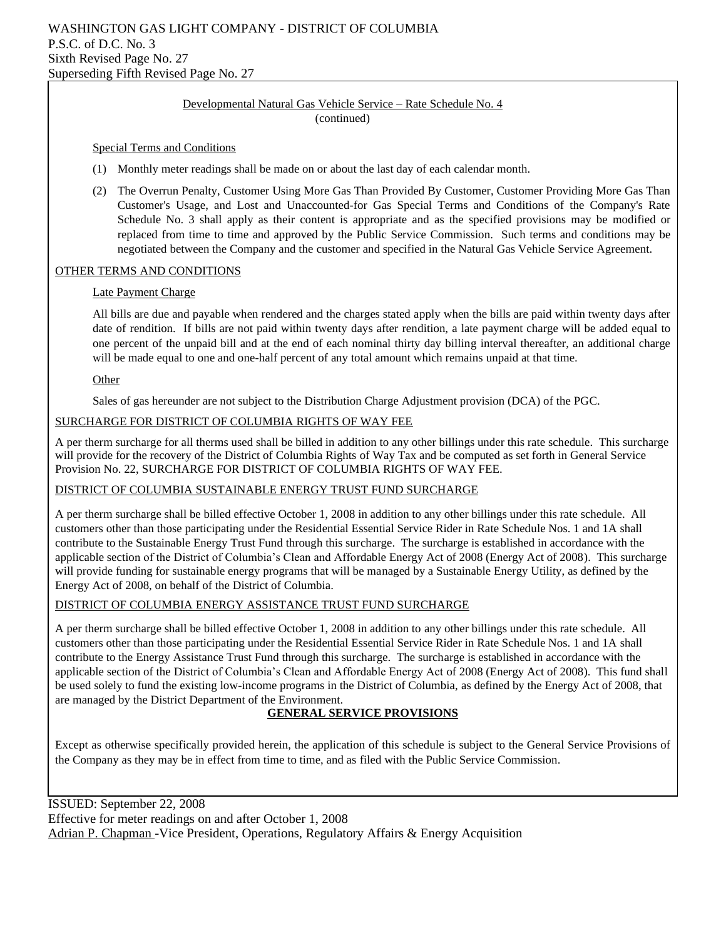#### Developmental Natural Gas Vehicle Service – Rate Schedule No. 4 (continued)

#### Special Terms and Conditions

- (1) Monthly meter readings shall be made on or about the last day of each calendar month.
- (2) The Overrun Penalty, Customer Using More Gas Than Provided By Customer, Customer Providing More Gas Than Customer's Usage, and Lost and Unaccounted-for Gas Special Terms and Conditions of the Company's Rate Schedule No. 3 shall apply as their content is appropriate and as the specified provisions may be modified or replaced from time to time and approved by the Public Service Commission. Such terms and conditions may be negotiated between the Company and the customer and specified in the Natural Gas Vehicle Service Agreement.

### OTHER TERMS AND CONDITIONS

#### Late Payment Charge

All bills are due and payable when rendered and the charges stated apply when the bills are paid within twenty days after date of rendition. If bills are not paid within twenty days after rendition, a late payment charge will be added equal to one percent of the unpaid bill and at the end of each nominal thirty day billing interval thereafter, an additional charge will be made equal to one and one-half percent of any total amount which remains unpaid at that time.

#### Other

Sales of gas hereunder are not subject to the Distribution Charge Adjustment provision (DCA) of the PGC.

#### SURCHARGE FOR DISTRICT OF COLUMBIA RIGHTS OF WAY FEE

A per therm surcharge for all therms used shall be billed in addition to any other billings under this rate schedule. This surcharge will provide for the recovery of the District of Columbia Rights of Way Tax and be computed as set forth in General Service Provision No. 22, SURCHARGE FOR DISTRICT OF COLUMBIA RIGHTS OF WAY FEE.

#### DISTRICT OF COLUMBIA SUSTAINABLE ENERGY TRUST FUND SURCHARGE

A per therm surcharge shall be billed effective October 1, 2008 in addition to any other billings under this rate schedule. All customers other than those participating under the Residential Essential Service Rider in Rate Schedule Nos. 1 and 1A shall contribute to the Sustainable Energy Trust Fund through this surcharge. The surcharge is established in accordance with the applicable section of the District of Columbia's Clean and Affordable Energy Act of 2008 (Energy Act of 2008). This surcharge will provide funding for sustainable energy programs that will be managed by a Sustainable Energy Utility, as defined by the Energy Act of 2008, on behalf of the District of Columbia.

#### DISTRICT OF COLUMBIA ENERGY ASSISTANCE TRUST FUND SURCHARGE

A per therm surcharge shall be billed effective October 1, 2008 in addition to any other billings under this rate schedule. All customers other than those participating under the Residential Essential Service Rider in Rate Schedule Nos. 1 and 1A shall contribute to the Energy Assistance Trust Fund through this surcharge. The surcharge is established in accordance with the applicable section of the District of Columbia's Clean and Affordable Energy Act of 2008 (Energy Act of 2008). This fund shall be used solely to fund the existing low-income programs in the District of Columbia, as defined by the Energy Act of 2008, that are managed by the District Department of the Environment.

## **GENERAL SERVICE PROVISIONS**

Except as otherwise specifically provided herein, the application of this schedule is subject to the General Service Provisions of the Company as they may be in effect from time to time, and as filed with the Public Service Commission.

ISSUED: September 22, 2008 Effective for meter readings on and after October 1, 2008 Adrian P. Chapman -Vice President, Operations, Regulatory Affairs & Energy Acquisition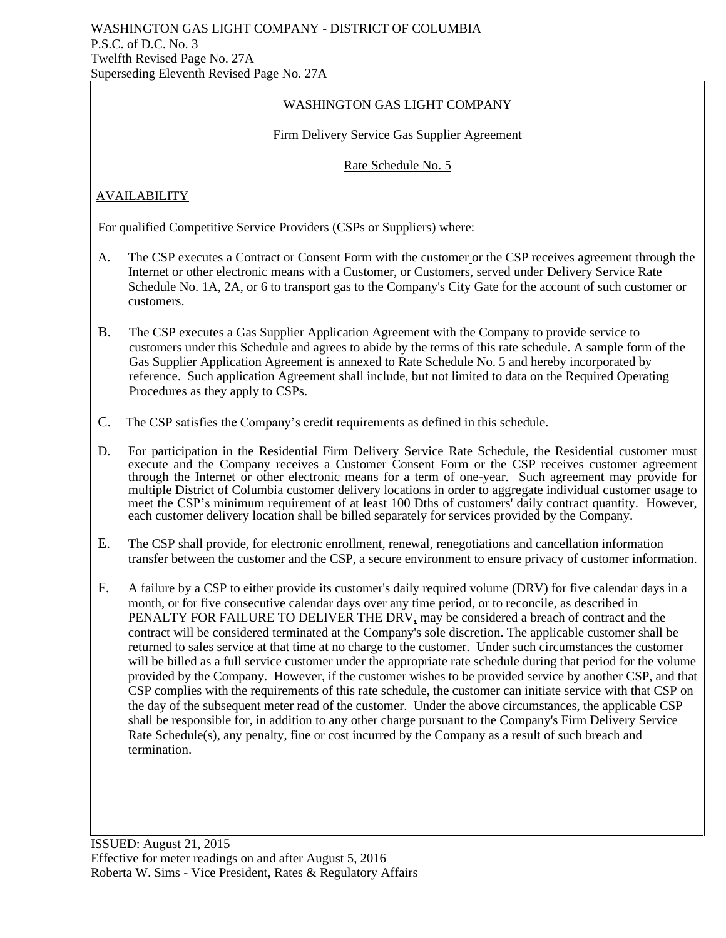## WASHINGTON GAS LIGHT COMPANY

## Firm Delivery Service Gas Supplier Agreement

## Rate Schedule No. 5

# **AVAILABILITY**

For qualified Competitive Service Providers (CSPs or Suppliers) where:

- A. The CSP executes a Contract or Consent Form with the customer or the CSP receives agreement through the Internet or other electronic means with a Customer, or Customers, served under Delivery Service Rate Schedule No. 1A, 2A, or 6 to transport gas to the Company's City Gate for the account of such customer or customers.
- B. The CSP executes a Gas Supplier Application Agreement with the Company to provide service to customers under this Schedule and agrees to abide by the terms of this rate schedule. A sample form of the Gas Supplier Application Agreement is annexed to Rate Schedule No. 5 and hereby incorporated by reference. Such application Agreement shall include, but not limited to data on the Required Operating Procedures as they apply to CSPs.
- C. The CSP satisfies the Company's credit requirements as defined in this schedule.
- D. For participation in the Residential Firm Delivery Service Rate Schedule, the Residential customer must execute and the Company receives a Customer Consent Form or the CSP receives customer agreement through the Internet or other electronic means for a term of one-year. Such agreement may provide for multiple District of Columbia customer delivery locations in order to aggregate individual customer usage to meet the CSP's minimum requirement of at least 100 Dths of customers' daily contract quantity. However, each customer delivery location shall be billed separately for services provided by the Company.
- E. The CSP shall provide, for electronic enrollment, renewal, renegotiations and cancellation information transfer between the customer and the CSP, a secure environment to ensure privacy of customer information.
- F. A failure by a CSP to either provide its customer's daily required volume (DRV) for five calendar days in a month, or for five consecutive calendar days over any time period, or to reconcile, as described in PENALTY FOR FAILURE TO DELIVER THE DRV, may be considered a breach of contract and the contract will be considered terminated at the Company's sole discretion. The applicable customer shall be returned to sales service at that time at no charge to the customer. Under such circumstances the customer will be billed as a full service customer under the appropriate rate schedule during that period for the volume provided by the Company. However, if the customer wishes to be provided service by another CSP, and that CSP complies with the requirements of this rate schedule, the customer can initiate service with that CSP on the day of the subsequent meter read of the customer. Under the above circumstances, the applicable CSP shall be responsible for, in addition to any other charge pursuant to the Company's Firm Delivery Service Rate Schedule(s), any penalty, fine or cost incurred by the Company as a result of such breach and termination.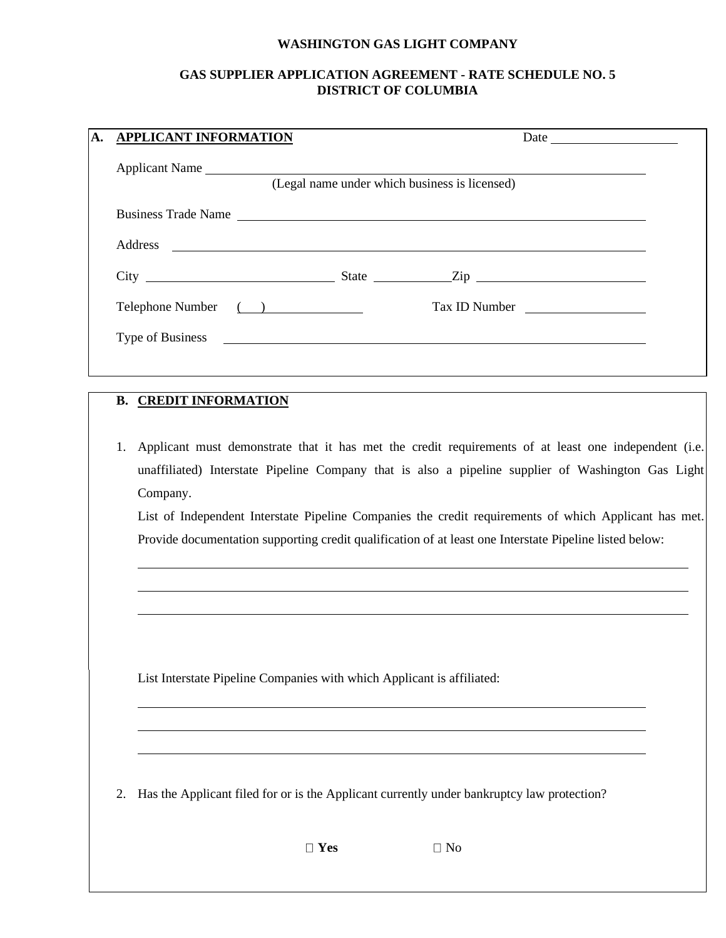# **WASHINGTON GAS LIGHT COMPANY**

# **GAS SUPPLIER APPLICATION AGREEMENT - RATE SCHEDULE NO. 5 DISTRICT OF COLUMBIA**

| <b>APPLICANT INFORMATION</b> |                                               | Date                                                                                                                                                                                                             |
|------------------------------|-----------------------------------------------|------------------------------------------------------------------------------------------------------------------------------------------------------------------------------------------------------------------|
|                              | (Legal name under which business is licensed) |                                                                                                                                                                                                                  |
|                              |                                               |                                                                                                                                                                                                                  |
|                              |                                               |                                                                                                                                                                                                                  |
|                              |                                               |                                                                                                                                                                                                                  |
|                              | Telephone Number ( )                          | Tax ID Number                                                                                                                                                                                                    |
|                              |                                               |                                                                                                                                                                                                                  |
|                              |                                               |                                                                                                                                                                                                                  |
| 1.<br>Company.               |                                               | Applicant must demonstrate that it has met the credit requirements of at least one independent (i.e.<br>unaffiliated) Interstate Pipeline Company that is also a pipeline supplier of Washington Gas Light       |
|                              |                                               | List of Independent Interstate Pipeline Companies the credit requirements of which Applicant has met.<br>Provide documentation supporting credit qualification of at least one Interstate Pipeline listed below: |
|                              |                                               |                                                                                                                                                                                                                  |
|                              |                                               |                                                                                                                                                                                                                  |
|                              |                                               |                                                                                                                                                                                                                  |
|                              |                                               |                                                                                                                                                                                                                  |

List Interstate Pipeline Companies with which Applicant is affiliated:

2. Has the Applicant filed for or is the Applicant currently under bankruptcy law protection?

□ Yes □ No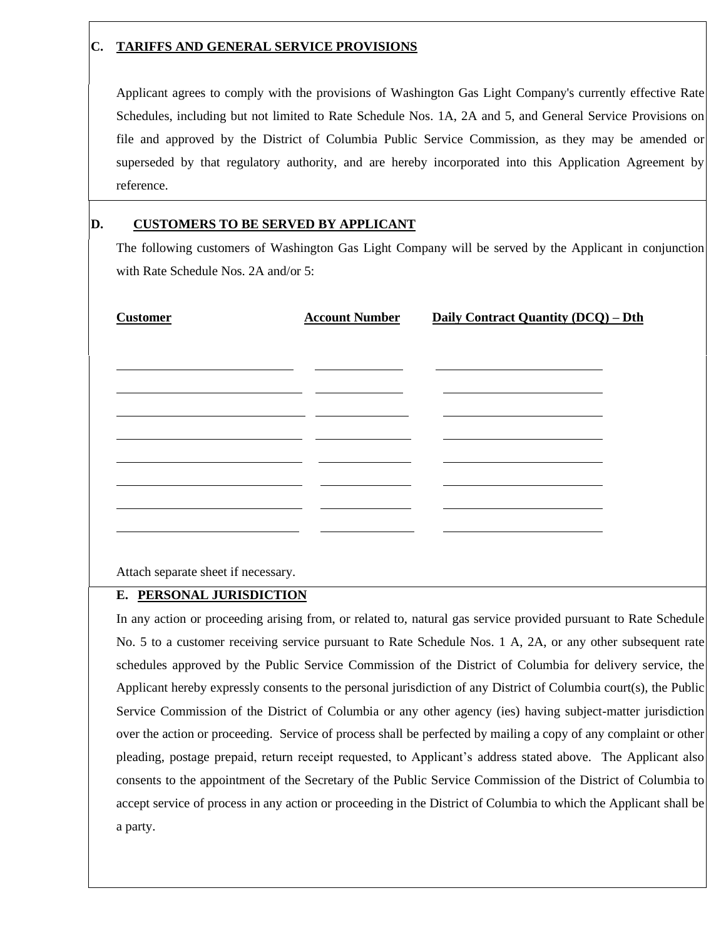# **C. TARIFFS AND GENERAL SERVICE PROVISIONS**

Applicant agrees to comply with the provisions of Washington Gas Light Company's currently effective Rate Schedules, including but not limited to Rate Schedule Nos. 1A, 2A and 5, and General Service Provisions on file and approved by the District of Columbia Public Service Commission, as they may be amended or superseded by that regulatory authority, and are hereby incorporated into this Application Agreement by reference.

# **D. CUSTOMERS TO BE SERVED BY APPLICANT**

The following customers of Washington Gas Light Company will be served by the Applicant in conjunction with Rate Schedule Nos. 2A and/or 5:

| <b>Customer</b> | <b>Account Number</b> | Daily Contract Quantity (DCQ) - Dth |  |
|-----------------|-----------------------|-------------------------------------|--|
|                 |                       |                                     |  |
|                 |                       |                                     |  |
|                 |                       |                                     |  |
|                 |                       |                                     |  |
|                 |                       |                                     |  |
|                 |                       |                                     |  |
|                 |                       |                                     |  |
|                 |                       |                                     |  |

Attach separate sheet if necessary.

## **E. PERSONAL JURISDICTION**

In any action or proceeding arising from, or related to, natural gas service provided pursuant to Rate Schedule No. 5 to a customer receiving service pursuant to Rate Schedule Nos. 1 A, 2A, or any other subsequent rate schedules approved by the Public Service Commission of the District of Columbia for delivery service, the Applicant hereby expressly consents to the personal jurisdiction of any District of Columbia court(s), the Public Service Commission of the District of Columbia or any other agency (ies) having subject-matter jurisdiction over the action or proceeding. Service of process shall be perfected by mailing a copy of any complaint or other pleading, postage prepaid, return receipt requested, to Applicant's address stated above. The Applicant also consents to the appointment of the Secretary of the Public Service Commission of the District of Columbia to accept service of process in any action or proceeding in the District of Columbia to which the Applicant shall be a party.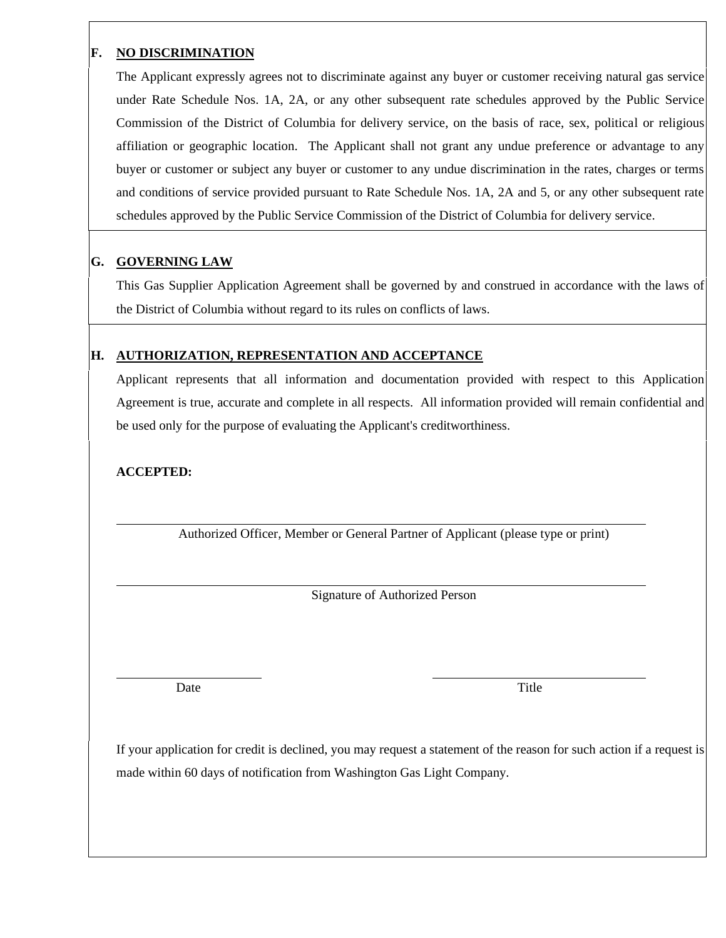# **F. NO DISCRIMINATION**

The Applicant expressly agrees not to discriminate against any buyer or customer receiving natural gas service under Rate Schedule Nos. 1A, 2A, or any other subsequent rate schedules approved by the Public Service Commission of the District of Columbia for delivery service, on the basis of race, sex, political or religious affiliation or geographic location. The Applicant shall not grant any undue preference or advantage to any buyer or customer or subject any buyer or customer to any undue discrimination in the rates, charges or terms and conditions of service provided pursuant to Rate Schedule Nos. 1A, 2A and 5, or any other subsequent rate schedules approved by the Public Service Commission of the District of Columbia for delivery service.

# **G. GOVERNING LAW**

This Gas Supplier Application Agreement shall be governed by and construed in accordance with the laws of the District of Columbia without regard to its rules on conflicts of laws.

# **H. AUTHORIZATION, REPRESENTATION AND ACCEPTANCE**

Applicant represents that all information and documentation provided with respect to this Application Agreement is true, accurate and complete in all respects. All information provided will remain confidential and be used only for the purpose of evaluating the Applicant's creditworthiness.

# **ACCEPTED:**

Authorized Officer, Member or General Partner of Applicant (please type or print)

Signature of Authorized Person

Date Title

If your application for credit is declined, you may request a statement of the reason for such action if a request is made within 60 days of notification from Washington Gas Light Company.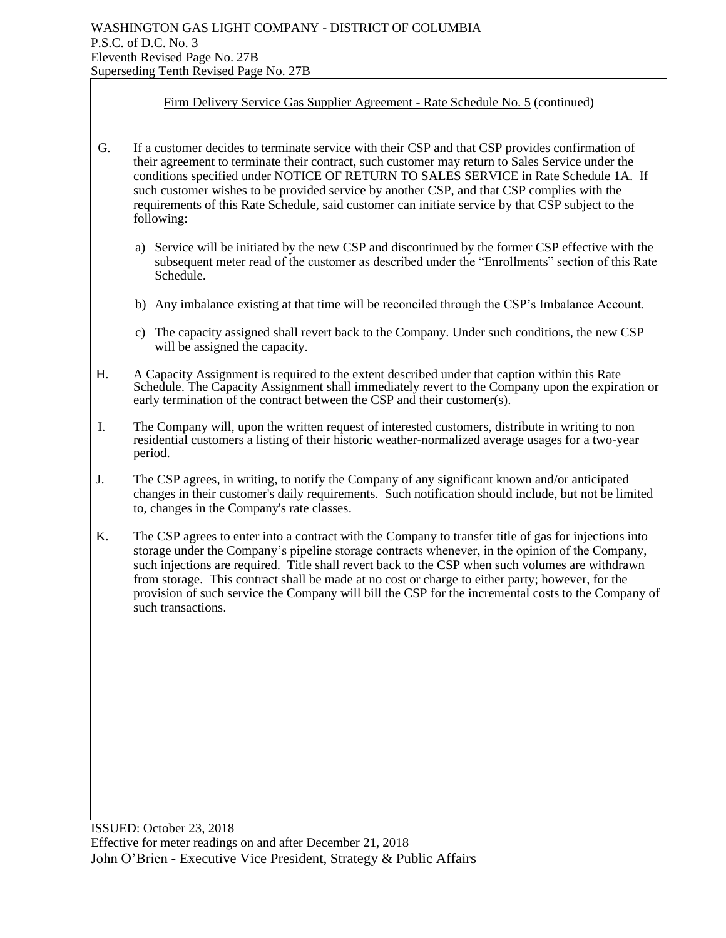## Firm Delivery Service Gas Supplier Agreement - Rate Schedule No. 5 (continued)

- G. If a customer decides to terminate service with their CSP and that CSP provides confirmation of their agreement to terminate their contract, such customer may return to Sales Service under the conditions specified under NOTICE OF RETURN TO SALES SERVICE in Rate Schedule 1A. If such customer wishes to be provided service by another CSP, and that CSP complies with the requirements of this Rate Schedule, said customer can initiate service by that CSP subject to the following:
	- a) Service will be initiated by the new CSP and discontinued by the former CSP effective with the subsequent meter read of the customer as described under the "Enrollments" section of this Rate Schedule.
	- b) Any imbalance existing at that time will be reconciled through the CSP's Imbalance Account.
	- c) The capacity assigned shall revert back to the Company. Under such conditions, the new CSP will be assigned the capacity.
- H. A Capacity Assignment is required to the extent described under that caption within this Rate Schedule. The Capacity Assignment shall immediately revert to the Company upon the expiration or early termination of the contract between the CSP and their customer(s).
- I. The Company will, upon the written request of interested customers, distribute in writing to non residential customers a listing of their historic weather-normalized average usages for a two-year period.
- J. The CSP agrees, in writing, to notify the Company of any significant known and/or anticipated changes in their customer's daily requirements. Such notification should include, but not be limited to, changes in the Company's rate classes.
- K. The CSP agrees to enter into a contract with the Company to transfer title of gas for injections into storage under the Company's pipeline storage contracts whenever, in the opinion of the Company, such injections are required. Title shall revert back to the CSP when such volumes are withdrawn from storage. This contract shall be made at no cost or charge to either party; however, for the provision of such service the Company will bill the CSP for the incremental costs to the Company of such transactions.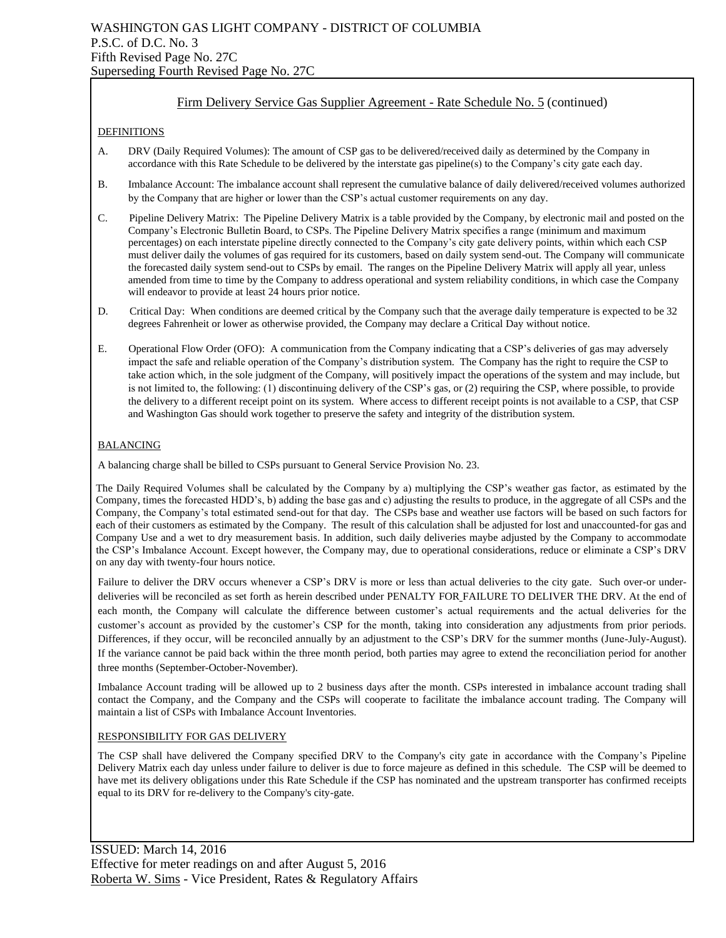## Firm Delivery Service Gas Supplier Agreement - Rate Schedule No. 5 (continued)

#### DEFINITIONS

- A. DRV (Daily Required Volumes): The amount of CSP gas to be delivered/received daily as determined by the Company in accordance with this Rate Schedule to be delivered by the interstate gas pipeline(s) to the Company's city gate each day.
- B. Imbalance Account: The imbalance account shall represent the cumulative balance of daily delivered/received volumes authorized by the Company that are higher or lower than the CSP's actual customer requirements on any day.
- C. Pipeline Delivery Matrix: The Pipeline Delivery Matrix is a table provided by the Company, by electronic mail and posted on the Company's Electronic Bulletin Board, to CSPs. The Pipeline Delivery Matrix specifies a range (minimum and maximum percentages) on each interstate pipeline directly connected to the Company's city gate delivery points, within which each CSP must deliver daily the volumes of gas required for its customers, based on daily system send-out. The Company will communicate the forecasted daily system send-out to CSPs by email. The ranges on the Pipeline Delivery Matrix will apply all year, unless amended from time to time by the Company to address operational and system reliability conditions, in which case the Company will endeavor to provide at least 24 hours prior notice.
- D. Critical Day: When conditions are deemed critical by the Company such that the average daily temperature is expected to be 32 degrees Fahrenheit or lower as otherwise provided, the Company may declare a Critical Day without notice.
- E. Operational Flow Order (OFO): A communication from the Company indicating that a CSP's deliveries of gas may adversely impact the safe and reliable operation of the Company's distribution system. The Company has the right to require the CSP to take action which, in the sole judgment of the Company, will positively impact the operations of the system and may include, but is not limited to, the following: (1) discontinuing delivery of the CSP's gas, or (2) requiring the CSP, where possible, to provide the delivery to a different receipt point on its system. Where access to different receipt points is not available to a CSP, that CSP and Washington Gas should work together to preserve the safety and integrity of the distribution system.

#### BALANCING

A balancing charge shall be billed to CSPs pursuant to General Service Provision No. 23.

The Daily Required Volumes shall be calculated by the Company by a) multiplying the CSP's weather gas factor, as estimated by the Company, times the forecasted HDD's, b) adding the base gas and c) adjusting the results to produce, in the aggregate of all CSPs and the Company, the Company's total estimated send-out for that day. The CSPs base and weather use factors will be based on such factors for each of their customers as estimated by the Company. The result of this calculation shall be adjusted for lost and unaccounted-for gas and Company Use and a wet to dry measurement basis. In addition, such daily deliveries maybe adjusted by the Company to accommodate the CSP's Imbalance Account. Except however, the Company may, due to operational considerations, reduce or eliminate a CSP's DRV on any day with twenty-four hours notice.

Failure to deliver the DRV occurs whenever a CSP's DRV is more or less than actual deliveries to the city gate. Such over-or underdeliveries will be reconciled as set forth as herein described under PENALTY FOR FAILURE TO DELIVER THE DRV. At the end of each month, the Company will calculate the difference between customer's actual requirements and the actual deliveries for the customer's account as provided by the customer's CSP for the month, taking into consideration any adjustments from prior periods. Differences, if they occur, will be reconciled annually by an adjustment to the CSP's DRV for the summer months (June-July-August). If the variance cannot be paid back within the three month period, both parties may agree to extend the reconciliation period for another three months (September-October-November).

Imbalance Account trading will be allowed up to 2 business days after the month. CSPs interested in imbalance account trading shall contact the Company, and the Company and the CSPs will cooperate to facilitate the imbalance account trading. The Company will maintain a list of CSPs with Imbalance Account Inventories.

#### RESPONSIBILITY FOR GAS DELIVERY

The CSP shall have delivered the Company specified DRV to the Company's city gate in accordance with the Company's Pipeline Delivery Matrix each day unless under failure to deliver is due to force majeure as defined in this schedule. The CSP will be deemed to have met its delivery obligations under this Rate Schedule if the CSP has nominated and the upstream transporter has confirmed receipts equal to its DRV for re-delivery to the Company's city-gate.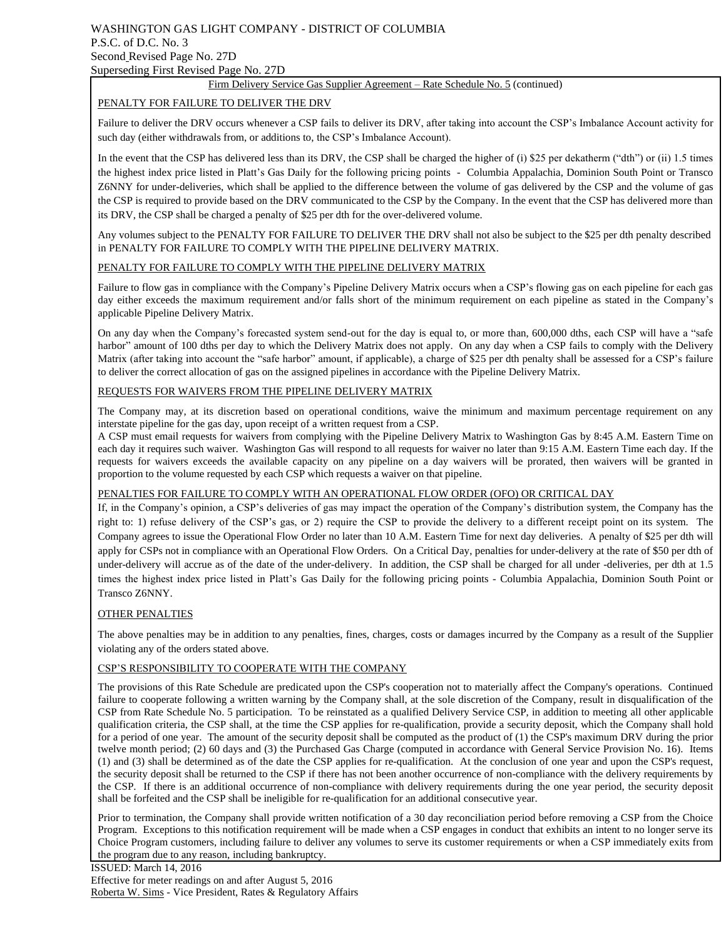#### WASHINGTON GAS LIGHT COMPANY - DISTRICT OF COLUMBIA P.S.C. of D.C. No. 3 Second Revised Page No. 27D Superseding First Revised Page No. 27D

#### Firm Delivery Service Gas Supplier Agreement – Rate Schedule No. 5 (continued)

#### PENALTY FOR FAILURE TO DELIVER THE DRV

Failure to deliver the DRV occurs whenever a CSP fails to deliver its DRV, after taking into account the CSP's Imbalance Account activity for such day (either withdrawals from, or additions to, the CSP's Imbalance Account).

In the event that the CSP has delivered less than its DRV, the CSP shall be charged the higher of (i) \$25 per dekatherm ("dth") or (ii) 1.5 times the highest index price listed in Platt's Gas Daily for the following pricing points - Columbia Appalachia, Dominion South Point or Transco Z6NNY for under-deliveries, which shall be applied to the difference between the volume of gas delivered by the CSP and the volume of gas the CSP is required to provide based on the DRV communicated to the CSP by the Company. In the event that the CSP has delivered more than its DRV, the CSP shall be charged a penalty of \$25 per dth for the over-delivered volume.

Any volumes subject to the PENALTY FOR FAILURE TO DELIVER THE DRV shall not also be subject to the \$25 per dth penalty described in PENALTY FOR FAILURE TO COMPLY WITH THE PIPELINE DELIVERY MATRIX.

#### PENALTY FOR FAILURE TO COMPLY WITH THE PIPELINE DELIVERY MATRIX

Failure to flow gas in compliance with the Company's Pipeline Delivery Matrix occurs when a CSP's flowing gas on each pipeline for each gas day either exceeds the maximum requirement and/or falls short of the minimum requirement on each pipeline as stated in the Company's applicable Pipeline Delivery Matrix.

On any day when the Company's forecasted system send-out for the day is equal to, or more than, 600,000 dths, each CSP will have a "safe harbor" amount of 100 dths per day to which the Delivery Matrix does not apply. On any day when a CSP fails to comply with the Delivery Matrix (after taking into account the "safe harbor" amount, if applicable), a charge of \$25 per dth penalty shall be assessed for a CSP's failure to deliver the correct allocation of gas on the assigned pipelines in accordance with the Pipeline Delivery Matrix.

#### REQUESTS FOR WAIVERS FROM THE PIPELINE DELIVERY MATRIX

The Company may, at its discretion based on operational conditions, waive the minimum and maximum percentage requirement on any interstate pipeline for the gas day, upon receipt of a written request from a CSP.

A CSP must email requests for waivers from complying with the Pipeline Delivery Matrix to Washington Gas by 8:45 A.M. Eastern Time on each day it requires such waiver. Washington Gas will respond to all requests for waiver no later than 9:15 A.M. Eastern Time each day. If the requests for waivers exceeds the available capacity on any pipeline on a day waivers will be prorated, then waivers will be granted in proportion to the volume requested by each CSP which requests a waiver on that pipeline.

#### PENALTIES FOR FAILURE TO COMPLY WITH AN OPERATIONAL FLOW ORDER (OFO) OR CRITICAL DAY

If, in the Company's opinion, a CSP's deliveries of gas may impact the operation of the Company's distribution system, the Company has the right to: 1) refuse delivery of the CSP's gas, or 2) require the CSP to provide the delivery to a different receipt point on its system. The Company agrees to issue the Operational Flow Order no later than 10 A.M. Eastern Time for next day deliveries. A penalty of \$25 per dth will apply for CSPs not in compliance with an Operational Flow Orders. On a Critical Day, penalties for under-delivery at the rate of \$50 per dth of under-delivery will accrue as of the date of the under-delivery. In addition, the CSP shall be charged for all under -deliveries, per dth at 1.5 times the highest index price listed in Platt's Gas Daily for the following pricing points - Columbia Appalachia, Dominion South Point or Transco Z6NNY.

#### OTHER PENALTIES

The above penalties may be in addition to any penalties, fines, charges, costs or damages incurred by the Company as a result of the Supplier violating any of the orders stated above.

#### CSP'S RESPONSIBILITY TO COOPERATE WITH THE COMPANY

The provisions of this Rate Schedule are predicated upon the CSP's cooperation not to materially affect the Company's operations. Continued failure to cooperate following a written warning by the Company shall, at the sole discretion of the Company, result in disqualification of the CSP from Rate Schedule No. 5 participation. To be reinstated as a qualified Delivery Service CSP, in addition to meeting all other applicable qualification criteria, the CSP shall, at the time the CSP applies for re-qualification, provide a security deposit, which the Company shall hold for a period of one year. The amount of the security deposit shall be computed as the product of (1) the CSP's maximum DRV during the prior twelve month period; (2) 60 days and (3) the Purchased Gas Charge (computed in accordance with General Service Provision No. 16). Items (1) and (3) shall be determined as of the date the CSP applies for re-qualification. At the conclusion of one year and upon the CSP's request, the security deposit shall be returned to the CSP if there has not been another occurrence of non-compliance with the delivery requirements by the CSP. If there is an additional occurrence of non-compliance with delivery requirements during the one year period, the security deposit shall be forfeited and the CSP shall be ineligible for re-qualification for an additional consecutive year.

Prior to termination, the Company shall provide written notification of a 30 day reconciliation period before removing a CSP from the Choice Program. Exceptions to this notification requirement will be made when a CSP engages in conduct that exhibits an intent to no longer serve its Choice Program customers, including failure to deliver any volumes to serve its customer requirements or when a CSP immediately exits from the program due to any reason, including bankruptcy.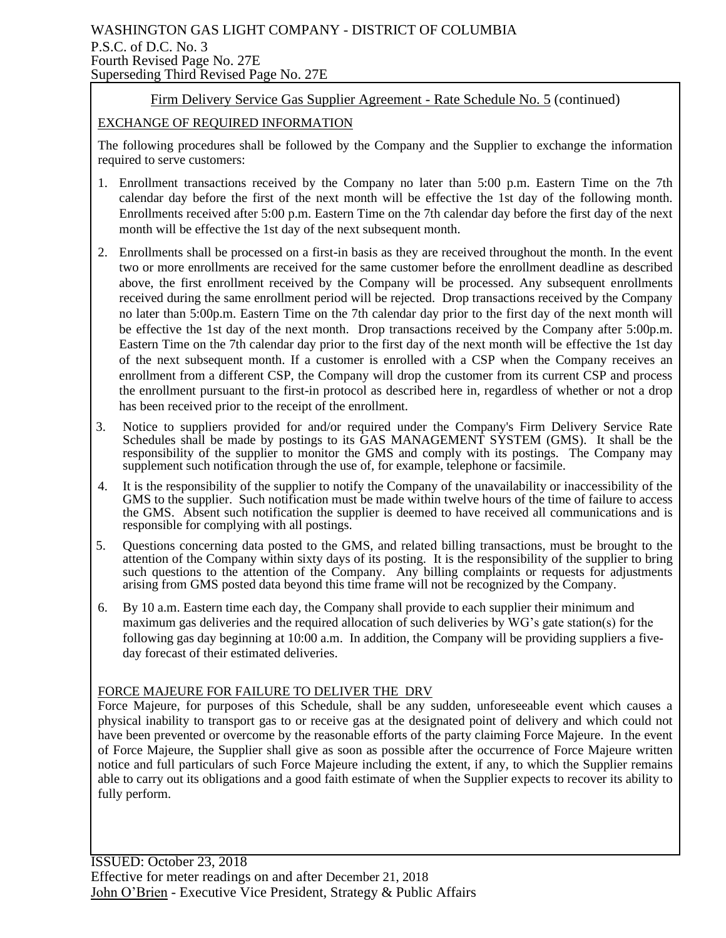# WASHINGTON GAS LIGHT COMPANY - DISTRICT OF COLUMBIA P.S.C. of D.C. No. 3 Fourth Revised Page No. 27E Superseding Third Revised Page No. 27E

# Firm Delivery Service Gas Supplier Agreement - Rate Schedule No. 5 (continued)

## EXCHANGE OF REQUIRED INFORMATION

The following procedures shall be followed by the Company and the Supplier to exchange the information required to serve customers:

- 1. Enrollment transactions received by the Company no later than 5:00 p.m. Eastern Time on the 7th calendar day before the first of the next month will be effective the 1st day of the following month. Enrollments received after 5:00 p.m. Eastern Time on the 7th calendar day before the first day of the next month will be effective the 1st day of the next subsequent month.
- 2. Enrollments shall be processed on a first-in basis as they are received throughout the month. In the event two or more enrollments are received for the same customer before the enrollment deadline as described above, the first enrollment received by the Company will be processed. Any subsequent enrollments received during the same enrollment period will be rejected. Drop transactions received by the Company no later than 5:00p.m. Eastern Time on the 7th calendar day prior to the first day of the next month will be effective the 1st day of the next month. Drop transactions received by the Company after 5:00p.m. Eastern Time on the 7th calendar day prior to the first day of the next month will be effective the 1st day of the next subsequent month. If a customer is enrolled with a CSP when the Company receives an enrollment from a different CSP, the Company will drop the customer from its current CSP and process the enrollment pursuant to the first-in protocol as described here in, regardless of whether or not a drop has been received prior to the receipt of the enrollment.
- 3. Notice to suppliers provided for and/or required under the Company's Firm Delivery Service Rate Schedules shall be made by postings to its GAS MANAGEMENT SYSTEM (GMS). It shall be the responsibility of the supplier to monitor the GMS and comply with its postings. The Company may supplement such notification through the use of, for example, telephone or facsimile.
- 4. It is the responsibility of the supplier to notify the Company of the unavailability or inaccessibility of the GMS to the supplier. Such notification must be made within twelve hours of the time of failure to access the GMS. Absent such notification the supplier is deemed to have received all communications and is responsible for complying with all postings.
- 5. Questions concerning data posted to the GMS, and related billing transactions, must be brought to the attention of the Company within sixty days of its posting. It is the responsibility of the supplier to bring such questions to the attention of the Company. Any billing complaints or requests for adjustments arising from GMS posted data beyond this time frame will not be recognized by the Company.
- 6. By 10 a.m. Eastern time each day, the Company shall provide to each supplier their minimum and maximum gas deliveries and the required allocation of such deliveries by WG's gate station(s) for the following gas day beginning at 10:00 a.m. In addition, the Company will be providing suppliers a fiveday forecast of their estimated deliveries.

## FORCE MAJEURE FOR FAILURE TO DELIVER THE DRV

Force Majeure, for purposes of this Schedule, shall be any sudden, unforeseeable event which causes a physical inability to transport gas to or receive gas at the designated point of delivery and which could not have been prevented or overcome by the reasonable efforts of the party claiming Force Majeure. In the event of Force Majeure, the Supplier shall give as soon as possible after the occurrence of Force Majeure written notice and full particulars of such Force Majeure including the extent, if any, to which the Supplier remains able to carry out its obligations and a good faith estimate of when the Supplier expects to recover its ability to fully perform.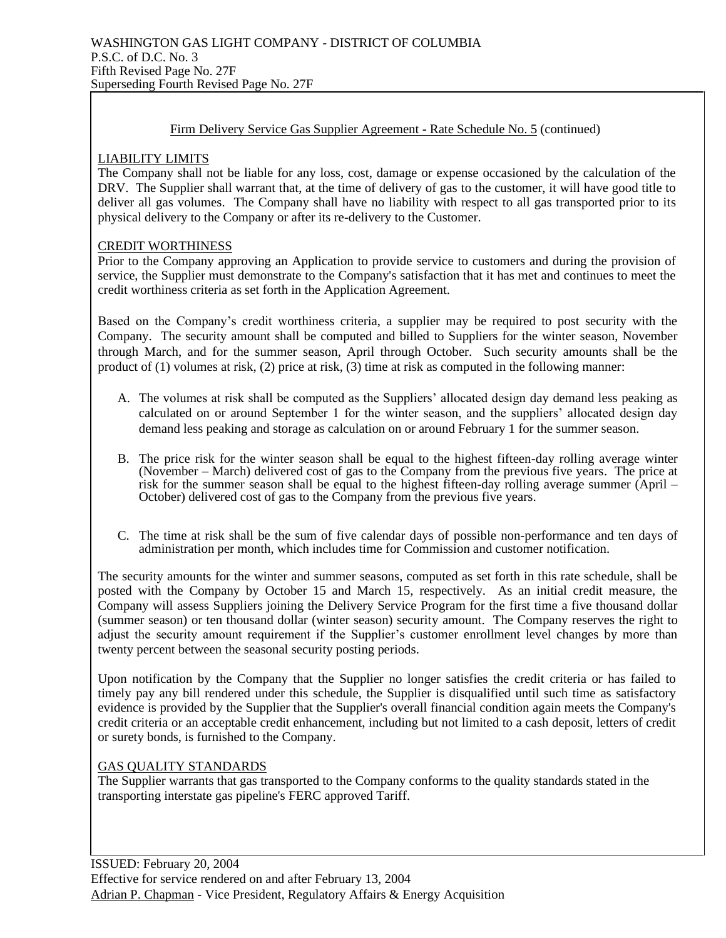## Firm Delivery Service Gas Supplier Agreement - Rate Schedule No. 5 (continued)

## LIABILITY LIMITS

The Company shall not be liable for any loss, cost, damage or expense occasioned by the calculation of the DRV. The Supplier shall warrant that, at the time of delivery of gas to the customer, it will have good title to deliver all gas volumes. The Company shall have no liability with respect to all gas transported prior to its physical delivery to the Company or after its re-delivery to the Customer.

## CREDIT WORTHINESS

Prior to the Company approving an Application to provide service to customers and during the provision of service, the Supplier must demonstrate to the Company's satisfaction that it has met and continues to meet the credit worthiness criteria as set forth in the Application Agreement.

Based on the Company's credit worthiness criteria, a supplier may be required to post security with the Company. The security amount shall be computed and billed to Suppliers for the winter season, November through March, and for the summer season, April through October. Such security amounts shall be the product of (1) volumes at risk, (2) price at risk, (3) time at risk as computed in the following manner:

- A. The volumes at risk shall be computed as the Suppliers' allocated design day demand less peaking as calculated on or around September 1 for the winter season, and the suppliers' allocated design day demand less peaking and storage as calculation on or around February 1 for the summer season.
- B. The price risk for the winter season shall be equal to the highest fifteen-day rolling average winter (November – March) delivered cost of gas to the Company from the previous five years. The price at risk for the summer season shall be equal to the highest fifteen-day rolling average summer (April – October) delivered cost of gas to the Company from the previous five years.
- C. The time at risk shall be the sum of five calendar days of possible non-performance and ten days of administration per month, which includes time for Commission and customer notification.

The security amounts for the winter and summer seasons, computed as set forth in this rate schedule, shall be posted with the Company by October 15 and March 15, respectively. As an initial credit measure, the Company will assess Suppliers joining the Delivery Service Program for the first time a five thousand dollar (summer season) or ten thousand dollar (winter season) security amount. The Company reserves the right to adjust the security amount requirement if the Supplier's customer enrollment level changes by more than twenty percent between the seasonal security posting periods.

Upon notification by the Company that the Supplier no longer satisfies the credit criteria or has failed to timely pay any bill rendered under this schedule, the Supplier is disqualified until such time as satisfactory evidence is provided by the Supplier that the Supplier's overall financial condition again meets the Company's credit criteria or an acceptable credit enhancement, including but not limited to a cash deposit, letters of credit or surety bonds, is furnished to the Company.

## GAS QUALITY STANDARDS

The Supplier warrants that gas transported to the Company conforms to the quality standards stated in the transporting interstate gas pipeline's FERC approved Tariff.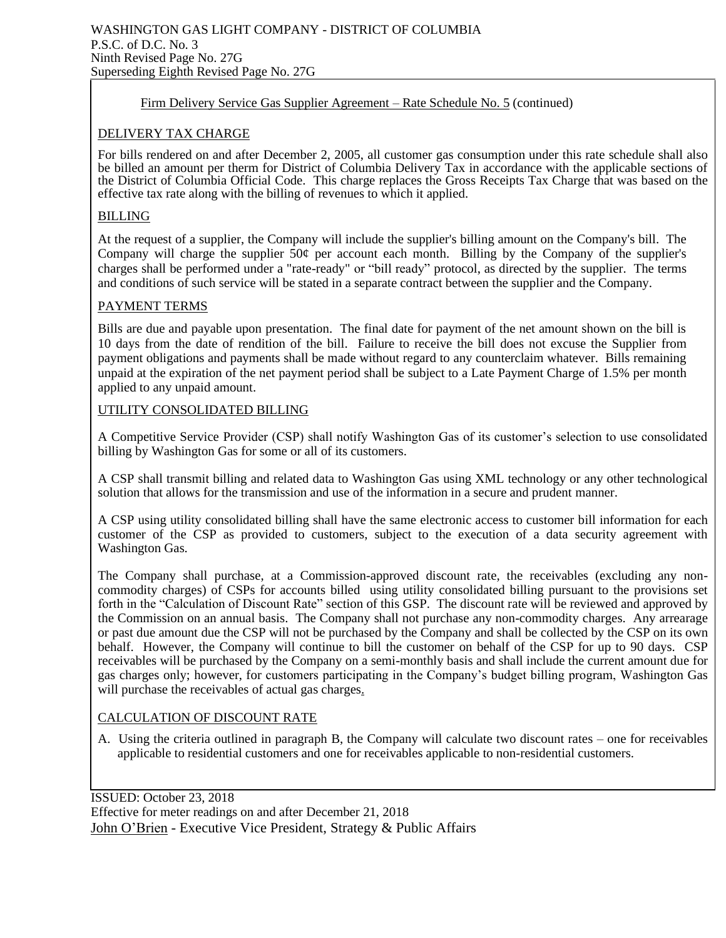## Firm Delivery Service Gas Supplier Agreement – Rate Schedule No. 5 (continued)

## DELIVERY TAX CHARGE

For bills rendered on and after December 2, 2005, all customer gas consumption under this rate schedule shall also be billed an amount per therm for District of Columbia Delivery Tax in accordance with the applicable sections of the District of Columbia Official Code. This charge replaces the Gross Receipts Tax Charge that was based on the effective tax rate along with the billing of revenues to which it applied.

## BILLING

At the request of a supplier, the Company will include the supplier's billing amount on the Company's bill. The Company will charge the supplier 50¢ per account each month. Billing by the Company of the supplier's charges shall be performed under a "rate-ready" or "bill ready" protocol, as directed by the supplier. The terms and conditions of such service will be stated in a separate contract between the supplier and the Company.

## PAYMENT TERMS

Bills are due and payable upon presentation. The final date for payment of the net amount shown on the bill is 10 days from the date of rendition of the bill. Failure to receive the bill does not excuse the Supplier from payment obligations and payments shall be made without regard to any counterclaim whatever. Bills remaining unpaid at the expiration of the net payment period shall be subject to a Late Payment Charge of 1.5% per month applied to any unpaid amount.

## UTILITY CONSOLIDATED BILLING

A Competitive Service Provider (CSP) shall notify Washington Gas of its customer's selection to use consolidated billing by Washington Gas for some or all of its customers.

A CSP shall transmit billing and related data to Washington Gas using XML technology or any other technological solution that allows for the transmission and use of the information in a secure and prudent manner.

A CSP using utility consolidated billing shall have the same electronic access to customer bill information for each customer of the CSP as provided to customers, subject to the execution of a data security agreement with Washington Gas.

The Company shall purchase, at a Commission-approved discount rate, the receivables (excluding any noncommodity charges) of CSPs for accounts billed using utility consolidated billing pursuant to the provisions set forth in the "Calculation of Discount Rate" section of this GSP. The discount rate will be reviewed and approved by the Commission on an annual basis. The Company shall not purchase any non-commodity charges. Any arrearage or past due amount due the CSP will not be purchased by the Company and shall be collected by the CSP on its own behalf. However, the Company will continue to bill the customer on behalf of the CSP for up to 90 days. CSP receivables will be purchased by the Company on a semi-monthly basis and shall include the current amount due for gas charges only; however, for customers participating in the Company's budget billing program, Washington Gas will purchase the receivables of actual gas charges.

## CALCULATION OF DISCOUNT RATE

A. Using the criteria outlined in paragraph B, the Company will calculate two discount rates – one for receivables applicable to residential customers and one for receivables applicable to non-residential customers.

ISSUED: October 23, 2018 Effective for meter readings on and after December 21, 2018 John O'Brien - Executive Vice President, Strategy & Public Affairs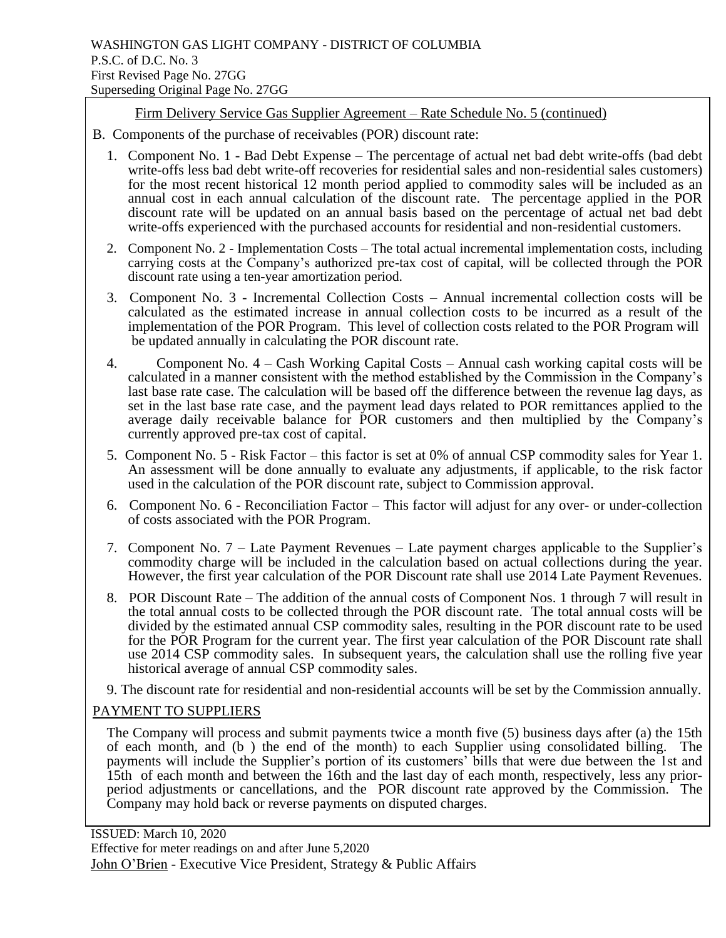# Firm Delivery Service Gas Supplier Agreement – Rate Schedule No. 5 (continued)

- B. Components of the purchase of receivables (POR) discount rate:
	- 1. Component No. 1 Bad Debt Expense The percentage of actual net bad debt write-offs (bad debt write-offs less bad debt write-off recoveries for residential sales and non-residential sales customers) for the most recent historical 12 month period applied to commodity sales will be included as an annual cost in each annual calculation of the discount rate. The percentage applied in the POR discount rate will be updated on an annual basis based on the percentage of actual net bad debt write-offs experienced with the purchased accounts for residential and non-residential customers.
	- 2. Component No. 2 Implementation Costs The total actual incremental implementation costs, including carrying costs at the Company's authorized pre-tax cost of capital, will be collected through the POR discount rate using a ten-year amortization period.
	- 3. Component No. 3 Incremental Collection Costs Annual incremental collection costs will be calculated as the estimated increase in annual collection costs to be incurred as a result of the implementation of the POR Program. This level of collection costs related to the POR Program will be updated annually in calculating the POR discount rate.
	- 4. Component No. 4 Cash Working Capital Costs Annual cash working capital costs will be calculated in a manner consistent with the method established by the Commission in the Company's last base rate case. The calculation will be based off the difference between the revenue lag days, as set in the last base rate case, and the payment lead days related to POR remittances applied to the average daily receivable balance for POR customers and then multiplied by the Company's currently approved pre-tax cost of capital.
	- 5. Component No. 5 Risk Factor this factor is set at 0% of annual CSP commodity sales for Year 1. An assessment will be done annually to evaluate any adjustments, if applicable, to the risk factor used in the calculation of the POR discount rate, subject to Commission approval.
	- 6. Component No. 6 Reconciliation Factor This factor will adjust for any over- or under-collection of costs associated with the POR Program.
	- 7. Component No. 7 Late Payment Revenues Late payment charges applicable to the Supplier's commodity charge will be included in the calculation based on actual collections during the year. However, the first year calculation of the POR Discount rate shall use 2014 Late Payment Revenues.
	- 8. POR Discount Rate The addition of the annual costs of Component Nos. 1 through 7 will result in the total annual costs to be collected through the POR discount rate. The total annual costs will be divided by the estimated annual CSP commodity sales, resulting in the POR discount rate to be used for the POR Program for the current year. The first year calculation of the POR Discount rate shall use 2014 CSP commodity sales. In subsequent years, the calculation shall use the rolling five year historical average of annual CSP commodity sales.
	- 9. The discount rate for residential and non-residential accounts will be set by the Commission annually.

# PAYMENT TO SUPPLIERS

The Company will process and submit payments twice a month five (5) business days after (a) the 15th of each month, and (b ) the end of the month) to each Supplier using consolidated billing. The payments will include the Supplier's portion of its customers' bills that were due between the 1st and 15th of each month and between the 16th and the last day of each month, respectively, less any priorperiod adjustments or cancellations, and the POR discount rate approved by the Commission. The Company may hold back or reverse payments on disputed charges.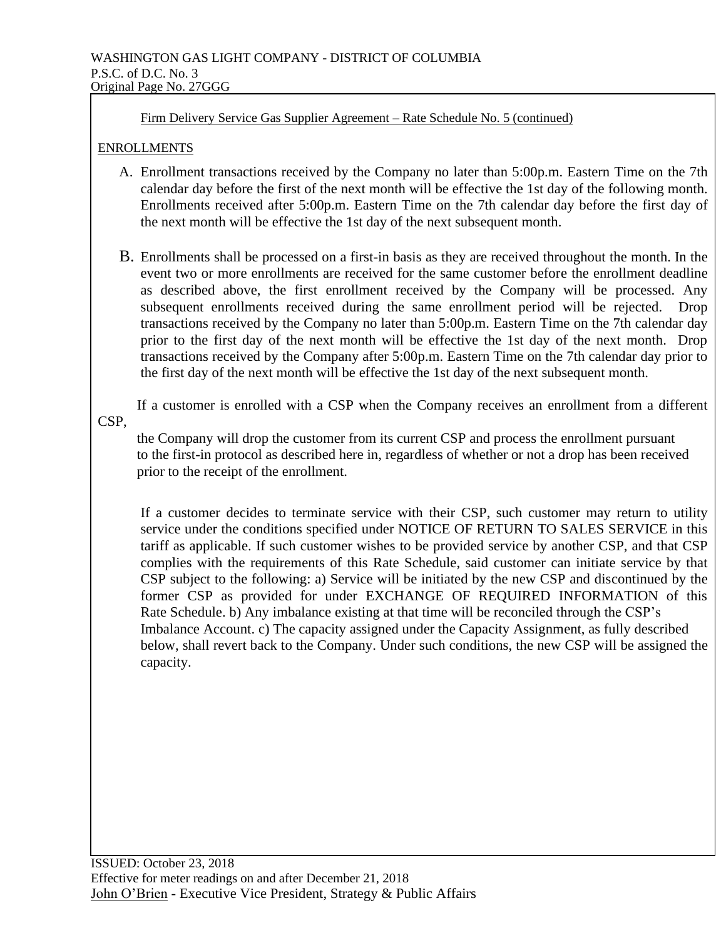Firm Delivery Service Gas Supplier Agreement – Rate Schedule No. 5 (continued)

## ENROLLMENTS

- A. Enrollment transactions received by the Company no later than 5:00p.m. Eastern Time on the 7th calendar day before the first of the next month will be effective the 1st day of the following month. Enrollments received after 5:00p.m. Eastern Time on the 7th calendar day before the first day of the next month will be effective the 1st day of the next subsequent month.
- B. Enrollments shall be processed on a first-in basis as they are received throughout the month. In the event two or more enrollments are received for the same customer before the enrollment deadline as described above, the first enrollment received by the Company will be processed. Any subsequent enrollments received during the same enrollment period will be rejected. Drop transactions received by the Company no later than 5:00p.m. Eastern Time on the 7th calendar day prior to the first day of the next month will be effective the 1st day of the next month. Drop transactions received by the Company after 5:00p.m. Eastern Time on the 7th calendar day prior to the first day of the next month will be effective the 1st day of the next subsequent month.

 If a customer is enrolled with a CSP when the Company receives an enrollment from a different CSP,

 the Company will drop the customer from its current CSP and process the enrollment pursuant to the first-in protocol as described here in, regardless of whether or not a drop has been received prior to the receipt of the enrollment.

If a customer decides to terminate service with their CSP, such customer may return to utility service under the conditions specified under NOTICE OF RETURN TO SALES SERVICE in this tariff as applicable. If such customer wishes to be provided service by another CSP, and that CSP complies with the requirements of this Rate Schedule, said customer can initiate service by that CSP subject to the following: a) Service will be initiated by the new CSP and discontinued by the former CSP as provided for under EXCHANGE OF REQUIRED INFORMATION of this Rate Schedule. b) Any imbalance existing at that time will be reconciled through the CSP's Imbalance Account. c) The capacity assigned under the Capacity Assignment, as fully described below, shall revert back to the Company. Under such conditions, the new CSP will be assigned the capacity.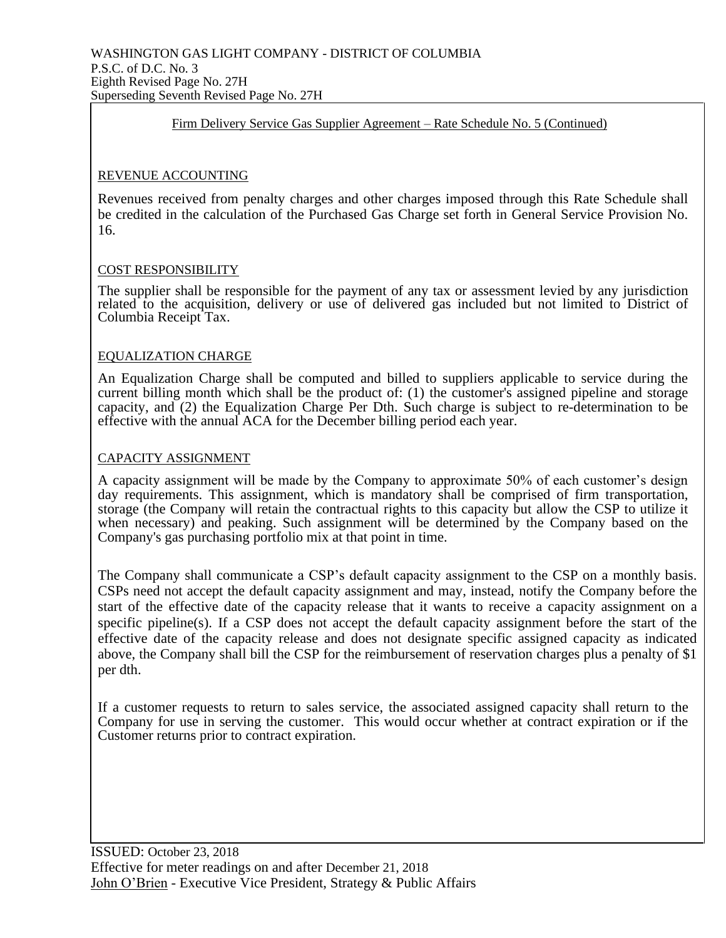## Firm Delivery Service Gas Supplier Agreement – Rate Schedule No. 5 (Continued)

## REVENUE ACCOUNTING

Revenues received from penalty charges and other charges imposed through this Rate Schedule shall be credited in the calculation of the Purchased Gas Charge set forth in General Service Provision No. 16.

## COST RESPONSIBILITY

The supplier shall be responsible for the payment of any tax or assessment levied by any jurisdiction related to the acquisition, delivery or use of delivered gas included but not limited to District of Columbia Receipt Tax.

## EQUALIZATION CHARGE

An Equalization Charge shall be computed and billed to suppliers applicable to service during the current billing month which shall be the product of: (1) the customer's assigned pipeline and storage capacity, and (2) the Equalization Charge Per Dth. Such charge is subject to re-determination to be effective with the annual ACA for the December billing period each year.

## CAPACITY ASSIGNMENT

A capacity assignment will be made by the Company to approximate 50% of each customer's design day requirements. This assignment, which is mandatory shall be comprised of firm transportation, storage (the Company will retain the contractual rights to this capacity but allow the CSP to utilize it when necessary) and peaking. Such assignment will be determined by the Company based on the Company's gas purchasing portfolio mix at that point in time.

The Company shall communicate a CSP's default capacity assignment to the CSP on a monthly basis. CSPs need not accept the default capacity assignment and may, instead, notify the Company before the start of the effective date of the capacity release that it wants to receive a capacity assignment on a specific pipeline(s). If a CSP does not accept the default capacity assignment before the start of the effective date of the capacity release and does not designate specific assigned capacity as indicated above, the Company shall bill the CSP for the reimbursement of reservation charges plus a penalty of \$1 per dth.

If a customer requests to return to sales service, the associated assigned capacity shall return to the Company for use in serving the customer. This would occur whether at contract expiration or if the Customer returns prior to contract expiration.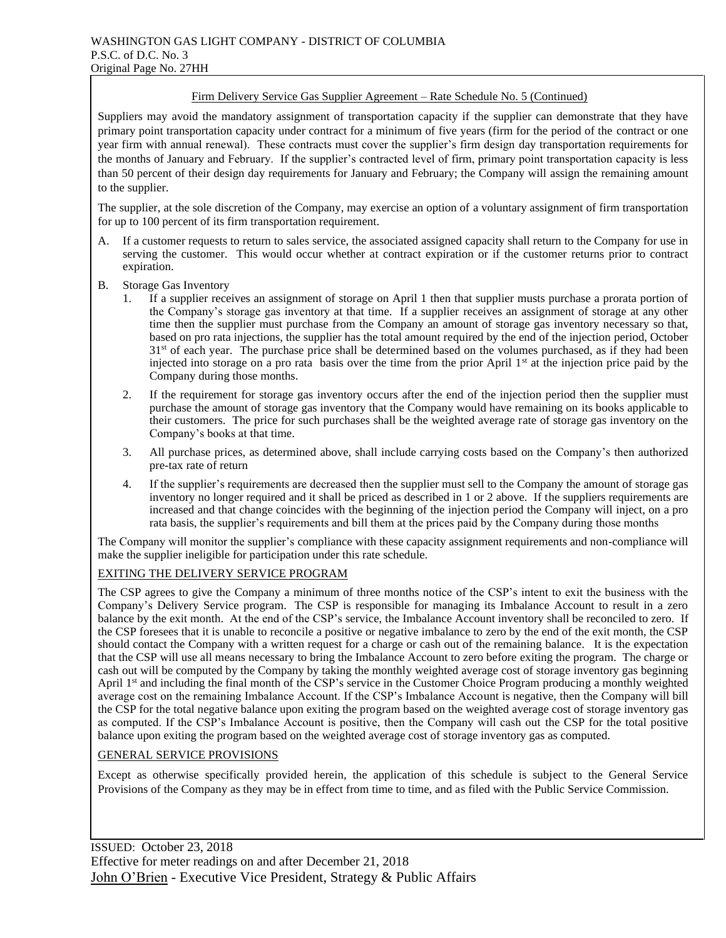#### Firm Delivery Service Gas Supplier Agreement – Rate Schedule No. 5 (Continued)

Suppliers may avoid the mandatory assignment of transportation capacity if the supplier can demonstrate that they have primary point transportation capacity under contract for a minimum of five years (firm for the period of the contract or one year firm with annual renewal). These contracts must cover the supplier's firm design day transportation requirements for the months of January and February. If the supplier's contracted level of firm, primary point transportation capacity is less than 50 percent of their design day requirements for January and February; the Company will assign the remaining amount to the supplier.

The supplier, at the sole discretion of the Company, may exercise an option of a voluntary assignment of firm transportation for up to 100 percent of its firm transportation requirement.

- A. If a customer requests to return to sales service, the associated assigned capacity shall return to the Company for use in serving the customer. This would occur whether at contract expiration or if the customer returns prior to contract expiration.
- B. Storage Gas Inventory
	- If a supplier receives an assignment of storage on April 1 then that supplier musts purchase a prorata portion of the Company's storage gas inventory at that time. If a supplier receives an assignment of storage at any other time then the supplier must purchase from the Company an amount of storage gas inventory necessary so that, based on pro rata injections, the supplier has the total amount required by the end of the injection period, October  $31<sup>st</sup>$  of each year. The purchase price shall be determined based on the volumes purchased, as if they had been injected into storage on a pro rata basis over the time from the prior April  $1<sup>st</sup>$  at the injection price paid by the Company during those months.
	- 2. If the requirement for storage gas inventory occurs after the end of the injection period then the supplier must purchase the amount of storage gas inventory that the Company would have remaining on its books applicable to their customers. The price for such purchases shall be the weighted average rate of storage gas inventory on the Company's books at that time.
	- 3. All purchase prices, as determined above, shall include carrying costs based on the Company's then authorized pre-tax rate of return
	- 4. If the supplier's requirements are decreased then the supplier must sell to the Company the amount of storage gas inventory no longer required and it shall be priced as described in 1 or 2 above. If the suppliers requirements are increased and that change coincides with the beginning of the injection period the Company will inject, on a pro rata basis, the supplier's requirements and bill them at the prices paid by the Company during those months

The Company will monitor the supplier's compliance with these capacity assignment requirements and non-compliance will make the supplier ineligible for participation under this rate schedule.

#### EXITING THE DELIVERY SERVICE PROGRAM

The CSP agrees to give the Company a minimum of three months notice of the CSP's intent to exit the business with the Company's Delivery Service program. The CSP is responsible for managing its Imbalance Account to result in a zero balance by the exit month. At the end of the CSP's service, the Imbalance Account inventory shall be reconciled to zero. If the CSP foresees that it is unable to reconcile a positive or negative imbalance to zero by the end of the exit month, the CSP should contact the Company with a written request for a charge or cash out of the remaining balance. It is the expectation that the CSP will use all means necessary to bring the Imbalance Account to zero before exiting the program. The charge or cash out will be computed by the Company by taking the monthly weighted average cost of storage inventory gas beginning April 1<sup>st</sup> and including the final month of the CSP's service in the Customer Choice Program producing a monthly weighted average cost on the remaining Imbalance Account. If the CSP's Imbalance Account is negative, then the Company will bill the CSP for the total negative balance upon exiting the program based on the weighted average cost of storage inventory gas as computed. If the CSP's Imbalance Account is positive, then the Company will cash out the CSP for the total positive balance upon exiting the program based on the weighted average cost of storage inventory gas as computed.

#### GENERAL SERVICE PROVISIONS

Except as otherwise specifically provided herein, the application of this schedule is subject to the General Service Provisions of the Company as they may be in effect from time to time, and as filed with the Public Service Commission.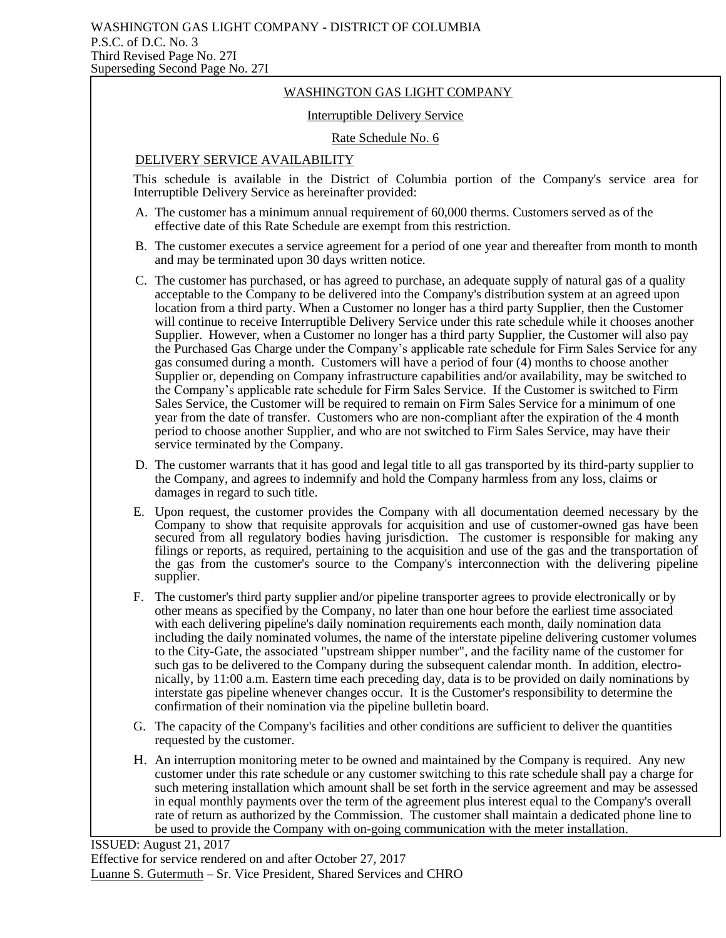## WASHINGTON GAS LIGHT COMPANY

### Interruptible Delivery Service

#### Rate Schedule No. 6

### DELIVERY SERVICE AVAILABILITY

This schedule is available in the District of Columbia portion of the Company's service area for Interruptible Delivery Service as hereinafter provided:

- A. The customer has a minimum annual requirement of 60,000 therms. Customers served as of the effective date of this Rate Schedule are exempt from this restriction.
- B. The customer executes a service agreement for a period of one year and thereafter from month to month and may be terminated upon 30 days written notice.
- C. The customer has purchased, or has agreed to purchase, an adequate supply of natural gas of a quality acceptable to the Company to be delivered into the Company's distribution system at an agreed upon location from a third party. When a Customer no longer has a third party Supplier, then the Customer will continue to receive Interruptible Delivery Service under this rate schedule while it chooses another Supplier. However, when a Customer no longer has a third party Supplier, the Customer will also pay the Purchased Gas Charge under the Company's applicable rate schedule for Firm Sales Service for any gas consumed during a month. Customers will have a period of four (4) months to choose another Supplier or, depending on Company infrastructure capabilities and/or availability, may be switched to the Company's applicable rate schedule for Firm Sales Service. If the Customer is switched to Firm Sales Service, the Customer will be required to remain on Firm Sales Service for a minimum of one year from the date of transfer. Customers who are non-compliant after the expiration of the 4 month period to choose another Supplier, and who are not switched to Firm Sales Service, may have their service terminated by the Company.
- D. The customer warrants that it has good and legal title to all gas transported by its third-party supplier to the Company, and agrees to indemnify and hold the Company harmless from any loss, claims or damages in regard to such title.
- E. Upon request, the customer provides the Company with all documentation deemed necessary by the Company to show that requisite approvals for acquisition and use of customer-owned gas have been secured from all regulatory bodies having jurisdiction. The customer is responsible for making any secured filings or reports, as required, pertaining to the acquisition and use of the gas and the transportation of the gas from the customer's source to the Company's interconnection with the delivering pipeline supplier.
- F. The customer's third party supplier and/or pipeline transporter agrees to provide electronically or by other means as specified by the Company, no later than one hour before the earliest time associated with each delivering pipeline's daily nomination requirements each month, daily nomination data including the daily nominated volumes, the name of the interstate pipeline delivering customer volumes to the City-Gate, the associated "upstream shipper number", and the facility name of the customer for such gas to be delivered to the Company during the subsequent calendar month. In addition, electronically, by 11:00 a.m. Eastern time each preceding day, data is to be provided on daily nominations by interstate gas pipeline whenever changes occur. It is the Customer's responsibility to determine the confirmation of their nomination via the pipeline bulletin board.
- G. The capacity of the Company's facilities and other conditions are sufficient to deliver the quantities requested by the customer.
- H. An interruption monitoring meter to be owned and maintained by the Company is required. Any new customer under this rate schedule or any customer switching to this rate schedule shall pay a charge for such metering installation which amount shall be set forth in the service agreement and may be assessed in equal monthly payments over the term of the agreement plus interest equal to the Company's overall rate of return as authorized by the Commission. The customer shall maintain a dedicated phone line to be used to provide the Company with on-going communication with the meter installation.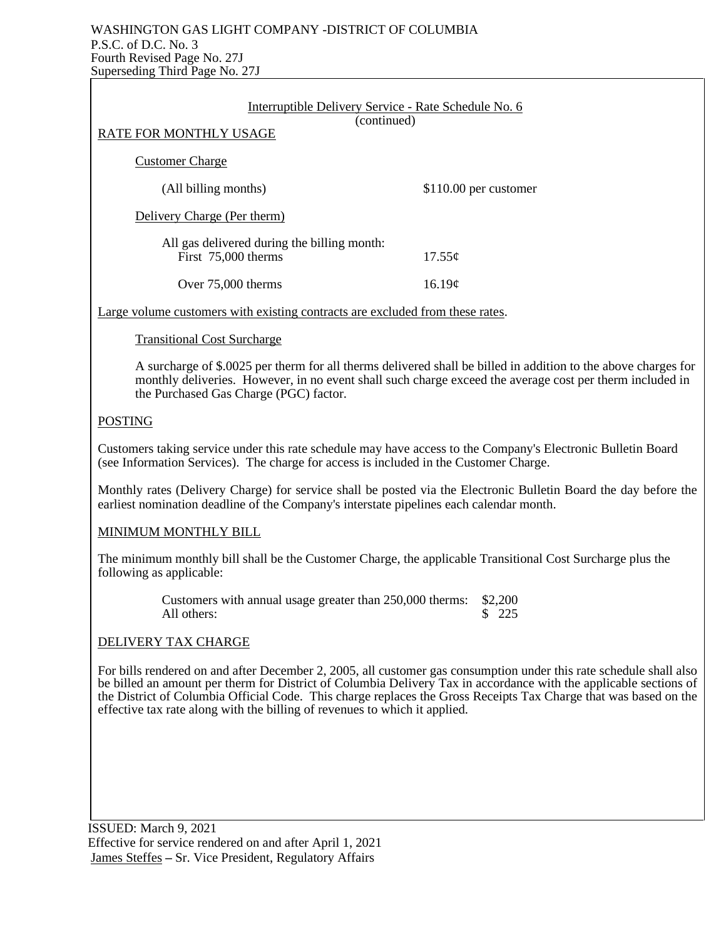## WASHINGTON GAS LIGHT COMPANY -DISTRICT OF COLUMBIA P.S.C. of D.C. No. 3 Fourth Revised Page No. 27J Superseding Third Page No. 27J

| Interruptible Delivery Service - Rate Schedule No. 6                                                                                                                                                                                                                                                                                                        |                                                                                                                |  |  |
|-------------------------------------------------------------------------------------------------------------------------------------------------------------------------------------------------------------------------------------------------------------------------------------------------------------------------------------------------------------|----------------------------------------------------------------------------------------------------------------|--|--|
| (continued)<br>RATE FOR MONTHLY USAGE                                                                                                                                                                                                                                                                                                                       |                                                                                                                |  |  |
| <b>Customer Charge</b>                                                                                                                                                                                                                                                                                                                                      |                                                                                                                |  |  |
| (All billing months)                                                                                                                                                                                                                                                                                                                                        | \$110.00 per customer                                                                                          |  |  |
| Delivery Charge (Per therm)                                                                                                                                                                                                                                                                                                                                 |                                                                                                                |  |  |
| All gas delivered during the billing month:<br>First 75,000 therms                                                                                                                                                                                                                                                                                          | 17.55¢                                                                                                         |  |  |
| Over 75,000 therms                                                                                                                                                                                                                                                                                                                                          | 16.19¢                                                                                                         |  |  |
| Large volume customers with existing contracts are excluded from these rates.                                                                                                                                                                                                                                                                               |                                                                                                                |  |  |
| <b>Transitional Cost Surcharge</b>                                                                                                                                                                                                                                                                                                                          |                                                                                                                |  |  |
| monthly deliveries. However, in no event shall such charge exceed the average cost per therm included in<br>the Purchased Gas Charge (PGC) factor.                                                                                                                                                                                                          | A surcharge of \$.0025 per therm for all therms delivered shall be billed in addition to the above charges for |  |  |
| <b>POSTING</b>                                                                                                                                                                                                                                                                                                                                              |                                                                                                                |  |  |
| Customers taking service under this rate schedule may have access to the Company's Electronic Bulletin Board<br>(see Information Services). The charge for access is included in the Customer Charge.                                                                                                                                                       |                                                                                                                |  |  |
| Monthly rates (Delivery Charge) for service shall be posted via the Electronic Bulletin Board the day before the<br>earliest nomination deadline of the Company's interstate pipelines each calendar month.                                                                                                                                                 |                                                                                                                |  |  |
| MINIMUM MONTHLY BILL                                                                                                                                                                                                                                                                                                                                        |                                                                                                                |  |  |
| The minimum monthly bill shall be the Customer Charge, the applicable Transitional Cost Surcharge plus the<br>following as applicable:                                                                                                                                                                                                                      |                                                                                                                |  |  |
| Customers with annual usage greater than 250,000 therms:<br>All others:                                                                                                                                                                                                                                                                                     | \$2,200<br>\$225                                                                                               |  |  |
| DELIVERY TAX CHARGE                                                                                                                                                                                                                                                                                                                                         |                                                                                                                |  |  |
| For bills rendered on and after December 2, 2005, all customer gas consumption under this rate schedule shall also<br>be billed an amount per therm for District of Columbia Delivery Tax in accordance with the applicable sections of<br>the District of Columbia Official Code. This charge replaces the Gross Receipts Tax Charge that was based on the |                                                                                                                |  |  |

 ISSUED: March 9, 2021 Effective for service rendered on and after April 1, 2021 James Steffes – Sr. Vice President, Regulatory Affairs

effective tax rate along with the billing of revenues to which it applied.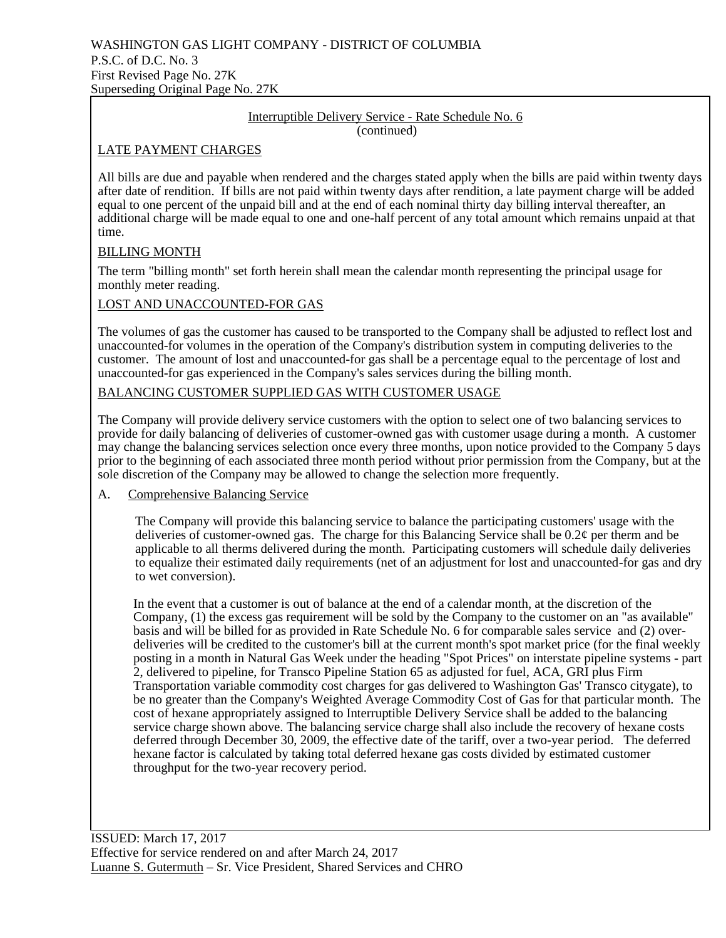#### Interruptible Delivery Service - Rate Schedule No. 6 (continued)

## LATE PAYMENT CHARGES

All bills are due and payable when rendered and the charges stated apply when the bills are paid within twenty days after date of rendition. If bills are not paid within twenty days after rendition, a late payment charge will be added equal to one percent of the unpaid bill and at the end of each nominal thirty day billing interval thereafter, an additional charge will be made equal to one and one-half percent of any total amount which remains unpaid at that time.

## BILLING MONTH

The term "billing month" set forth herein shall mean the calendar month representing the principal usage for monthly meter reading.

## LOST AND UNACCOUNTED-FOR GAS

The volumes of gas the customer has caused to be transported to the Company shall be adjusted to reflect lost and unaccounted-for volumes in the operation of the Company's distribution system in computing deliveries to the customer. The amount of lost and unaccounted-for gas shall be a percentage equal to the percentage of lost and unaccounted-for gas experienced in the Company's sales services during the billing month.

## BALANCING CUSTOMER SUPPLIED GAS WITH CUSTOMER USAGE

The Company will provide delivery service customers with the option to select one of two balancing services to provide for daily balancing of deliveries of customer-owned gas with customer usage during a month. A customer may change the balancing services selection once every three months, upon notice provided to the Company 5 days prior to the beginning of each associated three month period without prior permission from the Company, but at the sole discretion of the Company may be allowed to change the selection more frequently.

## A. Comprehensive Balancing Service

The Company will provide this balancing service to balance the participating customers' usage with the deliveries of customer-owned gas. The charge for this Balancing Service shall be  $0.2\ell$  per therm and be applicable to all therms delivered during the month. Participating customers will schedule daily deliveries to equalize their estimated daily requirements (net of an adjustment for lost and unaccounted-for gas and dry to wet conversion).

In the event that a customer is out of balance at the end of a calendar month, at the discretion of the Company, (1) the excess gas requirement will be sold by the Company to the customer on an "as available" basis and will be billed for as provided in Rate Schedule No. 6 for comparable sales service and (2) overdeliveries will be credited to the customer's bill at the current month's spot market price (for the final weekly posting in a month in Natural Gas Week under the heading "Spot Prices" on interstate pipeline systems - part 2, delivered to pipeline, for Transco Pipeline Station 65 as adjusted for fuel, ACA, GRI plus Firm Transportation variable commodity cost charges for gas delivered to Washington Gas' Transco citygate), to be no greater than the Company's Weighted Average Commodity Cost of Gas for that particular month. The cost of hexane appropriately assigned to Interruptible Delivery Service shall be added to the balancing service charge shown above. The balancing service charge shall also include the recovery of hexane costs deferred through December 30, 2009, the effective date of the tariff, over a two-year period. The deferred hexane factor is calculated by taking total deferred hexane gas costs divided by estimated customer throughput for the two-year recovery period.

ISSUED: March 17, 2017 Effective for service rendered on and after March 24, 2017 Luanne S. Gutermuth – Sr. Vice President, Shared Services and CHRO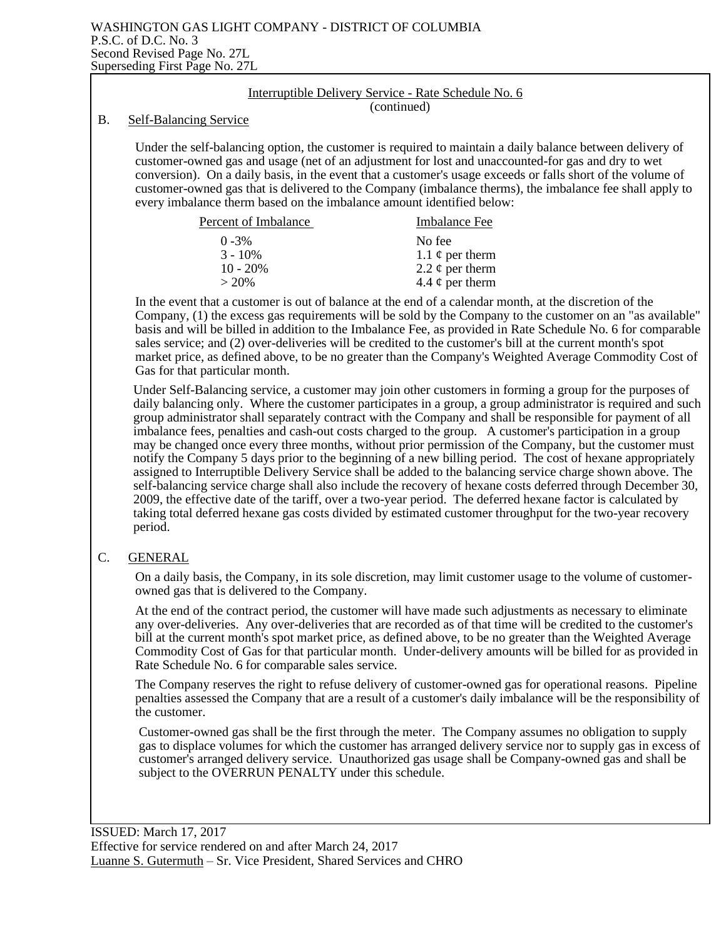|    | Interruptible Delivery Service - Rate Schedule No. 6                                                                                                                                                                                                                                                                                                                                                                                                                                                                                                                                                                                                                                                                                                                                                                                                                                                                                                                                                                                                                                                                                           |  |
|----|------------------------------------------------------------------------------------------------------------------------------------------------------------------------------------------------------------------------------------------------------------------------------------------------------------------------------------------------------------------------------------------------------------------------------------------------------------------------------------------------------------------------------------------------------------------------------------------------------------------------------------------------------------------------------------------------------------------------------------------------------------------------------------------------------------------------------------------------------------------------------------------------------------------------------------------------------------------------------------------------------------------------------------------------------------------------------------------------------------------------------------------------|--|
| Β. | (continued)<br><b>Self-Balancing Service</b>                                                                                                                                                                                                                                                                                                                                                                                                                                                                                                                                                                                                                                                                                                                                                                                                                                                                                                                                                                                                                                                                                                   |  |
|    | Under the self-balancing option, the customer is required to maintain a daily balance between delivery of<br>customer-owned gas and usage (net of an adjustment for lost and unaccounted-for gas and dry to wet<br>conversion). On a daily basis, in the event that a customer's usage exceeds or falls short of the volume of<br>customer-owned gas that is delivered to the Company (imbalance therms), the imbalance fee shall apply to<br>every imbalance therm based on the imbalance amount identified below:                                                                                                                                                                                                                                                                                                                                                                                                                                                                                                                                                                                                                            |  |
|    | Percent of Imbalance<br><b>Imbalance Fee</b>                                                                                                                                                                                                                                                                                                                                                                                                                                                                                                                                                                                                                                                                                                                                                                                                                                                                                                                                                                                                                                                                                                   |  |
|    | $0 - 3\%$<br>No fee<br>$3 - 10\%$<br>1.1 $\phi$ per therm<br>$10 - 20%$<br>2.2 $\phi$ per therm<br>$> 20\%$<br>4.4 $\phi$ per therm                                                                                                                                                                                                                                                                                                                                                                                                                                                                                                                                                                                                                                                                                                                                                                                                                                                                                                                                                                                                            |  |
|    | In the event that a customer is out of balance at the end of a calendar month, at the discretion of the<br>Company, (1) the excess gas requirements will be sold by the Company to the customer on an "as available"<br>basis and will be billed in addition to the Imbalance Fee, as provided in Rate Schedule No. 6 for comparable<br>sales service; and (2) over-deliveries will be credited to the customer's bill at the current month's spot<br>market price, as defined above, to be no greater than the Company's Weighted Average Commodity Cost of<br>Gas for that particular month.                                                                                                                                                                                                                                                                                                                                                                                                                                                                                                                                                 |  |
|    | Under Self-Balancing service, a customer may join other customers in forming a group for the purposes of<br>daily balancing only. Where the customer participates in a group, a group administrator is required and such<br>group administrator shall separately contract with the Company and shall be responsible for payment of all<br>imbalance fees, penalties and cash-out costs charged to the group. A customer's participation in a group<br>may be changed once every three months, without prior permission of the Company, but the customer must<br>notify the Company 5 days prior to the beginning of a new billing period. The cost of hexane appropriately<br>assigned to Interruptible Delivery Service shall be added to the balancing service charge shown above. The<br>self-balancing service charge shall also include the recovery of hexane costs deferred through December 30,<br>2009, the effective date of the tariff, over a two-year period. The deferred hexane factor is calculated by<br>taking total deferred hexane gas costs divided by estimated customer throughput for the two-year recovery<br>period. |  |
| C. | <b>GENERAL</b>                                                                                                                                                                                                                                                                                                                                                                                                                                                                                                                                                                                                                                                                                                                                                                                                                                                                                                                                                                                                                                                                                                                                 |  |
|    | On a daily basis, the Company, in its sole discretion, may limit customer usage to the volume of customer-<br>owned gas that is delivered to the Company.                                                                                                                                                                                                                                                                                                                                                                                                                                                                                                                                                                                                                                                                                                                                                                                                                                                                                                                                                                                      |  |
|    | At the end of the contract period, the customer will have made such adjustments as necessary to eliminate<br>any over-deliveries. Any over-deliveries that are recorded as of that time will be credited to the customer's<br>bill at the current month's spot market price, as defined above, to be no greater than the Weighted Average<br>Commodity Cost of Gas for that particular month. Under-delivery amounts will be billed for as provided in<br>Rate Schedule No. 6 for comparable sales service.                                                                                                                                                                                                                                                                                                                                                                                                                                                                                                                                                                                                                                    |  |
|    | The Company receptes the right to refuse delivery of customer-owned ass for operational reasons. Pineline                                                                                                                                                                                                                                                                                                                                                                                                                                                                                                                                                                                                                                                                                                                                                                                                                                                                                                                                                                                                                                      |  |

The Company reserves the right to refuse delivery of customer-owned gas for operational reasons. Pipeline penalties assessed the Company that are a result of a customer's daily imbalance will be the responsibility of the customer.

Customer-owned gas shall be the first through the meter. The Company assumes no obligation to supply gas to displace volumes for which the customer has arranged delivery service nor to supply gas in excess of customer's arranged delivery service. Unauthorized gas usage shall be Company-owned gas and shall be subject to the OVERRUN PENALTY under this schedule.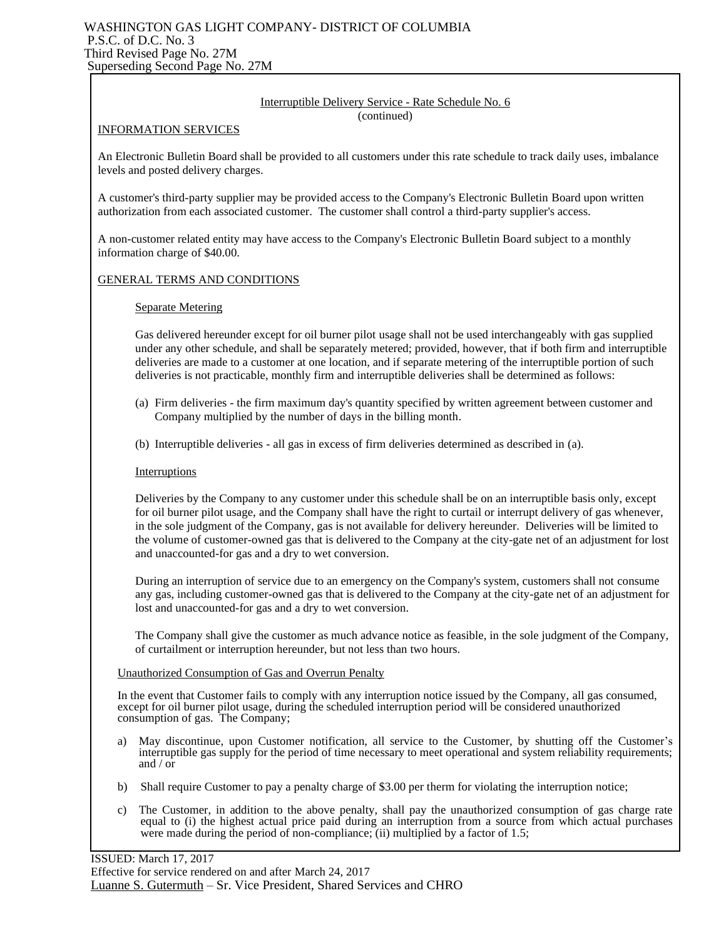#### WASHINGTON GAS LIGHT COMPANY- DISTRICT OF COLUMBIA P.S.C. of D.C. No. 3 Third Revised Page No. 27M Superseding Second Page No. 27M

#### Interruptible Delivery Service - Rate Schedule No. 6 (continued)

#### INFORMATION SERVICES

An Electronic Bulletin Board shall be provided to all customers under this rate schedule to track daily uses, imbalance levels and posted delivery charges.

A customer's third-party supplier may be provided access to the Company's Electronic Bulletin Board upon written authorization from each associated customer. The customer shall control a third-party supplier's access.

A non-customer related entity may have access to the Company's Electronic Bulletin Board subject to a monthly information charge of \$40.00.

#### GENERAL TERMS AND CONDITIONS

#### Separate Metering

Gas delivered hereunder except for oil burner pilot usage shall not be used interchangeably with gas supplied under any other schedule, and shall be separately metered; provided, however, that if both firm and interruptible deliveries are made to a customer at one location, and if separate metering of the interruptible portion of such deliveries is not practicable, monthly firm and interruptible deliveries shall be determined as follows:

- (a) Firm deliveries the firm maximum day's quantity specified by written agreement between customer and Company multiplied by the number of days in the billing month.
- (b) Interruptible deliveries all gas in excess of firm deliveries determined as described in (a).

#### Interruptions

Deliveries by the Company to any customer under this schedule shall be on an interruptible basis only, except for oil burner pilot usage, and the Company shall have the right to curtail or interrupt delivery of gas whenever, in the sole judgment of the Company, gas is not available for delivery hereunder. Deliveries will be limited to the volume of customer-owned gas that is delivered to the Company at the city-gate net of an adjustment for lost and unaccounted-for gas and a dry to wet conversion.

During an interruption of service due to an emergency on the Company's system, customers shall not consume any gas, including customer-owned gas that is delivered to the Company at the city-gate net of an adjustment for lost and unaccounted-for gas and a dry to wet conversion.

The Company shall give the customer as much advance notice as feasible, in the sole judgment of the Company, of curtailment or interruption hereunder, but not less than two hours.

#### Unauthorized Consumption of Gas and Overrun Penalty

In the event that Customer fails to comply with any interruption notice issued by the Company, all gas consumed, except for oil burner pilot usage, during the scheduled interruption period will be considered unauthorized consumption of gas. The Company;

- a) May discontinue, upon Customer notification, all service to the Customer, by shutting off the Customer's interruptible gas supply for the period of time necessary to meet operational and system reliability requirements; and / or
- b) Shall require Customer to pay a penalty charge of \$3.00 per therm for violating the interruption notice;
- c) The Customer, in addition to the above penalty, shall pay the unauthorized consumption of gas charge rate equal to (i) the highest actual price paid during an interruption from a source from which actual purchases were made during the period of non-compliance; (ii) multiplied by a factor of 1.5;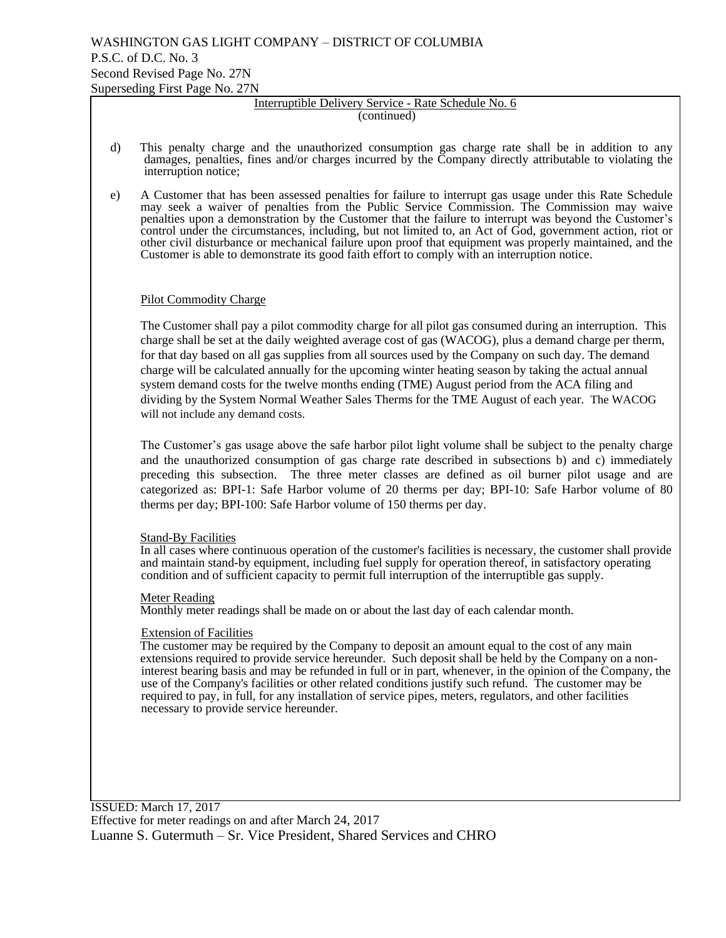#### Interruptible Delivery Service - Rate Schedule No. 6 (continued)

- d) This penalty charge and the unauthorized consumption gas charge rate shall be in addition to any damages, penalties, fines and/or charges incurred by the Company directly attributable to violating the interruption notice;
- e) A Customer that has been assessed penalties for failure to interrupt gas usage under this Rate Schedule may seek a waiver of penalties from the Public Service Commission. The Commission may waive penalties upon a demonstration by the Customer that the failure to interrupt was beyond the Customer's control under the circumstances, including, but not limited to, an Act of God, government action, riot or other civil disturbance or mechanical failure upon proof that equipment was properly maintained, and the Customer is able to demonstrate its good faith effort to comply with an interruption notice.

### Pilot Commodity Charge

The Customer shall pay a pilot commodity charge for all pilot gas consumed during an interruption. This charge shall be set at the daily weighted average cost of gas (WACOG), plus a demand charge per therm, for that day based on all gas supplies from all sources used by the Company on such day. The demand charge will be calculated annually for the upcoming winter heating season by taking the actual annual system demand costs for the twelve months ending (TME) August period from the ACA filing and dividing by the System Normal Weather Sales Therms for the TME August of each year. The WACOG will not include any demand costs.

The Customer's gas usage above the safe harbor pilot light volume shall be subject to the penalty charge and the unauthorized consumption of gas charge rate described in subsections b) and c) immediately preceding this subsection. The three meter classes are defined as oil burner pilot usage and are categorized as: BPI-1: Safe Harbor volume of 20 therms per day; BPI-10: Safe Harbor volume of 80 therms per day; BPI-100: Safe Harbor volume of 150 therms per day.

#### Stand-By Facilities

 In all cases where continuous operation of the customer's facilities is necessary, the customer shall provide and maintain stand-by equipment, including fuel supply for operation thereof, in satisfactory operating condition and of sufficient capacity to permit full interruption of the interruptible gas supply.

#### Meter Reading

Monthly meter readings shall be made on or about the last day of each calendar month.

#### Extension of Facilities

 The customer may be required by the Company to deposit an amount equal to the cost of any main extensions required to provide service hereunder. Such deposit shall be held by the Company on a non interest bearing basis and may be refunded in full or in part, whenever, in the opinion of the Company, the use of the Company's facilities or other related conditions justify such refund. The customer may be required to pay, in full, for any installation of service pipes, meters, regulators, and other facilities necessary to provide service hereunder.

ISSUED: March 17, 2017 Effective for meter readings on and after March 24, 2017 Luanne S. Gutermuth – Sr. Vice President, Shared Services and CHRO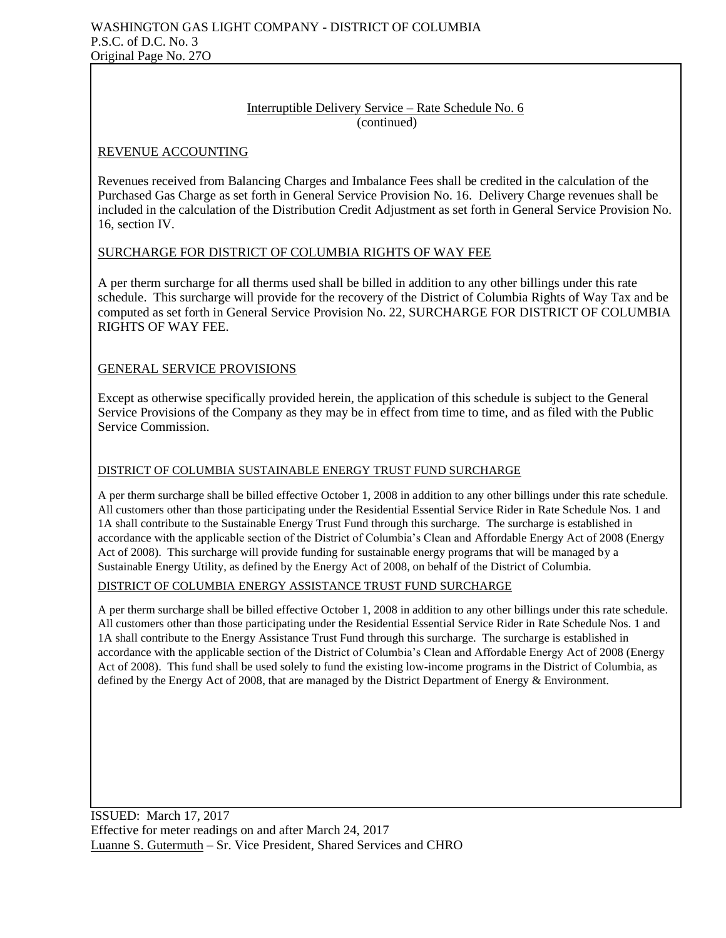## Interruptible Delivery Service – Rate Schedule No. 6 (continued)

## REVENUE ACCOUNTING

Revenues received from Balancing Charges and Imbalance Fees shall be credited in the calculation of the Purchased Gas Charge as set forth in General Service Provision No. 16. Delivery Charge revenues shall be included in the calculation of the Distribution Credit Adjustment as set forth in General Service Provision No. 16, section IV.

## SURCHARGE FOR DISTRICT OF COLUMBIA RIGHTS OF WAY FEE

A per therm surcharge for all therms used shall be billed in addition to any other billings under this rate schedule. This surcharge will provide for the recovery of the District of Columbia Rights of Way Tax and be computed as set forth in General Service Provision No. 22, SURCHARGE FOR DISTRICT OF COLUMBIA RIGHTS OF WAY FEE.

## GENERAL SERVICE PROVISIONS

Except as otherwise specifically provided herein, the application of this schedule is subject to the General Service Provisions of the Company as they may be in effect from time to time, and as filed with the Public Service Commission.

## DISTRICT OF COLUMBIA SUSTAINABLE ENERGY TRUST FUND SURCHARGE

A per therm surcharge shall be billed effective October 1, 2008 in addition to any other billings under this rate schedule. All customers other than those participating under the Residential Essential Service Rider in Rate Schedule Nos. 1 and 1A shall contribute to the Sustainable Energy Trust Fund through this surcharge. The surcharge is established in accordance with the applicable section of the District of Columbia's Clean and Affordable Energy Act of 2008 (Energy Act of 2008). This surcharge will provide funding for sustainable energy programs that will be managed by a Sustainable Energy Utility, as defined by the Energy Act of 2008, on behalf of the District of Columbia.

## DISTRICT OF COLUMBIA ENERGY ASSISTANCE TRUST FUND SURCHARGE

A per therm surcharge shall be billed effective October 1, 2008 in addition to any other billings under this rate schedule. All customers other than those participating under the Residential Essential Service Rider in Rate Schedule Nos. 1 and 1A shall contribute to the Energy Assistance Trust Fund through this surcharge. The surcharge is established in accordance with the applicable section of the District of Columbia's Clean and Affordable Energy Act of 2008 (Energy Act of 2008). This fund shall be used solely to fund the existing low-income programs in the District of Columbia, as defined by the Energy Act of 2008, that are managed by the District Department of Energy & Environment.

ISSUED: March 17, 2017 Effective for meter readings on and after March 24, 2017 Luanne S. Gutermuth – Sr. Vice President, Shared Services and CHRO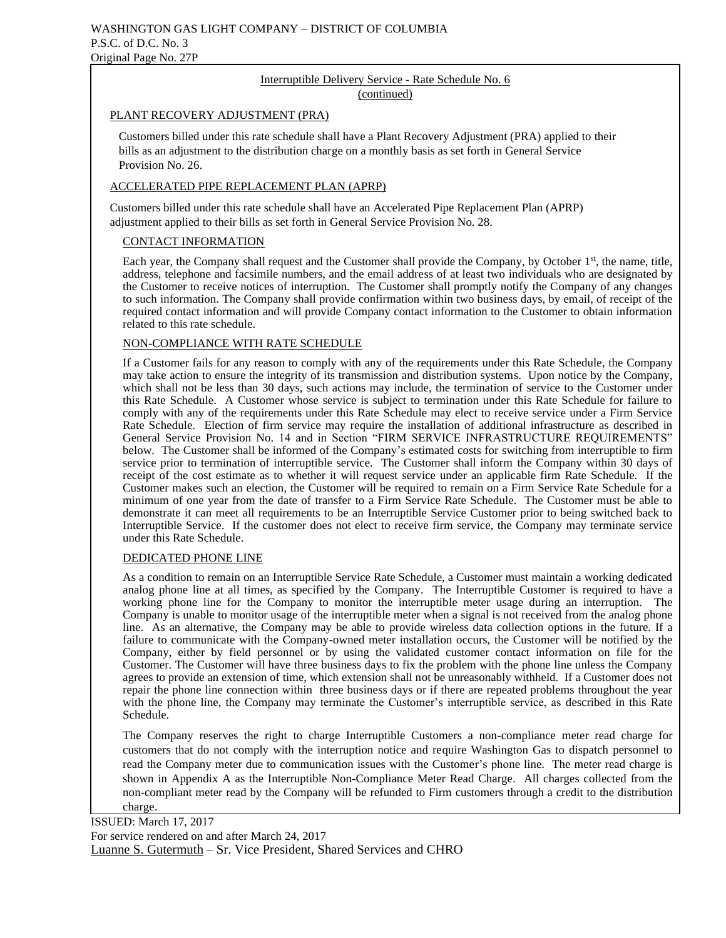#### Interruptible Delivery Service - Rate Schedule No. 6 (continued)

#### PLANT RECOVERY ADJUSTMENT (PRA)

 Customers billed under this rate schedule shall have a Plant Recovery Adjustment (PRA) applied to their bills as an adjustment to the distribution charge on a monthly basis as set forth in General Service Provision No. 26.

#### ACCELERATED PIPE REPLACEMENT PLAN (APRP)

 Customers billed under this rate schedule shall have an Accelerated Pipe Replacement Plan (APRP) adjustment applied to their bills as set forth in General Service Provision No. 28.

#### CONTACT INFORMATION

Each year, the Company shall request and the Customer shall provide the Company, by October 1<sup>st</sup>, the name, title, address, telephone and facsimile numbers, and the email address of at least two individuals who are designated by the Customer to receive notices of interruption. The Customer shall promptly notify the Company of any changes to such information. The Company shall provide confirmation within two business days, by email, of receipt of the required contact information and will provide Company contact information to the Customer to obtain information related to this rate schedule.

#### NON-COMPLIANCE WITH RATE SCHEDULE

If a Customer fails for any reason to comply with any of the requirements under this Rate Schedule, the Company may take action to ensure the integrity of its transmission and distribution systems. Upon notice by the Company, which shall not be less than 30 days, such actions may include, the termination of service to the Customer under this Rate Schedule. A Customer whose service is subject to termination under this Rate Schedule for failure to comply with any of the requirements under this Rate Schedule may elect to receive service under a Firm Service Rate Schedule. Election of firm service may require the installation of additional infrastructure as described in General Service Provision No. 14 and in Section "FIRM SERVICE INFRASTRUCTURE REQUIREMENTS" below. The Customer shall be informed of the Company's estimated costs for switching from interruptible to firm service prior to termination of interruptible service. The Customer shall inform the Company within 30 days of receipt of the cost estimate as to whether it will request service under an applicable firm Rate Schedule. If the Customer makes such an election, the Customer will be required to remain on a Firm Service Rate Schedule for a minimum of one year from the date of transfer to a Firm Service Rate Schedule. The Customer must be able to demonstrate it can meet all requirements to be an Interruptible Service Customer prior to being switched back to Interruptible Service. If the customer does not elect to receive firm service, the Company may terminate service under this Rate Schedule.

#### DEDICATED PHONE LINE

As a condition to remain on an Interruptible Service Rate Schedule, a Customer must maintain a working dedicated analog phone line at all times, as specified by the Company. The Interruptible Customer is required to have a working phone line for the Company to monitor the interruptible meter usage during an interruption. The Company is unable to monitor usage of the interruptible meter when a signal is not received from the analog phone line. As an alternative, the Company may be able to provide wireless data collection options in the future. If a failure to communicate with the Company-owned meter installation occurs, the Customer will be notified by the Company, either by field personnel or by using the validated customer contact information on file for the Customer. The Customer will have three business days to fix the problem with the phone line unless the Company agrees to provide an extension of time, which extension shall not be unreasonably withheld. If a Customer does not repair the phone line connection within three business days or if there are repeated problems throughout the year with the phone line, the Company may terminate the Customer's interruptible service, as described in this Rate Schedule.

The Company reserves the right to charge Interruptible Customers a non-compliance meter read charge for customers that do not comply with the interruption notice and require Washington Gas to dispatch personnel to read the Company meter due to communication issues with the Customer's phone line. The meter read charge is shown in Appendix A as the Interruptible Non-Compliance Meter Read Charge. All charges collected from the non-compliant meter read by the Company will be refunded to Firm customers through a credit to the distribution charge.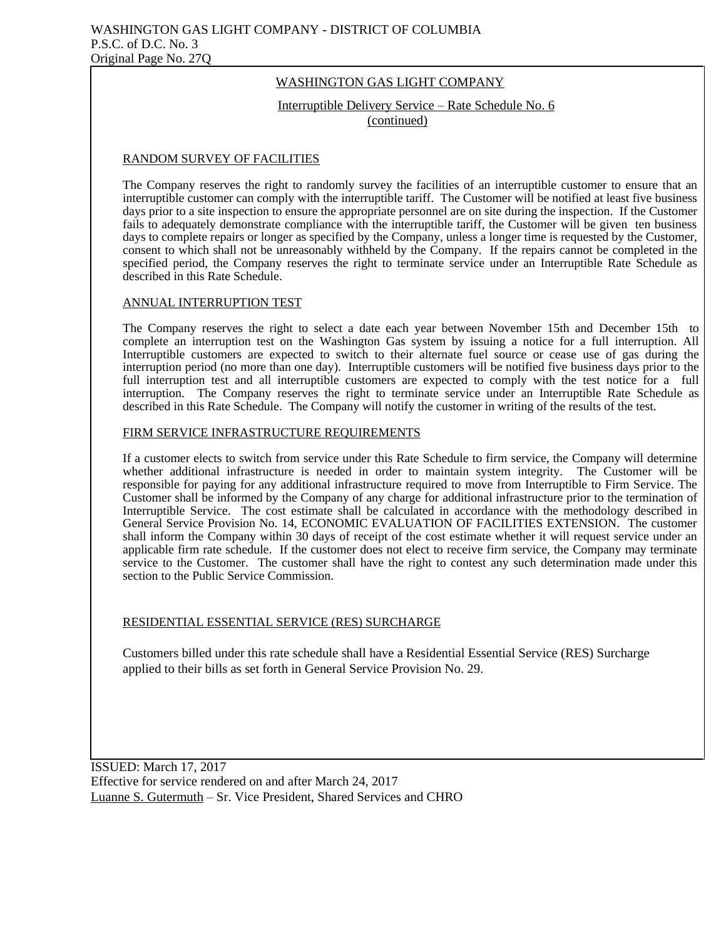# WASHINGTON GAS LIGHT COMPANY

Interruptible Delivery Service – Rate Schedule No. 6 (continued)

# RANDOM SURVEY OF FACILITIES

The Company reserves the right to randomly survey the facilities of an interruptible customer to ensure that an interruptible customer can comply with the interruptible tariff. The Customer will be notified at least five business days prior to a site inspection to ensure the appropriate personnel are on site during the inspection. If the Customer fails to adequately demonstrate compliance with the interruptible tariff, the Customer will be given ten business days to complete repairs or longer as specified by the Company, unless a longer time is requested by the Customer, consent to which shall not be unreasonably withheld by the Company. If the repairs cannot be completed in the specified period, the Company reserves the right to terminate service under an Interruptible Rate Schedule as described in this Rate Schedule.

## ANNUAL INTERRUPTION TEST

The Company reserves the right to select a date each year between November 15th and December 15th to complete an interruption test on the Washington Gas system by issuing a notice for a full interruption. All Interruptible customers are expected to switch to their alternate fuel source or cease use of gas during the interruption period (no more than one day). Interruptible customers will be notified five business days prior to the full interruption test and all interruptible customers are expected to comply with the test notice for a full interruption. The Company reserves the right to terminate service under an Interruptible Rate Schedule as described in this Rate Schedule. The Company will notify the customer in writing of the results of the test.

### FIRM SERVICE INFRASTRUCTURE REQUIREMENTS

If a customer elects to switch from service under this Rate Schedule to firm service, the Company will determine whether additional infrastructure is needed in order to maintain system integrity. The Customer will be responsible for paying for any additional infrastructure required to move from Interruptible to Firm Service. The Customer shall be informed by the Company of any charge for additional infrastructure prior to the termination of Interruptible Service. The cost estimate shall be calculated in accordance with the methodology described in General Service Provision No. 14, ECONOMIC EVALUATION OF FACILITIES EXTENSION. The customer shall inform the Company within 30 days of receipt of the cost estimate whether it will request service under an applicable firm rate schedule. If the customer does not elect to receive firm service, the Company may terminate service to the Customer. The customer shall have the right to contest any such determination made under this section to the Public Service Commission.

## RESIDENTIAL ESSENTIAL SERVICE (RES) SURCHARGE

Customers billed under this rate schedule shall have a Residential Essential Service (RES) Surcharge applied to their bills as set forth in General Service Provision No. 29.

ISSUED: March 17, 2017 Effective for service rendered on and after March 24, 2017 Luanne S. Gutermuth – Sr. Vice President, Shared Services and CHRO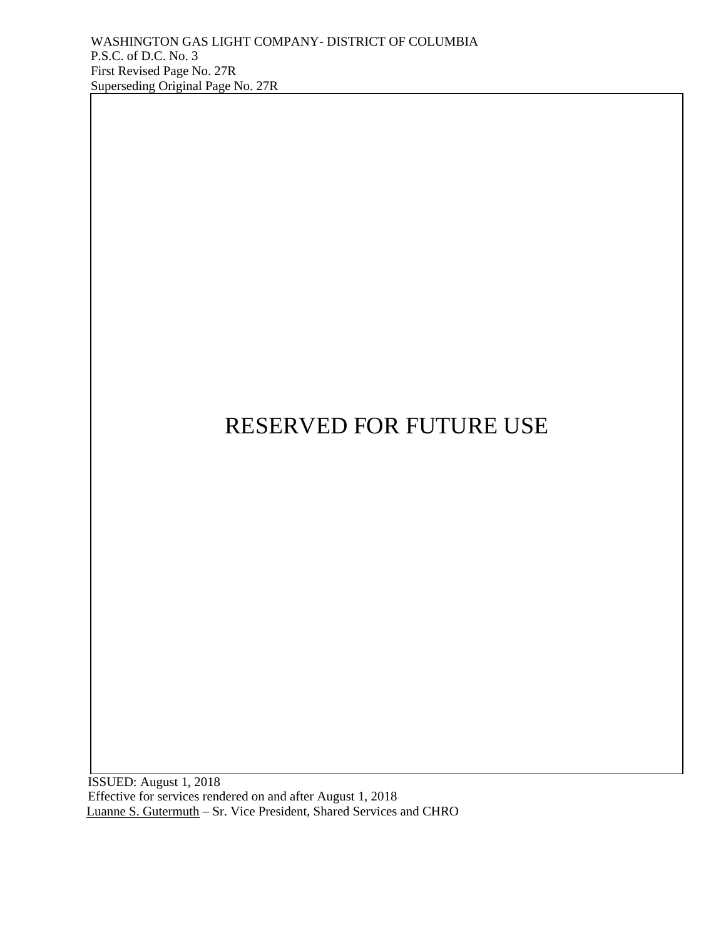ISSUED: August 1, 2018 Effective for services rendered on and after August 1, 2018 Luanne S. Gutermuth – Sr. Vice President, Shared Services and CHRO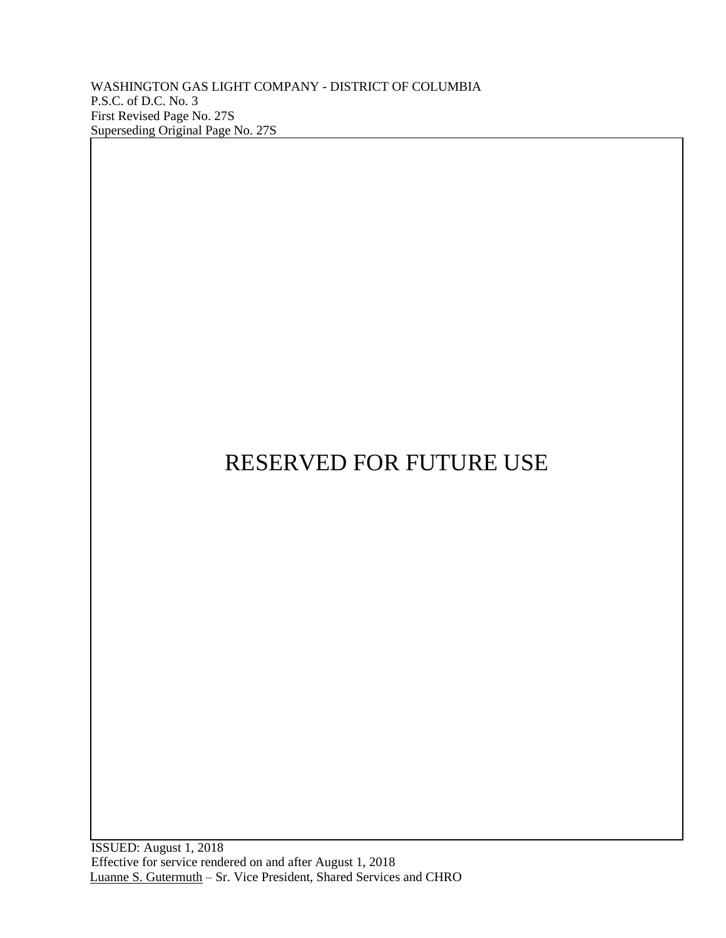WASHINGTON GAS LIGHT COMPANY - DISTRICT OF COLUMBIA P.S.C. of D.C. No. 3 First Revised Page No. 27S Superseding Original Page No. 27S

# RESERVED FOR FUTURE USE

 ISSUED: August 1, 2018 Effective for service rendered on and after August 1, 2018 Luanne S. Gutermuth – Sr. Vice President, Shared Services and CHRO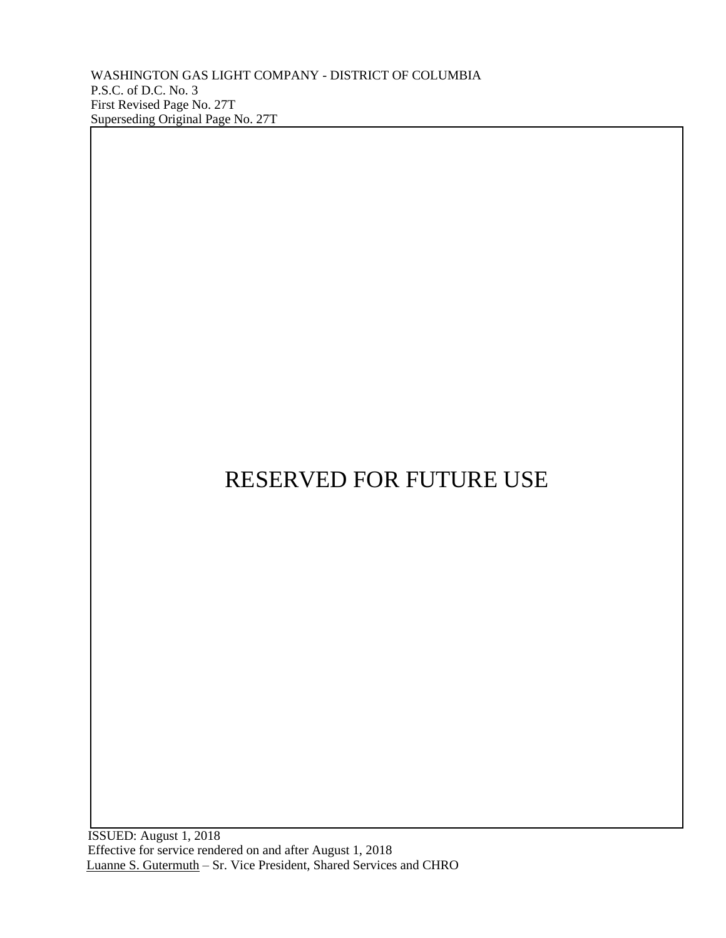WASHINGTON GAS LIGHT COMPANY - DISTRICT OF COLUMBIA P.S.C. of D.C. No. 3 First Revised Page No. 27T Superseding Original Page No. 27T

# RESERVED FOR FUTURE USE

 ISSUED: August 1, 2018 Effective for service rendered on and after August 1, 2018 Luanne S. Gutermuth – Sr. Vice President, Shared Services and CHRO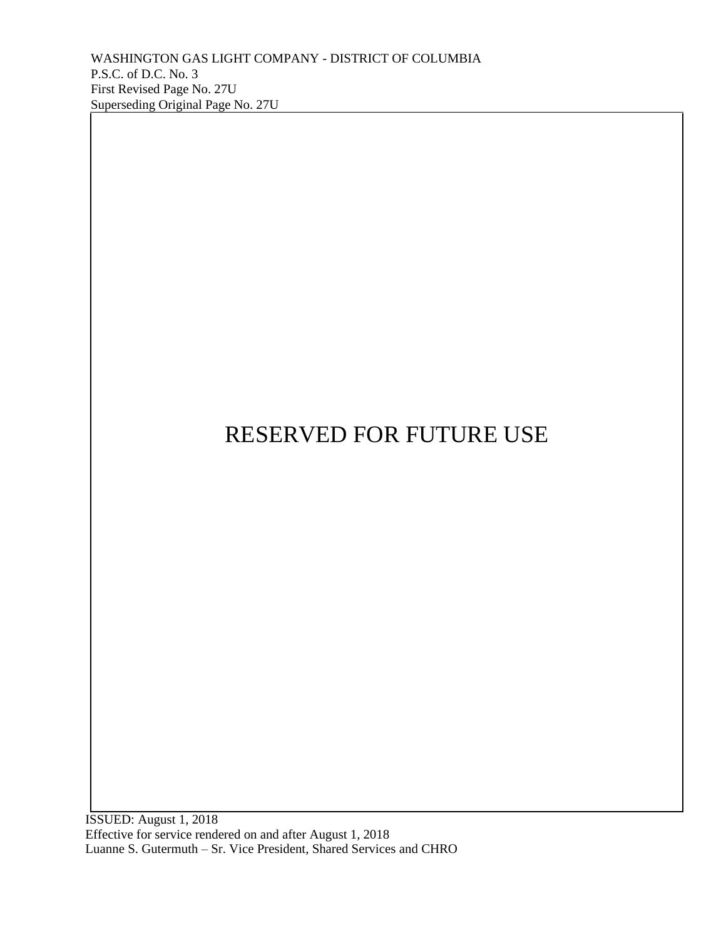ISSUED: August 1, 2018 Effective for service rendered on and after August 1, 2018 Luanne S. Gutermuth – Sr. Vice President, Shared Services and CHRO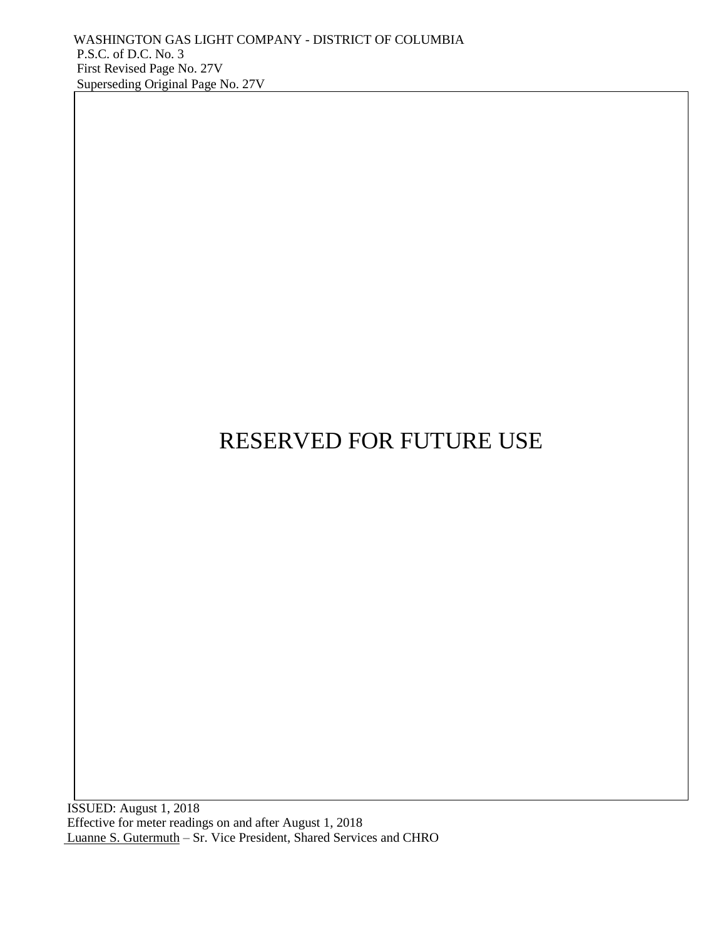ISSUED: August 1, 2018 Effective for meter readings on and after August 1, 2018 Luanne S. Gutermuth – Sr. Vice President, Shared Services and CHRO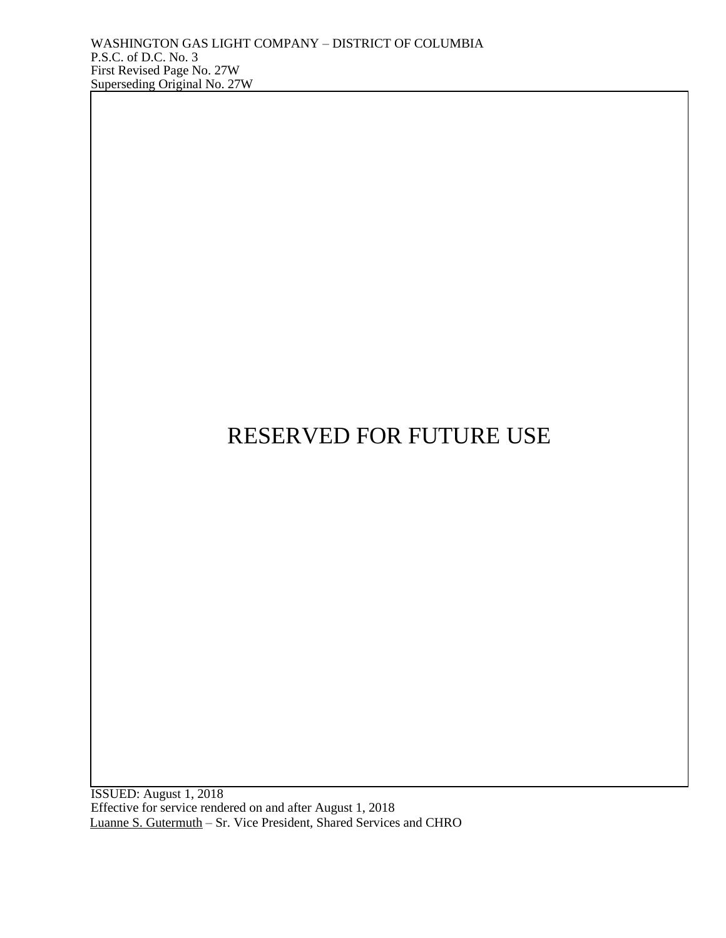ISSUED: August 1, 2018 Effective for service rendered on and after August 1, 2018 Luanne S. Gutermuth – Sr. Vice President, Shared Services and CHRO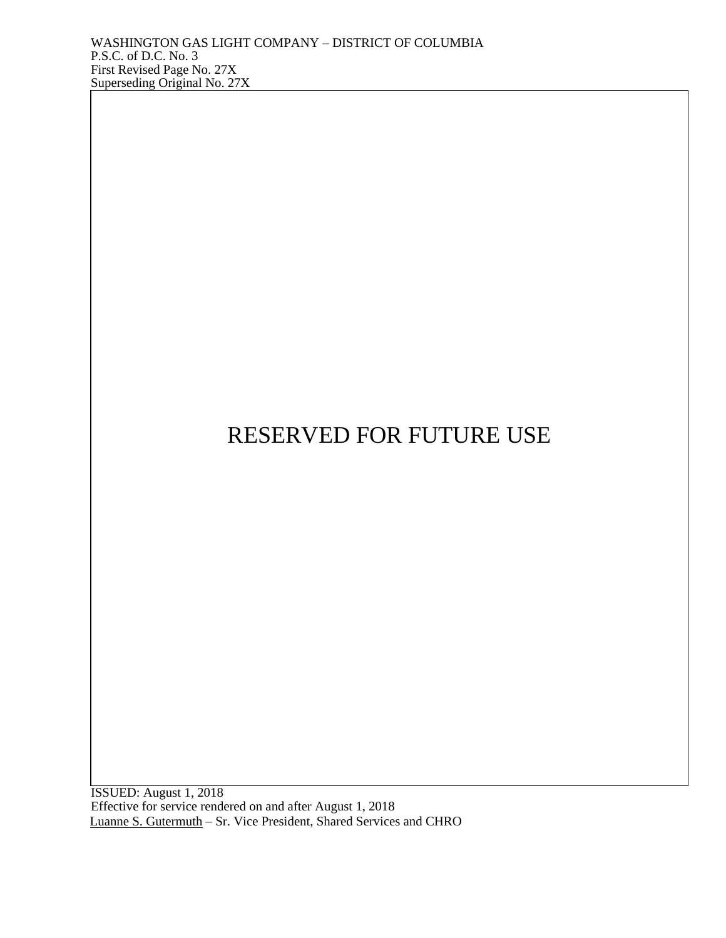ISSUED: August 1, 2018 Effective for service rendered on and after August 1, 2018 Luanne S. Gutermuth – Sr. Vice President, Shared Services and CHRO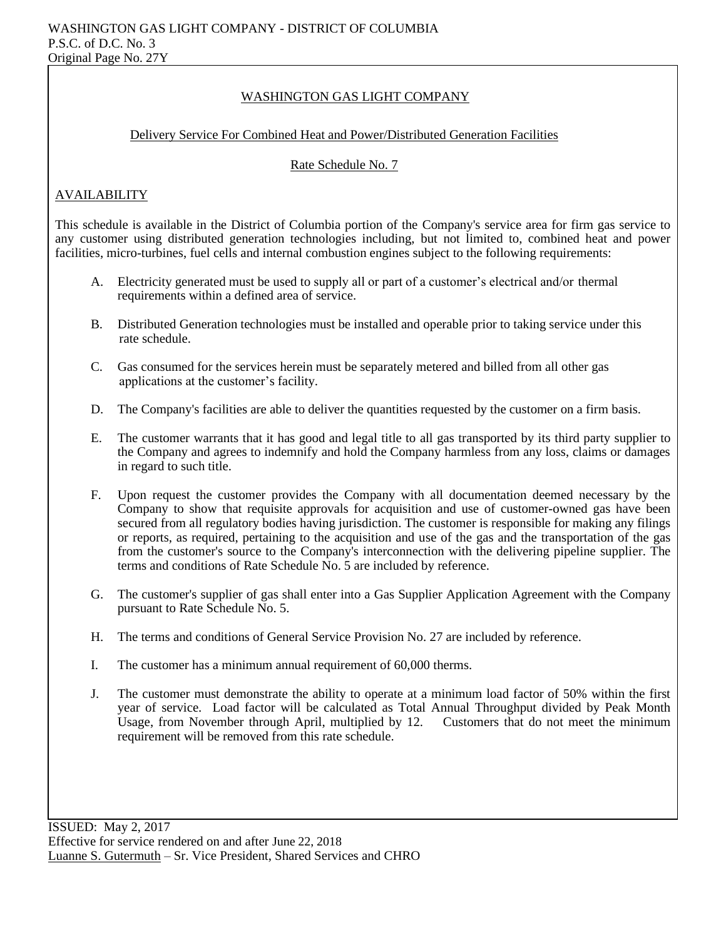## WASHINGTON GAS LIGHT COMPANY

#### Delivery Service For Combined Heat and Power/Distributed Generation Facilities

#### Rate Schedule No. 7

## AVAILABILITY

This schedule is available in the District of Columbia portion of the Company's service area for firm gas service to any customer using distributed generation technologies including, but not limited to, combined heat and power facilities, micro-turbines, fuel cells and internal combustion engines subject to the following requirements:

- A. Electricity generated must be used to supply all or part of a customer's electrical and/or thermal requirements within a defined area of service.
- B. Distributed Generation technologies must be installed and operable prior to taking service under this rate schedule.
- C. Gas consumed for the services herein must be separately metered and billed from all other gas applications at the customer's facility.
- D. The Company's facilities are able to deliver the quantities requested by the customer on a firm basis.
- E. The customer warrants that it has good and legal title to all gas transported by its third party supplier to the Company and agrees to indemnify and hold the Company harmless from any loss, claims or damages in regard to such title.
- F. Upon request the customer provides the Company with all documentation deemed necessary by the Company to show that requisite approvals for acquisition and use of customer-owned gas have been secured from all regulatory bodies having jurisdiction. The customer is responsible for making any filings or reports, as required, pertaining to the acquisition and use of the gas and the transportation of the gas from the customer's source to the Company's interconnection with the delivering pipeline supplier. The terms and conditions of Rate Schedule No. 5 are included by reference.
- G. The customer's supplier of gas shall enter into a Gas Supplier Application Agreement with the Company pursuant to Rate Schedule No. 5.
- H. The terms and conditions of General Service Provision No. 27 are included by reference.
- I. The customer has a minimum annual requirement of 60,000 therms.
- J. The customer must demonstrate the ability to operate at a minimum load factor of 50% within the first year of service. Load factor will be calculated as Total Annual Throughput divided by Peak Month Usage, from November through April, multiplied by 12. Customers that do not meet the minimum requirement will be removed from this rate schedule.

ISSUED: May 2, 2017 Effective for service rendered on and after June 22, 2018 Luanne S. Gutermuth – Sr. Vice President, Shared Services and CHRO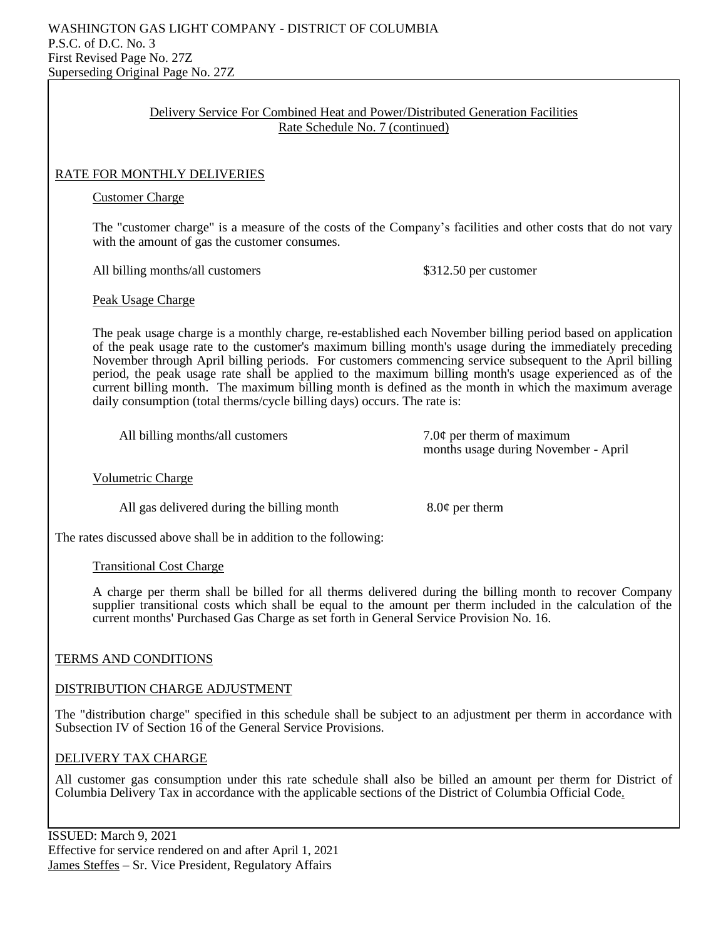## Delivery Service For Combined Heat and Power/Distributed Generation Facilities Rate Schedule No. 7 (continued)

### RATE FOR MONTHLY DELIVERIES

#### Customer Charge

The "customer charge" is a measure of the costs of the Company's facilities and other costs that do not vary with the amount of gas the customer consumes.

All billing months/all customers  $$312.50$  per customer

Peak Usage Charge

The peak usage charge is a monthly charge, re-established each November billing period based on application of the peak usage rate to the customer's maximum billing month's usage during the immediately preceding November through April billing periods. For customers commencing service subsequent to the April billing period, the peak usage rate shall be applied to the maximum billing month's usage experienced as of the current billing month. The maximum billing month is defined as the month in which the maximum average daily consumption (total therms/cycle billing days) occurs. The rate is:

All billing months/all customers  $7.0¢$  per therm of maximum

months usage during November - April

Volumetric Charge

All gas delivered during the billing month  $8.0¢$  per therm

The rates discussed above shall be in addition to the following:

#### Transitional Cost Charge

A charge per therm shall be billed for all therms delivered during the billing month to recover Company supplier transitional costs which shall be equal to the amount per therm included in the calculation of the current months' Purchased Gas Charge as set forth in General Service Provision No. 16.

#### TERMS AND CONDITIONS

#### DISTRIBUTION CHARGE ADJUSTMENT

The "distribution charge" specified in this schedule shall be subject to an adjustment per therm in accordance with Subsection IV of Section 16 of the General Service Provisions.

#### DELIVERY TAX CHARGE

All customer gas consumption under this rate schedule shall also be billed an amount per therm for District of Columbia Delivery Tax in accordance with the applicable sections of the District of Columbia Official Code.

ISSUED: March 9, 2021 Effective for service rendered on and after April 1, 2021 James Steffes – Sr. Vice President, Regulatory Affairs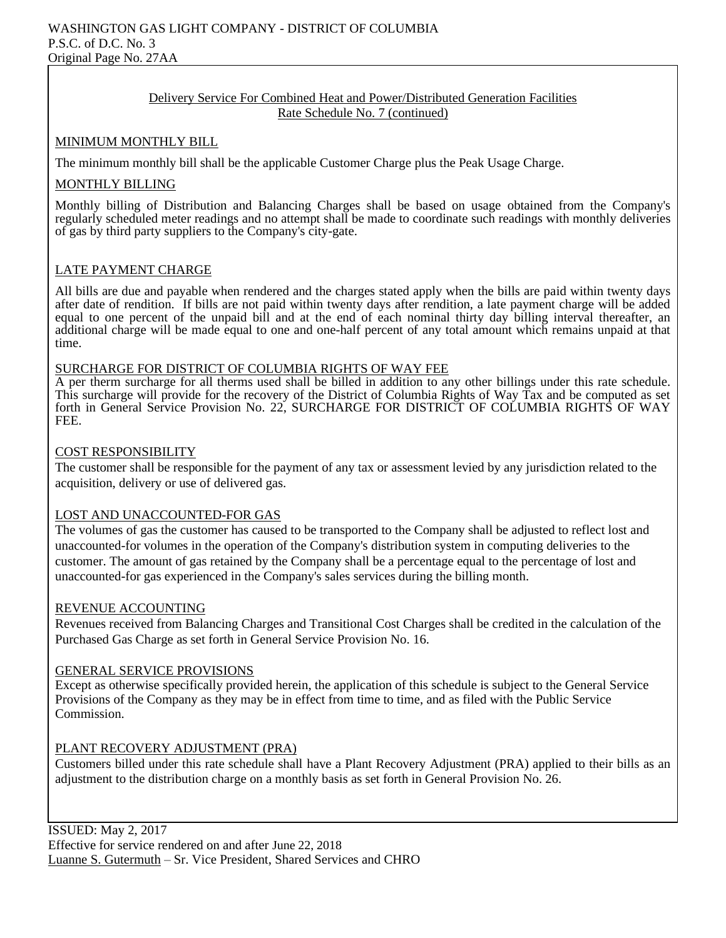#### Delivery Service For Combined Heat and Power/Distributed Generation Facilities Rate Schedule No. 7 (continued)

#### MINIMUM MONTHLY BILL

The minimum monthly bill shall be the applicable Customer Charge plus the Peak Usage Charge.

#### MONTHLY BILLING

Monthly billing of Distribution and Balancing Charges shall be based on usage obtained from the Company's regularly scheduled meter readings and no attempt shall be made to coordinate such readings with monthly deliveries of gas by third party suppliers to the Company's city-gate.

## LATE PAYMENT CHARGE

All bills are due and payable when rendered and the charges stated apply when the bills are paid within twenty days after date of rendition. If bills are not paid within twenty days after rendition, a late payment charge will be added equal to one percent of the unpaid bill and at the end of each nominal thirty day billing interval thereafter, an additional charge will be made equal to one and one-half percent of any total amount which remains unpaid at that time.

#### SURCHARGE FOR DISTRICT OF COLUMBIA RIGHTS OF WAY FEE

A per therm surcharge for all therms used shall be billed in addition to any other billings under this rate schedule. This surcharge will provide for the recovery of the District of Columbia Rights of Way Tax and be computed as set forth in General Service Provision No. 22, SURCHARGE FOR DISTRICT OF COLUMBIA RIGHTS OF WAY FEE.

#### COST RESPONSIBILITY

The customer shall be responsible for the payment of any tax or assessment levied by any jurisdiction related to the acquisition, delivery or use of delivered gas.

#### LOST AND UNACCOUNTED-FOR GAS

The volumes of gas the customer has caused to be transported to the Company shall be adjusted to reflect lost and unaccounted-for volumes in the operation of the Company's distribution system in computing deliveries to the customer. The amount of gas retained by the Company shall be a percentage equal to the percentage of lost and unaccounted-for gas experienced in the Company's sales services during the billing month.

#### REVENUE ACCOUNTING

Revenues received from Balancing Charges and Transitional Cost Charges shall be credited in the calculation of the Purchased Gas Charge as set forth in General Service Provision No. 16.

#### GENERAL SERVICE PROVISIONS

Except as otherwise specifically provided herein, the application of this schedule is subject to the General Service Provisions of the Company as they may be in effect from time to time, and as filed with the Public Service Commission.

## PLANT RECOVERY ADJUSTMENT (PRA)

Customers billed under this rate schedule shall have a Plant Recovery Adjustment (PRA) applied to their bills as an adjustment to the distribution charge on a monthly basis as set forth in General Provision No. 26.

ISSUED: May 2, 2017 Effective for service rendered on and after June 22, 2018 Luanne S. Gutermuth – Sr. Vice President, Shared Services and CHRO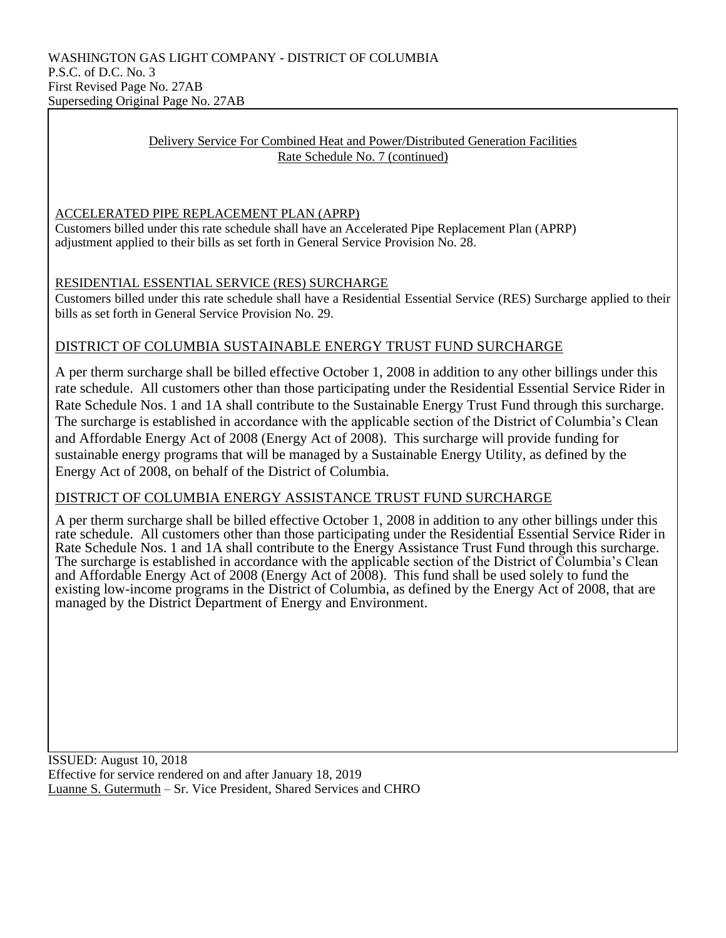### Delivery Service For Combined Heat and Power/Distributed Generation Facilities Rate Schedule No. 7 (continued)

## ACCELERATED PIPE REPLACEMENT PLAN (APRP)

Customers billed under this rate schedule shall have an Accelerated Pipe Replacement Plan (APRP) adjustment applied to their bills as set forth in General Service Provision No. 28.

## RESIDENTIAL ESSENTIAL SERVICE (RES) SURCHARGE

Customers billed under this rate schedule shall have a Residential Essential Service (RES) Surcharge applied to their bills as set forth in General Service Provision No. 29.

## DISTRICT OF COLUMBIA SUSTAINABLE ENERGY TRUST FUND SURCHARGE

A per therm surcharge shall be billed effective October 1, 2008 in addition to any other billings under this rate schedule. All customers other than those participating under the Residential Essential Service Rider in Rate Schedule Nos. 1 and 1A shall contribute to the Sustainable Energy Trust Fund through this surcharge. The surcharge is established in accordance with the applicable section of the District of Columbia's Clean and Affordable Energy Act of 2008 (Energy Act of 2008). This surcharge will provide funding for sustainable energy programs that will be managed by a Sustainable Energy Utility, as defined by the Energy Act of 2008, on behalf of the District of Columbia.

## DISTRICT OF COLUMBIA ENERGY ASSISTANCE TRUST FUND SURCHARGE

A per therm surcharge shall be billed effective October 1, 2008 in addition to any other billings under this rate schedule. All customers other than those participating under the Residential Essential Service Rider in Rate Schedule Nos. 1 and 1A shall contribute to the Energy Assistance Trust Fund through this surcharge. The surcharge is established in accordance with the applicable section of the District of Columbia's Clean and Affordable Energy Act of 2008 (Energy Act of 2008). This fund shall be used solely to fund the existing low-income programs in the District of Columbia, as defined by the Energy Act of 2008, that are managed by the District Department of Energy and Environment.

ISSUED: August 10, 2018 Effective for service rendered on and after January 18, 2019 Luanne S. Gutermuth – Sr. Vice President, Shared Services and CHRO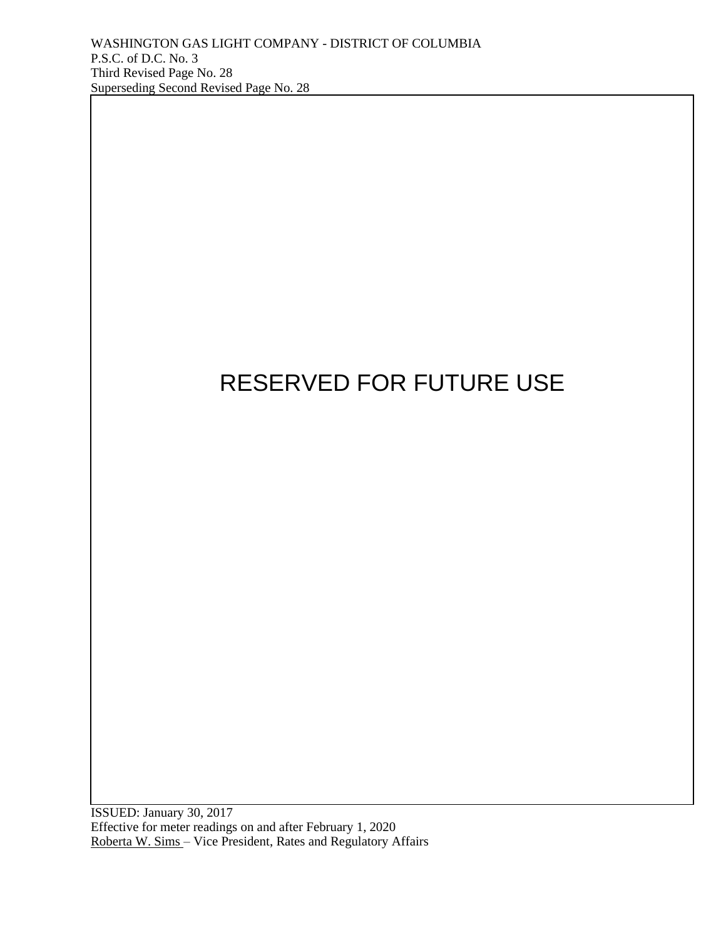

ISSUED: January 30, 2017 Effective for meter readings on and after February 1, 2020 Roberta W. Sims - Vice President, Rates and Regulatory Affairs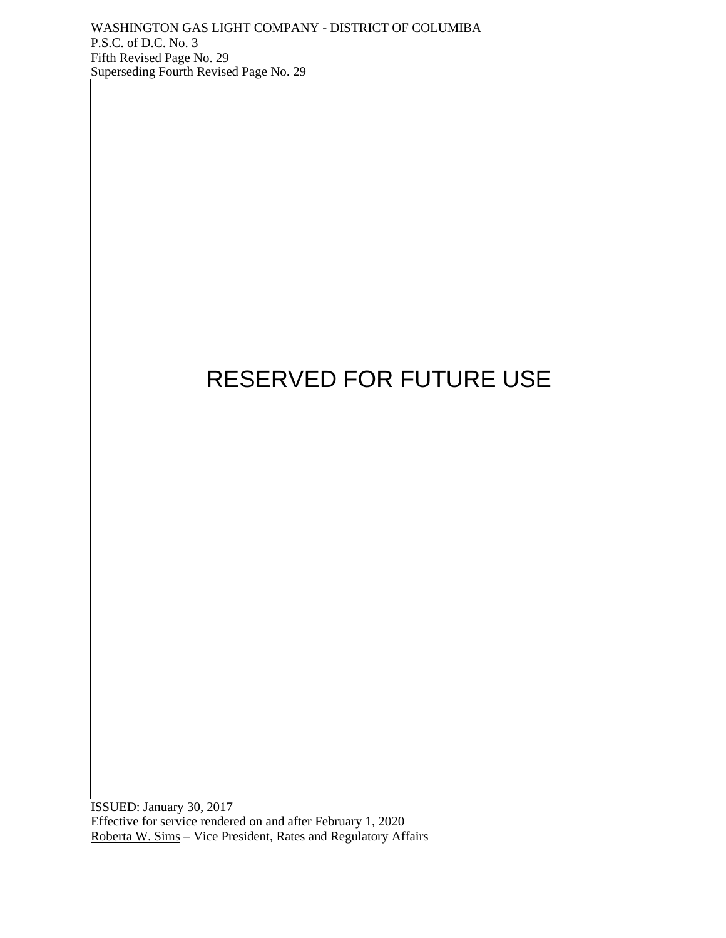

ISSUED: January 30, 2017 Effective for service rendered on and after February 1, 2020 Roberta W. Sims – Vice President, Rates and Regulatory Affairs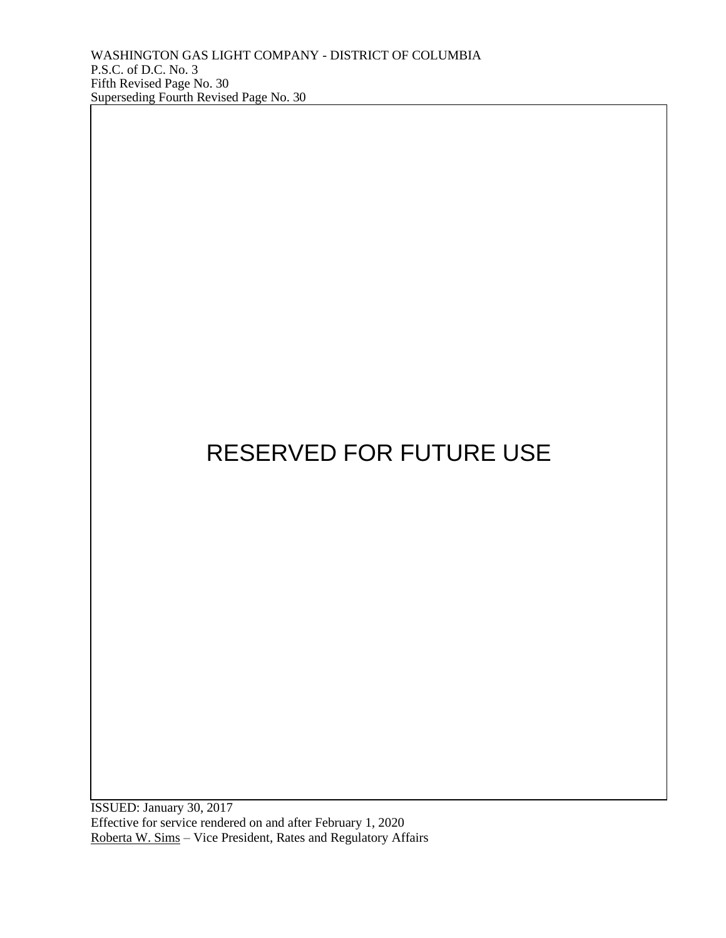ISSUED: January 30, 2017 Effective for service rendered on and after February 1, 2020 Roberta W. Sims – Vice President, Rates and Regulatory Affairs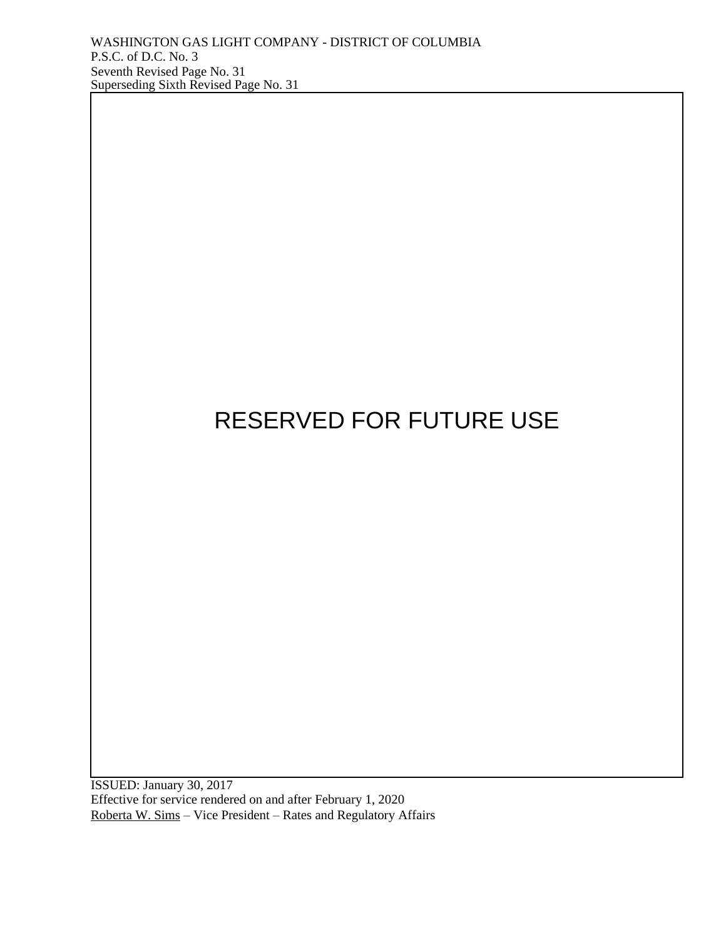

ISSUED: January 30, 2017 Effective for service rendered on and after February 1, 2020 Roberta W. Sims – Vice President – Rates and Regulatory Affairs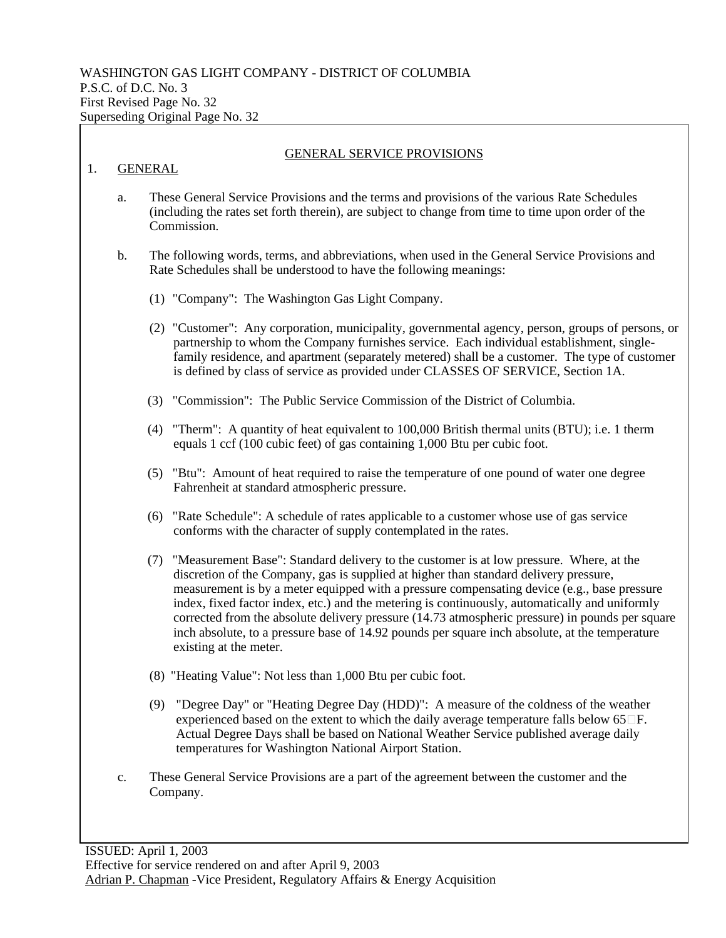|    | <b>GENERAL</b>                                                                                                                                                       | <b>GENERAL SERVICE PROVISIONS</b>                                                                                                                                                                                                                                                                                                                                                                                                                                                                                                                                                                                    |  |
|----|----------------------------------------------------------------------------------------------------------------------------------------------------------------------|----------------------------------------------------------------------------------------------------------------------------------------------------------------------------------------------------------------------------------------------------------------------------------------------------------------------------------------------------------------------------------------------------------------------------------------------------------------------------------------------------------------------------------------------------------------------------------------------------------------------|--|
| a. |                                                                                                                                                                      | These General Service Provisions and the terms and provisions of the various Rate Schedules<br>(including the rates set forth therein), are subject to change from time to time upon order of the<br>Commission.                                                                                                                                                                                                                                                                                                                                                                                                     |  |
| b. | The following words, terms, and abbreviations, when used in the General Service Provisions and<br>Rate Schedules shall be understood to have the following meanings: |                                                                                                                                                                                                                                                                                                                                                                                                                                                                                                                                                                                                                      |  |
|    |                                                                                                                                                                      | (1) "Company": The Washington Gas Light Company.                                                                                                                                                                                                                                                                                                                                                                                                                                                                                                                                                                     |  |
|    |                                                                                                                                                                      | (2) "Customer": Any corporation, municipality, governmental agency, person, groups of persons, or<br>partnership to whom the Company furnishes service. Each individual establishment, single-<br>family residence, and apartment (separately metered) shall be a customer. The type of customer<br>is defined by class of service as provided under CLASSES OF SERVICE, Section 1A.                                                                                                                                                                                                                                 |  |
|    | (3)                                                                                                                                                                  | "Commission": The Public Service Commission of the District of Columbia.                                                                                                                                                                                                                                                                                                                                                                                                                                                                                                                                             |  |
|    | (4)                                                                                                                                                                  | "Therm": A quantity of heat equivalent to 100,000 British thermal units (BTU); i.e. 1 therm<br>equals 1 ccf (100 cubic feet) of gas containing 1,000 Btu per cubic foot.                                                                                                                                                                                                                                                                                                                                                                                                                                             |  |
|    |                                                                                                                                                                      | (5) "Btu": Amount of heat required to raise the temperature of one pound of water one degree<br>Fahrenheit at standard atmospheric pressure.                                                                                                                                                                                                                                                                                                                                                                                                                                                                         |  |
|    | (6)                                                                                                                                                                  | "Rate Schedule": A schedule of rates applicable to a customer whose use of gas service<br>conforms with the character of supply contemplated in the rates.                                                                                                                                                                                                                                                                                                                                                                                                                                                           |  |
|    |                                                                                                                                                                      | (7) "Measurement Base": Standard delivery to the customer is at low pressure. Where, at the<br>discretion of the Company, gas is supplied at higher than standard delivery pressure,<br>measurement is by a meter equipped with a pressure compensating device (e.g., base pressure<br>index, fixed factor index, etc.) and the metering is continuously, automatically and uniformly<br>corrected from the absolute delivery pressure (14.73 atmospheric pressure) in pounds per square<br>inch absolute, to a pressure base of 14.92 pounds per square inch absolute, at the temperature<br>existing at the meter. |  |
|    |                                                                                                                                                                      | (8) "Heating Value": Not less than 1,000 Btu per cubic foot.                                                                                                                                                                                                                                                                                                                                                                                                                                                                                                                                                         |  |
|    | (9)                                                                                                                                                                  | "Degree Day" or "Heating Degree Day (HDD)": A measure of the coldness of the weather<br>experienced based on the extent to which the daily average temperature falls below $65\,\square F$ .<br>Actual Degree Days shall be based on National Weather Service published average daily<br>temperatures for Washington National Airport Station.                                                                                                                                                                                                                                                                       |  |

٦

c. These General Service Provisions are a part of the agreement between the customer and the Company.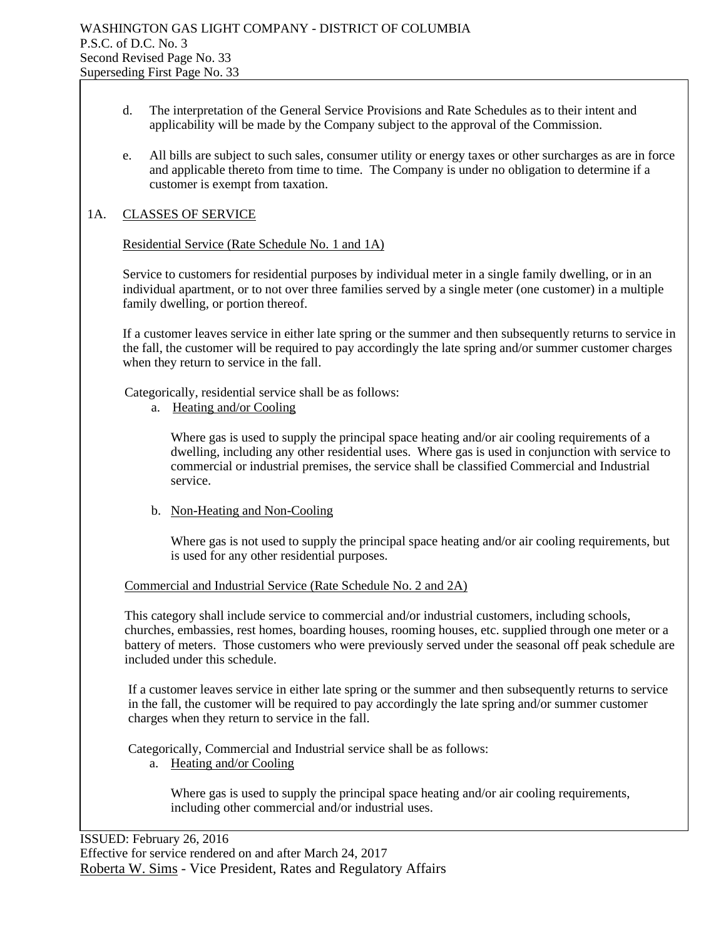- d. The interpretation of the General Service Provisions and Rate Schedules as to their intent and applicability will be made by the Company subject to the approval of the Commission.
- e. All bills are subject to such sales, consumer utility or energy taxes or other surcharges as are in force and applicable thereto from time to time. The Company is under no obligation to determine if a customer is exempt from taxation.

### 1A. CLASSES OF SERVICE

#### Residential Service (Rate Schedule No. 1 and 1A)

Service to customers for residential purposes by individual meter in a single family dwelling, or in an individual apartment, or to not over three families served by a single meter (one customer) in a multiple family dwelling, or portion thereof.

If a customer leaves service in either late spring or the summer and then subsequently returns to service in the fall, the customer will be required to pay accordingly the late spring and/or summer customer charges when they return to service in the fall.

Categorically, residential service shall be as follows:

a. Heating and/or Cooling

Where gas is used to supply the principal space heating and/or air cooling requirements of a dwelling, including any other residential uses. Where gas is used in conjunction with service to commercial or industrial premises, the service shall be classified Commercial and Industrial service.

b. Non-Heating and Non-Cooling

Where gas is not used to supply the principal space heating and/or air cooling requirements, but is used for any other residential purposes.

Commercial and Industrial Service (Rate Schedule No. 2 and 2A)

This category shall include service to commercial and/or industrial customers, including schools, churches, embassies, rest homes, boarding houses, rooming houses, etc. supplied through one meter or a battery of meters. Those customers who were previously served under the seasonal off peak schedule are included under this schedule.

If a customer leaves service in either late spring or the summer and then subsequently returns to service in the fall, the customer will be required to pay accordingly the late spring and/or summer customer charges when they return to service in the fall.

Categorically, Commercial and Industrial service shall be as follows:

a. Heating and/or Cooling

Where gas is used to supply the principal space heating and/or air cooling requirements, including other commercial and/or industrial uses.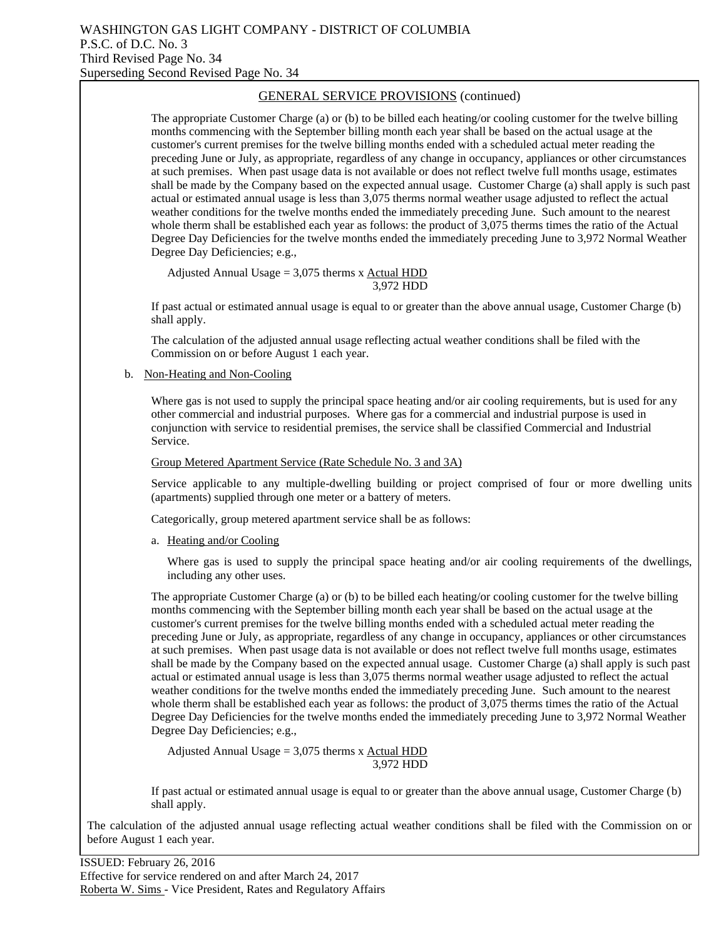The appropriate Customer Charge (a) or (b) to be billed each heating/or cooling customer for the twelve billing months commencing with the September billing month each year shall be based on the actual usage at the customer's current premises for the twelve billing months ended with a scheduled actual meter reading the preceding June or July, as appropriate, regardless of any change in occupancy, appliances or other circumstances at such premises. When past usage data is not available or does not reflect twelve full months usage, estimates shall be made by the Company based on the expected annual usage. Customer Charge (a) shall apply is such past actual or estimated annual usage is less than 3,075 therms normal weather usage adjusted to reflect the actual weather conditions for the twelve months ended the immediately preceding June. Such amount to the nearest whole therm shall be established each year as follows: the product of 3,075 therms times the ratio of the Actual Degree Day Deficiencies for the twelve months ended the immediately preceding June to 3,972 Normal Weather Degree Day Deficiencies; e.g.,

Adjusted Annual Usage =  $3,075$  therms x Actual HDD 3,972 HDD

If past actual or estimated annual usage is equal to or greater than the above annual usage, Customer Charge (b) shall apply.

The calculation of the adjusted annual usage reflecting actual weather conditions shall be filed with the Commission on or before August 1 each year.

b. Non-Heating and Non-Cooling

Where gas is not used to supply the principal space heating and/or air cooling requirements, but is used for any other commercial and industrial purposes. Where gas for a commercial and industrial purpose is used in conjunction with service to residential premises, the service shall be classified Commercial and Industrial Service.

#### Group Metered Apartment Service (Rate Schedule No. 3 and 3A)

Service applicable to any multiple-dwelling building or project comprised of four or more dwelling units (apartments) supplied through one meter or a battery of meters.

Categorically, group metered apartment service shall be as follows:

a. Heating and/or Cooling

Where gas is used to supply the principal space heating and/or air cooling requirements of the dwellings, including any other uses.

The appropriate Customer Charge (a) or (b) to be billed each heating/or cooling customer for the twelve billing months commencing with the September billing month each year shall be based on the actual usage at the customer's current premises for the twelve billing months ended with a scheduled actual meter reading the preceding June or July, as appropriate, regardless of any change in occupancy, appliances or other circumstances at such premises. When past usage data is not available or does not reflect twelve full months usage, estimates shall be made by the Company based on the expected annual usage. Customer Charge (a) shall apply is such past actual or estimated annual usage is less than 3,075 therms normal weather usage adjusted to reflect the actual weather conditions for the twelve months ended the immediately preceding June. Such amount to the nearest whole therm shall be established each year as follows: the product of 3,075 therms times the ratio of the Actual Degree Day Deficiencies for the twelve months ended the immediately preceding June to 3,972 Normal Weather Degree Day Deficiencies; e.g.,

Adjusted Annual Usage  $= 3,075$  therms x Actual HDD 3,972 HDD

If past actual or estimated annual usage is equal to or greater than the above annual usage, Customer Charge (b) shall apply.

The calculation of the adjusted annual usage reflecting actual weather conditions shall be filed with the Commission on or before August 1 each year.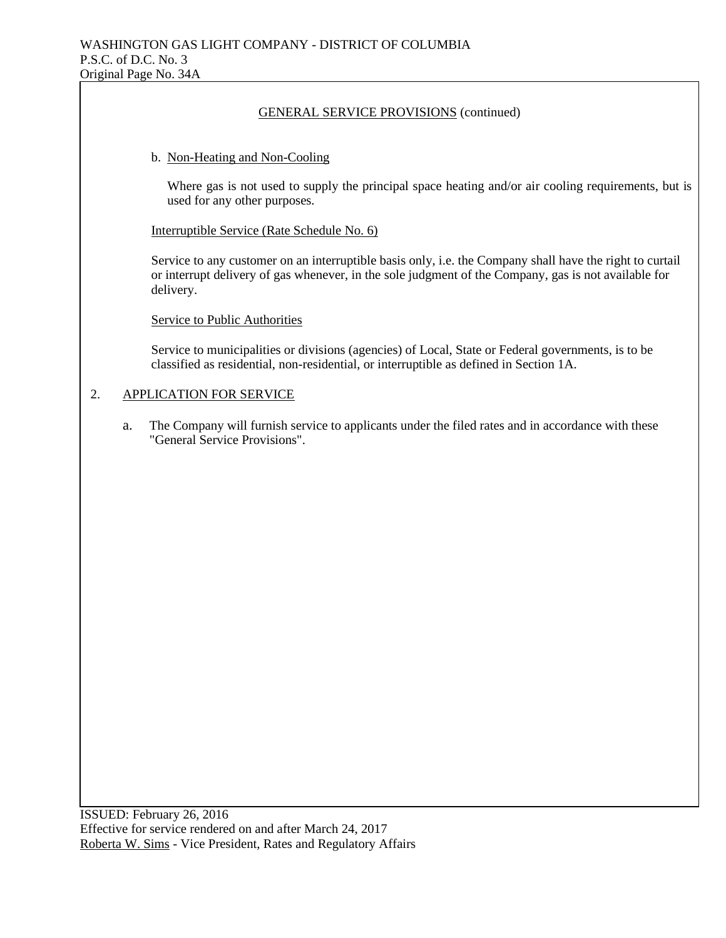#### b. Non-Heating and Non-Cooling

Where gas is not used to supply the principal space heating and/or air cooling requirements, but is used for any other purposes.

Interruptible Service (Rate Schedule No. 6)

Service to any customer on an interruptible basis only, i.e. the Company shall have the right to curtail or interrupt delivery of gas whenever, in the sole judgment of the Company, gas is not available for delivery.

Service to Public Authorities

Service to municipalities or divisions (agencies) of Local, State or Federal governments, is to be classified as residential, non-residential, or interruptible as defined in Section 1A.

### 2. APPLICATION FOR SERVICE

a. The Company will furnish service to applicants under the filed rates and in accordance with these "General Service Provisions".

ISSUED: February 26, 2016 Effective for service rendered on and after March 24, 2017 Roberta W. Sims - Vice President, Rates and Regulatory Affairs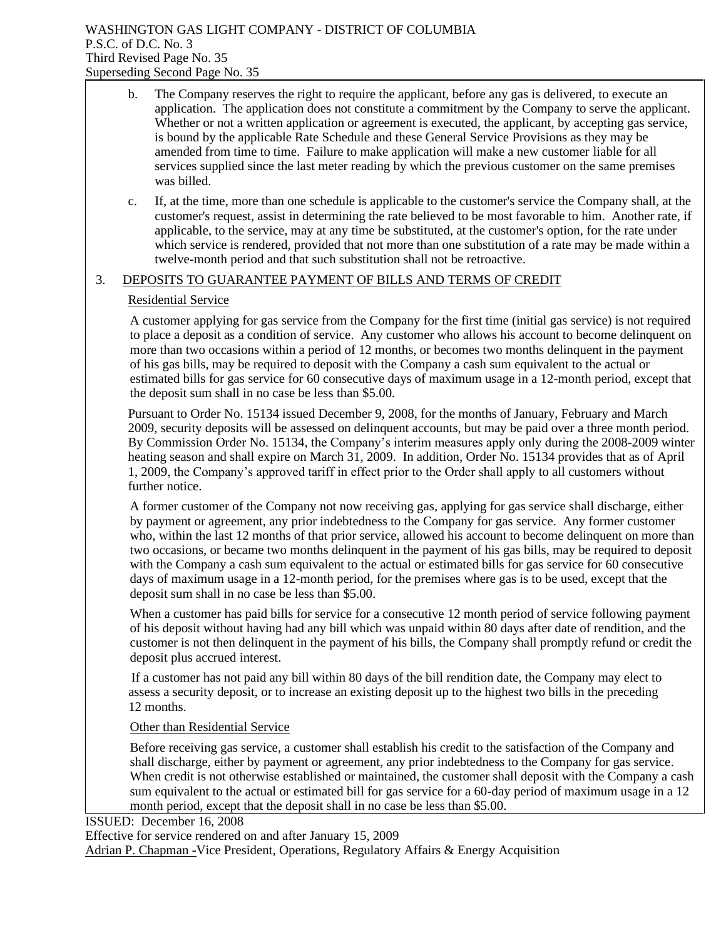|    | $\mathbf b$ . | The Company reserves the right to require the applicant, before any gas is delivered, to execute an<br>application. The application does not constitute a commitment by the Company to serve the applicant.<br>Whether or not a written application or agreement is executed, the applicant, by accepting gas service,<br>is bound by the applicable Rate Schedule and these General Service Provisions as they may be<br>amended from time to time. Failure to make application will make a new customer liable for all<br>services supplied since the last meter reading by which the previous customer on the same premises<br>was billed.                                                                            |  |  |  |  |
|----|---------------|--------------------------------------------------------------------------------------------------------------------------------------------------------------------------------------------------------------------------------------------------------------------------------------------------------------------------------------------------------------------------------------------------------------------------------------------------------------------------------------------------------------------------------------------------------------------------------------------------------------------------------------------------------------------------------------------------------------------------|--|--|--|--|
|    | c.            | If, at the time, more than one schedule is applicable to the customer's service the Company shall, at the<br>customer's request, assist in determining the rate believed to be most favorable to him. Another rate, if<br>applicable, to the service, may at any time be substituted, at the customer's option, for the rate under<br>which service is rendered, provided that not more than one substitution of a rate may be made within a<br>twelve-month period and that such substitution shall not be retroactive.                                                                                                                                                                                                 |  |  |  |  |
| 3. |               | DEPOSITS TO GUARANTEE PAYMENT OF BILLS AND TERMS OF CREDIT                                                                                                                                                                                                                                                                                                                                                                                                                                                                                                                                                                                                                                                               |  |  |  |  |
|    |               | <b>Residential Service</b>                                                                                                                                                                                                                                                                                                                                                                                                                                                                                                                                                                                                                                                                                               |  |  |  |  |
|    |               | A customer applying for gas service from the Company for the first time (initial gas service) is not required<br>to place a deposit as a condition of service. Any customer who allows his account to become delinquent on<br>more than two occasions within a period of 12 months, or becomes two months delinquent in the payment<br>of his gas bills, may be required to deposit with the Company a cash sum equivalent to the actual or<br>estimated bills for gas service for 60 consecutive days of maximum usage in a 12-month period, except that<br>the deposit sum shall in no case be less than \$5.00.                                                                                                       |  |  |  |  |
|    |               | Pursuant to Order No. 15134 issued December 9, 2008, for the months of January, February and March<br>2009, security deposits will be assessed on delinquent accounts, but may be paid over a three month period.<br>By Commission Order No. 15134, the Company's interim measures apply only during the 2008-2009 winter<br>heating season and shall expire on March 31, 2009. In addition, Order No. 15134 provides that as of April<br>1, 2009, the Company's approved tariff in effect prior to the Order shall apply to all customers without<br>further notice.                                                                                                                                                    |  |  |  |  |
|    |               | A former customer of the Company not now receiving gas, applying for gas service shall discharge, either<br>by payment or agreement, any prior indebtedness to the Company for gas service. Any former customer<br>who, within the last 12 months of that prior service, allowed his account to become delinquent on more than<br>two occasions, or became two months delinquent in the payment of his gas bills, may be required to deposit<br>with the Company a cash sum equivalent to the actual or estimated bills for gas service for 60 consecutive<br>days of maximum usage in a 12-month period, for the premises where gas is to be used, except that the<br>deposit sum shall in no case be less than \$5.00. |  |  |  |  |
|    |               | When a customer has paid bills for service for a consecutive 12 month period of service following payment<br>of his deposit without having had any bill which was unpaid within 80 days after date of rendition, and the<br>customer is not then delinquent in the payment of his bills, the Company shall promptly refund or credit the<br>deposit plus accrued interest.                                                                                                                                                                                                                                                                                                                                               |  |  |  |  |

 If a customer has not paid any bill within 80 days of the bill rendition date, the Company may elect to assess a security deposit, or to increase an existing deposit up to the highest two bills in the preceding 12 months.

Other than Residential Service

Before receiving gas service, a customer shall establish his credit to the satisfaction of the Company and shall discharge, either by payment or agreement, any prior indebtedness to the Company for gas service. When credit is not otherwise established or maintained, the customer shall deposit with the Company a cash sum equivalent to the actual or estimated bill for gas service for a 60-day period of maximum usage in a 12 month period, except that the deposit shall in no case be less than \$5.00.

ISSUED: December 16, 2008

Effective for service rendered on and after January 15, 2009

Adrian P. Chapman -Vice President, Operations, Regulatory Affairs & Energy Acquisition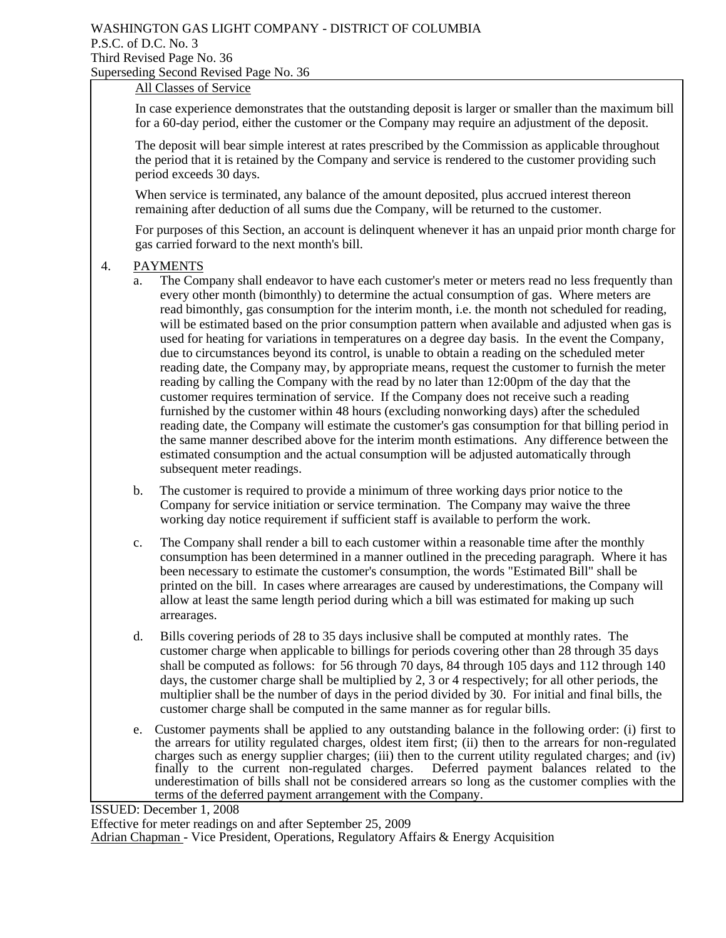## WASHINGTON GAS LIGHT COMPANY - DISTRICT OF COLUMBIA P.S.C. of D.C. No. 3 Third Revised Page No. 36 Superseding Second Revised Page No. 36

## All Classes of Service

In case experience demonstrates that the outstanding deposit is larger or smaller than the maximum bill for a 60-day period, either the customer or the Company may require an adjustment of the deposit.

The deposit will bear simple interest at rates prescribed by the Commission as applicable throughout the period that it is retained by the Company and service is rendered to the customer providing such period exceeds 30 days.

When service is terminated, any balance of the amount deposited, plus accrued interest thereon remaining after deduction of all sums due the Company, will be returned to the customer.

For purposes of this Section, an account is delinquent whenever it has an unpaid prior month charge for gas carried forward to the next month's bill.

#### 4. PAYMENTS

- a. The Company shall endeavor to have each customer's meter or meters read no less frequently than every other month (bimonthly) to determine the actual consumption of gas. Where meters are read bimonthly, gas consumption for the interim month, i.e. the month not scheduled for reading, will be estimated based on the prior consumption pattern when available and adjusted when gas is used for heating for variations in temperatures on a degree day basis. In the event the Company, due to circumstances beyond its control, is unable to obtain a reading on the scheduled meter reading date, the Company may, by appropriate means, request the customer to furnish the meter reading by calling the Company with the read by no later than 12:00pm of the day that the customer requires termination of service. If the Company does not receive such a reading furnished by the customer within 48 hours (excluding nonworking days) after the scheduled reading date, the Company will estimate the customer's gas consumption for that billing period in the same manner described above for the interim month estimations. Any difference between the estimated consumption and the actual consumption will be adjusted automatically through subsequent meter readings.
- b. The customer is required to provide a minimum of three working days prior notice to the Company for service initiation or service termination. The Company may waive the three working day notice requirement if sufficient staff is available to perform the work.
- c. The Company shall render a bill to each customer within a reasonable time after the monthly consumption has been determined in a manner outlined in the preceding paragraph. Where it has been necessary to estimate the customer's consumption, the words "Estimated Bill" shall be printed on the bill. In cases where arrearages are caused by underestimations, the Company will allow at least the same length period during which a bill was estimated for making up such arrearages.
- d. Bills covering periods of 28 to 35 days inclusive shall be computed at monthly rates. The customer charge when applicable to billings for periods covering other than 28 through 35 days shall be computed as follows: for 56 through 70 days, 84 through 105 days and 112 through 140 days, the customer charge shall be multiplied by 2, 3 or 4 respectively; for all other periods, the multiplier shall be the number of days in the period divided by 30. For initial and final bills, the customer charge shall be computed in the same manner as for regular bills.
- e. Customer payments shall be applied to any outstanding balance in the following order: (i) first to the arrears for utility regulated charges, oldest item first; (ii) then to the arrears for non-regulated charges such as energy supplier charges; (iii) then to the current utility regulated charges; and (iv) finally to the current non-regulated charges. Deferred payment balances related to the finally to the current non-regulated charges. underestimation of bills shall not be considered arrears so long as the customer complies with the terms of the deferred payment arrangement with the Company.

ISSUED: December 1, 2008

Effective for meter readings on and after September 25, 2009 Adrian Chapman - Vice President, Operations, Regulatory Affairs & Energy Acquisition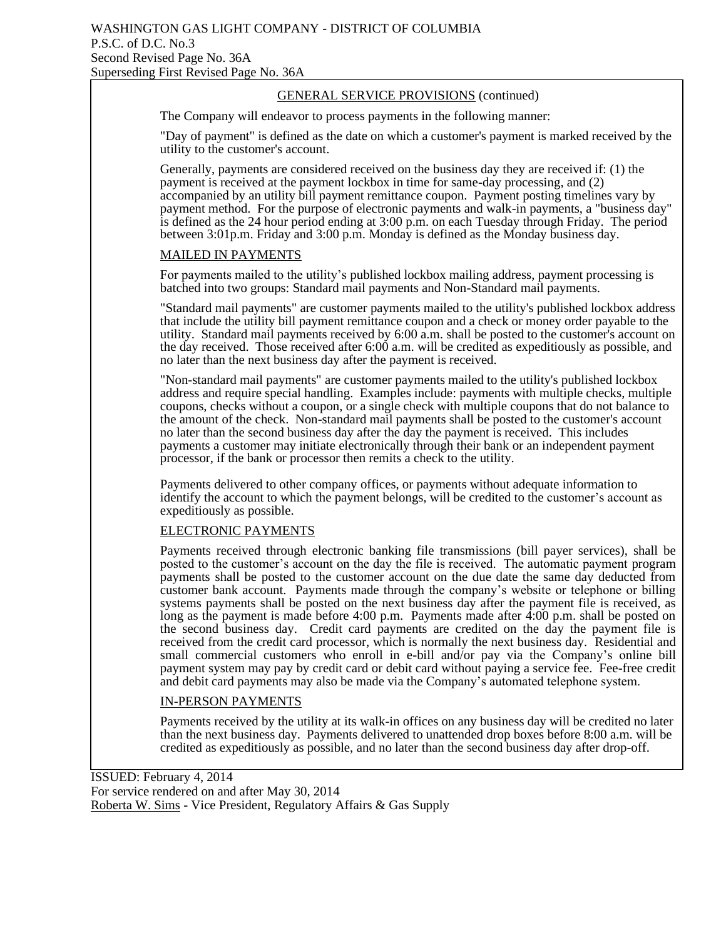The Company will endeavor to process payments in the following manner:

"Day of payment" is defined as the date on which a customer's payment is marked received by the utility to the customer's account.

Generally, payments are considered received on the business day they are received if: (1) the payment is received at the payment lockbox in time for same-day processing, and (2) accompanied by an utility bill payment remittance coupon. Payment posting timelines vary by payment method. For the purpose of electronic payments and walk-in payments, a "business day" is defined as the 24 hour period ending at 3:00 p.m. on each Tuesday through Friday. The period between 3:01p.m. Friday and 3:00 p.m. Monday is defined as the Monday business day.

#### MAILED IN PAYMENTS

For payments mailed to the utility's published lockbox mailing address, payment processing is batched into two groups: Standard mail payments and Non-Standard mail payments.

"Standard mail payments" are customer payments mailed to the utility's published lockbox address that include the utility bill payment remittance coupon and a check or money order payable to the utility. Standard mail payments received by 6:00 a.m. shall be posted to the customer's account on the day received. Those received after 6:00 a.m. will be credited as expeditiously as possible, and no later than the next business day after the payment is received.

"Non-standard mail payments" are customer payments mailed to the utility's published lockbox address and require special handling. Examples include: payments with multiple checks, multiple coupons, checks without a coupon, or a single check with multiple coupons that do not balance to the amount of the check. Non-standard mail payments shall be posted to the customer's account no later than the second business day after the day the payment is received. This includes payments a customer may initiate electronically through their bank or an independent payment processor, if the bank or processor then remits a check to the utility.

Payments delivered to other company offices, or payments without adequate information to identify the account to which the payment belongs, will be credited to the customer's account as expeditiously as possible.

#### ELECTRONIC PAYMENTS

Payments received through electronic banking file transmissions (bill payer services), shall be posted to the customer's account on the day the file is received. The automatic payment program payments shall be posted to the customer account on the due date the same day deducted from customer bank account. Payments made through the company's website or telephone or billing systems payments shall be posted on the next business day after the payment file is received, as long as the payment is made before 4:00 p.m. Payments made after 4:00 p.m. shall be posted on the second business day. Credit card payments are credited on the day the payment file is received from the credit card processor, which is normally the next business day. Residential and small commercial customers who enroll in e-bill and/or pay via the Company's online bill payment system may pay by credit card or debit card without paying a service fee. Fee-free credit and debit card payments may also be made via the Company's automated telephone system.

#### IN-PERSON PAYMENTS

Payments received by the utility at its walk-in offices on any business day will be credited no later than the next business day. Payments delivered to unattended drop boxes before 8:00 a.m. will be credited as expeditiously as possible, and no later than the second business day after drop-off.

ISSUED: February 4, 2014 For service rendered on and after May 30, 2014 Roberta W. Sims - Vice President, Regulatory Affairs & Gas Supply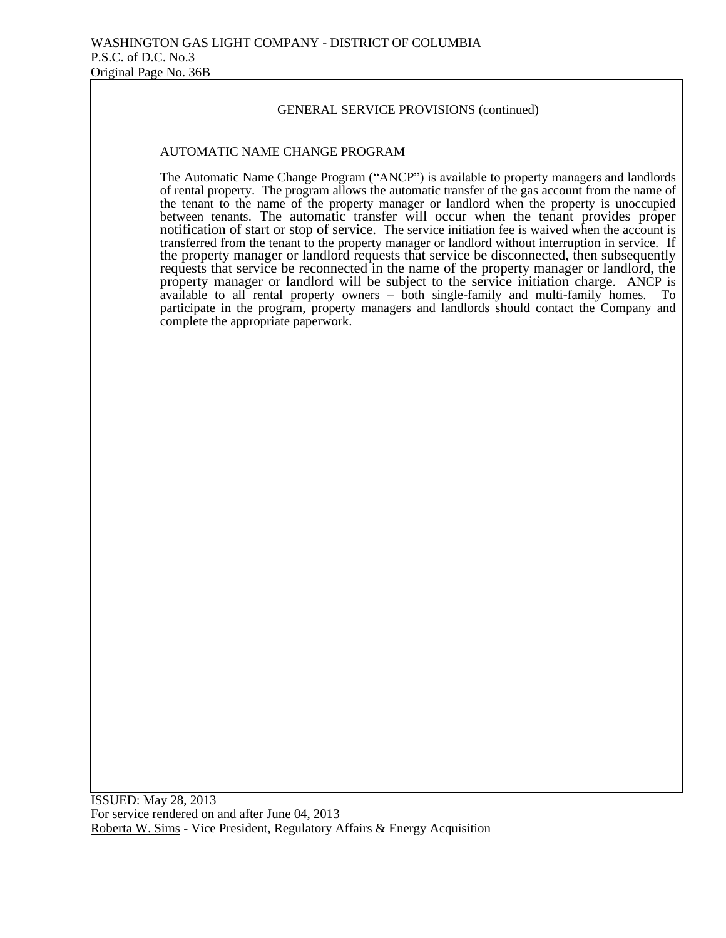#### AUTOMATIC NAME CHANGE PROGRAM

The Automatic Name Change Program ("ANCP") is available to property managers and landlords of rental property. The program allows the automatic transfer of the gas account from the name of the tenant to the name of the property manager or landlord when the property is unoccupied between tenants. The automatic transfer will occur when the tenant provides proper notification of start or stop of service. The service initiation fee is waived when the account is transferred from the tenant to the property manager or landlord without interruption in service. If the property manager or landlord requests that service be disconnected, then subsequently requests that service be reconnected in the name of the property manager or landlord, the property manager or landlord will be subject to the service initiation charge. ANCP is available to all rental property owners – both single-family and multi-family homes. To participate in the program, property managers and landlords should contact the Company and complete the appropriate paperwork.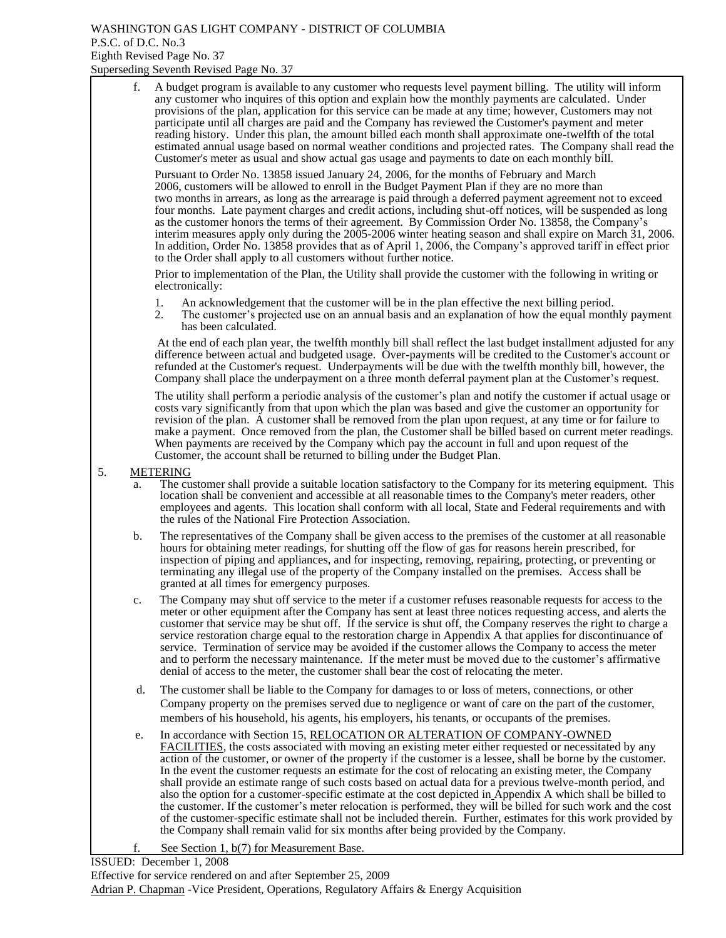#### WASHINGTON GAS LIGHT COMPANY - DISTRICT OF COLUMBIA P.S.C. of D.C. No.3 Eighth Revised Page No. 37 Superseding Seventh Revised Page No. 37

f. A budget program is available to any customer who requests level payment billing. The utility will inform any customer who inquires of this option and explain how the monthly payments are calculated. Under provisions of the plan, application for this service can be made at any time; however, Customers may not participate until all charges are paid and the Company has reviewed the Customer's payment and meter reading history. Under this plan, the amount billed each month shall approximate one-twelfth of the total estimated annual usage based on normal weather conditions and projected rates. The Company shall read the Customer's meter as usual and show actual gas usage and payments to date on each monthly bill.

Pursuant to Order No. 13858 issued January 24, 2006, for the months of February and March 2006, customers will be allowed to enroll in the Budget Payment Plan if they are no more than two months in arrears, as long as the arrearage is paid through a deferred payment agreement not to exceed four months. Late payment charges and credit actions, including shut-off notices, will be suspended as long as the customer honors the terms of their agreement. By Commission Order No. 13858, the Company's interim measures apply only during the 2005-2006 winter heating season and shall expire on March 31, 2006. In addition, Order No. 13858 provides that as of April 1, 2006, the Company's approved tariff in effect prior to the Order shall apply to all customers without further notice.

 Prior to implementation of the Plan, the Utility shall provide the customer with the following in writing or electronically:

- 
- 1. An acknowledgement that the customer will be in the plan effective the next billing period.<br>2. The customer's projected use on an annual basis and an explanation of how the equal montl 2. The customer's projected use on an annual basis and an explanation of how the equal monthly payment has been calculated.

 At the end of each plan year, the twelfth monthly bill shall reflect the last budget installment adjusted for any difference between actual and budgeted usage. Over-payments will be credited to the Customer's account or refunded at the Customer's request. Underpayments will be due with the twelfth monthly bill, however, the Company shall place the underpayment on a three month deferral payment plan at the Customer's request.

The utility shall perform a periodic analysis of the customer's plan and notify the customer if actual usage or costs vary significantly from that upon which the plan was based and give the customer an opportunity for revision of the plan. A customer shall be removed from the plan upon request, at any time or for failure to make a payment. Once removed from the plan, the Customer shall be billed based on current meter readings. When payments are received by the Company which pay the account in full and upon request of the Customer, the account shall be returned to billing under the Budget Plan.

#### 5. METERING

- The customer shall provide a suitable location satisfactory to the Company for its metering equipment. This location shall be convenient and accessible at all reasonable times to the Company's meter readers, other employees and agents. This location shall conform with all local, State and Federal requirements and with the rules of the National Fire Protection Association.
- b. The representatives of the Company shall be given access to the premises of the customer at all reasonable hours for obtaining meter readings, for shutting off the flow of gas for reasons herein prescribed, for inspection of piping and appliances, and for inspecting, removing, repairing, protecting, or preventing or terminating any illegal use of the property of the Company installed on the premises. Access shall be granted at all times for emergency purposes.
- c. The Company may shut off service to the meter if a customer refuses reasonable requests for access to the meter or other equipment after the Company has sent at least three notices requesting access, and alerts the customer that service may be shut off. If the service is shut off, the Company reserves the right to charge a service restoration charge equal to the restoration charge in Appendix A that applies for discontinuance of service. Termination of service may be avoided if the customer allows the Company to access the meter and to perform the necessary maintenance. If the meter must be moved due to the customer's affirmative denial of access to the meter, the customer shall bear the cost of relocating the meter.
- d. The customer shall be liable to the Company for damages to or loss of meters, connections, or other Company property on the premises served due to negligence or want of care on the part of the customer, members of his household, his agents, his employers, his tenants, or occupants of the premises.
- e. In accordance with Section 15, RELOCATION OR ALTERATION OF COMPANY-OWNED FACILITIES, the costs associated with moving an existing meter either requested or necessitated by any action of the customer, or owner of the property if the customer is a lessee, shall be borne by the customer. In the event the customer requests an estimate for the cost of relocating an existing meter, the Company shall provide an estimate range of such costs based on actual data for a previous twelve-month period, and also the option for a customer-specific estimate at the cost depicted in Appendix A which shall be billed to the customer. If the customer's meter relocation is performed, they will be billed for such work and the cost of the customer-specific estimate shall not be included therein. Further, estimates for this work provided by the Company shall remain valid for six months after being provided by the Company.
	- See Section 1, b(7) for Measurement Base.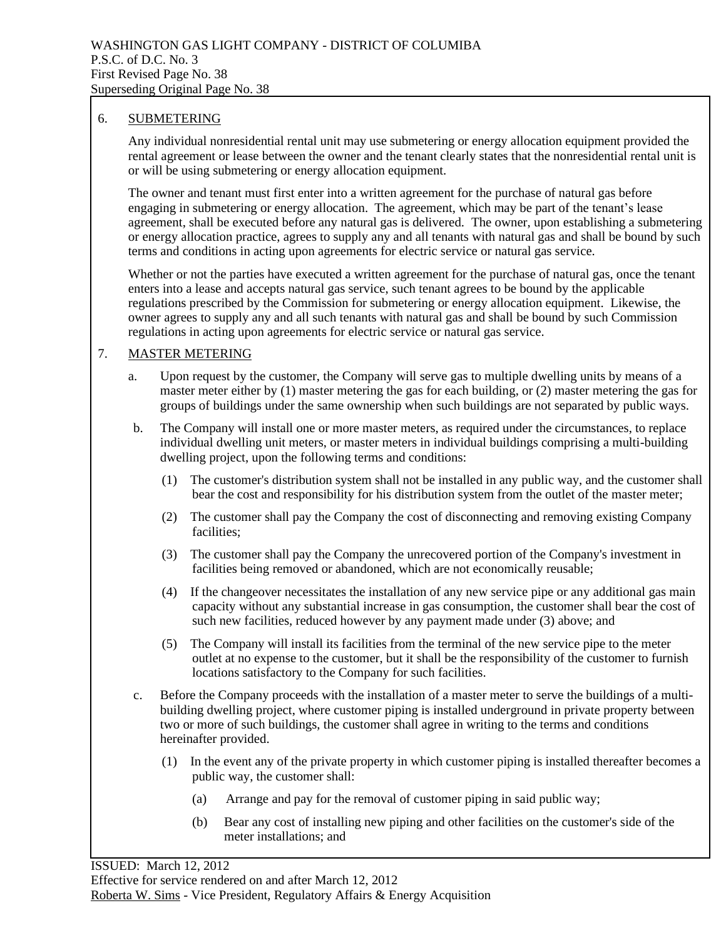#### 6. SUBMETERING

Any individual nonresidential rental unit may use submetering or energy allocation equipment provided the rental agreement or lease between the owner and the tenant clearly states that the nonresidential rental unit is or will be using submetering or energy allocation equipment.

The owner and tenant must first enter into a written agreement for the purchase of natural gas before engaging in submetering or energy allocation. The agreement, which may be part of the tenant's lease agreement, shall be executed before any natural gas is delivered. The owner, upon establishing a submetering or energy allocation practice, agrees to supply any and all tenants with natural gas and shall be bound by such terms and conditions in acting upon agreements for electric service or natural gas service.

Whether or not the parties have executed a written agreement for the purchase of natural gas, once the tenant enters into a lease and accepts natural gas service, such tenant agrees to be bound by the applicable regulations prescribed by the Commission for submetering or energy allocation equipment. Likewise, the owner agrees to supply any and all such tenants with natural gas and shall be bound by such Commission regulations in acting upon agreements for electric service or natural gas service.

#### 7. MASTER METERING

- a. Upon request by the customer, the Company will serve gas to multiple dwelling units by means of a master meter either by (1) master metering the gas for each building, or (2) master metering the gas for groups of buildings under the same ownership when such buildings are not separated by public ways.
- b. The Company will install one or more master meters, as required under the circumstances, to replace individual dwelling unit meters, or master meters in individual buildings comprising a multi-building dwelling project, upon the following terms and conditions:
	- (1) The customer's distribution system shall not be installed in any public way, and the customer shall bear the cost and responsibility for his distribution system from the outlet of the master meter;
	- (2) The customer shall pay the Company the cost of disconnecting and removing existing Company facilities;
	- (3) The customer shall pay the Company the unrecovered portion of the Company's investment in facilities being removed or abandoned, which are not economically reusable;
	- (4) If the changeover necessitates the installation of any new service pipe or any additional gas main capacity without any substantial increase in gas consumption, the customer shall bear the cost of such new facilities, reduced however by any payment made under (3) above; and
	- (5) The Company will install its facilities from the terminal of the new service pipe to the meter outlet at no expense to the customer, but it shall be the responsibility of the customer to furnish locations satisfactory to the Company for such facilities.
- c. Before the Company proceeds with the installation of a master meter to serve the buildings of a multibuilding dwelling project, where customer piping is installed underground in private property between two or more of such buildings, the customer shall agree in writing to the terms and conditions hereinafter provided.
	- (1) In the event any of the private property in which customer piping is installed thereafter becomes a public way, the customer shall:
		- (a) Arrange and pay for the removal of customer piping in said public way;
		- (b) Bear any cost of installing new piping and other facilities on the customer's side of the meter installations; and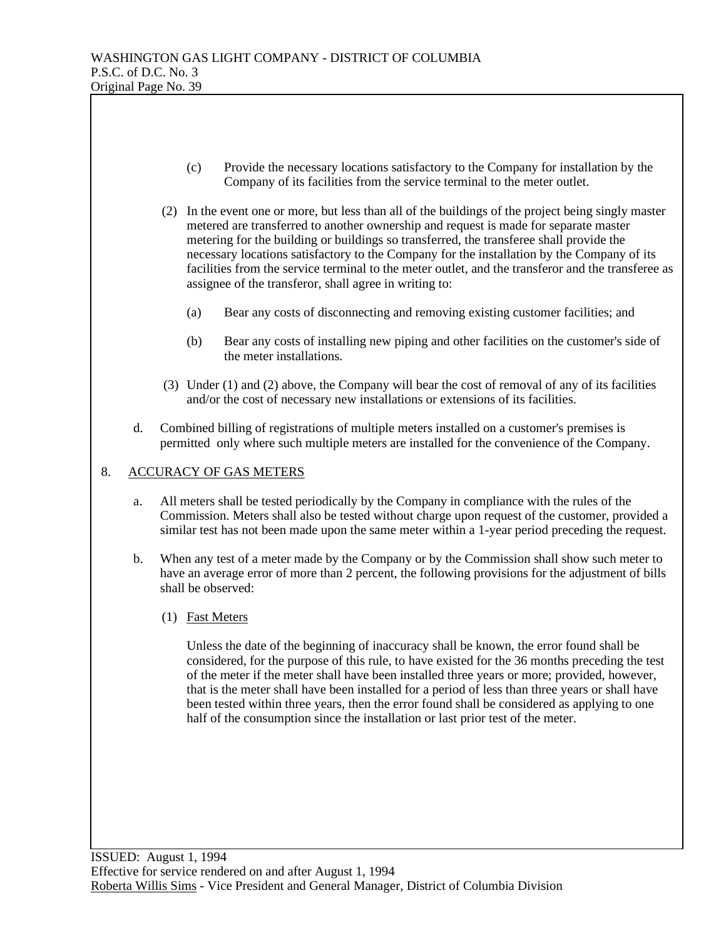- (c) Provide the necessary locations satisfactory to the Company for installation by the Company of its facilities from the service terminal to the meter outlet.
- (2) In the event one or more, but less than all of the buildings of the project being singly master metered are transferred to another ownership and request is made for separate master metering for the building or buildings so transferred, the transferee shall provide the necessary locations satisfactory to the Company for the installation by the Company of its facilities from the service terminal to the meter outlet, and the transferor and the transferee as assignee of the transferor, shall agree in writing to:
	- (a) Bear any costs of disconnecting and removing existing customer facilities; and
	- (b) Bear any costs of installing new piping and other facilities on the customer's side of the meter installations.
- (3) Under (1) and (2) above, the Company will bear the cost of removal of any of its facilities and/or the cost of necessary new installations or extensions of its facilities.
- d. Combined billing of registrations of multiple meters installed on a customer's premises is permitted only where such multiple meters are installed for the convenience of the Company.

#### 8. ACCURACY OF GAS METERS

- a. All meters shall be tested periodically by the Company in compliance with the rules of the Commission. Meters shall also be tested without charge upon request of the customer, provided a similar test has not been made upon the same meter within a 1-year period preceding the request.
- b. When any test of a meter made by the Company or by the Commission shall show such meter to have an average error of more than 2 percent, the following provisions for the adjustment of bills shall be observed:
	- (1) Fast Meters

Unless the date of the beginning of inaccuracy shall be known, the error found shall be considered, for the purpose of this rule, to have existed for the 36 months preceding the test of the meter if the meter shall have been installed three years or more; provided, however, that is the meter shall have been installed for a period of less than three years or shall have been tested within three years, then the error found shall be considered as applying to one half of the consumption since the installation or last prior test of the meter.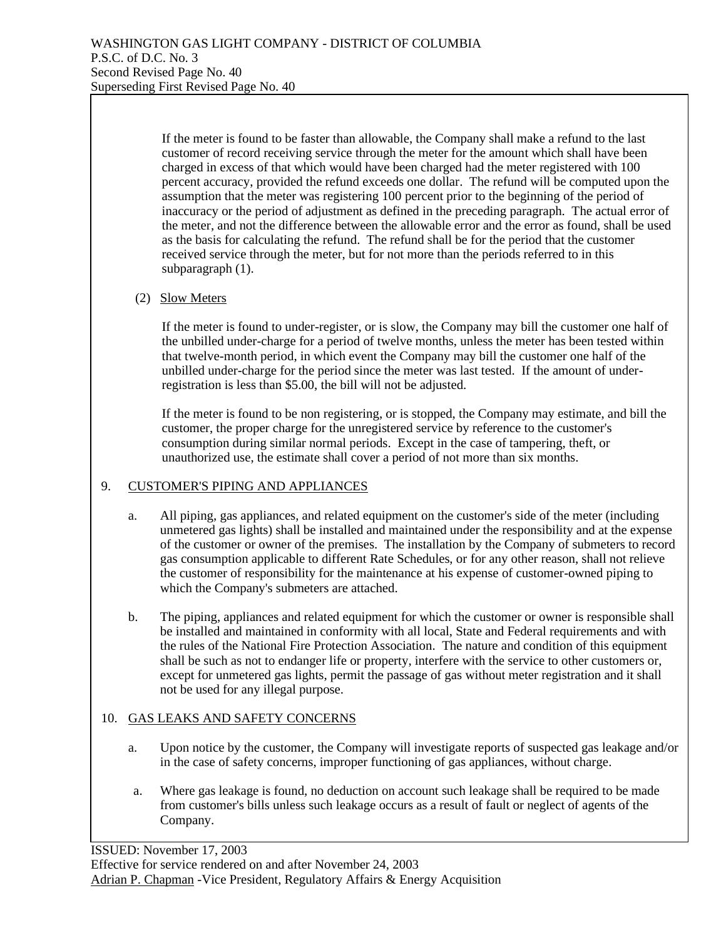If the meter is found to be faster than allowable, the Company shall make a refund to the last customer of record receiving service through the meter for the amount which shall have been charged in excess of that which would have been charged had the meter registered with 100 percent accuracy, provided the refund exceeds one dollar. The refund will be computed upon the assumption that the meter was registering 100 percent prior to the beginning of the period of inaccuracy or the period of adjustment as defined in the preceding paragraph. The actual error of the meter, and not the difference between the allowable error and the error as found, shall be used as the basis for calculating the refund. The refund shall be for the period that the customer received service through the meter, but for not more than the periods referred to in this subparagraph (1).

## (2) Slow Meters

If the meter is found to under-register, or is slow, the Company may bill the customer one half of the unbilled under-charge for a period of twelve months, unless the meter has been tested within that twelve-month period, in which event the Company may bill the customer one half of the unbilled under-charge for the period since the meter was last tested. If the amount of underregistration is less than \$5.00, the bill will not be adjusted.

If the meter is found to be non registering, or is stopped, the Company may estimate, and bill the customer, the proper charge for the unregistered service by reference to the customer's consumption during similar normal periods. Except in the case of tampering, theft, or unauthorized use, the estimate shall cover a period of not more than six months.

## 9. CUSTOMER'S PIPING AND APPLIANCES

- a. All piping, gas appliances, and related equipment on the customer's side of the meter (including unmetered gas lights) shall be installed and maintained under the responsibility and at the expense of the customer or owner of the premises. The installation by the Company of submeters to record gas consumption applicable to different Rate Schedules, or for any other reason, shall not relieve the customer of responsibility for the maintenance at his expense of customer-owned piping to which the Company's submeters are attached.
- b. The piping, appliances and related equipment for which the customer or owner is responsible shall be installed and maintained in conformity with all local, State and Federal requirements and with the rules of the National Fire Protection Association. The nature and condition of this equipment shall be such as not to endanger life or property, interfere with the service to other customers or, except for unmetered gas lights, permit the passage of gas without meter registration and it shall not be used for any illegal purpose.

## 10. GAS LEAKS AND SAFETY CONCERNS

- a. Upon notice by the customer, the Company will investigate reports of suspected gas leakage and/or in the case of safety concerns, improper functioning of gas appliances, without charge.
- a. Where gas leakage is found, no deduction on account such leakage shall be required to be made from customer's bills unless such leakage occurs as a result of fault or neglect of agents of the Company.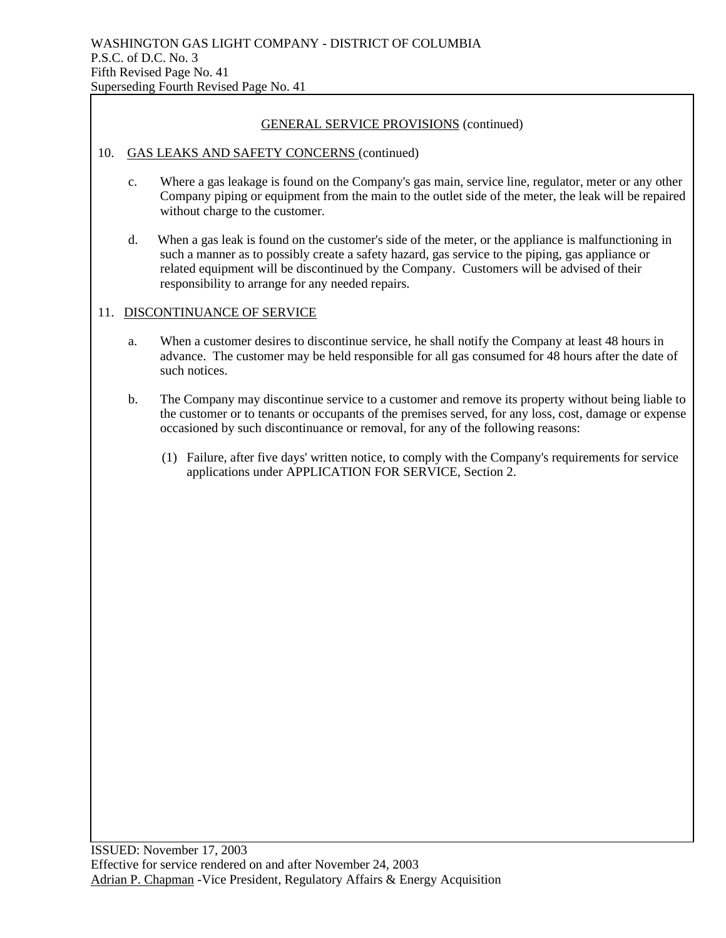#### 10. GAS LEAKS AND SAFETY CONCERNS (continued)

- c. Where a gas leakage is found on the Company's gas main, service line, regulator, meter or any other Company piping or equipment from the main to the outlet side of the meter, the leak will be repaired without charge to the customer.
- d. When a gas leak is found on the customer's side of the meter, or the appliance is malfunctioning in such a manner as to possibly create a safety hazard, gas service to the piping, gas appliance or related equipment will be discontinued by the Company. Customers will be advised of their responsibility to arrange for any needed repairs.

### 11. DISCONTINUANCE OF SERVICE

- a. When a customer desires to discontinue service, he shall notify the Company at least 48 hours in advance. The customer may be held responsible for all gas consumed for 48 hours after the date of such notices.
- b. The Company may discontinue service to a customer and remove its property without being liable to the customer or to tenants or occupants of the premises served, for any loss, cost, damage or expense occasioned by such discontinuance or removal, for any of the following reasons:
	- (1) Failure, after five days' written notice, to comply with the Company's requirements for service applications under APPLICATION FOR SERVICE, Section 2.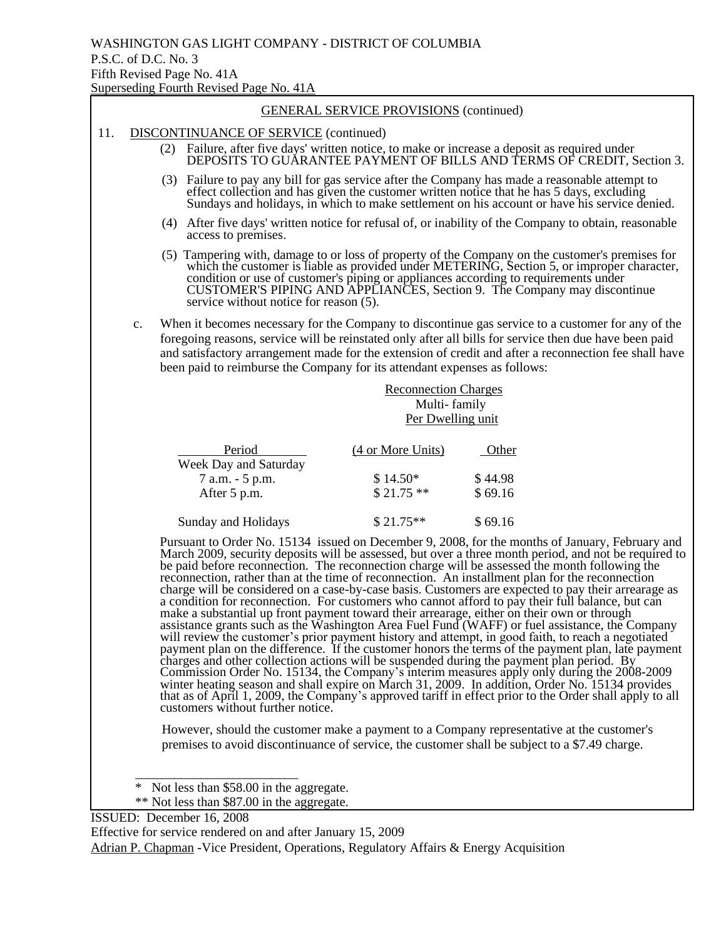#### 11. DISCONTINUANCE OF SERVICE (continued)

- (2) Failure, after five days' written notice, to make or increase a deposit as required under DEPOSITS TO GUARANTEE PAYMENT OF BILLS AND TERMS OF CREDIT, Section 3.
- (3) Failure to pay any bill for gas service after the Company has made a reasonable attempt to effect collection and has given the customer written notice that he has 5 days, excluding Sundays and holidays, in which to make settlement on his account or have his service denied.
- (4) After five days' written notice for refusal of, or inability of the Company to obtain, reasonable access to premises.
- (5) Tampering with, damage to or loss of property of the Company on the customer's premises for which the customer is liable as provided under METERING, Section 5, or improper character, condition or use of customer's piping or appliances according to requirements under CUSTOMER'S PIPING AND APPLIANCES, Section 9. The Company may discontinue service without notice for reason (5).
- c. When it becomes necessary for the Company to discontinue gas service to a customer for any of the foregoing reasons, service will be reinstated only after all bills for service then due have been paid and satisfactory arrangement made for the extension of credit and after a reconnection fee shall have been paid to reimburse the Company for its attendant expenses as follows:

|                                 | <b>Reconnection Charges</b><br>Multi-family<br>Per Dwelling unit |          |
|---------------------------------|------------------------------------------------------------------|----------|
| Period<br>Week Day and Saturday | (4 or More Units)                                                | Other    |
| 7 a.m. - 5 p.m.                 | $$14.50*$                                                        | \$44.98  |
| After 5 p.m.                    | $$21.75**$                                                       | \$69.16  |
| Sunday and Holidays             | $$21.75**$                                                       | \$ 69.16 |

 Pursuant to Order No. 15134 issued on December 9, 2008, for the months of January, February and March 2009, security deposits will be assessed, but over a three month period, and not be required to be paid before reconnection. The reconnection charge will be assessed the month following the reconnection, rather than at the time of reconnection. An installment plan for the reconnection charge will be considered on a case-by-case basis. Customers are expected to pay their arrearage as a condition for reconnection. For customers who cannot afford to pay their full balance, but can make a substantial up front payment toward their arrearage, either on their own or through assistance grants such as the Washington Area Fuel Fund (WAFF) or fuel assistance, the Company will review the customer's prior payment history and attempt, in good faith, to reach a negotiated payment plan on the difference. If the customer honors the terms of the payment plan, late payment charges and other collection actions will be suspended during the payment plan period. By Commission Order No. 15134, the Company's interim measures apply only during the 2008-2009 winter heating season and shall expire on March 31, 2009. In addition, Order No. 15134 provides that as of April 1, 2009, the Company's approved tariff in effect prior to the Order shall apply to all customers without further notice.

However, should the customer make a payment to a Company representative at the customer's premises to avoid discontinuance of service, the customer shall be subject to a \$7.49 charge.

\_\_\_\_\_\_\_\_\_\_\_\_\_\_\_\_\_\_\_\_\_\_\_\_\_

ISSUED: December 16, 2008

Effective for service rendered on and after January 15, 2009

Adrian P. Chapman -Vice President, Operations, Regulatory Affairs & Energy Acquisition

<sup>\*</sup> Not less than \$58.00 in the aggregate.

<sup>\*\*</sup> Not less than \$87.00 in the aggregate.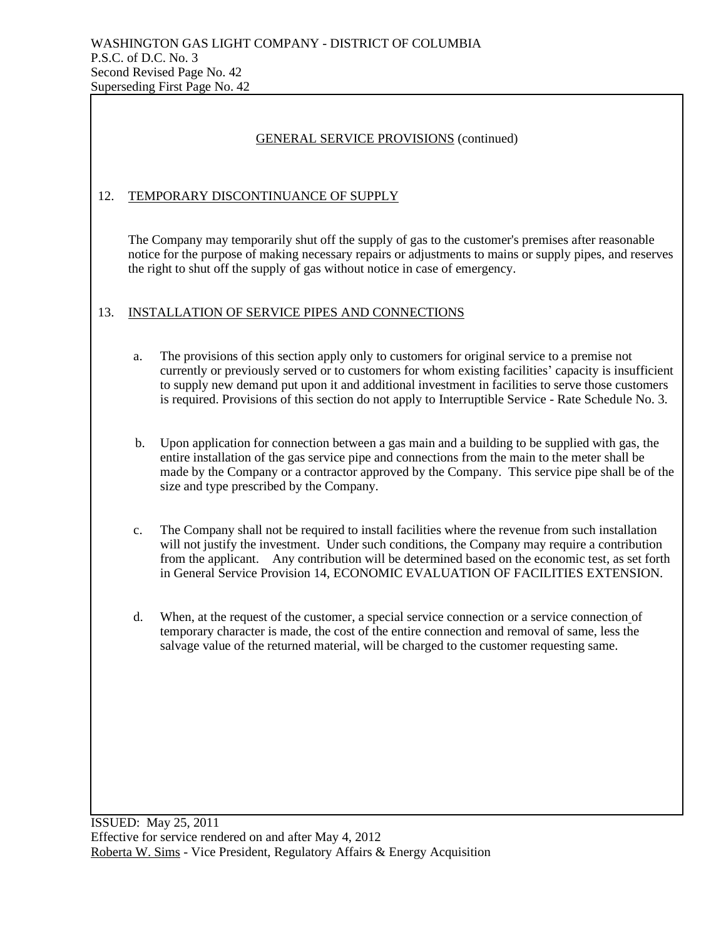## 12. TEMPORARY DISCONTINUANCE OF SUPPLY

The Company may temporarily shut off the supply of gas to the customer's premises after reasonable notice for the purpose of making necessary repairs or adjustments to mains or supply pipes, and reserves the right to shut off the supply of gas without notice in case of emergency.

### 13. INSTALLATION OF SERVICE PIPES AND CONNECTIONS

- a. The provisions of this section apply only to customers for original service to a premise not currently or previously served or to customers for whom existing facilities' capacity is insufficient to supply new demand put upon it and additional investment in facilities to serve those customers is required. Provisions of this section do not apply to Interruptible Service - Rate Schedule No. 3.
- b. Upon application for connection between a gas main and a building to be supplied with gas, the entire installation of the gas service pipe and connections from the main to the meter shall be made by the Company or a contractor approved by the Company. This service pipe shall be of the size and type prescribed by the Company.
- c. The Company shall not be required to install facilities where the revenue from such installation will not justify the investment. Under such conditions, the Company may require a contribution from the applicant. Any contribution will be determined based on the economic test, as set forth in General Service Provision 14, ECONOMIC EVALUATION OF FACILITIES EXTENSION.
- d. When, at the request of the customer, a special service connection or a service connection of temporary character is made, the cost of the entire connection and removal of same, less the salvage value of the returned material, will be charged to the customer requesting same.

ISSUED: May 25, 2011 Effective for service rendered on and after May 4, 2012 Roberta W. Sims - Vice President, Regulatory Affairs & Energy Acquisition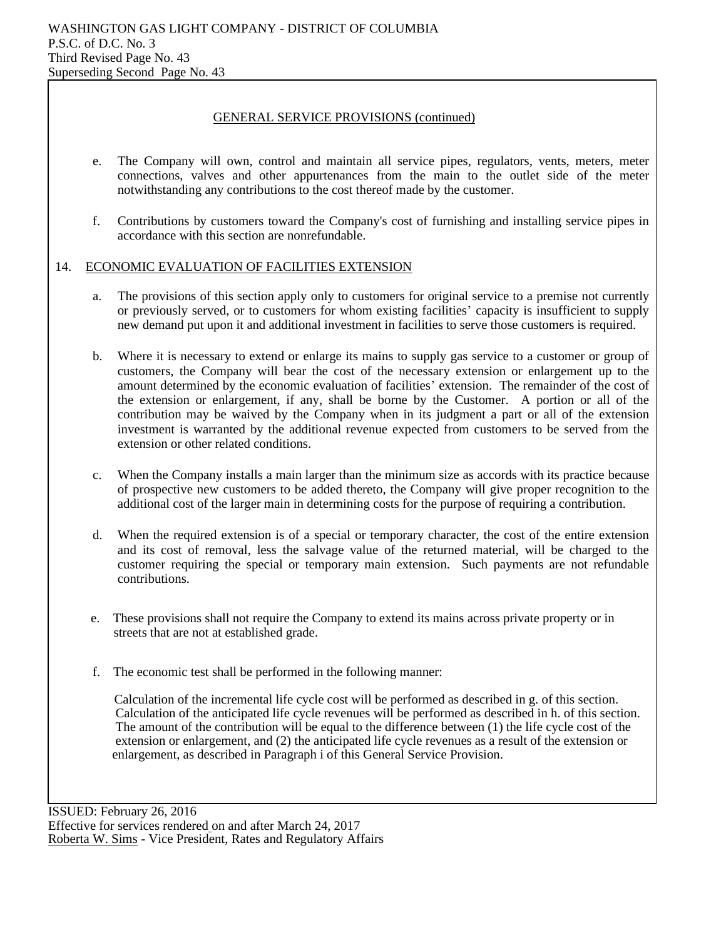- e. The Company will own, control and maintain all service pipes, regulators, vents, meters, meter connections, valves and other appurtenances from the main to the outlet side of the meter notwithstanding any contributions to the cost thereof made by the customer.
- f. Contributions by customers toward the Company's cost of furnishing and installing service pipes in accordance with this section are nonrefundable.

### 14. ECONOMIC EVALUATION OF FACILITIES EXTENSION

- a. The provisions of this section apply only to customers for original service to a premise not currently or previously served, or to customers for whom existing facilities' capacity is insufficient to supply new demand put upon it and additional investment in facilities to serve those customers is required.
- b. Where it is necessary to extend or enlarge its mains to supply gas service to a customer or group of customers, the Company will bear the cost of the necessary extension or enlargement up to the amount determined by the economic evaluation of facilities' extension. The remainder of the cost of the extension or enlargement, if any, shall be borne by the Customer. A portion or all of the contribution may be waived by the Company when in its judgment a part or all of the extension investment is warranted by the additional revenue expected from customers to be served from the extension or other related conditions.
- c. When the Company installs a main larger than the minimum size as accords with its practice because of prospective new customers to be added thereto, the Company will give proper recognition to the additional cost of the larger main in determining costs for the purpose of requiring a contribution.
- d. When the required extension is of a special or temporary character, the cost of the entire extension and its cost of removal, less the salvage value of the returned material, will be charged to the customer requiring the special or temporary main extension. Such payments are not refundable contributions.
- e. These provisions shall not require the Company to extend its mains across private property or in streets that are not at established grade.
- f. The economic test shall be performed in the following manner:

 Calculation of the incremental life cycle cost will be performed as described in g. of this section. Calculation of the anticipated life cycle revenues will be performed as described in h. of this section. The amount of the contribution will be equal to the difference between (1) the life cycle cost of the extension or enlargement, and (2) the anticipated life cycle revenues as a result of the extension or enlargement, as described in Paragraph i of this General Service Provision.

ISSUED: February 26, 2016 Effective for services rendered on and after March 24, 2017 Roberta W. Sims - Vice President, Rates and Regulatory Affairs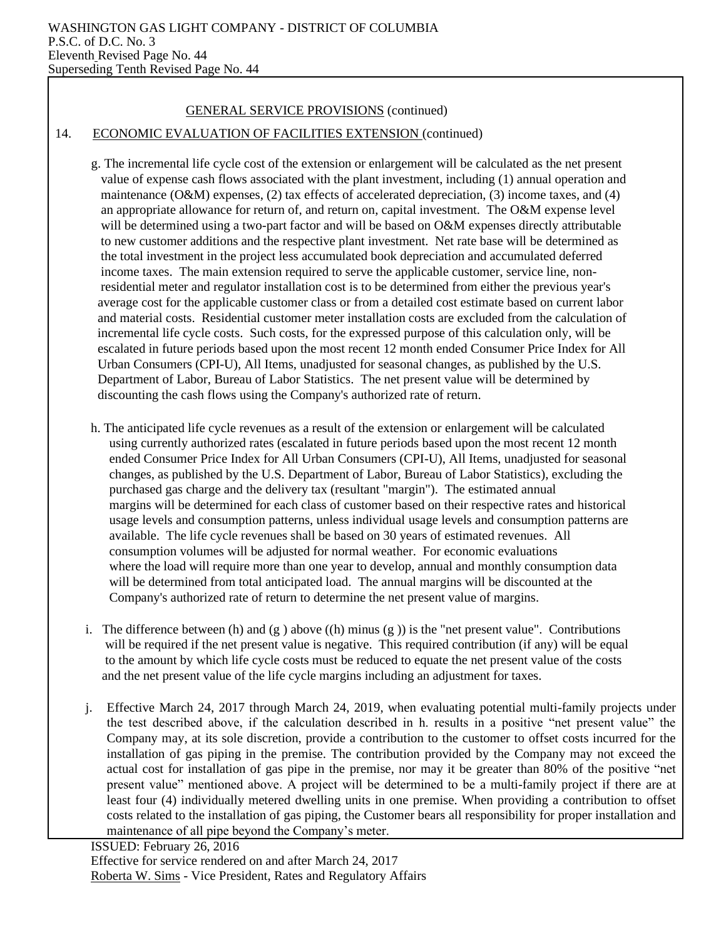#### 14. ECONOMIC EVALUATION OF FACILITIES EXTENSION (continued)

- g. The incremental life cycle cost of the extension or enlargement will be calculated as the net present value of expense cash flows associated with the plant investment, including (1) annual operation and maintenance (O&M) expenses, (2) tax effects of accelerated depreciation, (3) income taxes, and (4) an appropriate allowance for return of, and return on, capital investment. The O&M expense level will be determined using a two-part factor and will be based on O&M expenses directly attributable to new customer additions and the respective plant investment. Net rate base will be determined as the total investment in the project less accumulated book depreciation and accumulated deferred income taxes. The main extension required to serve the applicable customer, service line, non residential meter and regulator installation cost is to be determined from either the previous year's average cost for the applicable customer class or from a detailed cost estimate based on current labor and material costs. Residential customer meter installation costs are excluded from the calculation of incremental life cycle costs. Such costs, for the expressed purpose of this calculation only, will be escalated in future periods based upon the most recent 12 month ended Consumer Price Index for All Urban Consumers (CPI-U), All Items, unadjusted for seasonal changes, as published by the U.S. Department of Labor, Bureau of Labor Statistics. The net present value will be determined by discounting the cash flows using the Company's authorized rate of return.
- h. The anticipated life cycle revenues as a result of the extension or enlargement will be calculated using currently authorized rates (escalated in future periods based upon the most recent 12 month ended Consumer Price Index for All Urban Consumers (CPI-U), All Items, unadjusted for seasonal changes, as published by the U.S. Department of Labor, Bureau of Labor Statistics), excluding the purchased gas charge and the delivery tax (resultant "margin"). The estimated annual margins will be determined for each class of customer based on their respective rates and historical usage levels and consumption patterns, unless individual usage levels and consumption patterns are available. The life cycle revenues shall be based on 30 years of estimated revenues.All consumption volumes will be adjusted for normal weather. For economic evaluations where the load will require more than one year to develop, annual and monthly consumption data will be determined from total anticipated load. The annual margins will be discounted at the Company's authorized rate of return to determine the net present value of margins.
- i. The difference between (h) and (g) above ((h) minus (g)) is the "net present value". Contributions will be required if the net present value is negative. This required contribution (if any) will be equal to the amount by which life cycle costs must be reduced to equate the net present value of the costs and the net present value of the life cycle margins including an adjustment for taxes.
- j. Effective March 24, 2017 through March 24, 2019, when evaluating potential multi-family projects under the test described above, if the calculation described in h. results in a positive "net present value" the Company may, at its sole discretion, provide a contribution to the customer to offset costs incurred for the installation of gas piping in the premise. The contribution provided by the Company may not exceed the actual cost for installation of gas pipe in the premise, nor may it be greater than 80% of the positive "net present value" mentioned above. A project will be determined to be a multi-family project if there are at least four (4) individually metered dwelling units in one premise. When providing a contribution to offset costs related to the installation of gas piping, the Customer bears all responsibility for proper installation and maintenance of all pipe beyond the Company's meter.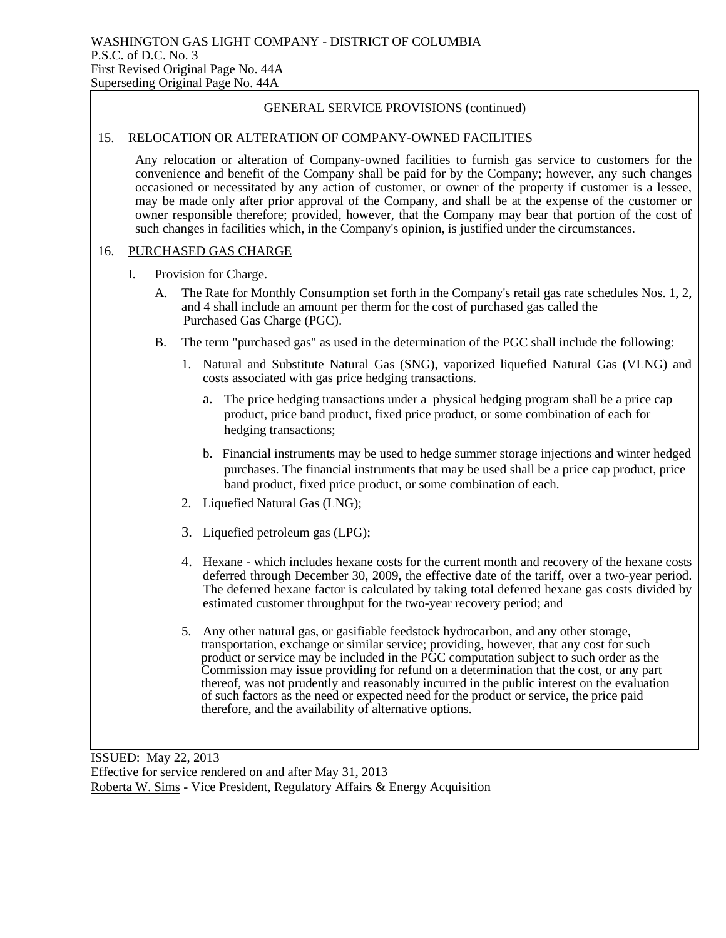#### 15. RELOCATION OR ALTERATION OF COMPANY-OWNED FACILITIES

Any relocation or alteration of Company-owned facilities to furnish gas service to customers for the convenience and benefit of the Company shall be paid for by the Company; however, any such changes occasioned or necessitated by any action of customer, or owner of the property if customer is a lessee, may be made only after prior approval of the Company, and shall be at the expense of the customer or owner responsible therefore; provided, however, that the Company may bear that portion of the cost of such changes in facilities which, in the Company's opinion, is justified under the circumstances.

#### 16. PURCHASED GAS CHARGE

- I. Provision for Charge.
	- A. The Rate for Monthly Consumption set forth in the Company's retail gas rate schedules Nos. 1, 2, and 4 shall include an amount per therm for the cost of purchased gas called the Purchased Gas Charge (PGC).
	- B. The term "purchased gas" as used in the determination of the PGC shall include the following:
		- 1. Natural and Substitute Natural Gas (SNG), vaporized liquefied Natural Gas (VLNG) and costs associated with gas price hedging transactions.
			- a. The price hedging transactions under a physical hedging program shall be a price cap product, price band product, fixed price product, or some combination of each for hedging transactions;
			- b. Financial instruments may be used to hedge summer storage injections and winter hedged purchases. The financial instruments that may be used shall be a price cap product, price band product, fixed price product, or some combination of each.
		- 2. Liquefied Natural Gas (LNG);
		- 3. Liquefied petroleum gas (LPG);
		- 4. Hexane which includes hexane costs for the current month and recovery of the hexane costs deferred through December 30, 2009, the effective date of the tariff, over a two-year period. The deferred hexane factor is calculated by taking total deferred hexane gas costs divided by estimated customer throughput for the two-year recovery period; and
		- 5. Any other natural gas, or gasifiable feedstock hydrocarbon, and any other storage, transportation, exchange or similar service; providing, however, that any cost for such product or service may be included in the PGC computation subject to such order as the Commission may issue providing for refund on a determination that the cost, or any part thereof, was not prudently and reasonably incurred in the public interest on the evaluation of such factors as the need or expected need for the product or service, the price paid therefore, and the availability of alternative options.

ISSUED: May 22, 2013 Effective for service rendered on and after May 31, 2013 Roberta W. Sims - Vice President, Regulatory Affairs & Energy Acquisition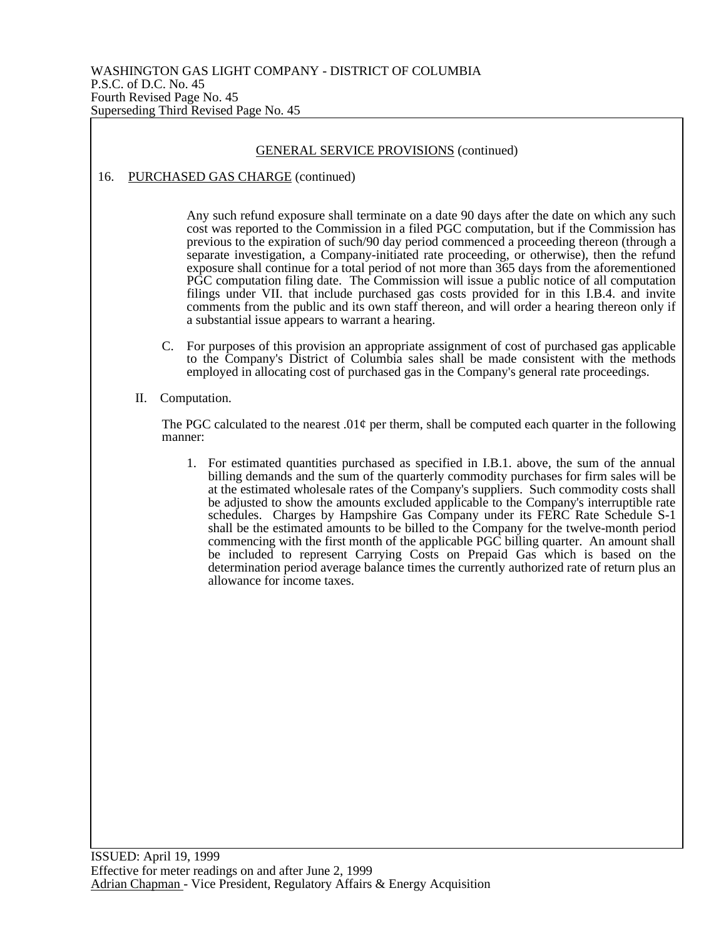## GENERAL SERVICE PROVISIONS (continued) 16. PURCHASED GAS CHARGE (continued) Any such refund exposure shall terminate on a date 90 days after the date on which any such cost was reported to the Commission in a filed PGC computation, but if the Commission has previous to the expiration of such/90 day period commenced a proceeding thereon (through a separate investigation, a Company-initiated rate proceeding, or otherwise), then the refund exposure shall continue for a total period of not more than 365 days from the aforementioned PGC computation filing date. The Commission will issue a public notice of all computation filings under VII. that include purchased gas costs provided for in this I.B.4. and invite comments from the public and its own staff thereon, and will order a hearing thereon only if a substantial issue appears to warrant a hearing. C. For purposes of this provision an appropriate assignment of cost of purchased gas applicable to the Company's District of Columbia sales shall be made consistent with the methods employed in allocating cost of purchased gas in the Company's general rate proceedings.

II. Computation.

The PGC calculated to the nearest .01 $\varphi$  per therm, shall be computed each quarter in the following manner:

1. For estimated quantities purchased as specified in I.B.1. above, the sum of the annual billing demands and the sum of the quarterly commodity purchases for firm sales will be at the estimated wholesale rates of the Company's suppliers. Such commodity costs shall be adjusted to show the amounts excluded applicable to the Company's interruptible rate schedules. Charges by Hampshire Gas Company under its FERC Rate Schedule S-1 shall be the estimated amounts to be billed to the Company for the twelve-month period commencing with the first month of the applicable PGC billing quarter. An amount shall be included to represent Carrying Costs on Prepaid Gas which is based on the determination period average balance times the currently authorized rate of return plus an allowance for income taxes.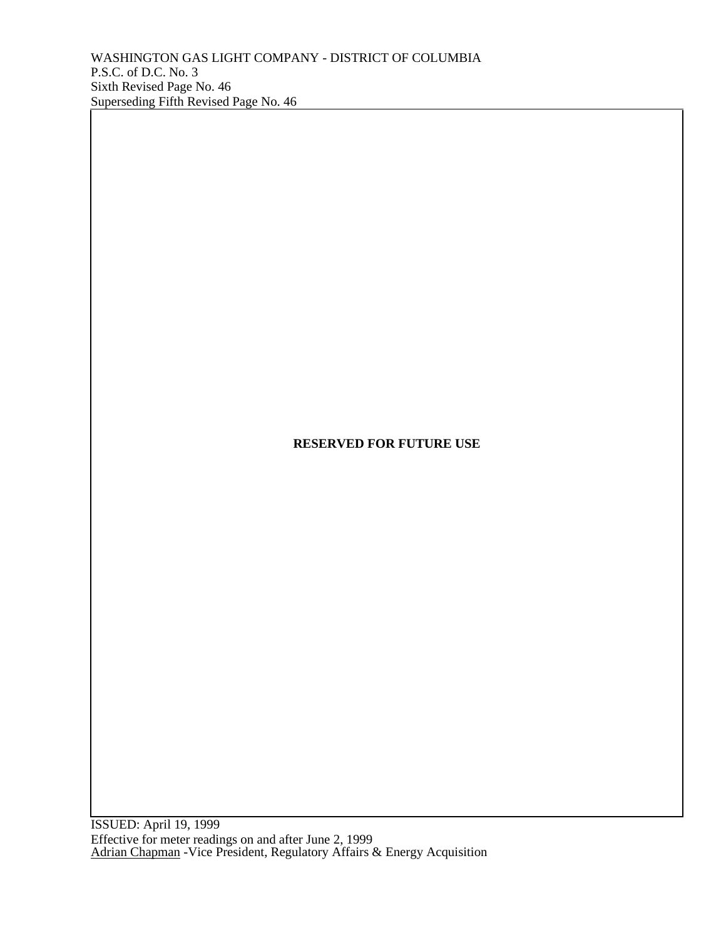ISSUED: April 19, 1999 Effective for meter readings on and after June 2, 1999 Adrian Chapman - Vice President, Regulatory Affairs & Energy Acquisition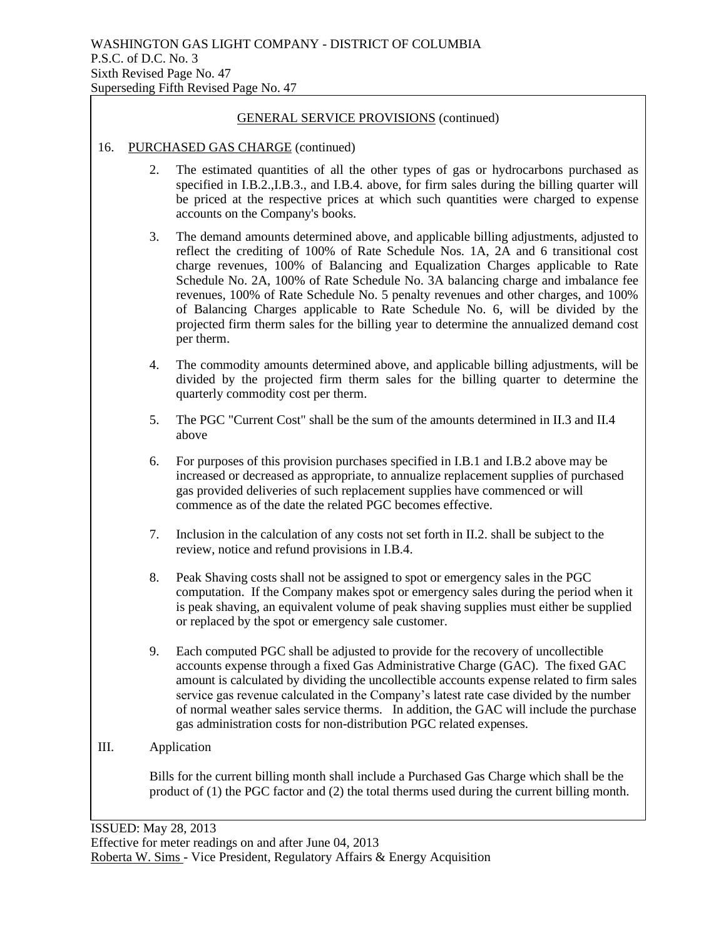#### 16. PURCHASED GAS CHARGE (continued)

- 2. The estimated quantities of all the other types of gas or hydrocarbons purchased as specified in I.B.2.,I.B.3., and I.B.4. above, for firm sales during the billing quarter will be priced at the respective prices at which such quantities were charged to expense accounts on the Company's books.
- 3. The demand amounts determined above, and applicable billing adjustments, adjusted to reflect the crediting of 100% of Rate Schedule Nos. 1A, 2A and 6 transitional cost charge revenues, 100% of Balancing and Equalization Charges applicable to Rate Schedule No. 2A, 100% of Rate Schedule No. 3A balancing charge and imbalance fee revenues, 100% of Rate Schedule No. 5 penalty revenues and other charges, and 100% of Balancing Charges applicable to Rate Schedule No. 6, will be divided by the projected firm therm sales for the billing year to determine the annualized demand cost per therm.
- 4. The commodity amounts determined above, and applicable billing adjustments, will be divided by the projected firm therm sales for the billing quarter to determine the quarterly commodity cost per therm.
- 5. The PGC "Current Cost" shall be the sum of the amounts determined in II.3 and II.4 above
- 6. For purposes of this provision purchases specified in I.B.1 and I.B.2 above may be increased or decreased as appropriate, to annualize replacement supplies of purchased gas provided deliveries of such replacement supplies have commenced or will commence as of the date the related PGC becomes effective.
- 7. Inclusion in the calculation of any costs not set forth in II.2. shall be subject to the review, notice and refund provisions in I.B.4.
- 8. Peak Shaving costs shall not be assigned to spot or emergency sales in the PGC computation. If the Company makes spot or emergency sales during the period when it is peak shaving, an equivalent volume of peak shaving supplies must either be supplied or replaced by the spot or emergency sale customer.
- 9. Each computed PGC shall be adjusted to provide for the recovery of uncollectible accounts expense through a fixed Gas Administrative Charge (GAC). The fixed GAC amount is calculated by dividing the uncollectible accounts expense related to firm sales service gas revenue calculated in the Company's latest rate case divided by the number of normal weather sales service therms. In addition, the GAC will include the purchase gas administration costs for non-distribution PGC related expenses.

#### III. Application

Bills for the current billing month shall include a Purchased Gas Charge which shall be the product of (1) the PGC factor and (2) the total therms used during the current billing month.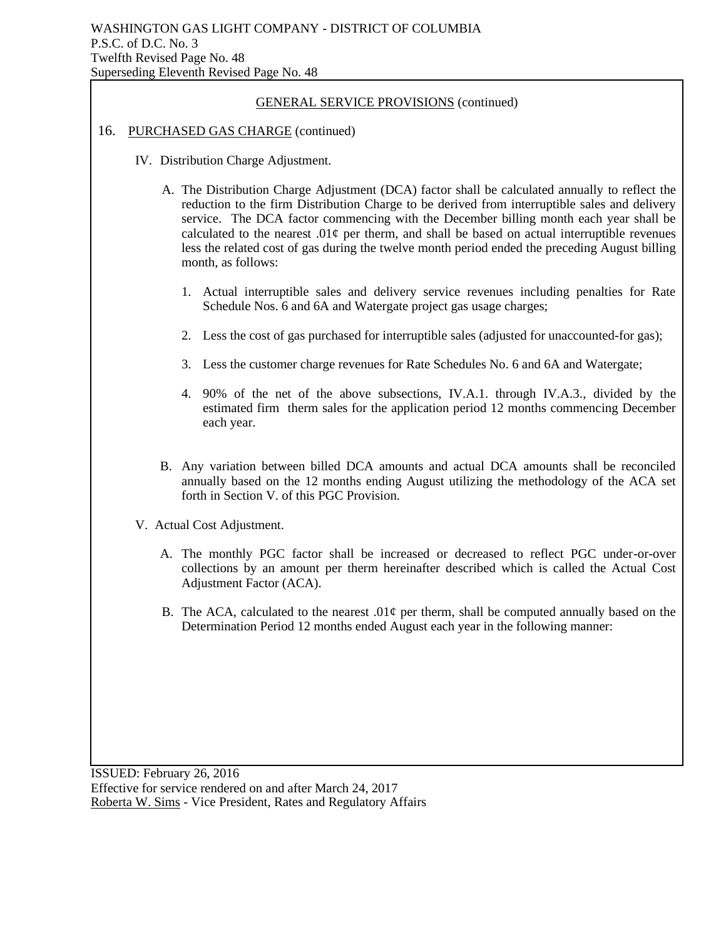#### 16. PURCHASED GAS CHARGE (continued)

- IV. Distribution Charge Adjustment.
	- A. The Distribution Charge Adjustment (DCA) factor shall be calculated annually to reflect the reduction to the firm Distribution Charge to be derived from interruptible sales and delivery service. The DCA factor commencing with the December billing month each year shall be calculated to the nearest .01 $\varphi$  per therm, and shall be based on actual interruptible revenues less the related cost of gas during the twelve month period ended the preceding August billing month, as follows:
		- 1. Actual interruptible sales and delivery service revenues including penalties for Rate Schedule Nos. 6 and 6A and Watergate project gas usage charges;
		- 2. Less the cost of gas purchased for interruptible sales (adjusted for unaccounted-for gas);
		- 3. Less the customer charge revenues for Rate Schedules No. 6 and 6A and Watergate;
		- 4. 90% of the net of the above subsections, IV.A.1. through IV.A.3., divided by the estimated firm therm sales for the application period 12 months commencing December each year.
	- B. Any variation between billed DCA amounts and actual DCA amounts shall be reconciled annually based on the 12 months ending August utilizing the methodology of the ACA set forth in Section V. of this PGC Provision.
- V. Actual Cost Adjustment.
	- A. The monthly PGC factor shall be increased or decreased to reflect PGC under-or-over collections by an amount per therm hereinafter described which is called the Actual Cost Adjustment Factor (ACA).
	- B. The ACA, calculated to the nearest  $.01\phi$  per therm, shall be computed annually based on the Determination Period 12 months ended August each year in the following manner: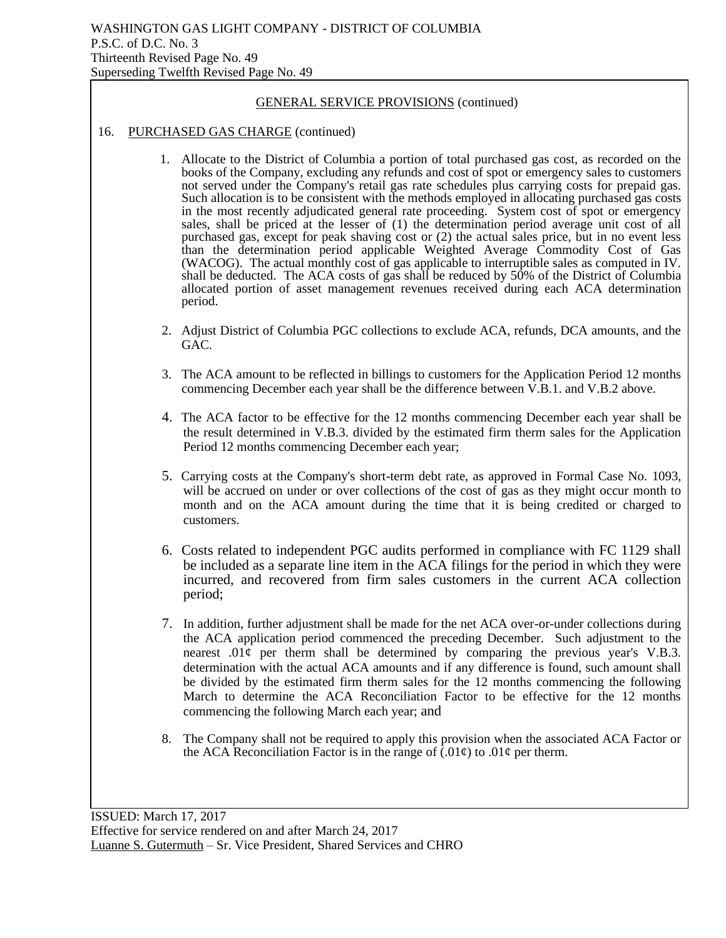#### 16. PURCHASED GAS CHARGE (continued)

- 1. Allocate to the District of Columbia a portion of total purchased gas cost, as recorded on the books of the Company, excluding any refunds and cost of spot or emergency sales to customers not served under the Company's retail gas rate schedules plus carrying costs for prepaid gas. Such allocation is to be consistent with the methods employed in allocating purchased gas costs in the most recently adjudicated general rate proceeding. System cost of spot or emergency sales, shall be priced at the lesser of (1) the determination period average unit cost of all purchased gas, except for peak shaving cost or (2) the actual sales price, but in no event less than the determination period applicable Weighted Average Commodity Cost of Gas (WACOG). The actual monthly cost of gas applicable to interruptible sales as computed in IV. shall be deducted. The ACA costs of gas shall be reduced by 50% of the District of Columbia allocated portion of asset management revenues received during each ACA determination period.
- 2. Adjust District of Columbia PGC collections to exclude ACA, refunds, DCA amounts, and the GAC.
- 3. The ACA amount to be reflected in billings to customers for the Application Period 12 months commencing December each year shall be the difference between V.B.1. and V.B.2 above.
- 4. The ACA factor to be effective for the 12 months commencing December each year shall be the result determined in V.B.3. divided by the estimated firm therm sales for the Application Period 12 months commencing December each year;
- 5. Carrying costs at the Company's short-term debt rate, as approved in Formal Case No. 1093, will be accrued on under or over collections of the cost of gas as they might occur month to month and on the ACA amount during the time that it is being credited or charged to customers.
- 6. Costs related to independent PGC audits performed in compliance with FC 1129 shall be included as a separate line item in the ACA filings for the period in which they were incurred, and recovered from firm sales customers in the current ACA collection period;
- 7. In addition, further adjustment shall be made for the net ACA over-or-under collections during the ACA application period commenced the preceding December. Such adjustment to the nearest  $.01¢$  per therm shall be determined by comparing the previous year's V.B.3. determination with the actual ACA amounts and if any difference is found, such amount shall be divided by the estimated firm therm sales for the 12 months commencing the following March to determine the ACA Reconciliation Factor to be effective for the 12 months commencing the following March each year; and
- 8. The Company shall not be required to apply this provision when the associated ACA Factor or the ACA Reconciliation Factor is in the range of  $(0.01\varphi)$  to  $0.01\varphi$  per therm.

ISSUED: March 17, 2017 Effective for service rendered on and after March 24, 2017 Luanne S. Gutermuth – Sr. Vice President, Shared Services and CHRO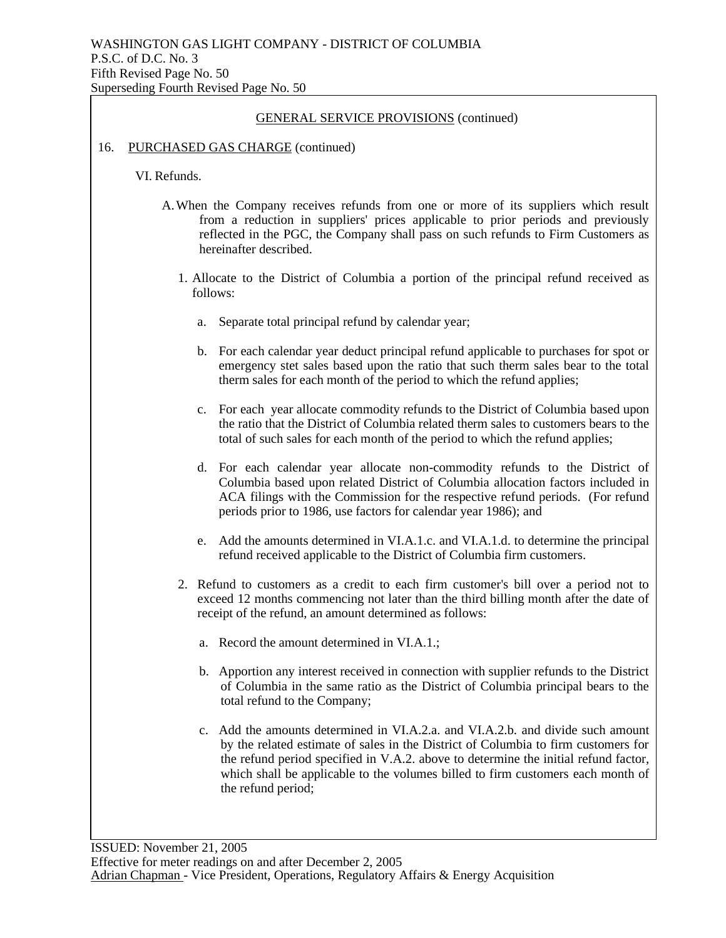#### 16. PURCHASED GAS CHARGE (continued)

VI. Refunds.

- A.When the Company receives refunds from one or more of its suppliers which result from a reduction in suppliers' prices applicable to prior periods and previously reflected in the PGC, the Company shall pass on such refunds to Firm Customers as hereinafter described.
	- 1. Allocate to the District of Columbia a portion of the principal refund received as follows:
		- a. Separate total principal refund by calendar year;
		- b. For each calendar year deduct principal refund applicable to purchases for spot or emergency stet sales based upon the ratio that such therm sales bear to the total therm sales for each month of the period to which the refund applies;
		- c. For each year allocate commodity refunds to the District of Columbia based upon the ratio that the District of Columbia related therm sales to customers bears to the total of such sales for each month of the period to which the refund applies;
		- d. For each calendar year allocate non-commodity refunds to the District of Columbia based upon related District of Columbia allocation factors included in ACA filings with the Commission for the respective refund periods. (For refund periods prior to 1986, use factors for calendar year 1986); and
		- e. Add the amounts determined in VI.A.1.c. and VI.A.1.d. to determine the principal refund received applicable to the District of Columbia firm customers.
	- 2. Refund to customers as a credit to each firm customer's bill over a period not to exceed 12 months commencing not later than the third billing month after the date of receipt of the refund, an amount determined as follows:
		- a. Record the amount determined in VI.A.1.;
		- b. Apportion any interest received in connection with supplier refunds to the District of Columbia in the same ratio as the District of Columbia principal bears to the total refund to the Company;
		- c. Add the amounts determined in VI.A.2.a. and VI.A.2.b. and divide such amount by the related estimate of sales in the District of Columbia to firm customers for the refund period specified in V.A.2. above to determine the initial refund factor, which shall be applicable to the volumes billed to firm customers each month of the refund period;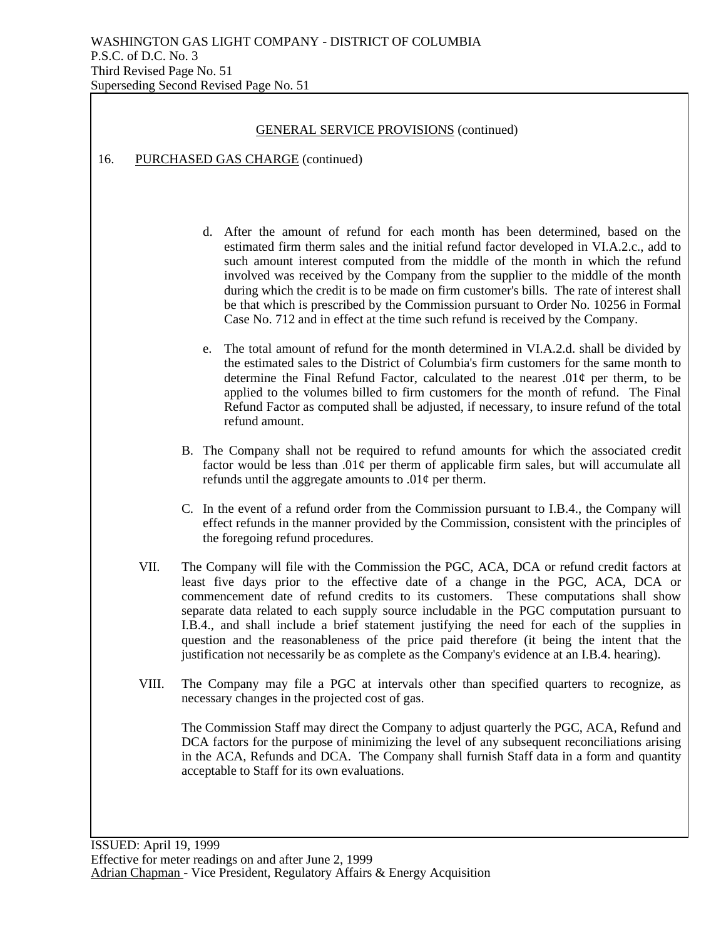#### 16. PURCHASED GAS CHARGE (continued)

- d. After the amount of refund for each month has been determined, based on the estimated firm therm sales and the initial refund factor developed in VI.A.2.c., add to such amount interest computed from the middle of the month in which the refund involved was received by the Company from the supplier to the middle of the month during which the credit is to be made on firm customer's bills. The rate of interest shall be that which is prescribed by the Commission pursuant to Order No. 10256 in Formal Case No. 712 and in effect at the time such refund is received by the Company.
- e. The total amount of refund for the month determined in VI.A.2.d. shall be divided by the estimated sales to the District of Columbia's firm customers for the same month to determine the Final Refund Factor, calculated to the nearest  $.01\phi$  per therm, to be applied to the volumes billed to firm customers for the month of refund. The Final Refund Factor as computed shall be adjusted, if necessary, to insure refund of the total refund amount.
- B. The Company shall not be required to refund amounts for which the associated credit factor would be less than  $.01¢$  per therm of applicable firm sales, but will accumulate all refunds until the aggregate amounts to  $.01\phi$  per therm.
- C. In the event of a refund order from the Commission pursuant to I.B.4., the Company will effect refunds in the manner provided by the Commission, consistent with the principles of the foregoing refund procedures.
- VII. The Company will file with the Commission the PGC, ACA, DCA or refund credit factors at least five days prior to the effective date of a change in the PGC, ACA, DCA or commencement date of refund credits to its customers. These computations shall show separate data related to each supply source includable in the PGC computation pursuant to I.B.4., and shall include a brief statement justifying the need for each of the supplies in question and the reasonableness of the price paid therefore (it being the intent that the justification not necessarily be as complete as the Company's evidence at an I.B.4. hearing).
- VIII. The Company may file a PGC at intervals other than specified quarters to recognize, as necessary changes in the projected cost of gas.

The Commission Staff may direct the Company to adjust quarterly the PGC, ACA, Refund and DCA factors for the purpose of minimizing the level of any subsequent reconciliations arising in the ACA, Refunds and DCA. The Company shall furnish Staff data in a form and quantity acceptable to Staff for its own evaluations.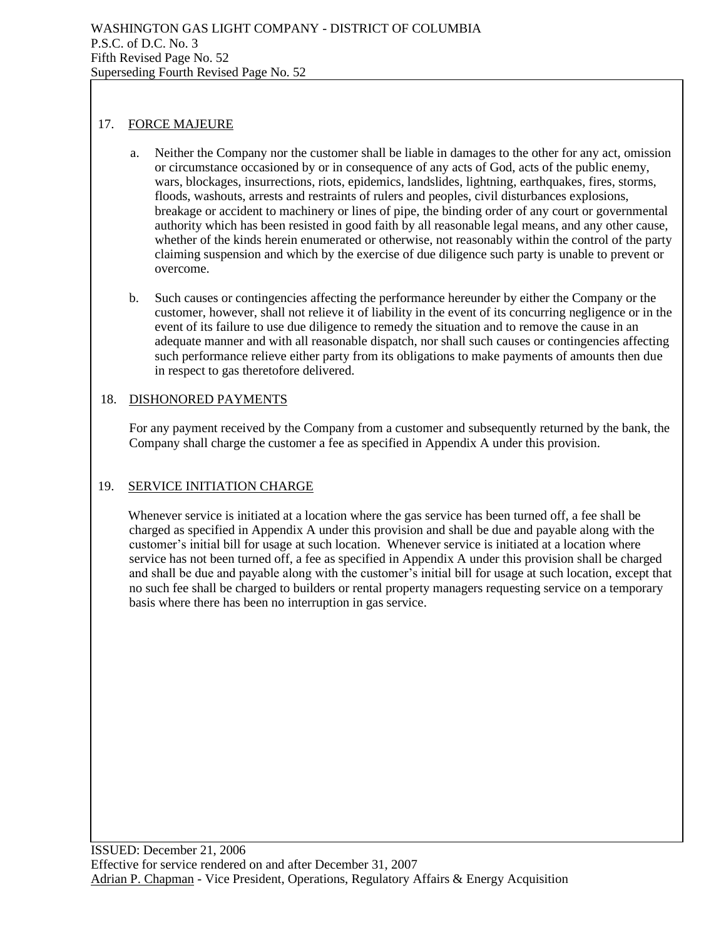## 17. FORCE MAJEURE

- a. Neither the Company nor the customer shall be liable in damages to the other for any act, omission or circumstance occasioned by or in consequence of any acts of God, acts of the public enemy, wars, blockages, insurrections, riots, epidemics, landslides, lightning, earthquakes, fires, storms, floods, washouts, arrests and restraints of rulers and peoples, civil disturbances explosions, breakage or accident to machinery or lines of pipe, the binding order of any court or governmental authority which has been resisted in good faith by all reasonable legal means, and any other cause, whether of the kinds herein enumerated or otherwise, not reasonably within the control of the party claiming suspension and which by the exercise of due diligence such party is unable to prevent or overcome.
- b. Such causes or contingencies affecting the performance hereunder by either the Company or the customer, however, shall not relieve it of liability in the event of its concurring negligence or in the event of its failure to use due diligence to remedy the situation and to remove the cause in an adequate manner and with all reasonable dispatch, nor shall such causes or contingencies affecting such performance relieve either party from its obligations to make payments of amounts then due in respect to gas theretofore delivered.

## 18. DISHONORED PAYMENTS

For any payment received by the Company from a customer and subsequently returned by the bank, the Company shall charge the customer a fee as specified in Appendix A under this provision.

## 19. SERVICE INITIATION CHARGE

Whenever service is initiated at a location where the gas service has been turned off, a fee shall be charged as specified in Appendix A under this provision and shall be due and payable along with the customer's initial bill for usage at such location. Whenever service is initiated at a location where service has not been turned off, a fee as specified in Appendix A under this provision shall be charged and shall be due and payable along with the customer's initial bill for usage at such location, except that no such fee shall be charged to builders or rental property managers requesting service on a temporary basis where there has been no interruption in gas service.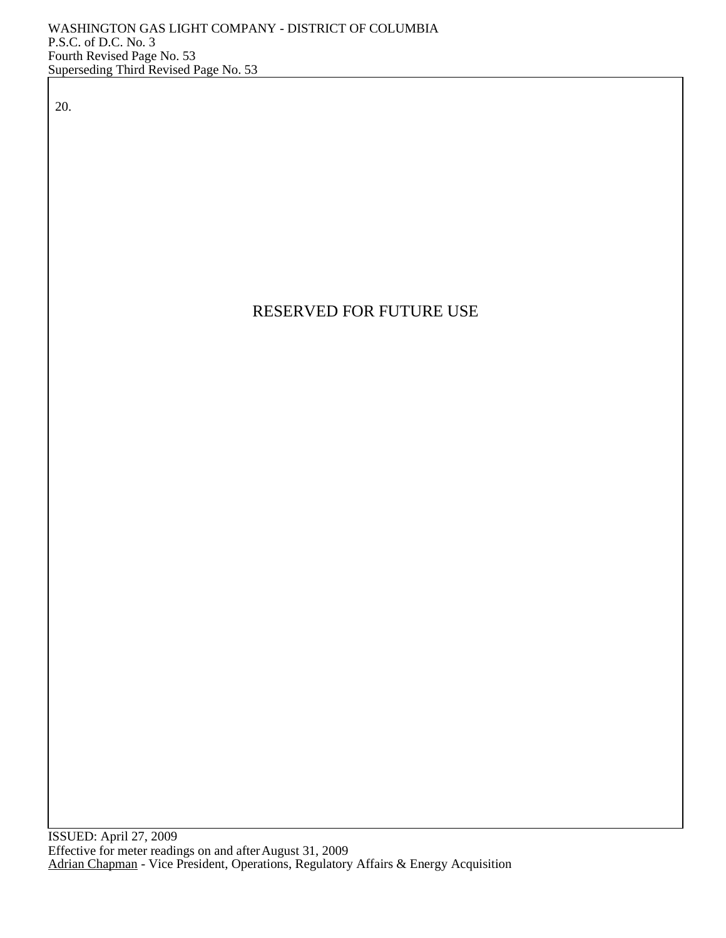20.

# RESERVED FOR FUTURE USE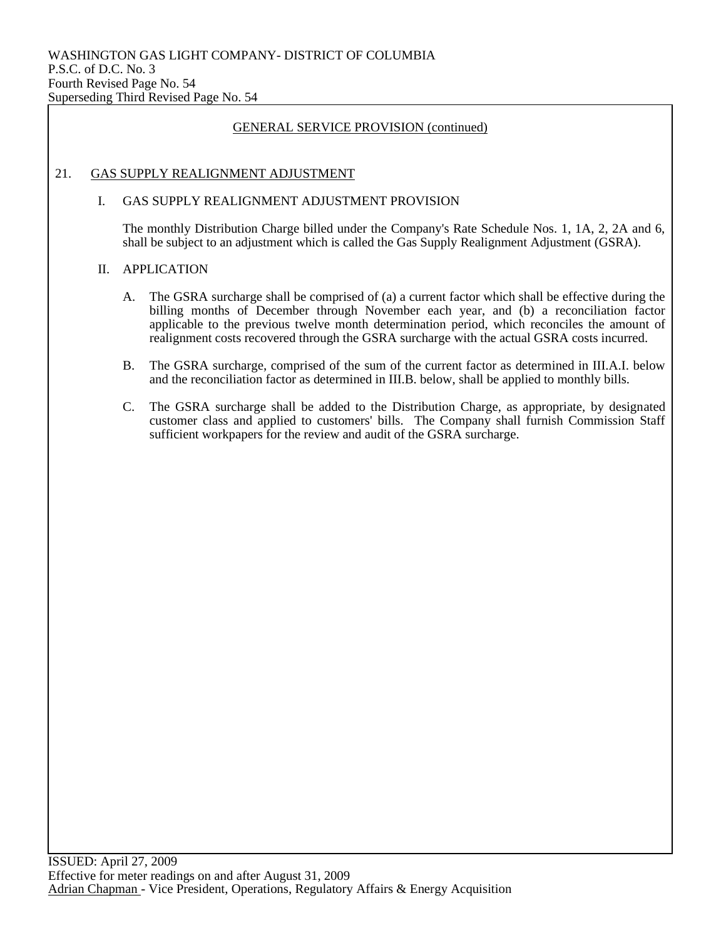## 21. GAS SUPPLY REALIGNMENT ADJUSTMENT

#### I. GAS SUPPLY REALIGNMENT ADJUSTMENT PROVISION

The monthly Distribution Charge billed under the Company's Rate Schedule Nos. 1, 1A, 2, 2A and 6, shall be subject to an adjustment which is called the Gas Supply Realignment Adjustment (GSRA).

#### II. APPLICATION

- A. The GSRA surcharge shall be comprised of (a) a current factor which shall be effective during the billing months of December through November each year, and (b) a reconciliation factor applicable to the previous twelve month determination period, which reconciles the amount of realignment costs recovered through the GSRA surcharge with the actual GSRA costs incurred.
- B. The GSRA surcharge, comprised of the sum of the current factor as determined in III.A.I. below and the reconciliation factor as determined in III.B. below, shall be applied to monthly bills.
- C. The GSRA surcharge shall be added to the Distribution Charge, as appropriate, by designated customer class and applied to customers' bills. The Company shall furnish Commission Staff sufficient workpapers for the review and audit of the GSRA surcharge.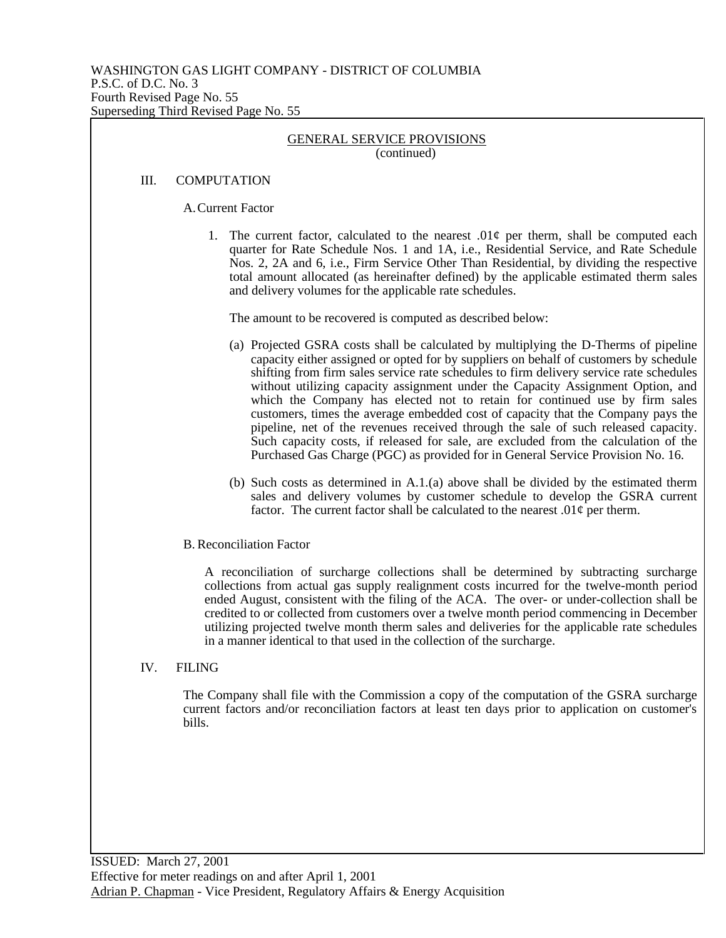#### III. COMPUTATION

A.Current Factor

1. The current factor, calculated to the nearest .01 $\varphi$  per therm, shall be computed each quarter for Rate Schedule Nos. 1 and 1A, i.e., Residential Service, and Rate Schedule Nos. 2, 2A and 6, i.e., Firm Service Other Than Residential, by dividing the respective total amount allocated (as hereinafter defined) by the applicable estimated therm sales and delivery volumes for the applicable rate schedules.

The amount to be recovered is computed as described below:

- (a) Projected GSRA costs shall be calculated by multiplying the D-Therms of pipeline capacity either assigned or opted for by suppliers on behalf of customers by schedule shifting from firm sales service rate schedules to firm delivery service rate schedules without utilizing capacity assignment under the Capacity Assignment Option, and which the Company has elected not to retain for continued use by firm sales customers, times the average embedded cost of capacity that the Company pays the pipeline, net of the revenues received through the sale of such released capacity. Such capacity costs, if released for sale, are excluded from the calculation of the Purchased Gas Charge (PGC) as provided for in General Service Provision No. 16.
- (b) Such costs as determined in A.1.(a) above shall be divided by the estimated therm sales and delivery volumes by customer schedule to develop the GSRA current factor. The current factor shall be calculated to the nearest  $.01\phi$  per therm.
- B. Reconciliation Factor

A reconciliation of surcharge collections shall be determined by subtracting surcharge collections from actual gas supply realignment costs incurred for the twelve-month period ended August, consistent with the filing of the ACA. The over- or under-collection shall be credited to or collected from customers over a twelve month period commencing in December utilizing projected twelve month therm sales and deliveries for the applicable rate schedules in a manner identical to that used in the collection of the surcharge.

IV. FILING

The Company shall file with the Commission a copy of the computation of the GSRA surcharge current factors and/or reconciliation factors at least ten days prior to application on customer's bills.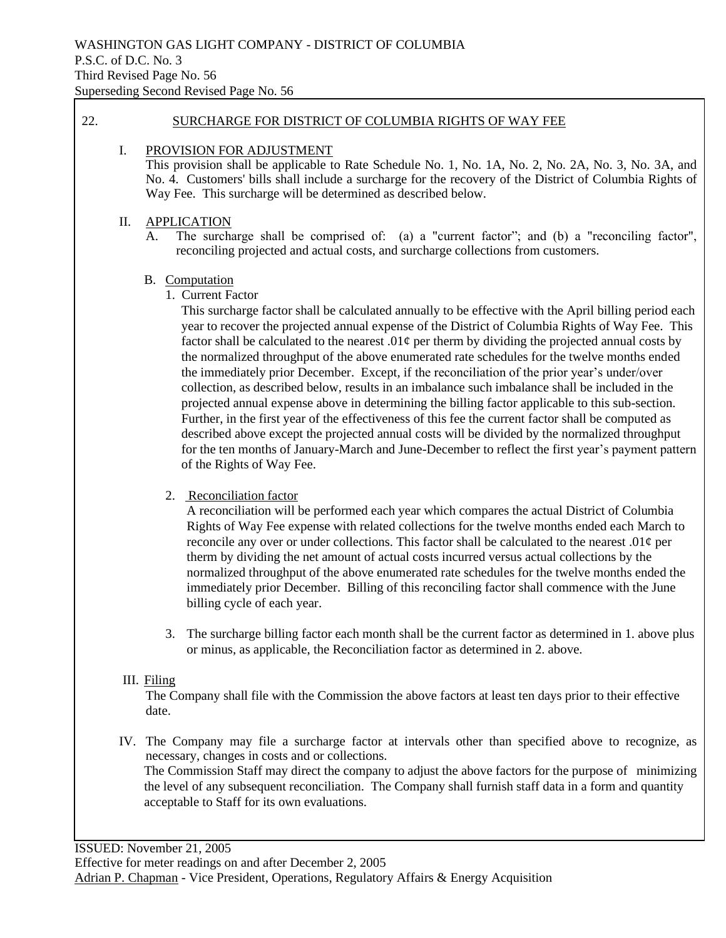#### 22. SURCHARGE FOR DISTRICT OF COLUMBIA RIGHTS OF WAY FEE

#### I. PROVISION FOR ADJUSTMENT

This provision shall be applicable to Rate Schedule No. 1, No. 1A, No. 2, No. 2A, No. 3, No. 3A, and No. 4. Customers' bills shall include a surcharge for the recovery of the District of Columbia Rights of Way Fee. This surcharge will be determined as described below.

#### II. APPLICATION

A. The surcharge shall be comprised of: (a) a "current factor"; and (b) a "reconciling factor", reconciling projected and actual costs, and surcharge collections from customers.

#### B. Computation

1. Current Factor

This surcharge factor shall be calculated annually to be effective with the April billing period each year to recover the projected annual expense of the District of Columbia Rights of Way Fee. This factor shall be calculated to the nearest .01 $\varphi$  per therm by dividing the projected annual costs by the normalized throughput of the above enumerated rate schedules for the twelve months ended the immediately prior December. Except, if the reconciliation of the prior year's under/over collection, as described below, results in an imbalance such imbalance shall be included in the projected annual expense above in determining the billing factor applicable to this sub-section. Further, in the first year of the effectiveness of this fee the current factor shall be computed as described above except the projected annual costs will be divided by the normalized throughput for the ten months of January-March and June-December to reflect the first year's payment pattern of the Rights of Way Fee.

#### 2. Reconciliation factor

A reconciliation will be performed each year which compares the actual District of Columbia Rights of Way Fee expense with related collections for the twelve months ended each March to reconcile any over or under collections. This factor shall be calculated to the nearest  $.01\phi$  per therm by dividing the net amount of actual costs incurred versus actual collections by the normalized throughput of the above enumerated rate schedules for the twelve months ended the immediately prior December. Billing of this reconciling factor shall commence with the June billing cycle of each year.

3. The surcharge billing factor each month shall be the current factor as determined in 1. above plus or minus, as applicable, the Reconciliation factor as determined in 2. above.

#### III. Filing

The Company shall file with the Commission the above factors at least ten days prior to their effective date.

IV. The Company may file a surcharge factor at intervals other than specified above to recognize, as necessary, changes in costs and or collections. The Commission Staff may direct the company to adjust the above factors for the purpose of minimizing

the level of any subsequent reconciliation. The Company shall furnish staff data in a form and quantity acceptable to Staff for its own evaluations.

ISSUED: November 21, 2005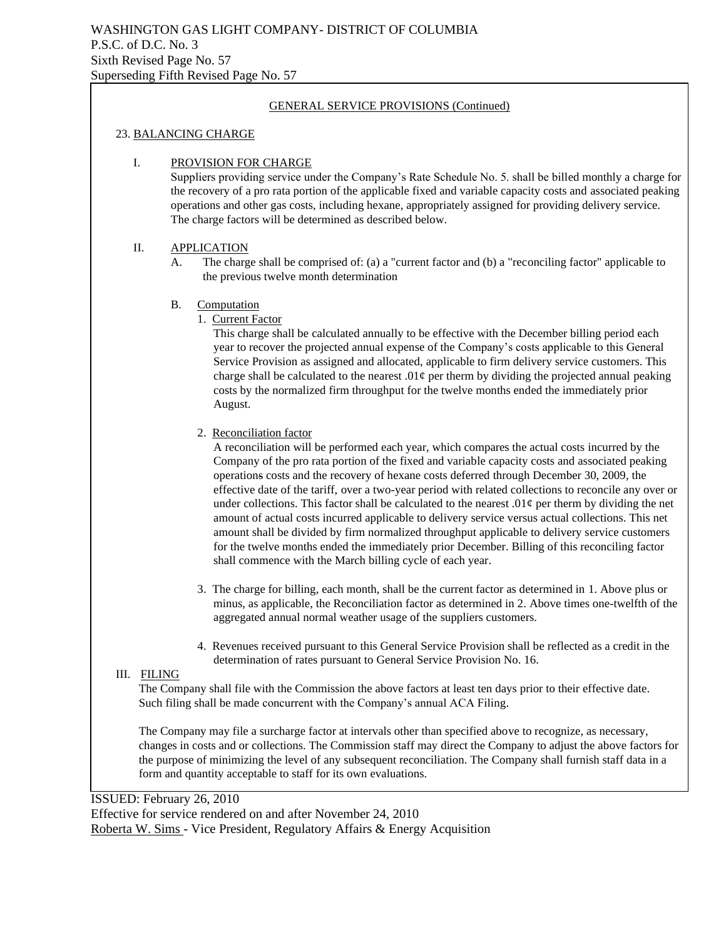#### 23. BALANCING CHARGE

#### I. PROVISION FOR CHARGE

Suppliers providing service under the Company's Rate Schedule No. 5. shall be billed monthly a charge for the recovery of a pro rata portion of the applicable fixed and variable capacity costs and associated peaking operations and other gas costs, including hexane, appropriately assigned for providing delivery service. The charge factors will be determined as described below.

#### II. APPLICATION

A. The charge shall be comprised of: (a) a "current factor and (b) a "reconciling factor" applicable to the previous twelve month determination

#### B. Computation

1. Current Factor

This charge shall be calculated annually to be effective with the December billing period each year to recover the projected annual expense of the Company's costs applicable to this General Service Provision as assigned and allocated, applicable to firm delivery service customers. This charge shall be calculated to the nearest .01 $\varphi$  per therm by dividing the projected annual peaking costs by the normalized firm throughput for the twelve months ended the immediately prior August.

#### 2. Reconciliation factor

A reconciliation will be performed each year, which compares the actual costs incurred by the Company of the pro rata portion of the fixed and variable capacity costs and associated peaking operations costs and the recovery of hexane costs deferred through December 30, 2009, the effective date of the tariff, over a two-year period with related collections to reconcile any over or under collections. This factor shall be calculated to the nearest .01 $\varphi$  per therm by dividing the net amount of actual costs incurred applicable to delivery service versus actual collections. This net amount shall be divided by firm normalized throughput applicable to delivery service customers for the twelve months ended the immediately prior December. Billing of this reconciling factor shall commence with the March billing cycle of each year.

- 3. The charge for billing, each month, shall be the current factor as determined in 1. Above plus or minus, as applicable, the Reconciliation factor as determined in 2. Above times one-twelfth of the aggregated annual normal weather usage of the suppliers customers.
- 4. Revenues received pursuant to this General Service Provision shall be reflected as a credit in the determination of rates pursuant to General Service Provision No. 16.

#### III. FILING

The Company shall file with the Commission the above factors at least ten days prior to their effective date. Such filing shall be made concurrent with the Company's annual ACA Filing.

The Company may file a surcharge factor at intervals other than specified above to recognize, as necessary, changes in costs and or collections. The Commission staff may direct the Company to adjust the above factors for the purpose of minimizing the level of any subsequent reconciliation. The Company shall furnish staff data in a form and quantity acceptable to staff for its own evaluations.

ISSUED: February 26, 2010 Effective for service rendered on and after November 24, 2010 Roberta W. Sims - Vice President, Regulatory Affairs & Energy Acquisition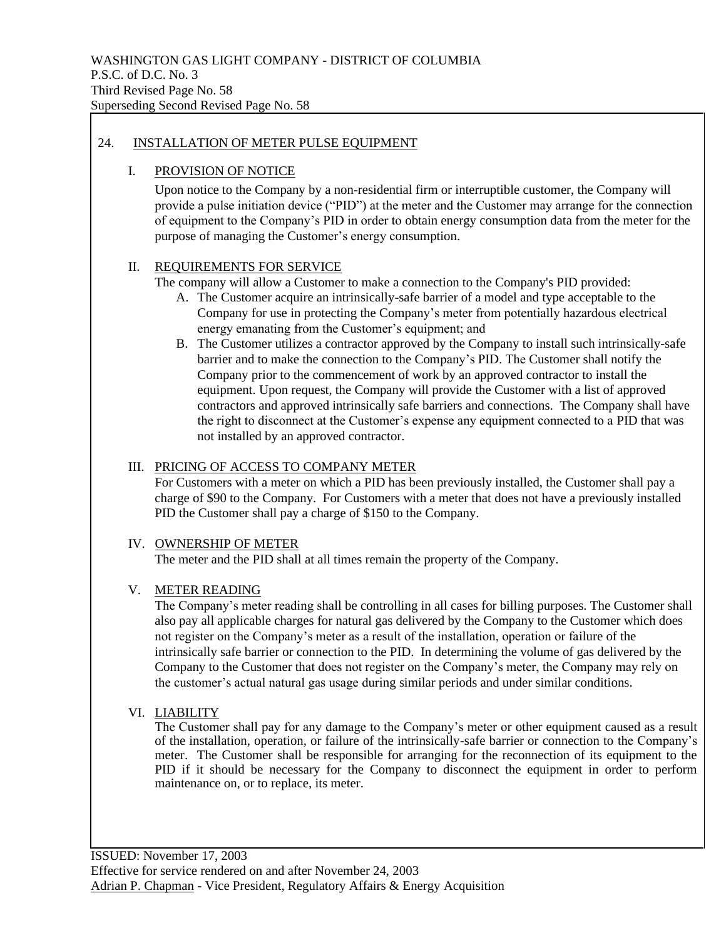## 24. INSTALLATION OF METER PULSE EQUIPMENT

#### I. PROVISION OF NOTICE

Upon notice to the Company by a non-residential firm or interruptible customer, the Company will provide a pulse initiation device ("PID") at the meter and the Customer may arrange for the connection of equipment to the Company's PID in order to obtain energy consumption data from the meter for the purpose of managing the Customer's energy consumption.

## II. REQUIREMENTS FOR SERVICE

The company will allow a Customer to make a connection to the Company's PID provided:

- A. The Customer acquire an intrinsically-safe barrier of a model and type acceptable to the Company for use in protecting the Company's meter from potentially hazardous electrical energy emanating from the Customer's equipment; and
- B. The Customer utilizes a contractor approved by the Company to install such intrinsically-safe barrier and to make the connection to the Company's PID. The Customer shall notify the Company prior to the commencement of work by an approved contractor to install the equipment. Upon request, the Company will provide the Customer with a list of approved contractors and approved intrinsically safe barriers and connections. The Company shall have the right to disconnect at the Customer's expense any equipment connected to a PID that was not installed by an approved contractor.

#### III. PRICING OF ACCESS TO COMPANY METER

For Customers with a meter on which a PID has been previously installed, the Customer shall pay a charge of \$90 to the Company. For Customers with a meter that does not have a previously installed PID the Customer shall pay a charge of \$150 to the Company.

# IV. OWNERSHIP OF METER

The meter and the PID shall at all times remain the property of the Company.

## V. METER READING

The Company's meter reading shall be controlling in all cases for billing purposes. The Customer shall also pay all applicable charges for natural gas delivered by the Company to the Customer which does not register on the Company's meter as a result of the installation, operation or failure of the intrinsically safe barrier or connection to the PID. In determining the volume of gas delivered by the Company to the Customer that does not register on the Company's meter, the Company may rely on the customer's actual natural gas usage during similar periods and under similar conditions.

#### VI. LIABILITY

The Customer shall pay for any damage to the Company's meter or other equipment caused as a result of the installation, operation, or failure of the intrinsically-safe barrier or connection to the Company's meter. The Customer shall be responsible for arranging for the reconnection of its equipment to the PID if it should be necessary for the Company to disconnect the equipment in order to perform maintenance on, or to replace, its meter.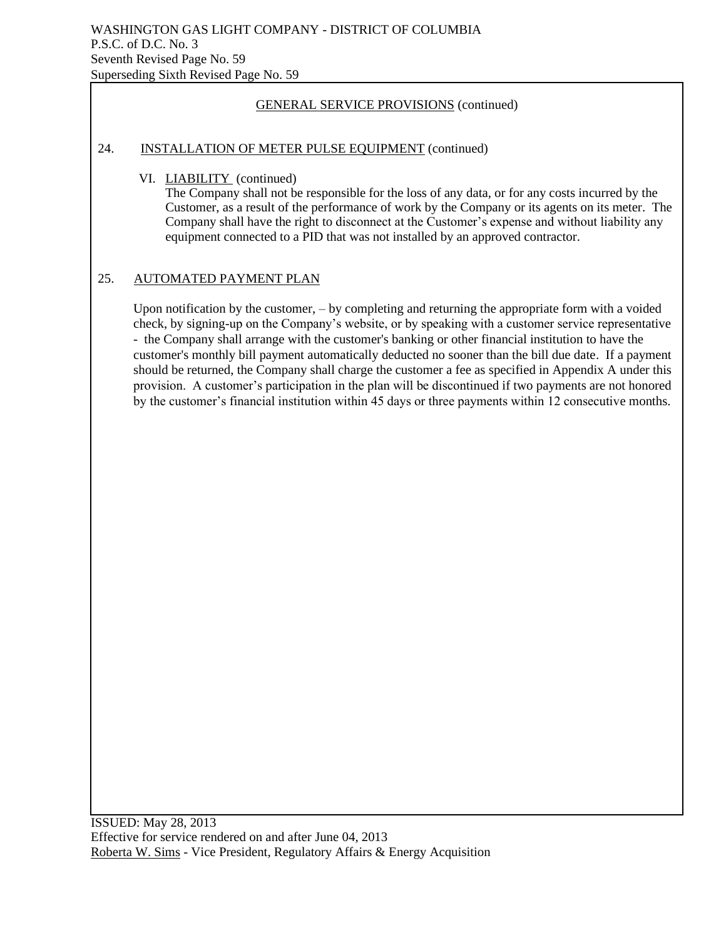#### 24. INSTALLATION OF METER PULSE EQUIPMENT (continued)

VI. LIABILITY (continued)

The Company shall not be responsible for the loss of any data, or for any costs incurred by the Customer, as a result of the performance of work by the Company or its agents on its meter. The Company shall have the right to disconnect at the Customer's expense and without liability any equipment connected to a PID that was not installed by an approved contractor.

## 25. AUTOMATED PAYMENT PLAN

Upon notification by the customer, – by completing and returning the appropriate form with a voided check, by signing-up on the Company's website, or by speaking with a customer service representative - the Company shall arrange with the customer's banking or other financial institution to have the customer's monthly bill payment automatically deducted no sooner than the bill due date. If a payment should be returned, the Company shall charge the customer a fee as specified in Appendix A under this provision. A customer's participation in the plan will be discontinued if two payments are not honored by the customer's financial institution within 45 days or three payments within 12 consecutive months.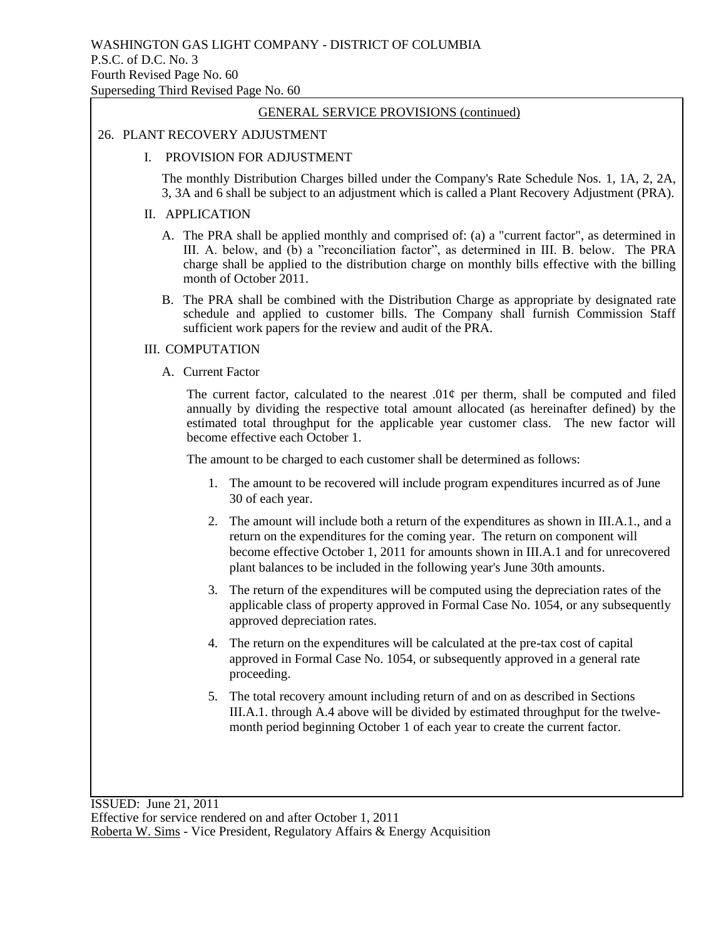#### 26. PLANT RECOVERY ADJUSTMENT

#### I. PROVISION FOR ADJUSTMENT

The monthly Distribution Charges billed under the Company's Rate Schedule Nos. 1, 1A, 2, 2A, 3, 3A and 6 shall be subject to an adjustment which is called a Plant Recovery Adjustment (PRA).

#### II. APPLICATION

- A. The PRA shall be applied monthly and comprised of: (a) a "current factor", as determined in III. A. below, and (b) a "reconciliation factor", as determined in III. B. below. The PRA charge shall be applied to the distribution charge on monthly bills effective with the billing month of October 2011.
- B. The PRA shall be combined with the Distribution Charge as appropriate by designated rate schedule and applied to customer bills. The Company shall furnish Commission Staff sufficient work papers for the review and audit of the PRA.

#### III. COMPUTATION

A. Current Factor

The current factor, calculated to the nearest  $.01¢$  per therm, shall be computed and filed annually by dividing the respective total amount allocated (as hereinafter defined) by the estimated total throughput for the applicable year customer class. The new factor will become effective each October 1.

The amount to be charged to each customer shall be determined as follows:

- 1. The amount to be recovered will include program expenditures incurred as of June 30 of each year.
- 2. The amount will include both a return of the expenditures as shown in III.A.1., and a return on the expenditures for the coming year. The return on component will become effective October 1, 2011 for amounts shown in III.A.1 and for unrecovered plant balances to be included in the following year's June 30th amounts.
- 3. The return of the expenditures will be computed using the depreciation rates of the applicable class of property approved in Formal Case No. 1054, or any subsequently approved depreciation rates.
- 4. The return on the expenditures will be calculated at the pre-tax cost of capital approved in Formal Case No. 1054, or subsequently approved in a general rate proceeding.
- 5. The total recovery amount including return of and on as described in Sections III.A.1. through A.4 above will be divided by estimated throughput for the twelvemonth period beginning October 1 of each year to create the current factor.

ISSUED: June 21, 2011 Effective for service rendered on and after October 1, 2011 Roberta W. Sims - Vice President, Regulatory Affairs & Energy Acquisition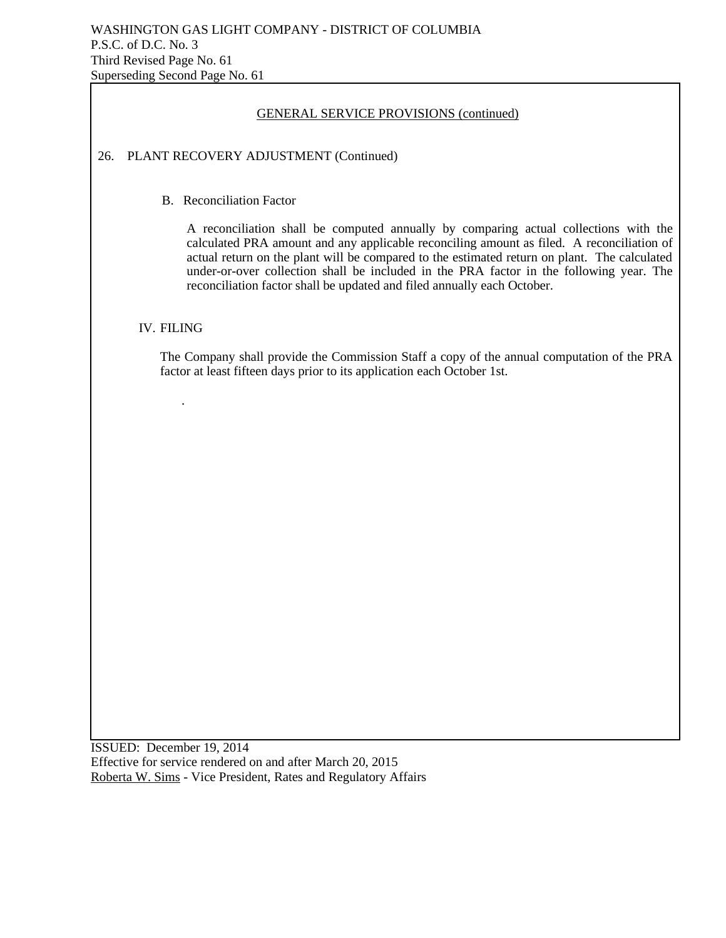| <b>GENERAL SERVICE PROVISIONS (continued)</b>                                                                                                                                                                                                                                                                                                                                                                                                                                              |  |  |  |  |  |
|--------------------------------------------------------------------------------------------------------------------------------------------------------------------------------------------------------------------------------------------------------------------------------------------------------------------------------------------------------------------------------------------------------------------------------------------------------------------------------------------|--|--|--|--|--|
| PLANT RECOVERY ADJUSTMENT (Continued)<br>26.                                                                                                                                                                                                                                                                                                                                                                                                                                               |  |  |  |  |  |
| <b>B.</b> Reconciliation Factor<br>A reconciliation shall be computed annually by comparing actual collections with the<br>calculated PRA amount and any applicable reconciling amount as filed. A reconciliation of<br>actual return on the plant will be compared to the estimated return on plant. The calculated<br>under-or-over collection shall be included in the PRA factor in the following year. The<br>reconciliation factor shall be updated and filed annually each October. |  |  |  |  |  |
| <b>IV. FILING</b>                                                                                                                                                                                                                                                                                                                                                                                                                                                                          |  |  |  |  |  |
| The Company shall provide the Commission Staff a copy of the annual computation of the PRA<br>factor at least fifteen days prior to its application each October 1st.                                                                                                                                                                                                                                                                                                                      |  |  |  |  |  |
|                                                                                                                                                                                                                                                                                                                                                                                                                                                                                            |  |  |  |  |  |

ISSUED: December 19, 2014 Effective for service rendered on and after March 20, 2015 Roberta W. Sims - Vice President, Rates and Regulatory Affairs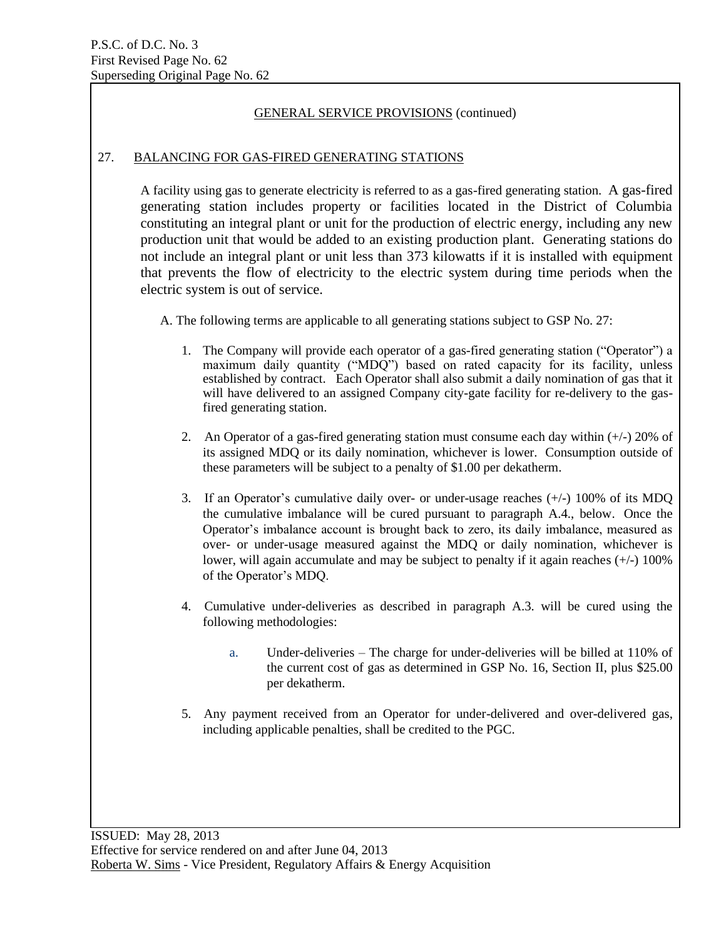## 27. BALANCING FOR GAS-FIRED GENERATING STATIONS

A facility using gas to generate electricity is referred to as a gas-fired generating station. A gas-fired generating station includes property or facilities located in the District of Columbia constituting an integral plant or unit for the production of electric energy, including any new production unit that would be added to an existing production plant. Generating stations do not include an integral plant or unit less than 373 kilowatts if it is installed with equipment that prevents the flow of electricity to the electric system during time periods when the electric system is out of service.

A. The following terms are applicable to all generating stations subject to GSP No. 27:

- 1. The Company will provide each operator of a gas-fired generating station ("Operator") a maximum daily quantity ("MDQ") based on rated capacity for its facility, unless established by contract. Each Operator shall also submit a daily nomination of gas that it will have delivered to an assigned Company city-gate facility for re-delivery to the gasfired generating station.
- 2. An Operator of a gas-fired generating station must consume each day within (+/-) 20% of its assigned MDQ or its daily nomination, whichever is lower. Consumption outside of these parameters will be subject to a penalty of \$1.00 per dekatherm.
- 3. If an Operator's cumulative daily over- or under-usage reaches (+/-) 100% of its MDQ the cumulative imbalance will be cured pursuant to paragraph A.4., below. Once the Operator's imbalance account is brought back to zero, its daily imbalance, measured as over- or under-usage measured against the MDQ or daily nomination, whichever is lower, will again accumulate and may be subject to penalty if it again reaches  $(+/-)$  100% of the Operator's MDQ.
- 4. Cumulative under-deliveries as described in paragraph A.3. will be cured using the following methodologies:
	- a. Under-deliveries The charge for under-deliveries will be billed at 110% of the current cost of gas as determined in GSP No. 16, Section II, plus \$25.00 per dekatherm.
- 5. Any payment received from an Operator for under-delivered and over-delivered gas, including applicable penalties, shall be credited to the PGC.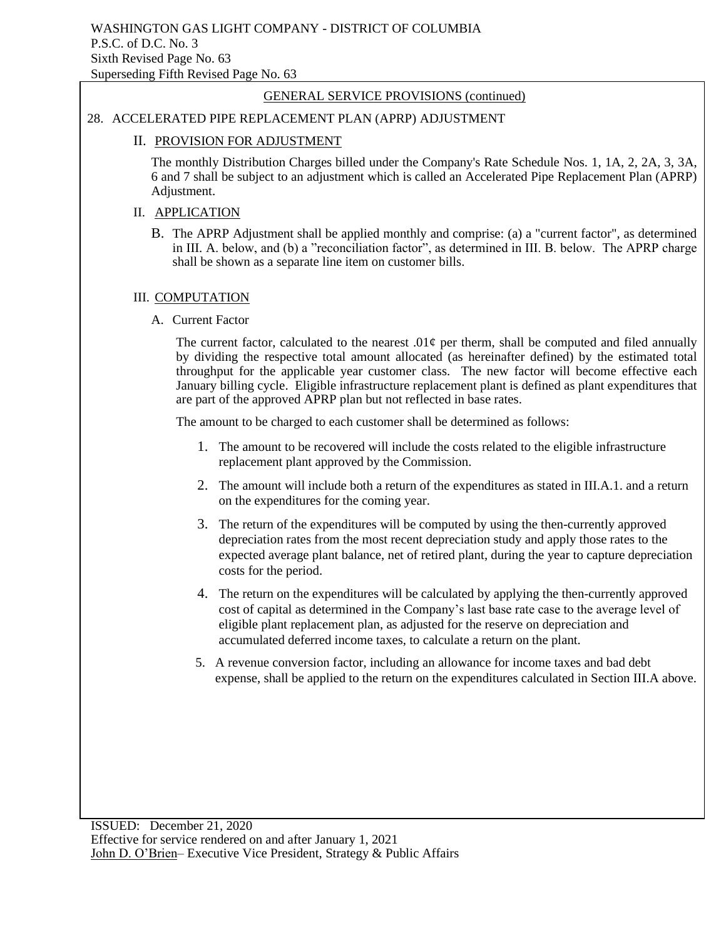# 28. ACCELERATED PIPE REPLACEMENT PLAN (APRP) ADJUSTMENT

#### II. PROVISION FOR ADJUSTMENT

The monthly Distribution Charges billed under the Company's Rate Schedule Nos. 1, 1A, 2, 2A, 3, 3A, 6 and 7 shall be subject to an adjustment which is called an Accelerated Pipe Replacement Plan (APRP) Adjustment.

#### II. APPLICATION

B. The APRP Adjustment shall be applied monthly and comprise: (a) a "current factor", as determined in III. A. below, and (b) a "reconciliation factor", as determined in III. B. below. The APRP charge shall be shown as a separate line item on customer bills.

#### III. COMPUTATION

A. Current Factor

The current factor, calculated to the nearest .01 $\phi$  per therm, shall be computed and filed annually by dividing the respective total amount allocated (as hereinafter defined) by the estimated total throughput for the applicable year customer class. The new factor will become effective each January billing cycle. Eligible infrastructure replacement plant is defined as plant expenditures that are part of the approved APRP plan but not reflected in base rates.

The amount to be charged to each customer shall be determined as follows:

- 1. The amount to be recovered will include the costs related to the eligible infrastructure replacement plant approved by the Commission.
- 2. The amount will include both a return of the expenditures as stated in III.A.1. and a return on the expenditures for the coming year.
- 3. The return of the expenditures will be computed by using the then-currently approved depreciation rates from the most recent depreciation study and apply those rates to the expected average plant balance, net of retired plant, during the year to capture depreciation costs for the period.
- 4. The return on the expenditures will be calculated by applying the then-currently approved cost of capital as determined in the Company's last base rate case to the average level of eligible plant replacement plan, as adjusted for the reserve on depreciation and accumulated deferred income taxes, to calculate a return on the plant.
- 5. A revenue conversion factor, including an allowance for income taxes and bad debt expense, shall be applied to the return on the expenditures calculated in Section III.A above.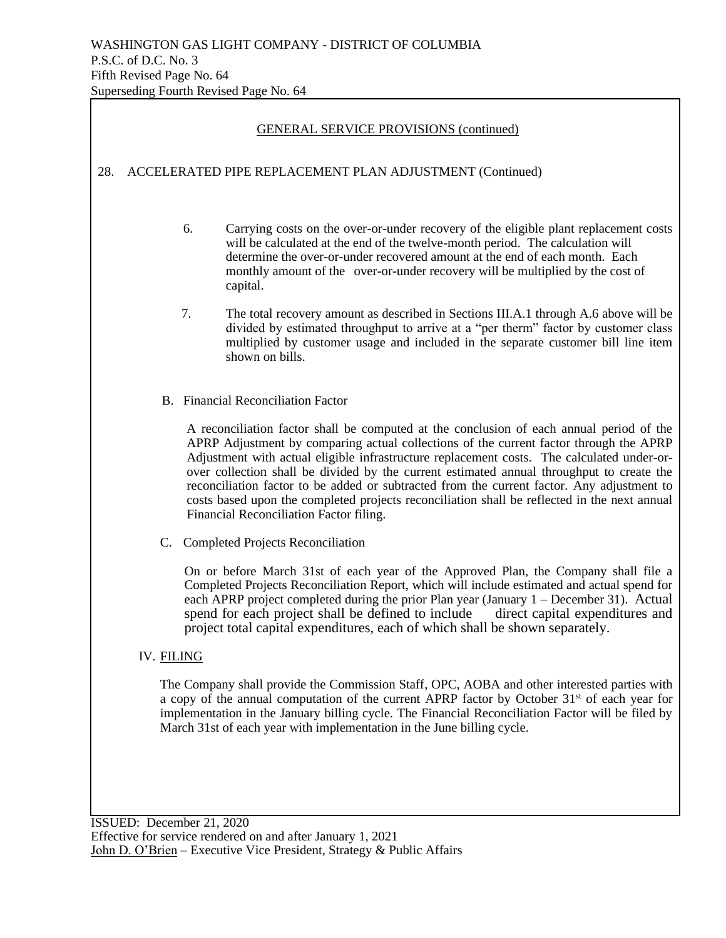|                       |                                                                                                                                                                                                                                                                                                                                                                                                                                                                                                                                                                                                                        |                                                                                                                                                                                                                                                                  | <b>GENERAL SERVICE PROVISIONS (continued)</b>                                                                                                                                                                                                                                                                                                       |  |  |  |
|-----------------------|------------------------------------------------------------------------------------------------------------------------------------------------------------------------------------------------------------------------------------------------------------------------------------------------------------------------------------------------------------------------------------------------------------------------------------------------------------------------------------------------------------------------------------------------------------------------------------------------------------------------|------------------------------------------------------------------------------------------------------------------------------------------------------------------------------------------------------------------------------------------------------------------|-----------------------------------------------------------------------------------------------------------------------------------------------------------------------------------------------------------------------------------------------------------------------------------------------------------------------------------------------------|--|--|--|
| 28.                   | ACCELERATED PIPE REPLACEMENT PLAN ADJUSTMENT (Continued)                                                                                                                                                                                                                                                                                                                                                                                                                                                                                                                                                               |                                                                                                                                                                                                                                                                  |                                                                                                                                                                                                                                                                                                                                                     |  |  |  |
|                       |                                                                                                                                                                                                                                                                                                                                                                                                                                                                                                                                                                                                                        | 6.                                                                                                                                                                                                                                                               | Carrying costs on the over-or-under recovery of the eligible plant replacement costs<br>will be calculated at the end of the twelve-month period. The calculation will<br>determine the over-or-under recovered amount at the end of each month. Each<br>monthly amount of the over-or-under recovery will be multiplied by the cost of<br>capital. |  |  |  |
| 7.<br>shown on bills. |                                                                                                                                                                                                                                                                                                                                                                                                                                                                                                                                                                                                                        | The total recovery amount as described in Sections III.A.1 through A.6 above will be<br>divided by estimated throughput to arrive at a "per therm" factor by customer class<br>multiplied by customer usage and included in the separate customer bill line item |                                                                                                                                                                                                                                                                                                                                                     |  |  |  |
|                       | <b>B.</b> Financial Reconciliation Factor                                                                                                                                                                                                                                                                                                                                                                                                                                                                                                                                                                              |                                                                                                                                                                                                                                                                  |                                                                                                                                                                                                                                                                                                                                                     |  |  |  |
|                       | A reconciliation factor shall be computed at the conclusion of each annual period of the<br>APRP Adjustment by comparing actual collections of the current factor through the APRP<br>Adjustment with actual eligible infrastructure replacement costs. The calculated under-or-<br>over collection shall be divided by the current estimated annual throughput to create the<br>reconciliation factor to be added or subtracted from the current factor. Any adjustment to<br>costs based upon the completed projects reconciliation shall be reflected in the next annual<br>Financial Reconciliation Factor filing. |                                                                                                                                                                                                                                                                  |                                                                                                                                                                                                                                                                                                                                                     |  |  |  |
|                       |                                                                                                                                                                                                                                                                                                                                                                                                                                                                                                                                                                                                                        | C. Completed Projects Reconciliation                                                                                                                                                                                                                             |                                                                                                                                                                                                                                                                                                                                                     |  |  |  |
|                       | On or before March 31st of each year of the Approved Plan, the Company shall file a<br>Completed Projects Reconciliation Report, which will include estimated and actual spend for<br>each APRP project completed during the prior Plan year (January $1 -$ December 31). Actual<br>spend for each project shall be defined to include<br>direct capital expenditures and<br>project total capital expenditures, each of which shall be shown separately.                                                                                                                                                              |                                                                                                                                                                                                                                                                  |                                                                                                                                                                                                                                                                                                                                                     |  |  |  |
|                       | <b>IV. FILING</b>                                                                                                                                                                                                                                                                                                                                                                                                                                                                                                                                                                                                      |                                                                                                                                                                                                                                                                  |                                                                                                                                                                                                                                                                                                                                                     |  |  |  |
|                       | The Company shall provide the Commission Staff, OPC, AOBA and other interested parties with<br>a copy of the annual computation of the current APRP factor by October 31 <sup>st</sup> of each year for<br>implementation in the January billing cycle. The Financial Reconciliation Factor will be filed by<br>March 31st of each year with implementation in the June billing cycle.                                                                                                                                                                                                                                 |                                                                                                                                                                                                                                                                  |                                                                                                                                                                                                                                                                                                                                                     |  |  |  |
|                       |                                                                                                                                                                                                                                                                                                                                                                                                                                                                                                                                                                                                                        |                                                                                                                                                                                                                                                                  |                                                                                                                                                                                                                                                                                                                                                     |  |  |  |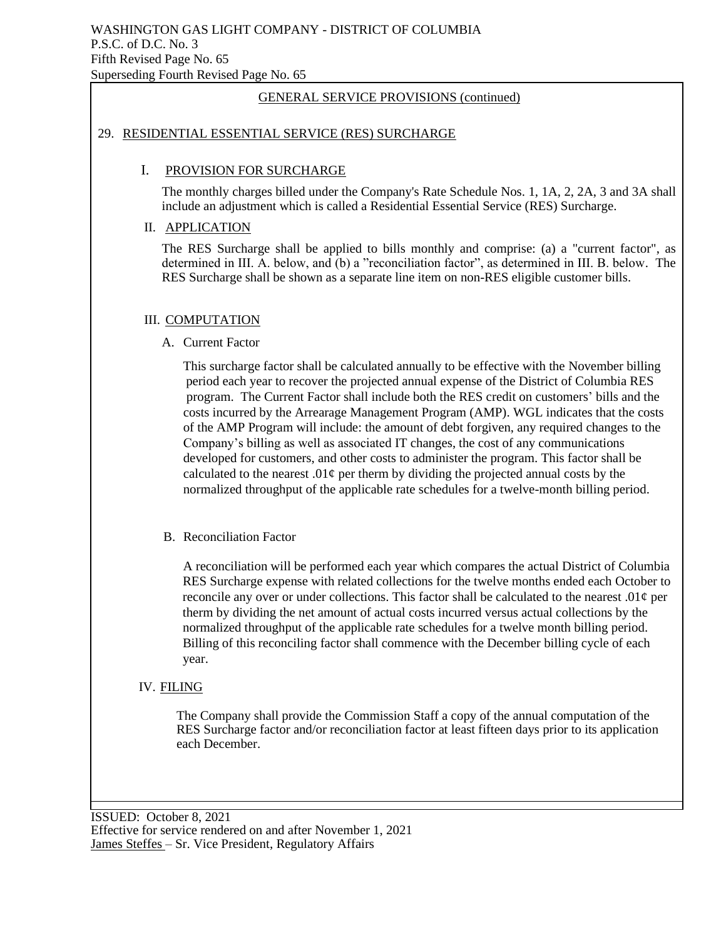#### 29. RESIDENTIAL ESSENTIAL SERVICE (RES) SURCHARGE

#### I. PROVISION FOR SURCHARGE

The monthly charges billed under the Company's Rate Schedule Nos. 1, 1A, 2, 2A, 3 and 3A shall include an adjustment which is called a Residential Essential Service (RES) Surcharge.

#### II. APPLICATION

The RES Surcharge shall be applied to bills monthly and comprise: (a) a "current factor", as determined in III. A. below, and (b) a "reconciliation factor", as determined in III. B. below. The RES Surcharge shall be shown as a separate line item on non-RES eligible customer bills.

#### III. COMPUTATION

A. Current Factor

 This surcharge factor shall be calculated annually to be effective with the November billing period each year to recover the projected annual expense of the District of Columbia RES program. The Current Factor shall include both the RES credit on customers' bills and the costs incurred by the Arrearage Management Program (AMP). WGL indicates that the costs of the AMP Program will include: the amount of debt forgiven, any required changes to the Company's billing as well as associated IT changes, the cost of any communications developed for customers, and other costs to administer the program. This factor shall be calculated to the nearest  $.01¢$  per therm by dividing the projected annual costs by the normalized throughput of the applicable rate schedules for a twelve-month billing period.

#### B. Reconciliation Factor

 A reconciliation will be performed each year which compares the actual District of Columbia RES Surcharge expense with related collections for the twelve months ended each October to reconcile any over or under collections. This factor shall be calculated to the nearest .01 $\varphi$  per therm by dividing the net amount of actual costs incurred versus actual collections by the normalized throughput of the applicable rate schedules for a twelve month billing period. Billing of this reconciling factor shall commence with the December billing cycle of each year.

#### IV. FILING

 The Company shall provide the Commission Staff a copy of the annual computation of the RES Surcharge factor and/or reconciliation factor at least fifteen days prior to its application each December.

ISSUED: October 8, 2021 Effective for service rendered on and after November 1, 2021 James Steffes – Sr. Vice President, Regulatory Affairs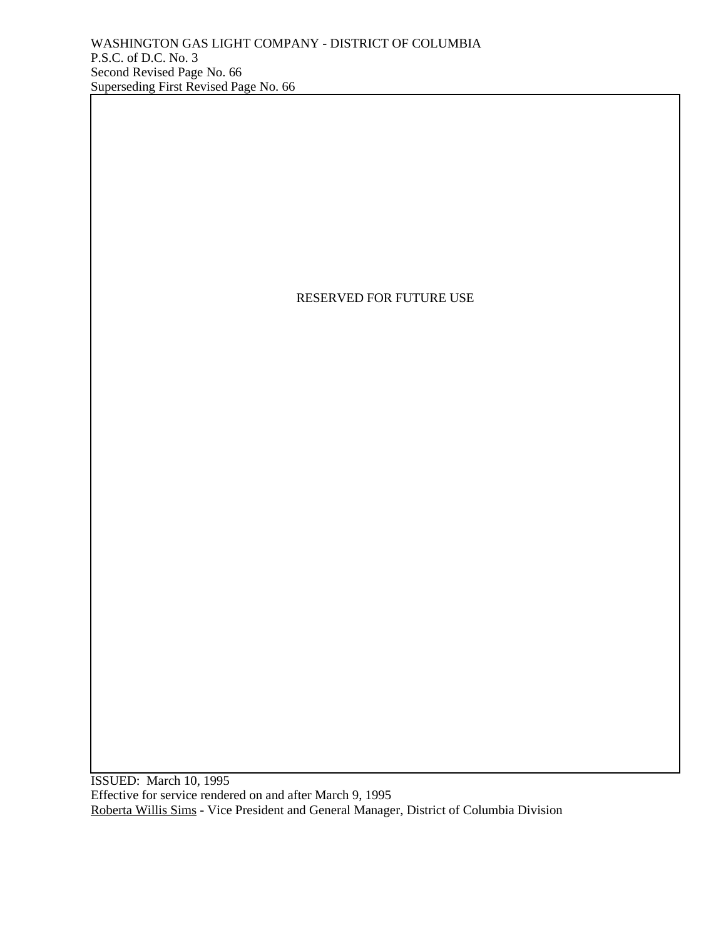## RESERVED FOR FUTURE USE

ISSUED: March 10, 1995 Effective for service rendered on and after March 9, 1995 Roberta Willis Sims - Vice President and General Manager, District of Columbia Division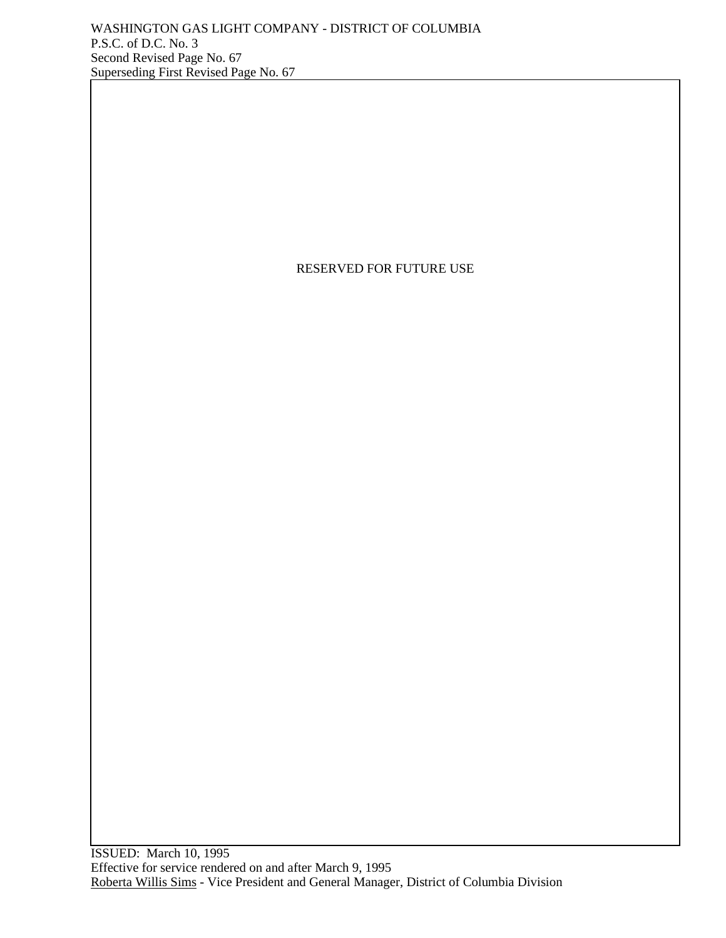# RESERVED FOR FUTURE USE